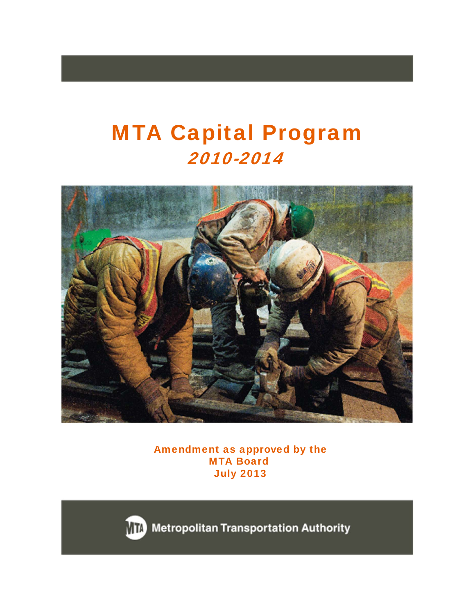# MTA Capital Program 2010-2014



Amendment as approved by the MTA Board July 2013



Metropolitan Transportation Authority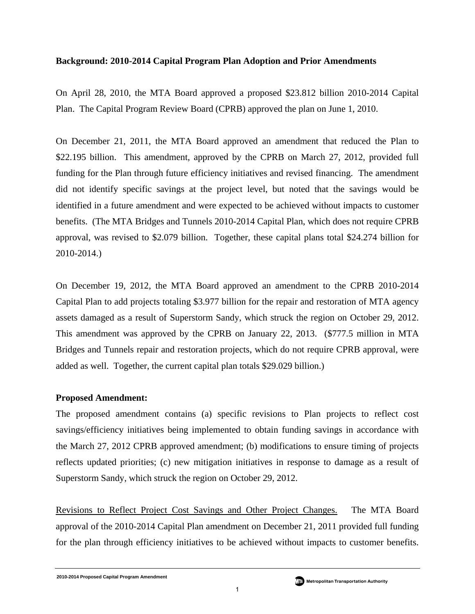# **Background: 2010-2014 Capital Program Plan Adoption and Prior Amendments**

On April 28, 2010, the MTA Board approved a proposed \$23.812 billion 2010-2014 Capital Plan. The Capital Program Review Board (CPRB) approved the plan on June 1, 2010.

On December 21, 2011, the MTA Board approved an amendment that reduced the Plan to \$22.195 billion. This amendment, approved by the CPRB on March 27, 2012, provided full funding for the Plan through future efficiency initiatives and revised financing. The amendment did not identify specific savings at the project level, but noted that the savings would be identified in a future amendment and were expected to be achieved without impacts to customer benefits. (The MTA Bridges and Tunnels 2010-2014 Capital Plan, which does not require CPRB approval, was revised to \$2.079 billion. Together, these capital plans total \$24.274 billion for 2010-2014.)

On December 19, 2012, the MTA Board approved an amendment to the CPRB 2010-2014 Capital Plan to add projects totaling \$3.977 billion for the repair and restoration of MTA agency assets damaged as a result of Superstorm Sandy, which struck the region on October 29, 2012. This amendment was approved by the CPRB on January 22, 2013. (\$777.5 million in MTA Bridges and Tunnels repair and restoration projects, which do not require CPRB approval, were added as well. Together, the current capital plan totals \$29.029 billion.)

# **Proposed Amendment:**

The proposed amendment contains (a) specific revisions to Plan projects to reflect cost savings/efficiency initiatives being implemented to obtain funding savings in accordance with the March 27, 2012 CPRB approved amendment; (b) modifications to ensure timing of projects reflects updated priorities; (c) new mitigation initiatives in response to damage as a result of Superstorm Sandy, which struck the region on October 29, 2012.

Revisions to Reflect Project Cost Savings and Other Project Changes. The MTA Board approval of the 2010-2014 Capital Plan amendment on December 21, 2011 provided full funding for the plan through efficiency initiatives to be achieved without impacts to customer benefits.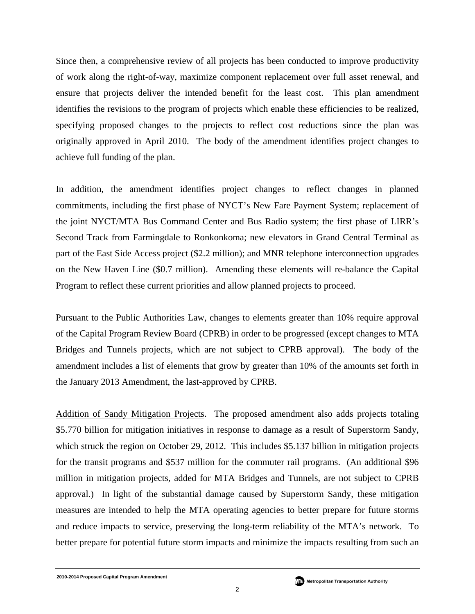Since then, a comprehensive review of all projects has been conducted to improve productivity of work along the right-of-way, maximize component replacement over full asset renewal, and ensure that projects deliver the intended benefit for the least cost. This plan amendment identifies the revisions to the program of projects which enable these efficiencies to be realized, specifying proposed changes to the projects to reflect cost reductions since the plan was originally approved in April 2010. The body of the amendment identifies project changes to achieve full funding of the plan.

In addition, the amendment identifies project changes to reflect changes in planned commitments, including the first phase of NYCT's New Fare Payment System; replacement of the joint NYCT/MTA Bus Command Center and Bus Radio system; the first phase of LIRR's Second Track from Farmingdale to Ronkonkoma; new elevators in Grand Central Terminal as part of the East Side Access project (\$2.2 million); and MNR telephone interconnection upgrades on the New Haven Line (\$0.7 million). Amending these elements will re-balance the Capital Program to reflect these current priorities and allow planned projects to proceed.

Pursuant to the Public Authorities Law, changes to elements greater than 10% require approval of the Capital Program Review Board (CPRB) in order to be progressed (except changes to MTA Bridges and Tunnels projects, which are not subject to CPRB approval). The body of the amendment includes a list of elements that grow by greater than 10% of the amounts set forth in the January 2013 Amendment, the last-approved by CPRB.

Addition of Sandy Mitigation Projects. The proposed amendment also adds projects totaling \$5.770 billion for mitigation initiatives in response to damage as a result of Superstorm Sandy, which struck the region on October 29, 2012. This includes \$5.137 billion in mitigation projects for the transit programs and \$537 million for the commuter rail programs. (An additional \$96 million in mitigation projects, added for MTA Bridges and Tunnels, are not subject to CPRB approval.) In light of the substantial damage caused by Superstorm Sandy, these mitigation measures are intended to help the MTA operating agencies to better prepare for future storms and reduce impacts to service, preserving the long-term reliability of the MTA's network. To better prepare for potential future storm impacts and minimize the impacts resulting from such an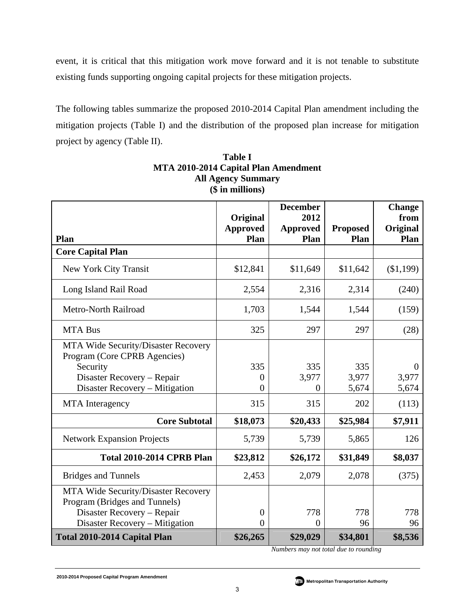event, it is critical that this mitigation work move forward and it is not tenable to substitute existing funds supporting ongoing capital projects for these mitigation projects.

The following tables summarize the proposed 2010-2014 Capital Plan amendment including the mitigation projects (Table I) and the distribution of the proposed plan increase for mitigation project by agency (Table II).

| Plan                                                                                                                                            | Original<br><b>Approved</b><br>Plan | <b>December</b><br>2012<br><b>Approved</b><br>Plan | <b>Proposed</b><br>Plan | <b>Change</b><br>from<br>Original<br>Plan |
|-------------------------------------------------------------------------------------------------------------------------------------------------|-------------------------------------|----------------------------------------------------|-------------------------|-------------------------------------------|
| <b>Core Capital Plan</b>                                                                                                                        |                                     |                                                    |                         |                                           |
| New York City Transit                                                                                                                           | \$12,841                            | \$11,649                                           | \$11,642                | (\$1,199)                                 |
| Long Island Rail Road                                                                                                                           | 2,554                               | 2,316                                              | 2,314                   | (240)                                     |
| Metro-North Railroad                                                                                                                            | 1,703                               | 1,544                                              | 1,544                   | (159)                                     |
| <b>MTA Bus</b>                                                                                                                                  | 325                                 | 297                                                | 297                     | (28)                                      |
| MTA Wide Security/Disaster Recovery<br>Program (Core CPRB Agencies)<br>Security<br>Disaster Recovery - Repair<br>Disaster Recovery - Mitigation | 335<br>$\overline{0}$<br>$\theta$   | 335<br>3,977<br>$\overline{0}$                     | 335<br>3,977<br>5,674   | $\theta$<br>3,977<br>5,674                |
| <b>MTA</b> Interagency                                                                                                                          | 315                                 | 315                                                | 202                     | (113)                                     |
| <b>Core Subtotal</b>                                                                                                                            | \$18,073                            | \$20,433                                           | \$25,984                | \$7,911                                   |
| <b>Network Expansion Projects</b>                                                                                                               | 5,739                               | 5,739                                              | 5,865                   | 126                                       |
| <b>Total 2010-2014 CPRB Plan</b>                                                                                                                | \$23,812                            | \$26,172                                           | \$31,849                | \$8,037                                   |
| <b>Bridges and Tunnels</b>                                                                                                                      | 2,453                               | 2,079                                              | 2,078                   | (375)                                     |
| MTA Wide Security/Disaster Recovery<br>Program (Bridges and Tunnels)<br>Disaster Recovery - Repair<br>Disaster Recovery - Mitigation            | $\boldsymbol{0}$<br>$\overline{0}$  | 778<br>$\overline{0}$                              | 778<br>96               | 778<br>96                                 |
| Total 2010-2014 Capital Plan                                                                                                                    | \$26,265                            | \$29,029                                           | \$34,801                | \$8,536                                   |

# **Table I MTA 2010-2014 Capital Plan Amendment All Agency Summary (\$ in millions)**

 *Numbers may not total due to rounding*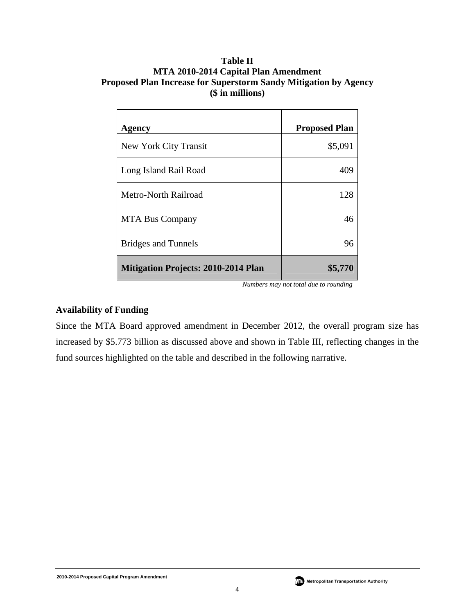# **Table II MTA 2010-2014 Capital Plan Amendment Proposed Plan Increase for Superstorm Sandy Mitigation by Agency (\$ in millions)**

| Agency                                     | <b>Proposed Plan</b> |
|--------------------------------------------|----------------------|
| New York City Transit                      | \$5,091              |
| Long Island Rail Road                      | 409                  |
| Metro-North Railroad                       | 128                  |
| <b>MTA Bus Company</b>                     | 46                   |
| <b>Bridges and Tunnels</b>                 | 96                   |
| <b>Mitigation Projects: 2010-2014 Plan</b> | \$5,770              |

 *Numbers may not total due to rounding* 

# **Availability of Funding**

Since the MTA Board approved amendment in December 2012, the overall program size has increased by \$5.773 billion as discussed above and shown in Table III, reflecting changes in the fund sources highlighted on the table and described in the following narrative.

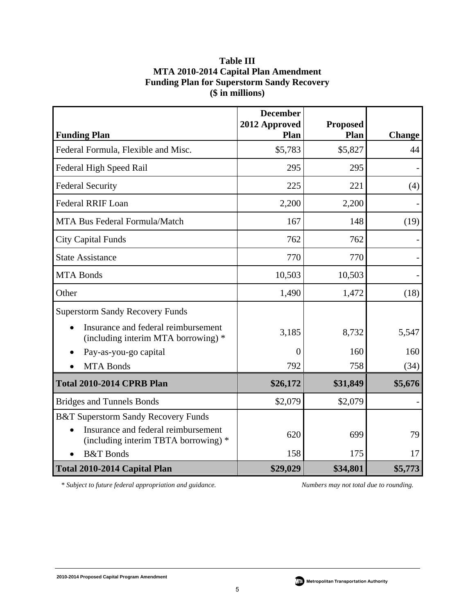# **Table III MTA 2010-2014 Capital Plan Amendment Funding Plan for Superstorm Sandy Recovery (\$ in millions)**

| <b>Funding Plan</b>                                                         | <b>December</b><br>2012 Approved<br>Plan | <b>Proposed</b><br>Plan | <b>Change</b> |
|-----------------------------------------------------------------------------|------------------------------------------|-------------------------|---------------|
| Federal Formula, Flexible and Misc.                                         | \$5,783                                  | \$5,827                 | 44            |
| Federal High Speed Rail                                                     | 295                                      | 295                     |               |
| <b>Federal Security</b>                                                     | 225                                      | 221                     | (4)           |
| <b>Federal RRIF Loan</b>                                                    | 2,200                                    | 2,200                   |               |
| MTA Bus Federal Formula/Match                                               | 167                                      | 148                     | (19)          |
| <b>City Capital Funds</b>                                                   | 762                                      | 762                     |               |
| <b>State Assistance</b>                                                     | 770                                      | 770                     |               |
| <b>MTA Bonds</b>                                                            | 10,503                                   | 10,503                  |               |
| Other                                                                       | 1,490                                    | 1,472                   | (18)          |
| <b>Superstorm Sandy Recovery Funds</b>                                      |                                          |                         |               |
| Insurance and federal reimbursement<br>(including interim MTA borrowing) *  | 3,185                                    | 8,732                   | 5,547         |
| Pay-as-you-go capital                                                       | $\overline{0}$                           | 160                     | 160           |
| <b>MTA Bonds</b>                                                            | 792                                      | 758                     | (34)          |
| <b>Total 2010-2014 CPRB Plan</b>                                            | \$26,172                                 | \$31,849                | \$5,676       |
| <b>Bridges and Tunnels Bonds</b>                                            | \$2,079                                  | \$2,079                 |               |
| <b>B&amp;T Superstorm Sandy Recovery Funds</b>                              |                                          |                         |               |
| Insurance and federal reimbursement<br>(including interim TBTA borrowing) * | 620                                      | 699                     | 79            |
| <b>B&amp;T</b> Bonds                                                        | 158                                      | 175                     | 17            |
| Total 2010-2014 Capital Plan                                                | \$29,029                                 | \$34,801                | \$5,773       |

*\* Subject to future federal appropriation and guidance. Numbers may not total due to rounding.*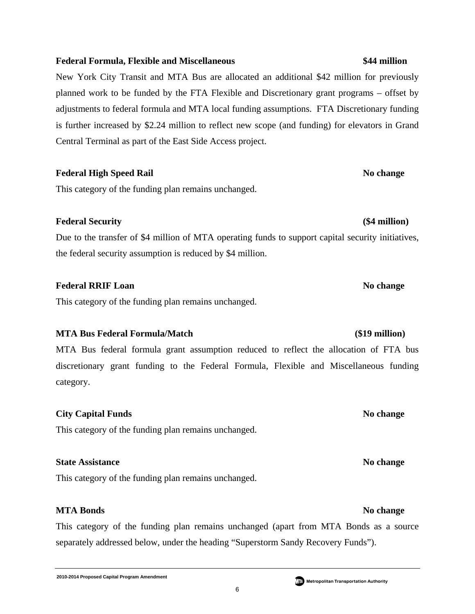# **Federal Formula, Flexible and Miscellaneous \$44 million**

New York City Transit and MTA Bus are allocated an additional \$42 million for previously planned work to be funded by the FTA Flexible and Discretionary grant programs – offset by adjustments to federal formula and MTA local funding assumptions. FTA Discretionary funding is further increased by \$2.24 million to reflect new scope (and funding) for elevators in Grand Central Terminal as part of the East Side Access project.

# **Federal High Speed Rail No change No change**

This category of the funding plan remains unchanged.

# **Federal Security (\$4 million)**

Due to the transfer of \$4 million of MTA operating funds to support capital security initiatives, the federal security assumption is reduced by \$4 million.

# **Federal RRIF Loan** No change

This category of the funding plan remains unchanged.

# **MTA Bus Federal Formula/Match (\$19 million)**

MTA Bus federal formula grant assumption reduced to reflect the allocation of FTA bus discretionary grant funding to the Federal Formula, Flexible and Miscellaneous funding category.

# **City Capital Funds** No change **No change No change No change**

This category of the funding plan remains unchanged.

# **State Assistance** No change

This category of the funding plan remains unchanged.

# **MTA Bonds** No change **No change No change No change**

This category of the funding plan remains unchanged (apart from MTA Bonds as a source separately addressed below, under the heading "Superstorm Sandy Recovery Funds").

Metropolitan Transportation Authority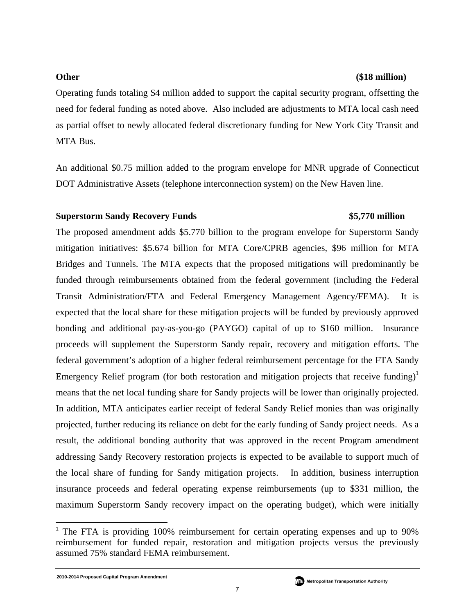# **Other (\$18 million) Constanting to the constanting of the constanting of the constanting of the constanting of the constanting of the constanting of the constanting of the constanting of the constanting of the constanti**

Operating funds totaling \$4 million added to support the capital security program, offsetting the need for federal funding as noted above. Also included are adjustments to MTA local cash need as partial offset to newly allocated federal discretionary funding for New York City Transit and MTA Bus.

An additional \$0.75 million added to the program envelope for MNR upgrade of Connecticut DOT Administrative Assets (telephone interconnection system) on the New Haven line.

# **Superstorm Sandy Recovery Funds \$5,770 million**

The proposed amendment adds \$5.770 billion to the program envelope for Superstorm Sandy mitigation initiatives: \$5.674 billion for MTA Core/CPRB agencies, \$96 million for MTA Bridges and Tunnels. The MTA expects that the proposed mitigations will predominantly be funded through reimbursements obtained from the federal government (including the Federal Transit Administration/FTA and Federal Emergency Management Agency/FEMA). It is expected that the local share for these mitigation projects will be funded by previously approved bonding and additional pay-as-you-go (PAYGO) capital of up to \$160 million. Insurance proceeds will supplement the Superstorm Sandy repair, recovery and mitigation efforts. The federal government's adoption of a higher federal reimbursement percentage for the FTA Sandy Emergency Relief program (for both restoration and mitigation projects that receive funding) $1$ means that the net local funding share for Sandy projects will be lower than originally projected. In addition, MTA anticipates earlier receipt of federal Sandy Relief monies than was originally projected, further reducing its reliance on debt for the early funding of Sandy project needs. As a result, the additional bonding authority that was approved in the recent Program amendment addressing Sandy Recovery restoration projects is expected to be available to support much of the local share of funding for Sandy mitigation projects. In addition, business interruption insurance proceeds and federal operating expense reimbursements (up to \$331 million, the maximum Superstorm Sandy recovery impact on the operating budget), which were initially

l

<sup>&</sup>lt;sup>1</sup> The FTA is providing 100% reimbursement for certain operating expenses and up to 90% reimbursement for funded repair, restoration and mitigation projects versus the previously assumed 75% standard FEMA reimbursement.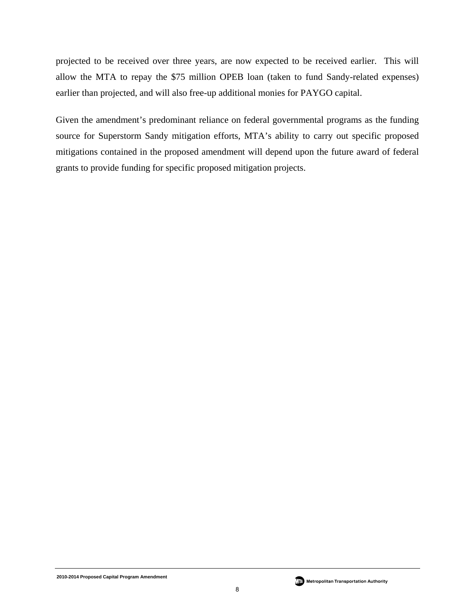projected to be received over three years, are now expected to be received earlier. This will allow the MTA to repay the \$75 million OPEB loan (taken to fund Sandy-related expenses) earlier than projected, and will also free-up additional monies for PAYGO capital.

Given the amendment's predominant reliance on federal governmental programs as the funding source for Superstorm Sandy mitigation efforts, MTA's ability to carry out specific proposed mitigations contained in the proposed amendment will depend upon the future award of federal grants to provide funding for specific proposed mitigation projects.

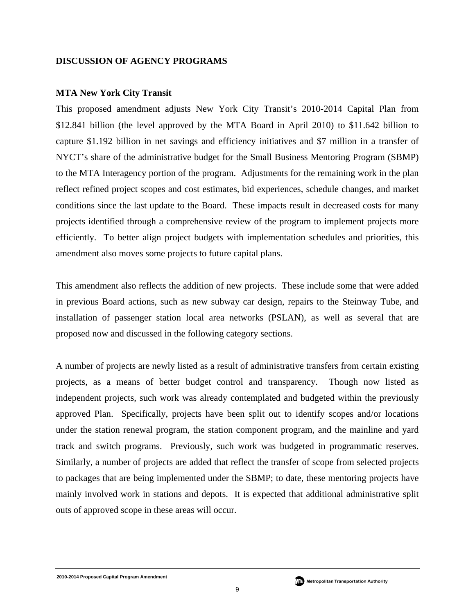# **DISCUSSION OF AGENCY PROGRAMS**

# **MTA New York City Transit**

This proposed amendment adjusts New York City Transit's 2010-2014 Capital Plan from \$12.841 billion (the level approved by the MTA Board in April 2010) to \$11.642 billion to capture \$1.192 billion in net savings and efficiency initiatives and \$7 million in a transfer of NYCT's share of the administrative budget for the Small Business Mentoring Program (SBMP) to the MTA Interagency portion of the program. Adjustments for the remaining work in the plan reflect refined project scopes and cost estimates, bid experiences, schedule changes, and market conditions since the last update to the Board. These impacts result in decreased costs for many projects identified through a comprehensive review of the program to implement projects more efficiently. To better align project budgets with implementation schedules and priorities, this amendment also moves some projects to future capital plans.

This amendment also reflects the addition of new projects. These include some that were added in previous Board actions, such as new subway car design, repairs to the Steinway Tube, and installation of passenger station local area networks (PSLAN), as well as several that are proposed now and discussed in the following category sections.

A number of projects are newly listed as a result of administrative transfers from certain existing projects, as a means of better budget control and transparency. Though now listed as independent projects, such work was already contemplated and budgeted within the previously approved Plan. Specifically, projects have been split out to identify scopes and/or locations under the station renewal program, the station component program, and the mainline and yard track and switch programs. Previously, such work was budgeted in programmatic reserves. Similarly, a number of projects are added that reflect the transfer of scope from selected projects to packages that are being implemented under the SBMP; to date, these mentoring projects have mainly involved work in stations and depots. It is expected that additional administrative split outs of approved scope in these areas will occur.

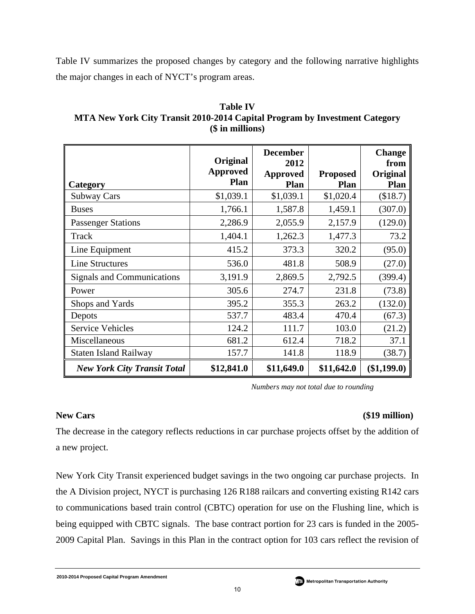Table IV summarizes the proposed changes by category and the following narrative highlights the major changes in each of NYCT's program areas.

|                                    | Original<br><b>Approved</b> | <b>December</b><br>2012<br><b>Approved</b> | <b>Proposed</b> | <b>Change</b><br>from<br>Original |
|------------------------------------|-----------------------------|--------------------------------------------|-----------------|-----------------------------------|
| Category                           | <b>Plan</b>                 | Plan                                       | Plan            | Plan                              |
| <b>Subway Cars</b>                 | \$1,039.1                   | \$1,039.1                                  | \$1,020.4       | (\$18.7)                          |
| <b>Buses</b>                       | 1,766.1                     | 1,587.8                                    | 1,459.1         | (307.0)                           |
| <b>Passenger Stations</b>          | 2,286.9                     | 2,055.9                                    | 2,157.9         | (129.0)                           |
| Track                              | 1,404.1                     | 1,262.3                                    | 1,477.3         | 73.2                              |
| Line Equipment                     | 415.2                       | 373.3                                      | 320.2           | (95.0)                            |
| Line Structures                    | 536.0                       | 481.8                                      | 508.9           | (27.0)                            |
| <b>Signals and Communications</b>  | 3,191.9                     | 2,869.5                                    | 2,792.5         | (399.4)                           |
| Power                              | 305.6                       | 274.7                                      | 231.8           | (73.8)                            |
| Shops and Yards                    | 395.2                       | 355.3                                      | 263.2           | (132.0)                           |
| Depots                             | 537.7                       | 483.4                                      | 470.4           | (67.3)                            |
| <b>Service Vehicles</b>            | 124.2                       | 111.7                                      | 103.0           | (21.2)                            |
| Miscellaneous                      | 681.2                       | 612.4                                      | 718.2           | 37.1                              |
| <b>Staten Island Railway</b>       | 157.7                       | 141.8                                      | 118.9           | (38.7)                            |
| <b>New York City Transit Total</b> | \$12,841.0                  | \$11,649.0                                 | \$11,642.0      | $(\$1,199.0)$                     |

**Table IV MTA New York City Transit 2010-2014 Capital Program by Investment Category (\$ in millions)** 

 *Numbers may not total due to rounding* 

# **New Cars** (\$19 million) **19**

The decrease in the category reflects reductions in car purchase projects offset by the addition of a new project.

New York City Transit experienced budget savings in the two ongoing car purchase projects. In the A Division project, NYCT is purchasing 126 R188 railcars and converting existing R142 cars to communications based train control (CBTC) operation for use on the Flushing line, which is being equipped with CBTC signals. The base contract portion for 23 cars is funded in the 2005- 2009 Capital Plan. Savings in this Plan in the contract option for 103 cars reflect the revision of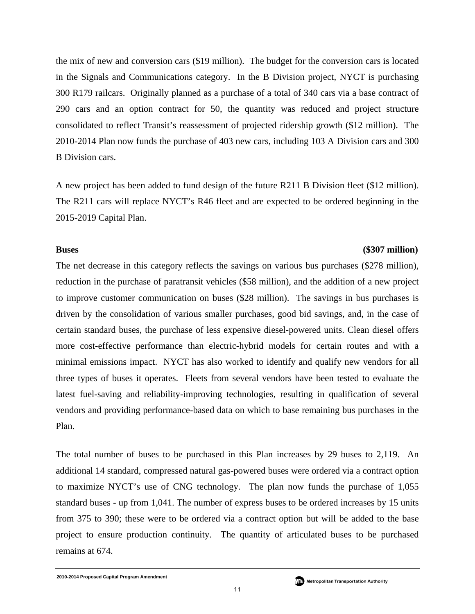the mix of new and conversion cars (\$19 million). The budget for the conversion cars is located in the Signals and Communications category. In the B Division project, NYCT is purchasing 300 R179 railcars. Originally planned as a purchase of a total of 340 cars via a base contract of 290 cars and an option contract for 50, the quantity was reduced and project structure consolidated to reflect Transit's reassessment of projected ridership growth (\$12 million). The 2010-2014 Plan now funds the purchase of 403 new cars, including 103 A Division cars and 300 B Division cars.

A new project has been added to fund design of the future R211 B Division fleet (\$12 million). The R211 cars will replace NYCT's R46 fleet and are expected to be ordered beginning in the 2015-2019 Capital Plan.

### **Buses** (\$307 million)

The net decrease in this category reflects the savings on various bus purchases (\$278 million), reduction in the purchase of paratransit vehicles (\$58 million), and the addition of a new project to improve customer communication on buses (\$28 million). The savings in bus purchases is driven by the consolidation of various smaller purchases, good bid savings, and, in the case of certain standard buses, the purchase of less expensive diesel-powered units. Clean diesel offers more cost-effective performance than electric-hybrid models for certain routes and with a minimal emissions impact. NYCT has also worked to identify and qualify new vendors for all three types of buses it operates. Fleets from several vendors have been tested to evaluate the latest fuel-saving and reliability-improving technologies, resulting in qualification of several vendors and providing performance-based data on which to base remaining bus purchases in the Plan.

The total number of buses to be purchased in this Plan increases by 29 buses to 2,119. An additional 14 standard, compressed natural gas-powered buses were ordered via a contract option to maximize NYCT's use of CNG technology. The plan now funds the purchase of 1,055 standard buses - up from 1,041. The number of express buses to be ordered increases by 15 units from 375 to 390; these were to be ordered via a contract option but will be added to the base project to ensure production continuity. The quantity of articulated buses to be purchased remains at 674.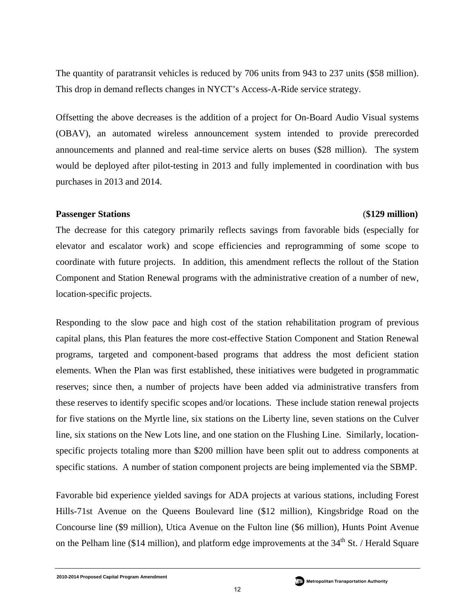The quantity of paratransit vehicles is reduced by 706 units from 943 to 237 units (\$58 million). This drop in demand reflects changes in NYCT's Access-A-Ride service strategy.

Offsetting the above decreases is the addition of a project for On-Board Audio Visual systems (OBAV), an automated wireless announcement system intended to provide prerecorded announcements and planned and real-time service alerts on buses (\$28 million). The system would be deployed after pilot-testing in 2013 and fully implemented in coordination with bus purchases in 2013 and 2014.

# **Passenger Stations** (**\$129 million)**

The decrease for this category primarily reflects savings from favorable bids (especially for elevator and escalator work) and scope efficiencies and reprogramming of some scope to coordinate with future projects. In addition, this amendment reflects the rollout of the Station Component and Station Renewal programs with the administrative creation of a number of new, location-specific projects.

Responding to the slow pace and high cost of the station rehabilitation program of previous capital plans, this Plan features the more cost-effective Station Component and Station Renewal programs, targeted and component-based programs that address the most deficient station elements. When the Plan was first established, these initiatives were budgeted in programmatic reserves; since then, a number of projects have been added via administrative transfers from these reserves to identify specific scopes and/or locations. These include station renewal projects for five stations on the Myrtle line, six stations on the Liberty line, seven stations on the Culver line, six stations on the New Lots line, and one station on the Flushing Line. Similarly, locationspecific projects totaling more than \$200 million have been split out to address components at specific stations. A number of station component projects are being implemented via the SBMP.

Favorable bid experience yielded savings for ADA projects at various stations, including Forest Hills-71st Avenue on the Queens Boulevard line (\$12 million), Kingsbridge Road on the Concourse line (\$9 million), Utica Avenue on the Fulton line (\$6 million), Hunts Point Avenue on the Pelham line (\$14 million), and platform edge improvements at the  $34<sup>th</sup>$  St. / Herald Square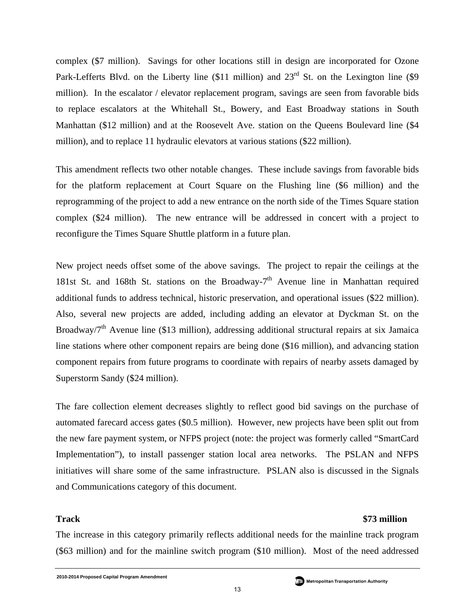complex (\$7 million). Savings for other locations still in design are incorporated for Ozone Park-Lefferts Blvd. on the Liberty line (\$11 million) and  $23<sup>rd</sup>$  St. on the Lexington line (\$9 million). In the escalator / elevator replacement program, savings are seen from favorable bids to replace escalators at the Whitehall St., Bowery, and East Broadway stations in South Manhattan (\$12 million) and at the Roosevelt Ave. station on the Queens Boulevard line (\$4 million), and to replace 11 hydraulic elevators at various stations (\$22 million).

This amendment reflects two other notable changes. These include savings from favorable bids for the platform replacement at Court Square on the Flushing line (\$6 million) and the reprogramming of the project to add a new entrance on the north side of the Times Square station complex (\$24 million). The new entrance will be addressed in concert with a project to reconfigure the Times Square Shuttle platform in a future plan.

New project needs offset some of the above savings. The project to repair the ceilings at the 181st St. and 168th St. stations on the Broadway- $7<sup>th</sup>$  Avenue line in Manhattan required additional funds to address technical, historic preservation, and operational issues (\$22 million). Also, several new projects are added, including adding an elevator at Dyckman St. on the Broadway/ $7<sup>th</sup>$  Avenue line (\$13 million), addressing additional structural repairs at six Jamaica line stations where other component repairs are being done (\$16 million), and advancing station component repairs from future programs to coordinate with repairs of nearby assets damaged by Superstorm Sandy (\$24 million).

The fare collection element decreases slightly to reflect good bid savings on the purchase of automated farecard access gates (\$0.5 million). However, new projects have been split out from the new fare payment system, or NFPS project (note: the project was formerly called "SmartCard Implementation"), to install passenger station local area networks. The PSLAN and NFPS initiatives will share some of the same infrastructure. PSLAN also is discussed in the Signals and Communications category of this document.

# **Track \$73 million**

The increase in this category primarily reflects additional needs for the mainline track program (\$63 million) and for the mainline switch program (\$10 million). Most of the need addressed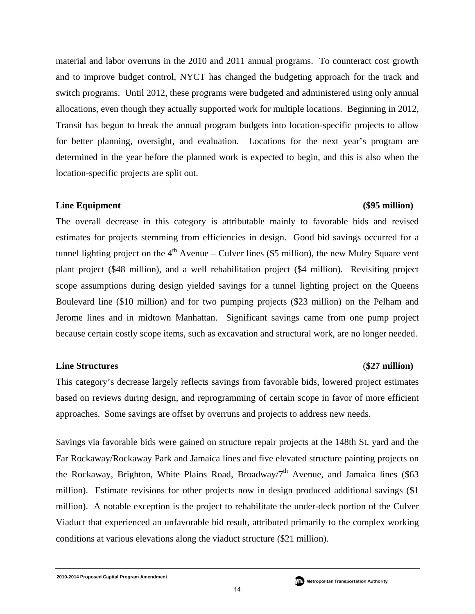material and labor overruns in the 2010 and 2011 annual programs. To counteract cost growth and to improve budget control, NYCT has changed the budgeting approach for the track and switch programs. Until 2012, these programs were budgeted and administered using only annual allocations, even though they actually supported work for multiple locations. Beginning in 2012, Transit has begun to break the annual program budgets into location-specific projects to allow for better planning, oversight, and evaluation. Locations for the next year's program are determined in the year before the planned work is expected to begin, and this is also when the location-specific projects are split out.

# **Line Equipment** (\$95 million)

The overall decrease in this category is attributable mainly to favorable bids and revised estimates for projects stemming from efficiencies in design. Good bid savings occurred for a tunnel lighting project on the  $4<sup>th</sup>$  Avenue – Culver lines (\$5 million), the new Mulry Square vent plant project (\$48 million), and a well rehabilitation project (\$4 million). Revisiting project scope assumptions during design yielded savings for a tunnel lighting project on the Queens Boulevard line (\$10 million) and for two pumping projects (\$23 million) on the Pelham and Jerome lines and in midtown Manhattan. Significant savings came from one pump project because certain costly scope items, such as excavation and structural work, are no longer needed.

# **Line Structures** (**\$27 million)**

This category's decrease largely reflects savings from favorable bids, lowered project estimates based on reviews during design, and reprogramming of certain scope in favor of more efficient approaches. Some savings are offset by overruns and projects to address new needs.

Savings via favorable bids were gained on structure repair projects at the 148th St. yard and the Far Rockaway/Rockaway Park and Jamaica lines and five elevated structure painting projects on the Rockaway, Brighton, White Plains Road, Broadway/ $7<sup>th</sup>$  Avenue, and Jamaica lines (\$63) million). Estimate revisions for other projects now in design produced additional savings (\$1 million). A notable exception is the project to rehabilitate the under-deck portion of the Culver Viaduct that experienced an unfavorable bid result, attributed primarily to the complex working conditions at various elevations along the viaduct structure (\$21 million).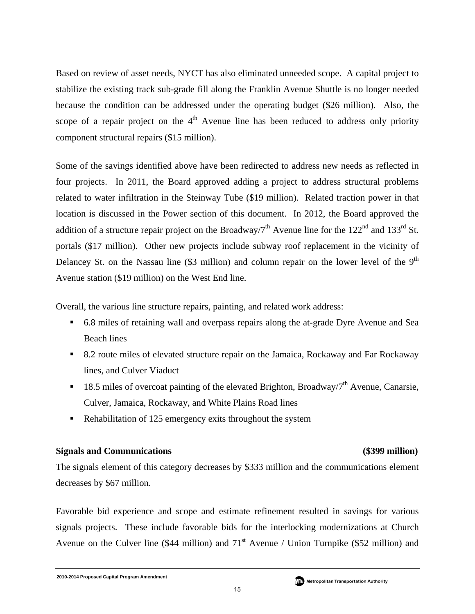Based on review of asset needs, NYCT has also eliminated unneeded scope. A capital project to stabilize the existing track sub-grade fill along the Franklin Avenue Shuttle is no longer needed because the condition can be addressed under the operating budget (\$26 million). Also, the scope of a repair project on the  $4<sup>th</sup>$  Avenue line has been reduced to address only priority component structural repairs (\$15 million).

Some of the savings identified above have been redirected to address new needs as reflected in four projects. In 2011, the Board approved adding a project to address structural problems related to water infiltration in the Steinway Tube (\$19 million). Related traction power in that location is discussed in the Power section of this document. In 2012, the Board approved the addition of a structure repair project on the Broadway/ $7<sup>th</sup>$  Avenue line for the 122<sup>nd</sup> and 133<sup>rd</sup> St. portals (\$17 million). Other new projects include subway roof replacement in the vicinity of Delancey St. on the Nassau line  $(\$3$  million) and column repair on the lower level of the 9<sup>th</sup> Avenue station (\$19 million) on the West End line.

Overall, the various line structure repairs, painting, and related work address:

- 6.8 miles of retaining wall and overpass repairs along the at-grade Dyre Avenue and Sea Beach lines
- 8.2 route miles of elevated structure repair on the Jamaica, Rockaway and Far Rockaway lines, and Culver Viaduct
- 18.5 miles of overcoat painting of the elevated Brighton, Broadway/ $7<sup>th</sup>$  Avenue, Canarsie, Culver, Jamaica, Rockaway, and White Plains Road lines
- Rehabilitation of 125 emergency exits throughout the system

# **Signals and Communications (\$399 million)**

The signals element of this category decreases by \$333 million and the communications element decreases by \$67 million.

Favorable bid experience and scope and estimate refinement resulted in savings for various signals projects. These include favorable bids for the interlocking modernizations at Church Avenue on the Culver line (\$44 million) and  $71<sup>st</sup>$  Avenue / Union Turnpike (\$52 million) and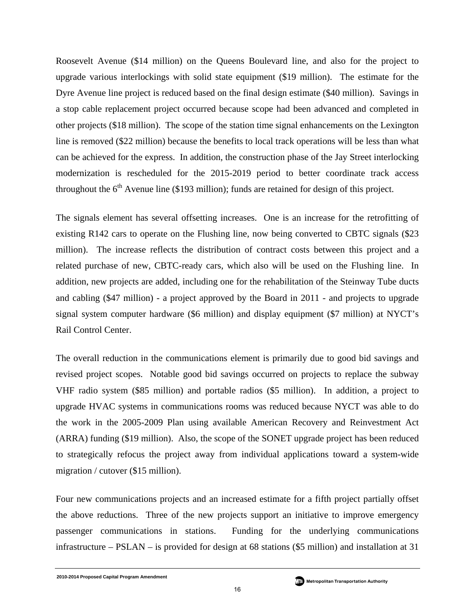Roosevelt Avenue (\$14 million) on the Queens Boulevard line, and also for the project to upgrade various interlockings with solid state equipment (\$19 million). The estimate for the Dyre Avenue line project is reduced based on the final design estimate (\$40 million). Savings in a stop cable replacement project occurred because scope had been advanced and completed in other projects (\$18 million). The scope of the station time signal enhancements on the Lexington line is removed (\$22 million) because the benefits to local track operations will be less than what can be achieved for the express. In addition, the construction phase of the Jay Street interlocking modernization is rescheduled for the 2015-2019 period to better coordinate track access throughout the  $6<sup>th</sup>$  Avenue line (\$193 million); funds are retained for design of this project.

The signals element has several offsetting increases. One is an increase for the retrofitting of existing R142 cars to operate on the Flushing line, now being converted to CBTC signals (\$23 million). The increase reflects the distribution of contract costs between this project and a related purchase of new, CBTC-ready cars, which also will be used on the Flushing line. In addition, new projects are added, including one for the rehabilitation of the Steinway Tube ducts and cabling (\$47 million) - a project approved by the Board in 2011 - and projects to upgrade signal system computer hardware (\$6 million) and display equipment (\$7 million) at NYCT's Rail Control Center.

The overall reduction in the communications element is primarily due to good bid savings and revised project scopes. Notable good bid savings occurred on projects to replace the subway VHF radio system (\$85 million) and portable radios (\$5 million). In addition, a project to upgrade HVAC systems in communications rooms was reduced because NYCT was able to do the work in the 2005-2009 Plan using available American Recovery and Reinvestment Act (ARRA) funding (\$19 million). Also, the scope of the SONET upgrade project has been reduced to strategically refocus the project away from individual applications toward a system-wide migration / cutover (\$15 million).

Four new communications projects and an increased estimate for a fifth project partially offset the above reductions. Three of the new projects support an initiative to improve emergency passenger communications in stations. Funding for the underlying communications infrastructure – PSLAN – is provided for design at 68 stations (\$5 million) and installation at 31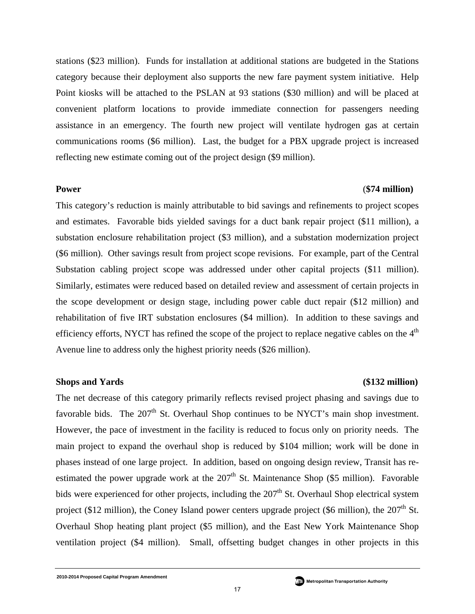stations (\$23 million). Funds for installation at additional stations are budgeted in the Stations category because their deployment also supports the new fare payment system initiative. Help Point kiosks will be attached to the PSLAN at 93 stations (\$30 million) and will be placed at convenient platform locations to provide immediate connection for passengers needing assistance in an emergency. The fourth new project will ventilate hydrogen gas at certain communications rooms (\$6 million). Last, the budget for a PBX upgrade project is increased reflecting new estimate coming out of the project design (\$9 million).

# **Power** (**\$74 million)**

This category's reduction is mainly attributable to bid savings and refinements to project scopes and estimates. Favorable bids yielded savings for a duct bank repair project (\$11 million), a substation enclosure rehabilitation project (\$3 million), and a substation modernization project (\$6 million). Other savings result from project scope revisions. For example, part of the Central Substation cabling project scope was addressed under other capital projects (\$11 million). Similarly, estimates were reduced based on detailed review and assessment of certain projects in the scope development or design stage, including power cable duct repair (\$12 million) and rehabilitation of five IRT substation enclosures (\$4 million). In addition to these savings and efficiency efforts, NYCT has refined the scope of the project to replace negative cables on the 4<sup>th</sup> Avenue line to address only the highest priority needs (\$26 million).

# **Shops and Yards (\$132 million)**

The net decrease of this category primarily reflects revised project phasing and savings due to favorable bids. The 207<sup>th</sup> St. Overhaul Shop continues to be NYCT's main shop investment. However, the pace of investment in the facility is reduced to focus only on priority needs. The main project to expand the overhaul shop is reduced by \$104 million; work will be done in phases instead of one large project. In addition, based on ongoing design review, Transit has reestimated the power upgrade work at the  $207<sup>th</sup>$  St. Maintenance Shop (\$5 million). Favorable bids were experienced for other projects, including the  $207<sup>th</sup>$  St. Overhaul Shop electrical system project (\$12 million), the Coney Island power centers upgrade project (\$6 million), the  $207<sup>th</sup>$  St. Overhaul Shop heating plant project (\$5 million), and the East New York Maintenance Shop ventilation project (\$4 million). Small, offsetting budget changes in other projects in this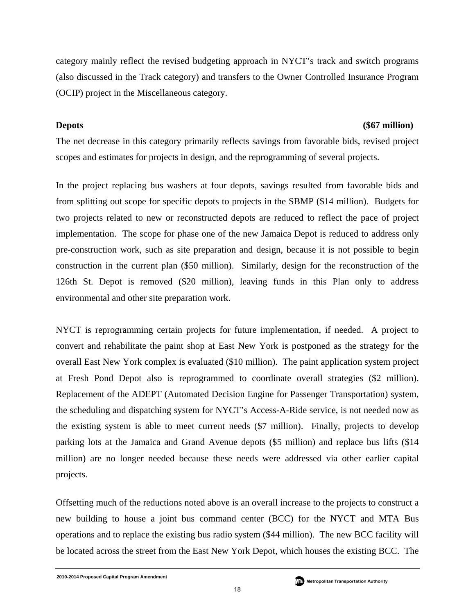category mainly reflect the revised budgeting approach in NYCT's track and switch programs (also discussed in the Track category) and transfers to the Owner Controlled Insurance Program (OCIP) project in the Miscellaneous category.

# **Depots (\$67 million)**

The net decrease in this category primarily reflects savings from favorable bids, revised project scopes and estimates for projects in design, and the reprogramming of several projects.

In the project replacing bus washers at four depots, savings resulted from favorable bids and from splitting out scope for specific depots to projects in the SBMP (\$14 million). Budgets for two projects related to new or reconstructed depots are reduced to reflect the pace of project implementation. The scope for phase one of the new Jamaica Depot is reduced to address only pre-construction work, such as site preparation and design, because it is not possible to begin construction in the current plan (\$50 million). Similarly, design for the reconstruction of the 126th St. Depot is removed (\$20 million), leaving funds in this Plan only to address environmental and other site preparation work.

NYCT is reprogramming certain projects for future implementation, if needed. A project to convert and rehabilitate the paint shop at East New York is postponed as the strategy for the overall East New York complex is evaluated (\$10 million). The paint application system project at Fresh Pond Depot also is reprogrammed to coordinate overall strategies (\$2 million). Replacement of the ADEPT (Automated Decision Engine for Passenger Transportation) system, the scheduling and dispatching system for NYCT's Access-A-Ride service, is not needed now as the existing system is able to meet current needs (\$7 million). Finally, projects to develop parking lots at the Jamaica and Grand Avenue depots (\$5 million) and replace bus lifts (\$14 million) are no longer needed because these needs were addressed via other earlier capital projects.

Offsetting much of the reductions noted above is an overall increase to the projects to construct a new building to house a joint bus command center (BCC) for the NYCT and MTA Bus operations and to replace the existing bus radio system (\$44 million). The new BCC facility will be located across the street from the East New York Depot, which houses the existing BCC. The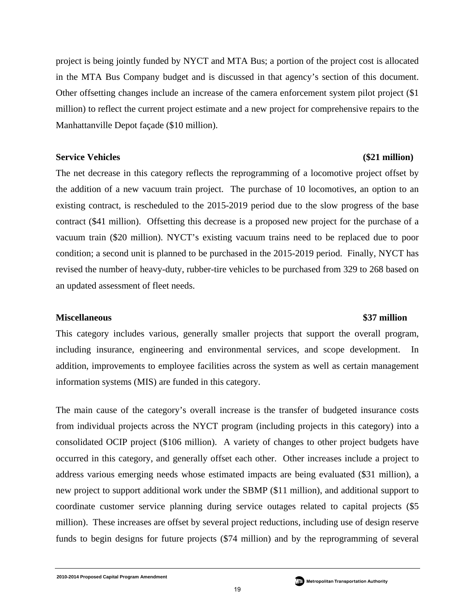project is being jointly funded by NYCT and MTA Bus; a portion of the project cost is allocated in the MTA Bus Company budget and is discussed in that agency's section of this document. Other offsetting changes include an increase of the camera enforcement system pilot project (\$1 million) to reflect the current project estimate and a new project for comprehensive repairs to the Manhattanville Depot façade (\$10 million).

# **Service Vehicles (\$21 million)**

# The net decrease in this category reflects the reprogramming of a locomotive project offset by the addition of a new vacuum train project. The purchase of 10 locomotives, an option to an existing contract, is rescheduled to the 2015-2019 period due to the slow progress of the base contract (\$41 million). Offsetting this decrease is a proposed new project for the purchase of a vacuum train (\$20 million). NYCT's existing vacuum trains need to be replaced due to poor condition; a second unit is planned to be purchased in the 2015-2019 period. Finally, NYCT has revised the number of heavy-duty, rubber-tire vehicles to be purchased from 329 to 268 based on an updated assessment of fleet needs.

# **Miscellaneous \$37 million**

This category includes various, generally smaller projects that support the overall program, including insurance, engineering and environmental services, and scope development. In addition, improvements to employee facilities across the system as well as certain management information systems (MIS) are funded in this category.

The main cause of the category's overall increase is the transfer of budgeted insurance costs from individual projects across the NYCT program (including projects in this category) into a consolidated OCIP project (\$106 million). A variety of changes to other project budgets have occurred in this category, and generally offset each other. Other increases include a project to address various emerging needs whose estimated impacts are being evaluated (\$31 million), a new project to support additional work under the SBMP (\$11 million), and additional support to coordinate customer service planning during service outages related to capital projects (\$5 million). These increases are offset by several project reductions, including use of design reserve funds to begin designs for future projects (\$74 million) and by the reprogramming of several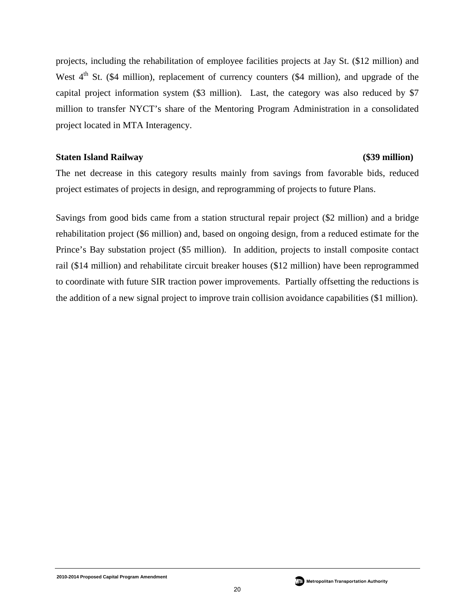projects, including the rehabilitation of employee facilities projects at Jay St. (\$12 million) and West  $4<sup>th</sup>$  St. (\$4 million), replacement of currency counters (\$4 million), and upgrade of the capital project information system (\$3 million). Last, the category was also reduced by \$7 million to transfer NYCT's share of the Mentoring Program Administration in a consolidated project located in MTA Interagency.

# **Staten Island Railway (\$39 million)**

The net decrease in this category results mainly from savings from favorable bids, reduced project estimates of projects in design, and reprogramming of projects to future Plans.

Savings from good bids came from a station structural repair project (\$2 million) and a bridge rehabilitation project (\$6 million) and, based on ongoing design, from a reduced estimate for the Prince's Bay substation project (\$5 million). In addition, projects to install composite contact rail (\$14 million) and rehabilitate circuit breaker houses (\$12 million) have been reprogrammed to coordinate with future SIR traction power improvements. Partially offsetting the reductions is the addition of a new signal project to improve train collision avoidance capabilities (\$1 million).

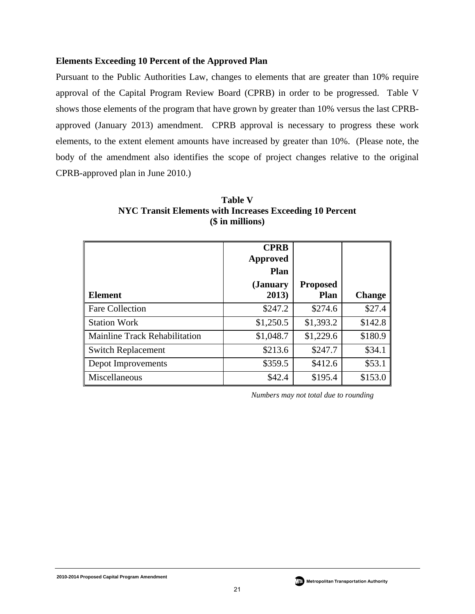# **Elements Exceeding 10 Percent of the Approved Plan**

Pursuant to the Public Authorities Law, changes to elements that are greater than 10% require approval of the Capital Program Review Board (CPRB) in order to be progressed. Table V shows those elements of the program that have grown by greater than 10% versus the last CPRBapproved (January 2013) amendment. CPRB approval is necessary to progress these work elements, to the extent element amounts have increased by greater than 10%. (Please note, the body of the amendment also identifies the scope of project changes relative to the original CPRB-approved plan in June 2010.)

| <b>Table V</b>                                                  |
|-----------------------------------------------------------------|
| <b>NYC Transit Elements with Increases Exceeding 10 Percent</b> |
| (\$ in millions)                                                |

| <b>Element</b>                       | <b>CPRB</b><br><b>Approved</b><br>Plan<br>( <b>January</b><br>2013) | <b>Proposed</b><br><b>Plan</b> | <b>Change</b> |
|--------------------------------------|---------------------------------------------------------------------|--------------------------------|---------------|
| <b>Fare Collection</b>               | \$247.2                                                             | \$274.6                        | \$27.4        |
| <b>Station Work</b>                  | \$1,250.5                                                           | \$1,393.2                      | \$142.8       |
| <b>Mainline Track Rehabilitation</b> | \$1,048.7                                                           | \$1,229.6                      | \$180.9       |
| <b>Switch Replacement</b>            | \$213.6                                                             | \$247.7                        | \$34.1        |
| Depot Improvements                   | \$359.5                                                             | \$412.6                        | \$53.1        |
| Miscellaneous                        | \$42.4                                                              | \$195.4                        | \$153.0       |

*Numbers may not total due to rounding*

Metropolitan Transportation Authority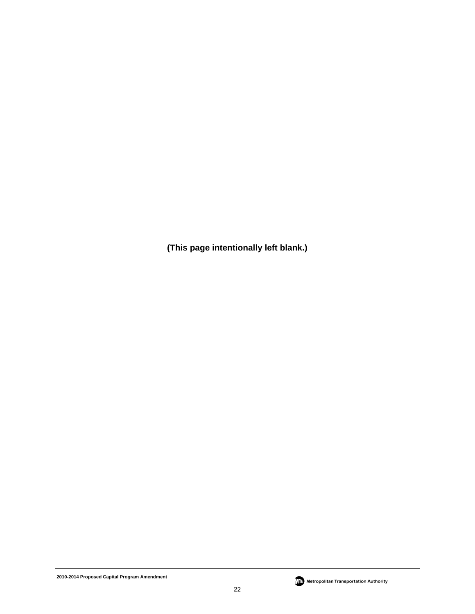**(This page intentionally left blank.)** 



**<sup>2010-2014</sup> Proposed Capital Program Amendment**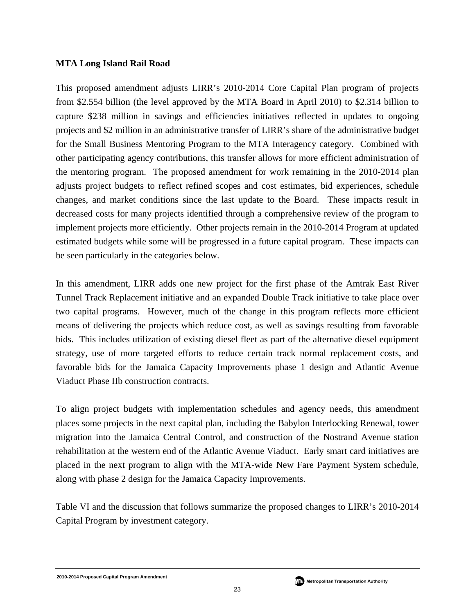# **MTA Long Island Rail Road**

This proposed amendment adjusts LIRR's 2010-2014 Core Capital Plan program of projects from \$2.554 billion (the level approved by the MTA Board in April 2010) to \$2.314 billion to capture \$238 million in savings and efficiencies initiatives reflected in updates to ongoing projects and \$2 million in an administrative transfer of LIRR's share of the administrative budget for the Small Business Mentoring Program to the MTA Interagency category. Combined with other participating agency contributions, this transfer allows for more efficient administration of the mentoring program. The proposed amendment for work remaining in the 2010-2014 plan adjusts project budgets to reflect refined scopes and cost estimates, bid experiences, schedule changes, and market conditions since the last update to the Board. These impacts result in decreased costs for many projects identified through a comprehensive review of the program to implement projects more efficiently. Other projects remain in the 2010-2014 Program at updated estimated budgets while some will be progressed in a future capital program. These impacts can be seen particularly in the categories below.

In this amendment, LIRR adds one new project for the first phase of the Amtrak East River Tunnel Track Replacement initiative and an expanded Double Track initiative to take place over two capital programs. However, much of the change in this program reflects more efficient means of delivering the projects which reduce cost, as well as savings resulting from favorable bids. This includes utilization of existing diesel fleet as part of the alternative diesel equipment strategy, use of more targeted efforts to reduce certain track normal replacement costs, and favorable bids for the Jamaica Capacity Improvements phase 1 design and Atlantic Avenue Viaduct Phase IIb construction contracts.

To align project budgets with implementation schedules and agency needs, this amendment places some projects in the next capital plan, including the Babylon Interlocking Renewal, tower migration into the Jamaica Central Control, and construction of the Nostrand Avenue station rehabilitation at the western end of the Atlantic Avenue Viaduct. Early smart card initiatives are placed in the next program to align with the MTA-wide New Fare Payment System schedule, along with phase 2 design for the Jamaica Capacity Improvements.

Table VI and the discussion that follows summarize the proposed changes to LIRR's 2010-2014 Capital Program by investment category.

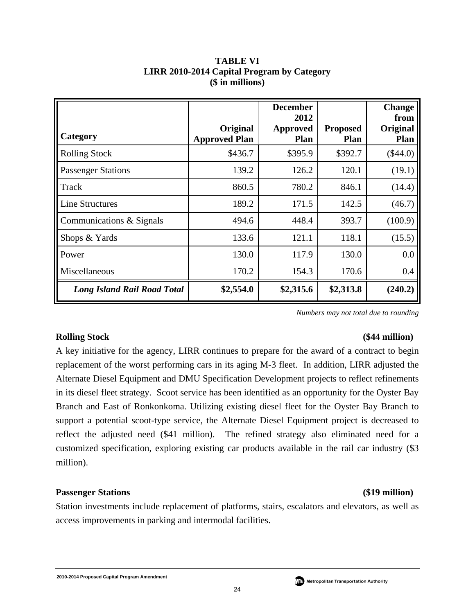|                                    |                                  | <b>December</b><br>2012        |                                | <b>Change</b><br>from |
|------------------------------------|----------------------------------|--------------------------------|--------------------------------|-----------------------|
| Category                           | Original<br><b>Approved Plan</b> | <b>Approved</b><br><b>Plan</b> | <b>Proposed</b><br><b>Plan</b> | Original<br>Plan      |
| <b>Rolling Stock</b>               | \$436.7                          | \$395.9                        | \$392.7                        | $(\$44.0)$            |
| <b>Passenger Stations</b>          | 139.2                            | 126.2                          | 120.1                          | (19.1)                |
| Track                              | 860.5                            | 780.2                          | 846.1                          | (14.4)                |
| <b>Line Structures</b>             | 189.2                            | 171.5                          | 142.5                          | (46.7)                |
| Communications & Signals           | 494.6                            | 448.4                          | 393.7                          | (100.9)               |
| Shops & Yards                      | 133.6                            | 121.1                          | 118.1                          | (15.5)                |
| Power                              | 130.0                            | 117.9                          | 130.0                          | 0.0                   |
| Miscellaneous                      | 170.2                            | 154.3                          | 170.6                          | 0.4                   |
| <b>Long Island Rail Road Total</b> | \$2,554.0                        | \$2,315.6                      | \$2,313.8                      | (240.2)               |

# **TABLE VI LIRR 2010-2014 Capital Program by Category (\$ in millions)**

*Numbers may not total due to rounding* 

# **Rolling Stock (\$44 million)**

A key initiative for the agency, LIRR continues to prepare for the award of a contract to begin replacement of the worst performing cars in its aging M-3 fleet. In addition, LIRR adjusted the Alternate Diesel Equipment and DMU Specification Development projects to reflect refinements in its diesel fleet strategy. Scoot service has been identified as an opportunity for the Oyster Bay Branch and East of Ronkonkoma. Utilizing existing diesel fleet for the Oyster Bay Branch to support a potential scoot-type service, the Alternate Diesel Equipment project is decreased to reflect the adjusted need (\$41 million). The refined strategy also eliminated need for a customized specification, exploring existing car products available in the rail car industry (\$3 million).

# **Passenger Stations** (\$19 million)

Station investments include replacement of platforms, stairs, escalators and elevators, as well as access improvements in parking and intermodal facilities.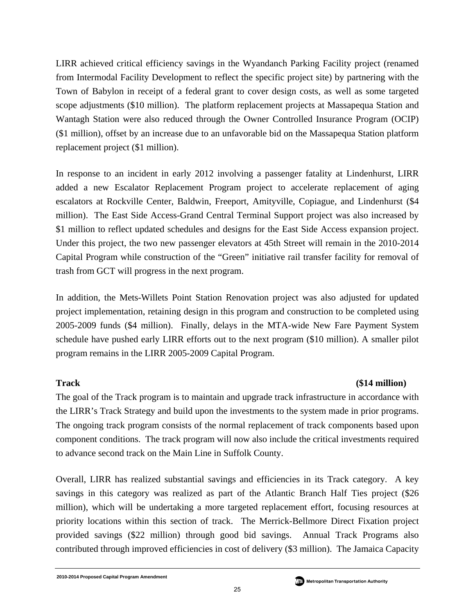LIRR achieved critical efficiency savings in the Wyandanch Parking Facility project (renamed from Intermodal Facility Development to reflect the specific project site) by partnering with the Town of Babylon in receipt of a federal grant to cover design costs, as well as some targeted scope adjustments (\$10 million). The platform replacement projects at Massapequa Station and Wantagh Station were also reduced through the Owner Controlled Insurance Program (OCIP) (\$1 million), offset by an increase due to an unfavorable bid on the Massapequa Station platform replacement project (\$1 million).

In response to an incident in early 2012 involving a passenger fatality at Lindenhurst, LIRR added a new Escalator Replacement Program project to accelerate replacement of aging escalators at Rockville Center, Baldwin, Freeport, Amityville, Copiague, and Lindenhurst (\$4 million). The East Side Access-Grand Central Terminal Support project was also increased by \$1 million to reflect updated schedules and designs for the East Side Access expansion project. Under this project, the two new passenger elevators at 45th Street will remain in the 2010-2014 Capital Program while construction of the "Green" initiative rail transfer facility for removal of trash from GCT will progress in the next program.

In addition, the Mets-Willets Point Station Renovation project was also adjusted for updated project implementation, retaining design in this program and construction to be completed using 2005-2009 funds (\$4 million). Finally, delays in the MTA-wide New Fare Payment System schedule have pushed early LIRR efforts out to the next program (\$10 million). A smaller pilot program remains in the LIRR 2005-2009 Capital Program.

# **Track (\$14 million)**

The goal of the Track program is to maintain and upgrade track infrastructure in accordance with the LIRR's Track Strategy and build upon the investments to the system made in prior programs. The ongoing track program consists of the normal replacement of track components based upon component conditions. The track program will now also include the critical investments required to advance second track on the Main Line in Suffolk County.

Overall, LIRR has realized substantial savings and efficiencies in its Track category. A key savings in this category was realized as part of the Atlantic Branch Half Ties project (\$26 million), which will be undertaking a more targeted replacement effort, focusing resources at priority locations within this section of track. The Merrick-Bellmore Direct Fixation project provided savings (\$22 million) through good bid savings. Annual Track Programs also contributed through improved efficiencies in cost of delivery (\$3 million). The Jamaica Capacity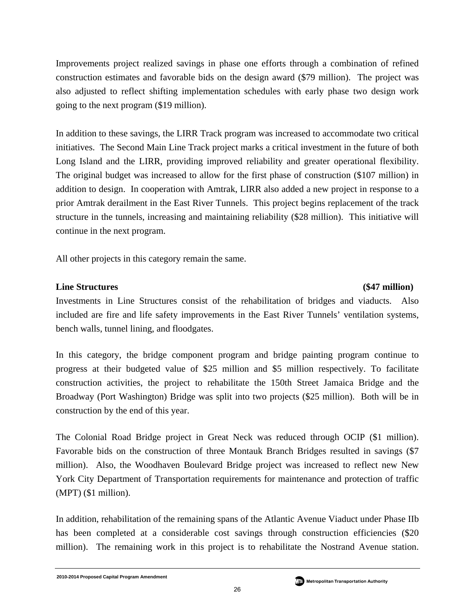Improvements project realized savings in phase one efforts through a combination of refined construction estimates and favorable bids on the design award (\$79 million). The project was also adjusted to reflect shifting implementation schedules with early phase two design work going to the next program (\$19 million).

In addition to these savings, the LIRR Track program was increased to accommodate two critical initiatives. The Second Main Line Track project marks a critical investment in the future of both Long Island and the LIRR, providing improved reliability and greater operational flexibility. The original budget was increased to allow for the first phase of construction (\$107 million) in addition to design. In cooperation with Amtrak, LIRR also added a new project in response to a prior Amtrak derailment in the East River Tunnels. This project begins replacement of the track structure in the tunnels, increasing and maintaining reliability (\$28 million). This initiative will continue in the next program.

All other projects in this category remain the same.

# **Line Structures (\$47 million)**

Investments in Line Structures consist of the rehabilitation of bridges and viaducts. Also included are fire and life safety improvements in the East River Tunnels' ventilation systems, bench walls, tunnel lining, and floodgates.

In this category, the bridge component program and bridge painting program continue to progress at their budgeted value of \$25 million and \$5 million respectively. To facilitate construction activities, the project to rehabilitate the 150th Street Jamaica Bridge and the Broadway (Port Washington) Bridge was split into two projects (\$25 million). Both will be in construction by the end of this year.

The Colonial Road Bridge project in Great Neck was reduced through OCIP (\$1 million). Favorable bids on the construction of three Montauk Branch Bridges resulted in savings (\$7 million). Also, the Woodhaven Boulevard Bridge project was increased to reflect new New York City Department of Transportation requirements for maintenance and protection of traffic (MPT) (\$1 million).

In addition, rehabilitation of the remaining spans of the Atlantic Avenue Viaduct under Phase IIb has been completed at a considerable cost savings through construction efficiencies (\$20) million). The remaining work in this project is to rehabilitate the Nostrand Avenue station.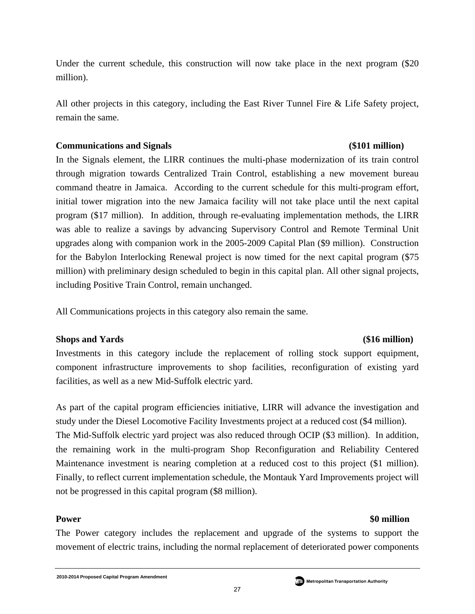Under the current schedule, this construction will now take place in the next program (\$20) million).

All other projects in this category, including the East River Tunnel Fire & Life Safety project, remain the same.

# **Communications and Signals (\$101 million)**

# In the Signals element, the LIRR continues the multi-phase modernization of its train control through migration towards Centralized Train Control, establishing a new movement bureau command theatre in Jamaica. According to the current schedule for this multi-program effort, initial tower migration into the new Jamaica facility will not take place until the next capital program (\$17 million). In addition, through re-evaluating implementation methods, the LIRR was able to realize a savings by advancing Supervisory Control and Remote Terminal Unit upgrades along with companion work in the 2005-2009 Capital Plan (\$9 million). Construction for the Babylon Interlocking Renewal project is now timed for the next capital program (\$75 million) with preliminary design scheduled to begin in this capital plan. All other signal projects, including Positive Train Control, remain unchanged.

All Communications projects in this category also remain the same.

# **Shops and Yards** (\$16 million) **6.16**

Investments in this category include the replacement of rolling stock support equipment, component infrastructure improvements to shop facilities, reconfiguration of existing yard facilities, as well as a new Mid-Suffolk electric yard.

As part of the capital program efficiencies initiative, LIRR will advance the investigation and study under the Diesel Locomotive Facility Investments project at a reduced cost (\$4 million). The Mid-Suffolk electric yard project was also reduced through OCIP (\$3 million). In addition, the remaining work in the multi-program Shop Reconfiguration and Reliability Centered Maintenance investment is nearing completion at a reduced cost to this project (\$1 million). Finally, to reflect current implementation schedule, the Montauk Yard Improvements project will not be progressed in this capital program (\$8 million).

# **Power** \$0 million

The Power category includes the replacement and upgrade of the systems to support the movement of electric trains, including the normal replacement of deteriorated power components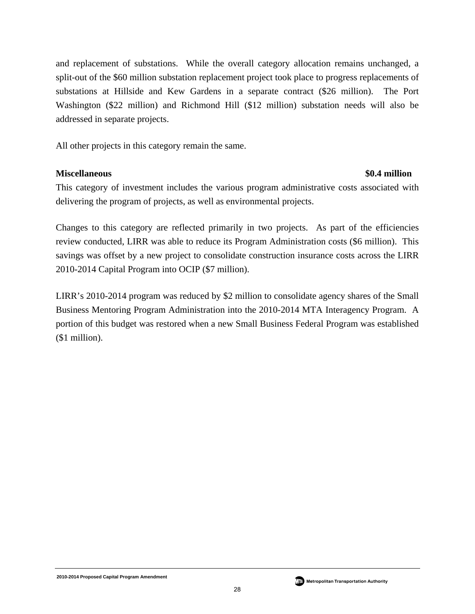and replacement of substations. While the overall category allocation remains unchanged, a split-out of the \$60 million substation replacement project took place to progress replacements of substations at Hillside and Kew Gardens in a separate contract (\$26 million). The Port Washington (\$22 million) and Richmond Hill (\$12 million) substation needs will also be addressed in separate projects.

All other projects in this category remain the same.

# **Miscellaneous \$0.4 million**

This category of investment includes the various program administrative costs associated with delivering the program of projects, as well as environmental projects.

Changes to this category are reflected primarily in two projects. As part of the efficiencies review conducted, LIRR was able to reduce its Program Administration costs (\$6 million). This savings was offset by a new project to consolidate construction insurance costs across the LIRR 2010-2014 Capital Program into OCIP (\$7 million).

LIRR's 2010-2014 program was reduced by \$2 million to consolidate agency shares of the Small Business Mentoring Program Administration into the 2010-2014 MTA Interagency Program. A portion of this budget was restored when a new Small Business Federal Program was established (\$1 million).

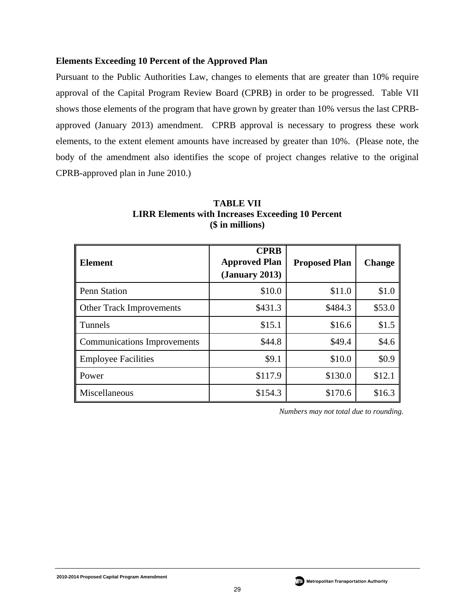# **Elements Exceeding 10 Percent of the Approved Plan**

Pursuant to the Public Authorities Law, changes to elements that are greater than 10% require approval of the Capital Program Review Board (CPRB) in order to be progressed. Table VII shows those elements of the program that have grown by greater than 10% versus the last CPRBapproved (January 2013) amendment. CPRB approval is necessary to progress these work elements, to the extent element amounts have increased by greater than 10%. (Please note, the body of the amendment also identifies the scope of project changes relative to the original CPRB-approved plan in June 2010.)

| <b>Element</b>                     | <b>CPRB</b><br><b>Approved Plan</b><br>(January 2013) | <b>Proposed Plan</b> | <b>Change</b> |
|------------------------------------|-------------------------------------------------------|----------------------|---------------|
| <b>Penn Station</b>                | \$10.0                                                | \$11.0               | \$1.0         |
| <b>Other Track Improvements</b>    | \$431.3                                               | \$484.3              | \$53.0        |
| Tunnels                            | \$15.1                                                | \$16.6               | \$1.5         |
| <b>Communications Improvements</b> | \$44.8                                                | \$49.4               | \$4.6         |
| <b>Employee Facilities</b>         | \$9.1                                                 | \$10.0               | \$0.9         |
| Power                              | \$117.9                                               | \$130.0              | \$12.1        |
| Miscellaneous                      | \$154.3                                               | \$170.6              | \$16.3        |

# **TABLE VII LIRR Elements with Increases Exceeding 10 Percent (\$ in millions)**

 *Numbers may not total due to rounding.* 

Metropolitan Transportation Authority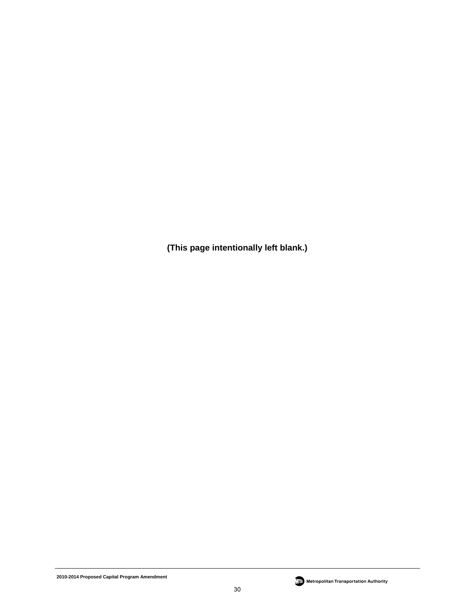**(This page intentionally left blank.)** 



**<sup>2010-2014</sup> Proposed Capital Program Amendment**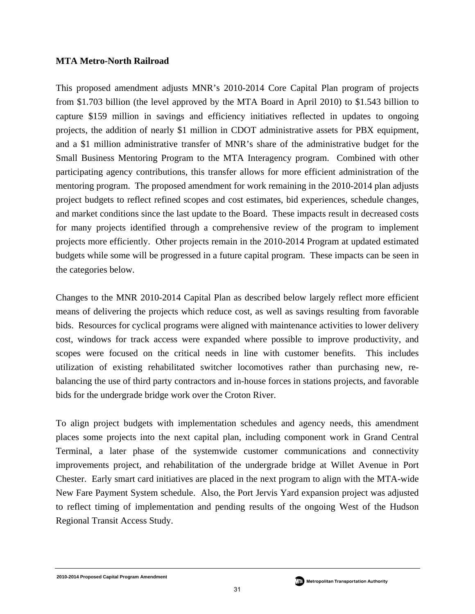# **MTA Metro-North Railroad**

This proposed amendment adjusts MNR's 2010-2014 Core Capital Plan program of projects from \$1.703 billion (the level approved by the MTA Board in April 2010) to \$1.543 billion to capture \$159 million in savings and efficiency initiatives reflected in updates to ongoing projects, the addition of nearly \$1 million in CDOT administrative assets for PBX equipment, and a \$1 million administrative transfer of MNR's share of the administrative budget for the Small Business Mentoring Program to the MTA Interagency program. Combined with other participating agency contributions, this transfer allows for more efficient administration of the mentoring program. The proposed amendment for work remaining in the 2010-2014 plan adjusts project budgets to reflect refined scopes and cost estimates, bid experiences, schedule changes, and market conditions since the last update to the Board. These impacts result in decreased costs for many projects identified through a comprehensive review of the program to implement projects more efficiently. Other projects remain in the 2010-2014 Program at updated estimated budgets while some will be progressed in a future capital program. These impacts can be seen in the categories below.

Changes to the MNR 2010-2014 Capital Plan as described below largely reflect more efficient means of delivering the projects which reduce cost, as well as savings resulting from favorable bids. Resources for cyclical programs were aligned with maintenance activities to lower delivery cost, windows for track access were expanded where possible to improve productivity, and scopes were focused on the critical needs in line with customer benefits. This includes utilization of existing rehabilitated switcher locomotives rather than purchasing new, rebalancing the use of third party contractors and in-house forces in stations projects, and favorable bids for the undergrade bridge work over the Croton River.

To align project budgets with implementation schedules and agency needs, this amendment places some projects into the next capital plan, including component work in Grand Central Terminal, a later phase of the systemwide customer communications and connectivity improvements project, and rehabilitation of the undergrade bridge at Willet Avenue in Port Chester. Early smart card initiatives are placed in the next program to align with the MTA-wide New Fare Payment System schedule. Also, the Port Jervis Yard expansion project was adjusted to reflect timing of implementation and pending results of the ongoing West of the Hudson Regional Transit Access Study.

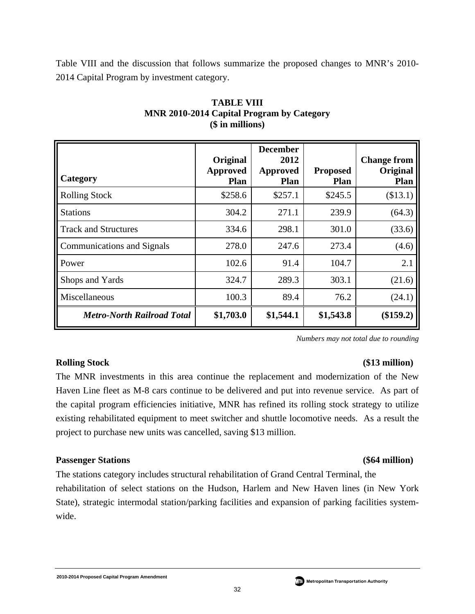Table VIII and the discussion that follows summarize the proposed changes to MNR's 2010- 2014 Capital Program by investment category.

| Category                          | Original<br>Approved<br><b>Plan</b> | <b>December</b><br>2012<br>Approved<br><b>Plan</b> | <b>Proposed</b><br><b>Plan</b> | <b>Change from</b><br>Original<br>Plan |
|-----------------------------------|-------------------------------------|----------------------------------------------------|--------------------------------|----------------------------------------|
| <b>Rolling Stock</b>              | \$258.6                             | \$257.1                                            | \$245.5                        | (\$13.1)                               |
| <b>Stations</b>                   | 304.2                               | 271.1                                              | 239.9                          | (64.3)                                 |
| <b>Track and Structures</b>       | 334.6                               | 298.1                                              | 301.0                          | (33.6)                                 |
| <b>Communications and Signals</b> | 278.0                               | 247.6                                              | 273.4                          | (4.6)                                  |
| Power                             | 102.6                               | 91.4                                               | 104.7                          | 2.1                                    |
| Shops and Yards                   | 324.7                               | 289.3                                              | 303.1                          | (21.6)                                 |
| Miscellaneous                     | 100.3                               | 89.4                                               | 76.2                           | (24.1)                                 |
| <b>Metro-North Railroad Total</b> | \$1,703.0                           | \$1,544.1                                          | \$1,543.8                      | (\$159.2)                              |

# **TABLE VIII MNR 2010-2014 Capital Program by Category (\$ in millions)**

*Numbers may not total due to rounding* 

# **Rolling Stock (\$13 million)**

The MNR investments in this area continue the replacement and modernization of the New Haven Line fleet as M-8 cars continue to be delivered and put into revenue service. As part of the capital program efficiencies initiative, MNR has refined its rolling stock strategy to utilize existing rehabilitated equipment to meet switcher and shuttle locomotive needs. As a result the project to purchase new units was cancelled, saving \$13 million.

# Passenger Stations (\$64 million)

The stations category includes structural rehabilitation of Grand Central Terminal, the rehabilitation of select stations on the Hudson, Harlem and New Haven lines (in New York State), strategic intermodal station/parking facilities and expansion of parking facilities systemwide.

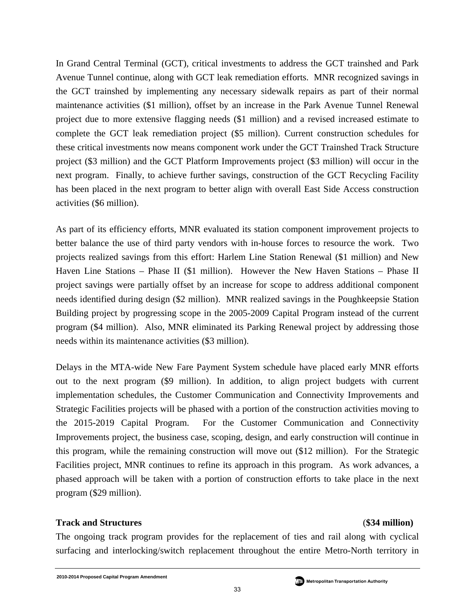In Grand Central Terminal (GCT), critical investments to address the GCT trainshed and Park Avenue Tunnel continue, along with GCT leak remediation efforts. MNR recognized savings in the GCT trainshed by implementing any necessary sidewalk repairs as part of their normal maintenance activities (\$1 million), offset by an increase in the Park Avenue Tunnel Renewal project due to more extensive flagging needs (\$1 million) and a revised increased estimate to complete the GCT leak remediation project (\$5 million). Current construction schedules for these critical investments now means component work under the GCT Trainshed Track Structure project (\$3 million) and the GCT Platform Improvements project (\$3 million) will occur in the next program. Finally, to achieve further savings, construction of the GCT Recycling Facility has been placed in the next program to better align with overall East Side Access construction activities (\$6 million).

As part of its efficiency efforts, MNR evaluated its station component improvement projects to better balance the use of third party vendors with in-house forces to resource the work. Two projects realized savings from this effort: Harlem Line Station Renewal (\$1 million) and New Haven Line Stations – Phase II (\$1 million). However the New Haven Stations – Phase II project savings were partially offset by an increase for scope to address additional component needs identified during design (\$2 million). MNR realized savings in the Poughkeepsie Station Building project by progressing scope in the 2005-2009 Capital Program instead of the current program (\$4 million). Also, MNR eliminated its Parking Renewal project by addressing those needs within its maintenance activities (\$3 million).

Delays in the MTA-wide New Fare Payment System schedule have placed early MNR efforts out to the next program (\$9 million). In addition, to align project budgets with current implementation schedules, the Customer Communication and Connectivity Improvements and Strategic Facilities projects will be phased with a portion of the construction activities moving to the 2015-2019 Capital Program. For the Customer Communication and Connectivity Improvements project, the business case, scoping, design, and early construction will continue in this program, while the remaining construction will move out (\$12 million). For the Strategic Facilities project, MNR continues to refine its approach in this program. As work advances, a phased approach will be taken with a portion of construction efforts to take place in the next program (\$29 million).

# **Track and Structures** (**\$34 million)**

The ongoing track program provides for the replacement of ties and rail along with cyclical surfacing and interlocking/switch replacement throughout the entire Metro-North territory in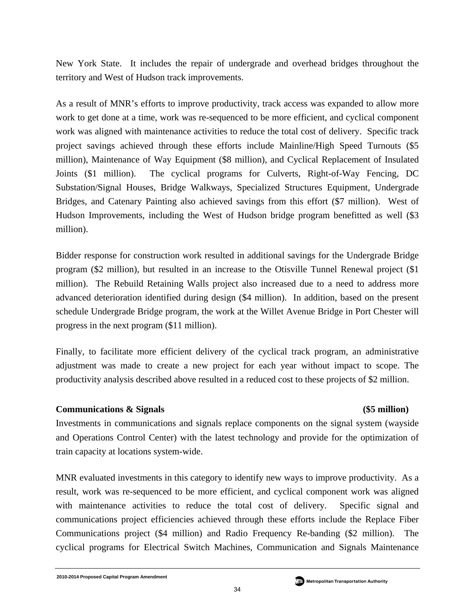New York State. It includes the repair of undergrade and overhead bridges throughout the territory and West of Hudson track improvements.

As a result of MNR's efforts to improve productivity, track access was expanded to allow more work to get done at a time, work was re-sequenced to be more efficient, and cyclical component work was aligned with maintenance activities to reduce the total cost of delivery. Specific track project savings achieved through these efforts include Mainline/High Speed Turnouts (\$5 million), Maintenance of Way Equipment (\$8 million), and Cyclical Replacement of Insulated Joints (\$1 million). The cyclical programs for Culverts, Right-of-Way Fencing, DC Substation/Signal Houses, Bridge Walkways, Specialized Structures Equipment, Undergrade Bridges, and Catenary Painting also achieved savings from this effort (\$7 million). West of Hudson Improvements, including the West of Hudson bridge program benefitted as well (\$3 million).

Bidder response for construction work resulted in additional savings for the Undergrade Bridge program (\$2 million), but resulted in an increase to the Otisville Tunnel Renewal project (\$1 million). The Rebuild Retaining Walls project also increased due to a need to address more advanced deterioration identified during design (\$4 million). In addition, based on the present schedule Undergrade Bridge program, the work at the Willet Avenue Bridge in Port Chester will progress in the next program (\$11 million).

Finally, to facilitate more efficient delivery of the cyclical track program, an administrative adjustment was made to create a new project for each year without impact to scope. The productivity analysis described above resulted in a reduced cost to these projects of \$2 million.

# **Communications & Signals (\$5 million)**

Investments in communications and signals replace components on the signal system (wayside and Operations Control Center) with the latest technology and provide for the optimization of train capacity at locations system-wide.

MNR evaluated investments in this category to identify new ways to improve productivity. As a result, work was re-sequenced to be more efficient, and cyclical component work was aligned with maintenance activities to reduce the total cost of delivery. Specific signal and communications project efficiencies achieved through these efforts include the Replace Fiber Communications project (\$4 million) and Radio Frequency Re-banding (\$2 million). The cyclical programs for Electrical Switch Machines, Communication and Signals Maintenance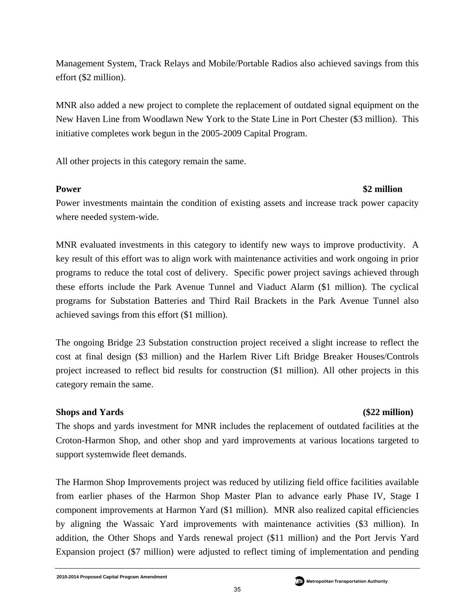Management System, Track Relays and Mobile/Portable Radios also achieved savings from this effort (\$2 million).

MNR also added a new project to complete the replacement of outdated signal equipment on the New Haven Line from Woodlawn New York to the State Line in Port Chester (\$3 million). This initiative completes work begun in the 2005-2009 Capital Program.

All other projects in this category remain the same.

#### **Power \$2 million**

Power investments maintain the condition of existing assets and increase track power capacity where needed system-wide.

MNR evaluated investments in this category to identify new ways to improve productivity. A key result of this effort was to align work with maintenance activities and work ongoing in prior programs to reduce the total cost of delivery. Specific power project savings achieved through these efforts include the Park Avenue Tunnel and Viaduct Alarm (\$1 million). The cyclical programs for Substation Batteries and Third Rail Brackets in the Park Avenue Tunnel also achieved savings from this effort (\$1 million).

The ongoing Bridge 23 Substation construction project received a slight increase to reflect the cost at final design (\$3 million) and the Harlem River Lift Bridge Breaker Houses/Controls project increased to reflect bid results for construction (\$1 million). All other projects in this category remain the same.

#### **Shops and Yards** (\$22 million)

The shops and yards investment for MNR includes the replacement of outdated facilities at the Croton-Harmon Shop, and other shop and yard improvements at various locations targeted to support systemwide fleet demands.

The Harmon Shop Improvements project was reduced by utilizing field office facilities available from earlier phases of the Harmon Shop Master Plan to advance early Phase IV, Stage I component improvements at Harmon Yard (\$1 million). MNR also realized capital efficiencies by aligning the Wassaic Yard improvements with maintenance activities (\$3 million). In addition, the Other Shops and Yards renewal project (\$11 million) and the Port Jervis Yard Expansion project (\$7 million) were adjusted to reflect timing of implementation and pending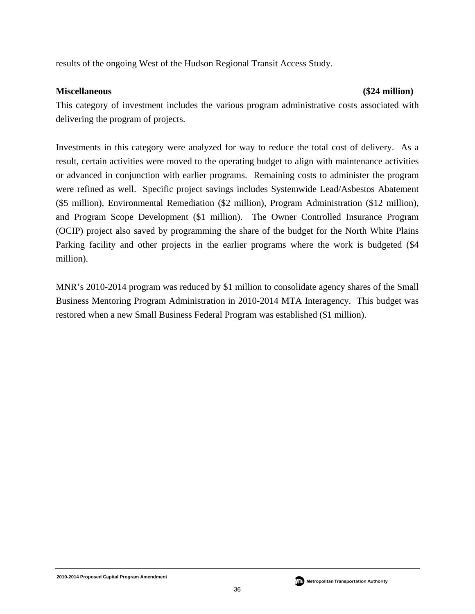results of the ongoing West of the Hudson Regional Transit Access Study.

### **Miscellaneous (\$24 million)**

This category of investment includes the various program administrative costs associated with delivering the program of projects.

Investments in this category were analyzed for way to reduce the total cost of delivery. As a result, certain activities were moved to the operating budget to align with maintenance activities or advanced in conjunction with earlier programs. Remaining costs to administer the program were refined as well. Specific project savings includes Systemwide Lead/Asbestos Abatement (\$5 million), Environmental Remediation (\$2 million), Program Administration (\$12 million), and Program Scope Development (\$1 million). The Owner Controlled Insurance Program (OCIP) project also saved by programming the share of the budget for the North White Plains Parking facility and other projects in the earlier programs where the work is budgeted (\$4 million).

MNR's 2010-2014 program was reduced by \$1 million to consolidate agency shares of the Small Business Mentoring Program Administration in 2010-2014 MTA Interagency. This budget was restored when a new Small Business Federal Program was established (\$1 million).

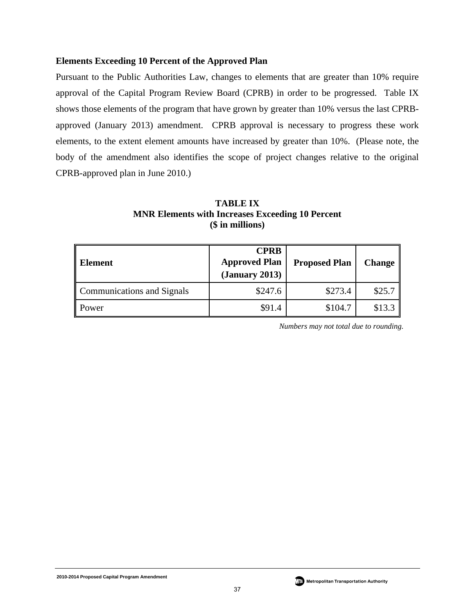### **Elements Exceeding 10 Percent of the Approved Plan**

Pursuant to the Public Authorities Law, changes to elements that are greater than 10% require approval of the Capital Program Review Board (CPRB) in order to be progressed. Table IX shows those elements of the program that have grown by greater than 10% versus the last CPRBapproved (January 2013) amendment. CPRB approval is necessary to progress these work elements, to the extent element amounts have increased by greater than 10%. (Please note, the body of the amendment also identifies the scope of project changes relative to the original CPRB-approved plan in June 2010.)

| <b>TABLE IX</b>                                         |
|---------------------------------------------------------|
| <b>MNR Elements with Increases Exceeding 10 Percent</b> |
| (\$ in millions)                                        |

| <b>Element</b>                    | <b>CPRB</b><br><b>Approved Plan</b><br>(January 2013) | <b>Proposed Plan</b> | Change <sup>"</sup> |
|-----------------------------------|-------------------------------------------------------|----------------------|---------------------|
| <b>Communications and Signals</b> | \$247.6                                               | \$273.4              | \$25.7              |
| Power                             | \$91.4                                                | \$104.7              | \$13.3              |

 *Numbers may not total due to rounding.* 

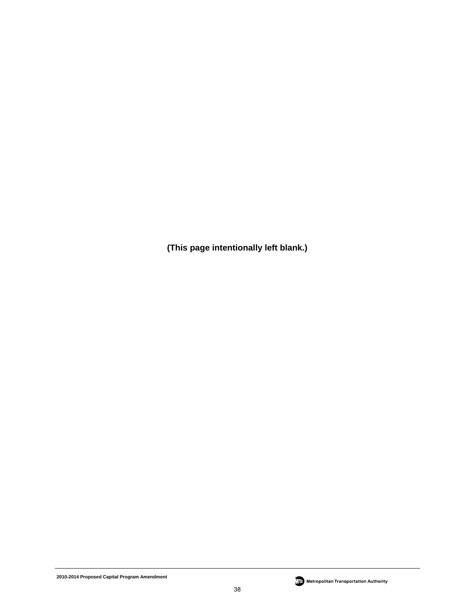**(This page intentionally left blank.)** 



**<sup>2010-2014</sup> Proposed Capital Program Amendment**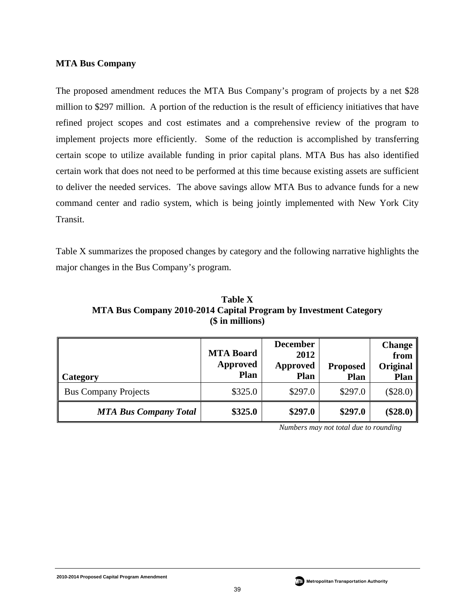#### **MTA Bus Company**

The proposed amendment reduces the MTA Bus Company's program of projects by a net \$28 million to \$297 million. A portion of the reduction is the result of efficiency initiatives that have refined project scopes and cost estimates and a comprehensive review of the program to implement projects more efficiently. Some of the reduction is accomplished by transferring certain scope to utilize available funding in prior capital plans. MTA Bus has also identified certain work that does not need to be performed at this time because existing assets are sufficient to deliver the needed services. The above savings allow MTA Bus to advance funds for a new command center and radio system, which is being jointly implemented with New York City Transit.

Table X summarizes the proposed changes by category and the following narrative highlights the major changes in the Bus Company's program.

| MTA Bus Company 2010-2014 Capital Program by Investment Category<br>$$$ in millions) |
|--------------------------------------------------------------------------------------|
|                                                                                      |

**Table X** 

| <b>Category</b>              | <b>MTA Board</b><br><b>Approved</b><br><b>Plan</b> | <b>December</b><br>2012<br>Approved<br>Plan | <b>Proposed</b><br><b>Plan</b> | <b>Change</b><br>from<br>Original<br><b>Plan</b> |
|------------------------------|----------------------------------------------------|---------------------------------------------|--------------------------------|--------------------------------------------------|
| <b>Bus Company Projects</b>  | \$325.0                                            | \$297.0                                     | \$297.0                        | (\$28.0)                                         |
| <b>MTA Bus Company Total</b> | \$325.0                                            | \$297.0                                     | \$297.0                        | $(\$28.0)$                                       |

 *Numbers may not total due to rounding* 

**2010-2014 Proposed Capital Program Amendment** 

Metropolitan Transportation Authority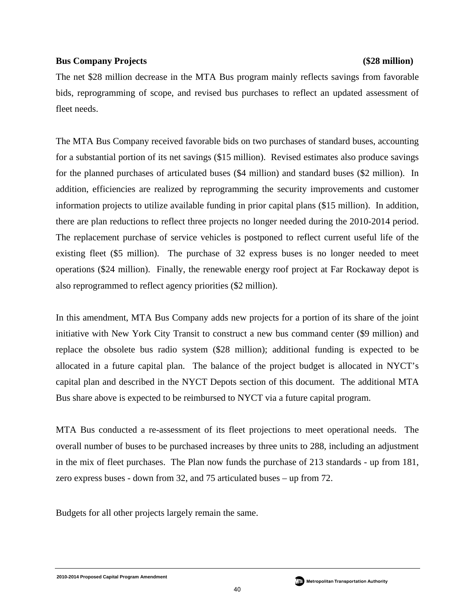#### **Bus Company Projects** (\$28 million)

The net \$28 million decrease in the MTA Bus program mainly reflects savings from favorable bids, reprogramming of scope, and revised bus purchases to reflect an updated assessment of fleet needs.

The MTA Bus Company received favorable bids on two purchases of standard buses, accounting for a substantial portion of its net savings (\$15 million). Revised estimates also produce savings for the planned purchases of articulated buses (\$4 million) and standard buses (\$2 million). In addition, efficiencies are realized by reprogramming the security improvements and customer information projects to utilize available funding in prior capital plans (\$15 million). In addition, there are plan reductions to reflect three projects no longer needed during the 2010-2014 period. The replacement purchase of service vehicles is postponed to reflect current useful life of the existing fleet (\$5 million). The purchase of 32 express buses is no longer needed to meet operations (\$24 million). Finally, the renewable energy roof project at Far Rockaway depot is also reprogrammed to reflect agency priorities (\$2 million).

In this amendment, MTA Bus Company adds new projects for a portion of its share of the joint initiative with New York City Transit to construct a new bus command center (\$9 million) and replace the obsolete bus radio system (\$28 million); additional funding is expected to be allocated in a future capital plan. The balance of the project budget is allocated in NYCT's capital plan and described in the NYCT Depots section of this document. The additional MTA Bus share above is expected to be reimbursed to NYCT via a future capital program.

MTA Bus conducted a re-assessment of its fleet projections to meet operational needs. The overall number of buses to be purchased increases by three units to 288, including an adjustment in the mix of fleet purchases. The Plan now funds the purchase of 213 standards - up from 181, zero express buses - down from 32, and 75 articulated buses – up from 72.

Budgets for all other projects largely remain the same.

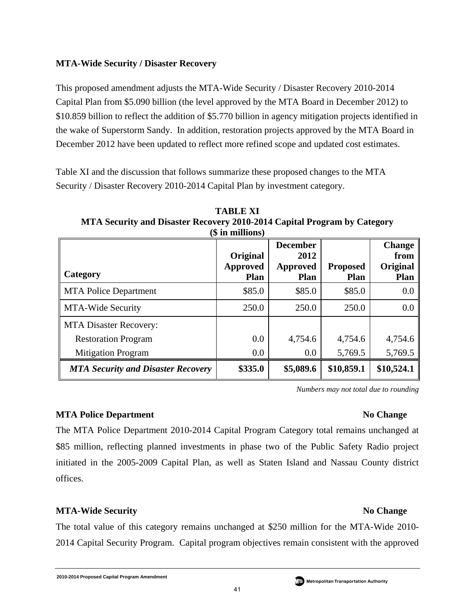### **MTA-Wide Security / Disaster Recovery**

This proposed amendment adjusts the MTA-Wide Security / Disaster Recovery 2010-2014 Capital Plan from \$5.090 billion (the level approved by the MTA Board in December 2012) to \$10.859 billion to reflect the addition of \$5.770 billion in agency mitigation projects identified in the wake of Superstorm Sandy. In addition, restoration projects approved by the MTA Board in December 2012 have been updated to reflect more refined scope and updated cost estimates.

Table XI and the discussion that follows summarize these proposed changes to the MTA Security / Disaster Recovery 2010-2014 Capital Plan by investment category.

**TABLE XI MTA Security and Disaster Recovery 2010-2014 Capital Program by Category (\$ in millions)** 

|                                           | Original                       | <b>December</b><br>2012 |                         | <b>Change</b><br>from   |
|-------------------------------------------|--------------------------------|-------------------------|-------------------------|-------------------------|
| Category                                  | <b>Approved</b><br><b>Plan</b> | Approved<br><b>Plan</b> | <b>Proposed</b><br>Plan | Original<br><b>Plan</b> |
| <b>MTA Police Department</b>              | \$85.0                         | \$85.0                  | \$85.0                  | 0.0                     |
| <b>MTA-Wide Security</b>                  | 250.0                          | 250.0                   | 250.0                   | 0.0                     |
| <b>MTA Disaster Recovery:</b>             |                                |                         |                         |                         |
| <b>Restoration Program</b>                | 0.0                            | 4,754.6                 | 4,754.6                 | 4,754.6                 |
| <b>Mitigation Program</b>                 | 0.0                            | 0.0                     | 5,769.5                 | 5,769.5                 |
| <b>MTA Security and Disaster Recovery</b> | \$335.0                        | \$5,089.6               | \$10,859.1              | \$10,524.1              |

*Numbers may not total due to rounding* 

#### **MTA Police Department** No Change **No Change**

The MTA Police Department 2010-2014 Capital Program Category total remains unchanged at \$85 million, reflecting planned investments in phase two of the Public Safety Radio project initiated in the 2005-2009 Capital Plan, as well as Staten Island and Nassau County district offices.

#### **MTA-Wide Security** No Change

The total value of this category remains unchanged at \$250 million for the MTA-Wide 2010- 2014 Capital Security Program. Capital program objectives remain consistent with the approved

#### Metropolitan Transportation Authority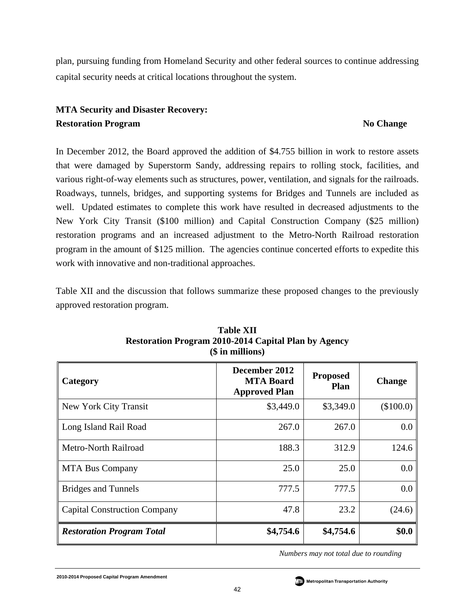plan, pursuing funding from Homeland Security and other federal sources to continue addressing capital security needs at critical locations throughout the system.

### **MTA Security and Disaster Recovery: Restoration Program No Change 2018** No Change

In December 2012, the Board approved the addition of \$4.755 billion in work to restore assets that were damaged by Superstorm Sandy, addressing repairs to rolling stock, facilities, and various right-of-way elements such as structures, power, ventilation, and signals for the railroads. Roadways, tunnels, bridges, and supporting systems for Bridges and Tunnels are included as well. Updated estimates to complete this work have resulted in decreased adjustments to the New York City Transit (\$100 million) and Capital Construction Company (\$25 million) restoration programs and an increased adjustment to the Metro-North Railroad restoration program in the amount of \$125 million. The agencies continue concerted efforts to expedite this work with innovative and non-traditional approaches.

Table XII and the discussion that follows summarize these proposed changes to the previously approved restoration program.

| Category                            | December 2012<br><b>MTA Board</b><br><b>Approved Plan</b> | <b>Proposed</b><br><b>Plan</b> | <b>Change</b> |
|-------------------------------------|-----------------------------------------------------------|--------------------------------|---------------|
| New York City Transit               | \$3,449.0                                                 | \$3,349.0                      | (\$100.0)     |
| Long Island Rail Road               | 267.0                                                     | 267.0                          | 0.0           |
| Metro-North Railroad                | 188.3                                                     | 312.9                          | 124.6         |
| <b>MTA Bus Company</b>              | 25.0                                                      | 25.0                           | 0.0           |
| <b>Bridges and Tunnels</b>          | 777.5                                                     | 777.5                          | 0.0           |
| <b>Capital Construction Company</b> | 47.8                                                      | 23.2                           | (24.6)        |
| <b>Restoration Program Total</b>    | \$4,754.6                                                 | \$4,754.6                      | \$0.0         |

**Table XII Restoration Program 2010-2014 Capital Plan by Agency (\$ in millions)**

*Numbers may not total due to rounding*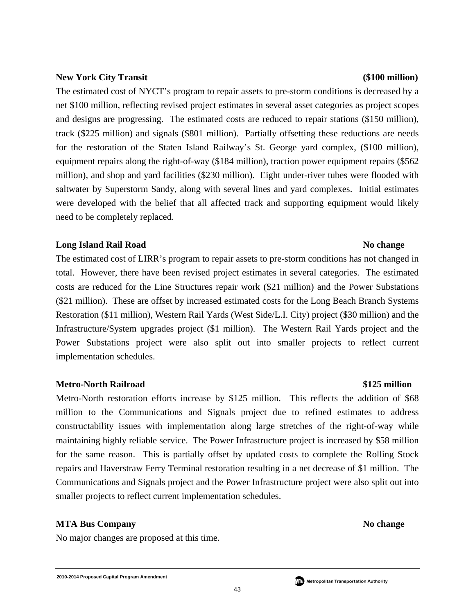#### **New York City Transit (\$100 million)**

The estimated cost of NYCT's program to repair assets to pre-storm conditions is decreased by a net \$100 million, reflecting revised project estimates in several asset categories as project scopes and designs are progressing. The estimated costs are reduced to repair stations (\$150 million), track (\$225 million) and signals (\$801 million). Partially offsetting these reductions are needs for the restoration of the Staten Island Railway's St. George yard complex, (\$100 million), equipment repairs along the right-of-way (\$184 million), traction power equipment repairs (\$562 million), and shop and yard facilities (\$230 million). Eight under-river tubes were flooded with saltwater by Superstorm Sandy, along with several lines and yard complexes. Initial estimates were developed with the belief that all affected track and supporting equipment would likely need to be completely replaced.

#### **Long Island Rail Road No change 10 August 2018 No change 10 August 2018 No change**

The estimated cost of LIRR's program to repair assets to pre-storm conditions has not changed in total. However, there have been revised project estimates in several categories. The estimated costs are reduced for the Line Structures repair work (\$21 million) and the Power Substations (\$21 million). These are offset by increased estimated costs for the Long Beach Branch Systems Restoration (\$11 million), Western Rail Yards (West Side/L.I. City) project (\$30 million) and the Infrastructure/System upgrades project (\$1 million). The Western Rail Yards project and the Power Substations project were also split out into smaller projects to reflect current implementation schedules.

#### **Metro-North Railroad \$125 million**

Metro-North restoration efforts increase by \$125 million. This reflects the addition of \$68 million to the Communications and Signals project due to refined estimates to address constructability issues with implementation along large stretches of the right-of-way while maintaining highly reliable service. The Power Infrastructure project is increased by \$58 million for the same reason. This is partially offset by updated costs to complete the Rolling Stock repairs and Haverstraw Ferry Terminal restoration resulting in a net decrease of \$1 million. The Communications and Signals project and the Power Infrastructure project were also split out into smaller projects to reflect current implementation schedules.

#### **MTA Bus Company No change 3**

No major changes are proposed at this time.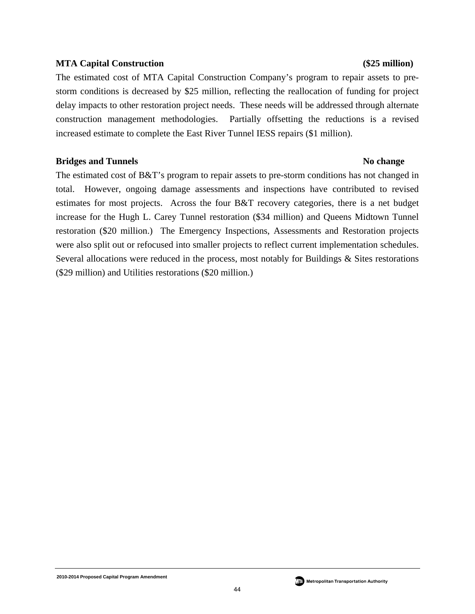### **MTA Capital Construction** (\$25 million)

The estimated cost of MTA Capital Construction Company's program to repair assets to prestorm conditions is decreased by \$25 million, reflecting the reallocation of funding for project delay impacts to other restoration project needs. These needs will be addressed through alternate construction management methodologies. Partially offsetting the reductions is a revised increased estimate to complete the East River Tunnel IESS repairs (\$1 million).

### **Bridges and Tunnels and Tunnels 2008 No change No change**

The estimated cost of B&T's program to repair assets to pre-storm conditions has not changed in total. However, ongoing damage assessments and inspections have contributed to revised estimates for most projects. Across the four B&T recovery categories, there is a net budget increase for the Hugh L. Carey Tunnel restoration (\$34 million) and Queens Midtown Tunnel restoration (\$20 million.) The Emergency Inspections, Assessments and Restoration projects were also split out or refocused into smaller projects to reflect current implementation schedules. Several allocations were reduced in the process, most notably for Buildings & Sites restorations (\$29 million) and Utilities restorations (\$20 million.)

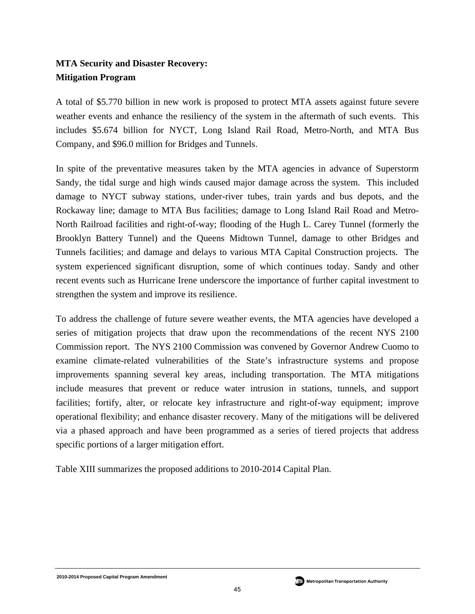## **MTA Security and Disaster Recovery: Mitigation Program**

A total of \$5.770 billion in new work is proposed to protect MTA assets against future severe weather events and enhance the resiliency of the system in the aftermath of such events. This includes \$5.674 billion for NYCT, Long Island Rail Road, Metro-North, and MTA Bus Company, and \$96.0 million for Bridges and Tunnels.

In spite of the preventative measures taken by the MTA agencies in advance of Superstorm Sandy, the tidal surge and high winds caused major damage across the system. This included damage to NYCT subway stations, under-river tubes, train yards and bus depots, and the Rockaway line; damage to MTA Bus facilities; damage to Long Island Rail Road and Metro-North Railroad facilities and right-of-way; flooding of the Hugh L. Carey Tunnel (formerly the Brooklyn Battery Tunnel) and the Queens Midtown Tunnel, damage to other Bridges and Tunnels facilities; and damage and delays to various MTA Capital Construction projects. The system experienced significant disruption, some of which continues today. Sandy and other recent events such as Hurricane Irene underscore the importance of further capital investment to strengthen the system and improve its resilience.

To address the challenge of future severe weather events, the MTA agencies have developed a series of mitigation projects that draw upon the recommendations of the recent NYS 2100 Commission report. The NYS 2100 Commission was convened by Governor Andrew Cuomo to examine climate-related vulnerabilities of the State's infrastructure systems and propose improvements spanning several key areas, including transportation. The MTA mitigations include measures that prevent or reduce water intrusion in stations, tunnels, and support facilities; fortify, alter, or relocate key infrastructure and right-of-way equipment; improve operational flexibility; and enhance disaster recovery. Many of the mitigations will be delivered via a phased approach and have been programmed as a series of tiered projects that address specific portions of a larger mitigation effort.

Table XIII summarizes the proposed additions to 2010-2014 Capital Plan.

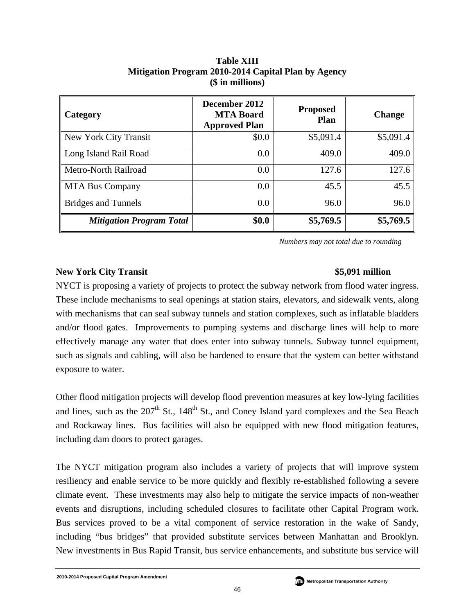| Category                        | December 2012<br><b>MTA Board</b><br><b>Approved Plan</b> | <b>Proposed</b><br><b>Plan</b> | <b>Change</b> |
|---------------------------------|-----------------------------------------------------------|--------------------------------|---------------|
| New York City Transit           | \$0.0                                                     | \$5,091.4                      | \$5,091.4     |
| Long Island Rail Road           | 0.0                                                       | 409.0                          | 409.0         |
| Metro-North Railroad            | 0.0                                                       | 127.6                          | 127.6         |
| <b>MTA Bus Company</b>          | 0.0                                                       | 45.5                           | 45.5          |
| <b>Bridges and Tunnels</b>      | 0.0                                                       | 96.0                           | 96.0          |
| <b>Mitigation Program Total</b> | \$0.0                                                     | \$5,769.5                      | \$5,769.5     |

### **Table XIII Mitigation Program 2010-2014 Capital Plan by Agency (\$ in millions)**

*Numbers may not total due to rounding* 

### **New York City Transit \$5,091 million**

NYCT is proposing a variety of projects to protect the subway network from flood water ingress. These include mechanisms to seal openings at station stairs, elevators, and sidewalk vents, along with mechanisms that can seal subway tunnels and station complexes, such as inflatable bladders and/or flood gates. Improvements to pumping systems and discharge lines will help to more effectively manage any water that does enter into subway tunnels. Subway tunnel equipment, such as signals and cabling, will also be hardened to ensure that the system can better withstand exposure to water.

Other flood mitigation projects will develop flood prevention measures at key low-lying facilities and lines, such as the  $207<sup>th</sup>$  St., 148<sup>th</sup> St., and Coney Island yard complexes and the Sea Beach and Rockaway lines. Bus facilities will also be equipped with new flood mitigation features, including dam doors to protect garages.

The NYCT mitigation program also includes a variety of projects that will improve system resiliency and enable service to be more quickly and flexibly re-established following a severe climate event. These investments may also help to mitigate the service impacts of non-weather events and disruptions, including scheduled closures to facilitate other Capital Program work. Bus services proved to be a vital component of service restoration in the wake of Sandy, including "bus bridges" that provided substitute services between Manhattan and Brooklyn. New investments in Bus Rapid Transit, bus service enhancements, and substitute bus service will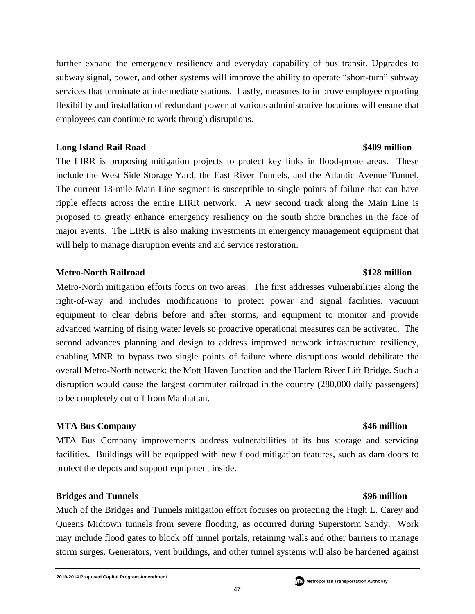further expand the emergency resiliency and everyday capability of bus transit. Upgrades to subway signal, power, and other systems will improve the ability to operate "short-turn" subway services that terminate at intermediate stations. Lastly, measures to improve employee reporting flexibility and installation of redundant power at various administrative locations will ensure that employees can continue to work through disruptions.

#### **Long Island Rail Road \$409 million**

The LIRR is proposing mitigation projects to protect key links in flood-prone areas. These include the West Side Storage Yard, the East River Tunnels, and the Atlantic Avenue Tunnel. The current 18-mile Main Line segment is susceptible to single points of failure that can have ripple effects across the entire LIRR network. A new second track along the Main Line is proposed to greatly enhance emergency resiliency on the south shore branches in the face of major events. The LIRR is also making investments in emergency management equipment that will help to manage disruption events and aid service restoration.

### **Metro-North Railroad \$128 million**

Metro-North mitigation efforts focus on two areas. The first addresses vulnerabilities along the right-of-way and includes modifications to protect power and signal facilities, vacuum equipment to clear debris before and after storms, and equipment to monitor and provide advanced warning of rising water levels so proactive operational measures can be activated. The second advances planning and design to address improved network infrastructure resiliency, enabling MNR to bypass two single points of failure where disruptions would debilitate the overall Metro-North network: the Mott Haven Junction and the Harlem River Lift Bridge. Such a disruption would cause the largest commuter railroad in the country (280,000 daily passengers) to be completely cut off from Manhattan.

### **MTA Bus Company \$46 million**

MTA Bus Company improvements address vulnerabilities at its bus storage and servicing facilities. Buildings will be equipped with new flood mitigation features, such as dam doors to protect the depots and support equipment inside.

### **Bridges and Tunnels but a set of the set of the set of the set of the set of the set of the set of the set of the set of the set of the set of the set of the set of the set of the set of the set of the set of the set of**

Much of the Bridges and Tunnels mitigation effort focuses on protecting the Hugh L. Carey and Queens Midtown tunnels from severe flooding, as occurred during Superstorm Sandy. Work may include flood gates to block off tunnel portals, retaining walls and other barriers to manage storm surges. Generators, vent buildings, and other tunnel systems will also be hardened against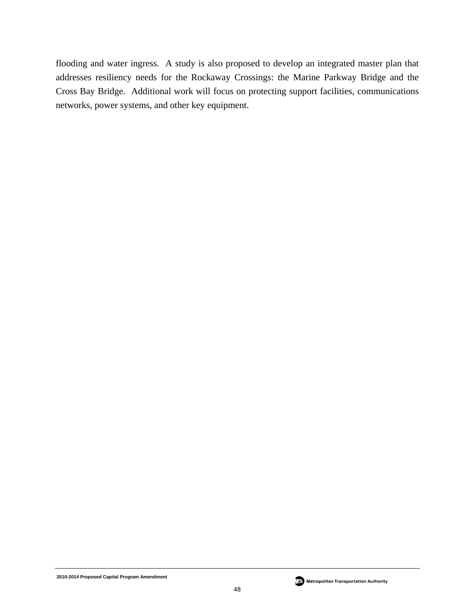flooding and water ingress. A study is also proposed to develop an integrated master plan that addresses resiliency needs for the Rockaway Crossings: the Marine Parkway Bridge and the Cross Bay Bridge. Additional work will focus on protecting support facilities, communications networks, power systems, and other key equipment.

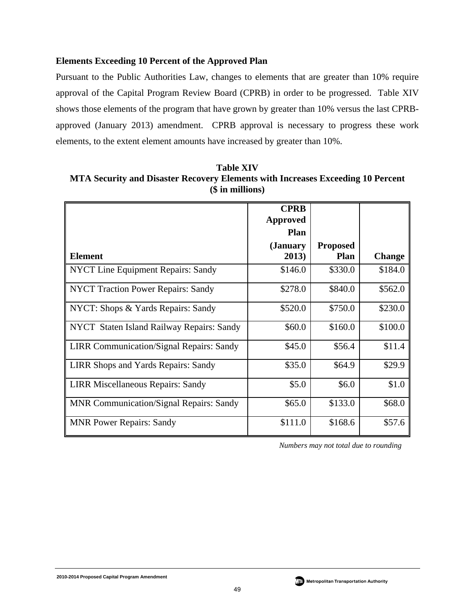### **Elements Exceeding 10 Percent of the Approved Plan**

Pursuant to the Public Authorities Law, changes to elements that are greater than 10% require approval of the Capital Program Review Board (CPRB) in order to be progressed. Table XIV shows those elements of the program that have grown by greater than 10% versus the last CPRBapproved (January 2013) amendment. CPRB approval is necessary to progress these work elements, to the extent element amounts have increased by greater than 10%.

**Table XIV MTA Security and Disaster Recovery Elements with Increases Exceeding 10 Percent (\$ in millions)** 

|                                                 | <b>CPRB</b><br><b>Approved</b> |                 |               |
|-------------------------------------------------|--------------------------------|-----------------|---------------|
|                                                 | <b>Plan</b>                    |                 |               |
|                                                 | (January                       | <b>Proposed</b> |               |
| <b>Element</b>                                  | 2013)                          | <b>Plan</b>     | <b>Change</b> |
| <b>NYCT Line Equipment Repairs: Sandy</b>       | \$146.0                        | \$330.0         | \$184.0       |
| <b>NYCT Traction Power Repairs: Sandy</b>       | \$278.0                        | \$840.0         | \$562.0       |
| NYCT: Shops & Yards Repairs: Sandy              | \$520.0                        | \$750.0         | \$230.0       |
| NYCT Staten Island Railway Repairs: Sandy       | \$60.0                         | \$160.0         | \$100.0       |
| <b>LIRR Communication/Signal Repairs: Sandy</b> | \$45.0                         | \$56.4          | \$11.4        |
| LIRR Shops and Yards Repairs: Sandy             | \$35.0                         | \$64.9          | \$29.9        |
| <b>LIRR Miscellaneous Repairs: Sandy</b>        | \$5.0                          | \$6.0           | \$1.0         |
| <b>MNR</b> Communication/Signal Repairs: Sandy  | \$65.0                         | \$133.0         | \$68.0        |
| <b>MNR Power Repairs: Sandy</b>                 | \$111.0                        | \$168.6         | \$57.6        |

 *Numbers may not total due to rounding*

Metropolitan Transportation Authority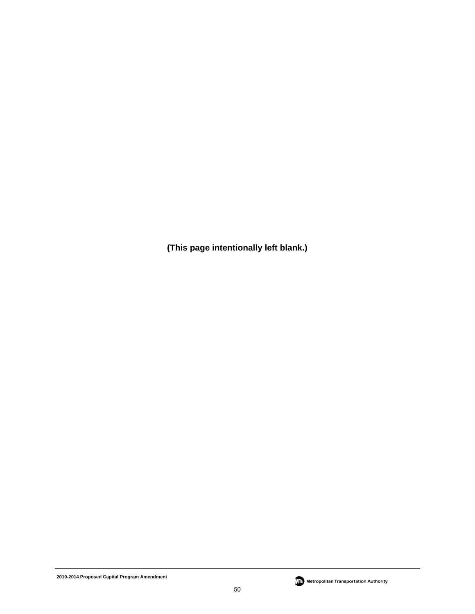**(This page intentionally left blank.)** 



**<sup>2010-2014</sup> Proposed Capital Program Amendment**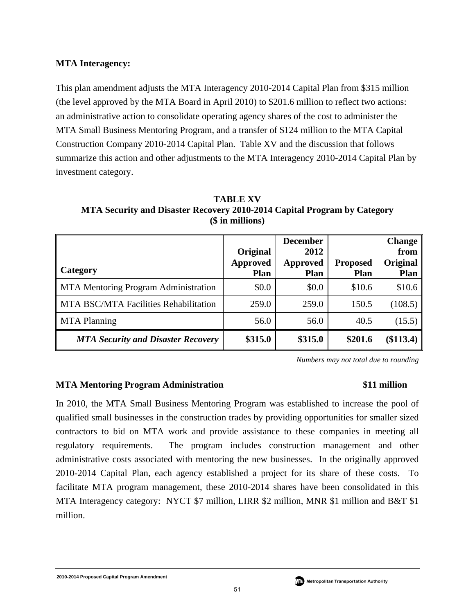### **MTA Interagency:**

This plan amendment adjusts the MTA Interagency 2010-2014 Capital Plan from \$315 million (the level approved by the MTA Board in April 2010) to \$201.6 million to reflect two actions: an administrative action to consolidate operating agency shares of the cost to administer the MTA Small Business Mentoring Program, and a transfer of \$124 million to the MTA Capital Construction Company 2010-2014 Capital Plan. Table XV and the discussion that follows summarize this action and other adjustments to the MTA Interagency 2010-2014 Capital Plan by investment category.

**TABLE XV MTA Security and Disaster Recovery 2010-2014 Capital Program by Category (\$ in millions)** 

| Category                                  | Original<br>Approved<br><b>Plan</b> | <b>December</b><br>2012<br>Approved<br>Plan | <b>Proposed</b><br><b>Plan</b> | <b>Change</b><br>from<br>Original<br>Plan |
|-------------------------------------------|-------------------------------------|---------------------------------------------|--------------------------------|-------------------------------------------|
| MTA Mentoring Program Administration      | \$0.0                               | \$0.0                                       | \$10.6                         | \$10.6                                    |
| MTA BSC/MTA Facilities Rehabilitation     | 259.0                               | 259.0                                       | 150.5                          | (108.5)                                   |
| <b>MTA Planning</b>                       | 56.0                                | 56.0                                        | 40.5                           | (15.5)                                    |
| <b>MTA Security and Disaster Recovery</b> | \$315.0                             | \$315.0                                     | \$201.6                        | \$113.4)                                  |

*Numbers may not total due to rounding* 

#### **MTA Mentoring Program Administration \$11 million**

In 2010, the MTA Small Business Mentoring Program was established to increase the pool of qualified small businesses in the construction trades by providing opportunities for smaller sized contractors to bid on MTA work and provide assistance to these companies in meeting all regulatory requirements. The program includes construction management and other administrative costs associated with mentoring the new businesses. In the originally approved 2010-2014 Capital Plan, each agency established a project for its share of these costs. To facilitate MTA program management, these 2010-2014 shares have been consolidated in this MTA Interagency category: NYCT \$7 million, LIRR \$2 million, MNR \$1 million and B&T \$1 million.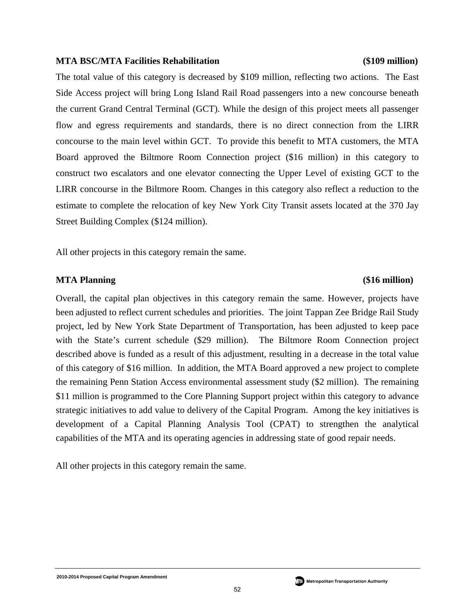#### **MTA BSC/MTA Facilities Rehabilitation (\$109 million)**

The total value of this category is decreased by \$109 million, reflecting two actions. The East Side Access project will bring Long Island Rail Road passengers into a new concourse beneath the current Grand Central Terminal (GCT). While the design of this project meets all passenger flow and egress requirements and standards, there is no direct connection from the LIRR concourse to the main level within GCT. To provide this benefit to MTA customers, the MTA Board approved the Biltmore Room Connection project (\$16 million) in this category to construct two escalators and one elevator connecting the Upper Level of existing GCT to the LIRR concourse in the Biltmore Room. Changes in this category also reflect a reduction to the estimate to complete the relocation of key New York City Transit assets located at the 370 Jay Street Building Complex (\$124 million).

All other projects in this category remain the same.

### **MTA Planning** (\$16 million)

Overall, the capital plan objectives in this category remain the same. However, projects have been adjusted to reflect current schedules and priorities. The joint Tappan Zee Bridge Rail Study project, led by New York State Department of Transportation, has been adjusted to keep pace with the State's current schedule (\$29 million). The Biltmore Room Connection project described above is funded as a result of this adjustment, resulting in a decrease in the total value of this category of \$16 million. In addition, the MTA Board approved a new project to complete the remaining Penn Station Access environmental assessment study (\$2 million). The remaining \$11 million is programmed to the Core Planning Support project within this category to advance strategic initiatives to add value to delivery of the Capital Program. Among the key initiatives is development of a Capital Planning Analysis Tool (CPAT) to strengthen the analytical capabilities of the MTA and its operating agencies in addressing state of good repair needs.

All other projects in this category remain the same.

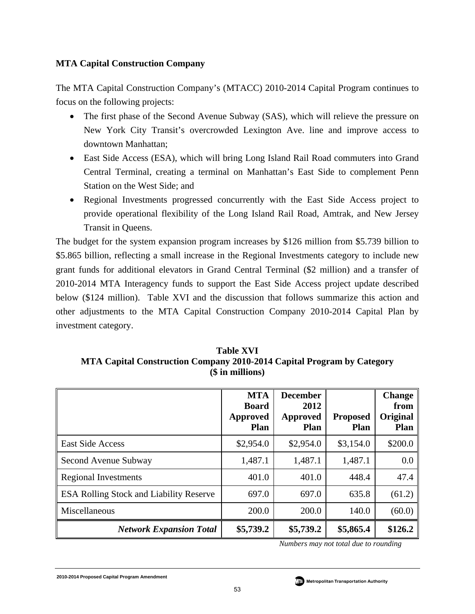### **MTA Capital Construction Company**

The MTA Capital Construction Company's (MTACC) 2010-2014 Capital Program continues to focus on the following projects:

- The first phase of the Second Avenue Subway (SAS), which will relieve the pressure on New York City Transit's overcrowded Lexington Ave. line and improve access to downtown Manhattan;
- East Side Access (ESA), which will bring Long Island Rail Road commuters into Grand Central Terminal, creating a terminal on Manhattan's East Side to complement Penn Station on the West Side; and
- Regional Investments progressed concurrently with the East Side Access project to provide operational flexibility of the Long Island Rail Road, Amtrak, and New Jersey Transit in Queens.

The budget for the system expansion program increases by \$126 million from \$5.739 billion to \$5.865 billion, reflecting a small increase in the Regional Investments category to include new grant funds for additional elevators in Grand Central Terminal (\$2 million) and a transfer of 2010-2014 MTA Interagency funds to support the East Side Access project update described below (\$124 million). Table XVI and the discussion that follows summarize this action and other adjustments to the MTA Capital Construction Company 2010-2014 Capital Plan by investment category.

**Table XVI MTA Capital Construction Company 2010-2014 Capital Program by Category (\$ in millions)**

|                                                | <b>MTA</b><br><b>Board</b><br>Approved<br><b>Plan</b> | <b>December</b><br>2012<br>Approved<br><b>Plan</b> | <b>Proposed</b><br><b>Plan</b> | <b>Change</b><br>from<br>Original<br>Plan |
|------------------------------------------------|-------------------------------------------------------|----------------------------------------------------|--------------------------------|-------------------------------------------|
| <b>East Side Access</b>                        | \$2,954.0                                             | \$2,954.0                                          | \$3,154.0                      | \$200.0                                   |
| Second Avenue Subway                           | 1,487.1                                               | 1,487.1                                            | 1,487.1                        | 0.0                                       |
| <b>Regional Investments</b>                    | 401.0                                                 | 401.0                                              | 448.4                          | 47.4                                      |
| <b>ESA Rolling Stock and Liability Reserve</b> | 697.0                                                 | 697.0                                              | 635.8                          | (61.2)                                    |
| Miscellaneous                                  | 200.0                                                 | 200.0                                              | 140.0                          | (60.0)                                    |
| <b>Network Expansion Total</b>                 | \$5,739.2                                             | \$5,739.2                                          | \$5,865.4                      | \$126.2                                   |

 *Numbers may not total due to rounding*

**<sup>2010-2014</sup> Proposed Capital Program Amendment**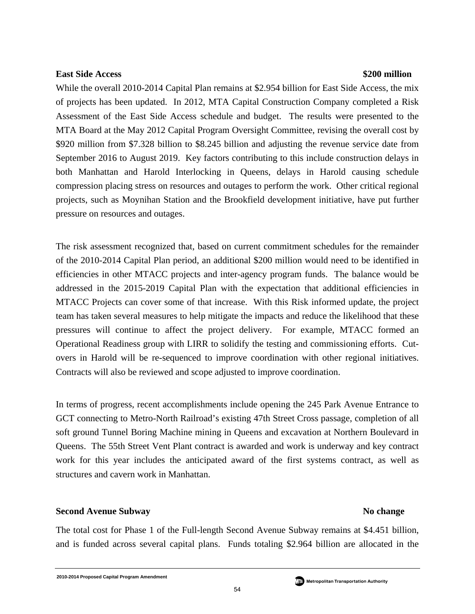#### **East Side Access \$200 million**

While the overall 2010-2014 Capital Plan remains at \$2.954 billion for East Side Access, the mix of projects has been updated. In 2012, MTA Capital Construction Company completed a Risk Assessment of the East Side Access schedule and budget. The results were presented to the MTA Board at the May 2012 Capital Program Oversight Committee, revising the overall cost by \$920 million from \$7.328 billion to \$8.245 billion and adjusting the revenue service date from September 2016 to August 2019. Key factors contributing to this include construction delays in both Manhattan and Harold Interlocking in Queens, delays in Harold causing schedule compression placing stress on resources and outages to perform the work. Other critical regional projects, such as Moynihan Station and the Brookfield development initiative, have put further pressure on resources and outages.

The risk assessment recognized that, based on current commitment schedules for the remainder of the 2010-2014 Capital Plan period, an additional \$200 million would need to be identified in efficiencies in other MTACC projects and inter-agency program funds. The balance would be addressed in the 2015-2019 Capital Plan with the expectation that additional efficiencies in MTACC Projects can cover some of that increase. With this Risk informed update, the project team has taken several measures to help mitigate the impacts and reduce the likelihood that these pressures will continue to affect the project delivery. For example, MTACC formed an Operational Readiness group with LIRR to solidify the testing and commissioning efforts. Cutovers in Harold will be re-sequenced to improve coordination with other regional initiatives. Contracts will also be reviewed and scope adjusted to improve coordination.

In terms of progress, recent accomplishments include opening the 245 Park Avenue Entrance to GCT connecting to Metro-North Railroad's existing 47th Street Cross passage, completion of all soft ground Tunnel Boring Machine mining in Queens and excavation at Northern Boulevard in Queens. The 55th Street Vent Plant contract is awarded and work is underway and key contract work for this year includes the anticipated award of the first systems contract, as well as structures and cavern work in Manhattan.

#### **Second Avenue Subway No change 2018** No change

The total cost for Phase 1 of the Full-length Second Avenue Subway remains at \$4.451 billion, and is funded across several capital plans. Funds totaling \$2.964 billion are allocated in the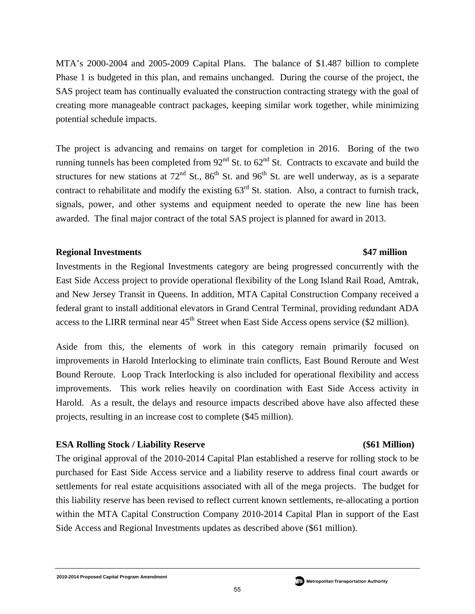MTA's 2000-2004 and 2005-2009 Capital Plans. The balance of \$1.487 billion to complete Phase 1 is budgeted in this plan, and remains unchanged. During the course of the project, the SAS project team has continually evaluated the construction contracting strategy with the goal of creating more manageable contract packages, keeping similar work together, while minimizing potential schedule impacts.

The project is advancing and remains on target for completion in 2016. Boring of the two running tunnels has been completed from  $92<sup>nd</sup>$  St. to  $62<sup>nd</sup>$  St. Contracts to excavate and build the structures for new stations at  $72<sup>nd</sup>$  St.,  $86<sup>th</sup>$  St. and  $96<sup>th</sup>$  St. are well underway, as is a separate contract to rehabilitate and modify the existing  $63<sup>rd</sup>$  St. station. Also, a contract to furnish track, signals, power, and other systems and equipment needed to operate the new line has been awarded. The final major contract of the total SAS project is planned for award in 2013.

### **Regional Investments \$47 million**

## Investments in the Regional Investments category are being progressed concurrently with the East Side Access project to provide operational flexibility of the Long Island Rail Road, Amtrak, and New Jersey Transit in Queens. In addition, MTA Capital Construction Company received a federal grant to install additional elevators in Grand Central Terminal, providing redundant ADA access to the LIRR terminal near  $45<sup>th</sup>$  Street when East Side Access opens service (\$2 million).

Aside from this, the elements of work in this category remain primarily focused on improvements in Harold Interlocking to eliminate train conflicts, East Bound Reroute and West Bound Reroute. Loop Track Interlocking is also included for operational flexibility and access improvements. This work relies heavily on coordination with East Side Access activity in Harold. As a result, the delays and resource impacts described above have also affected these projects, resulting in an increase cost to complete (\$45 million).

### **ESA Rolling Stock / Liability Reserve (\$61 Million)**

## The original approval of the 2010-2014 Capital Plan established a reserve for rolling stock to be purchased for East Side Access service and a liability reserve to address final court awards or settlements for real estate acquisitions associated with all of the mega projects. The budget for this liability reserve has been revised to reflect current known settlements, re-allocating a portion within the MTA Capital Construction Company 2010-2014 Capital Plan in support of the East Side Access and Regional Investments updates as described above (\$61 million).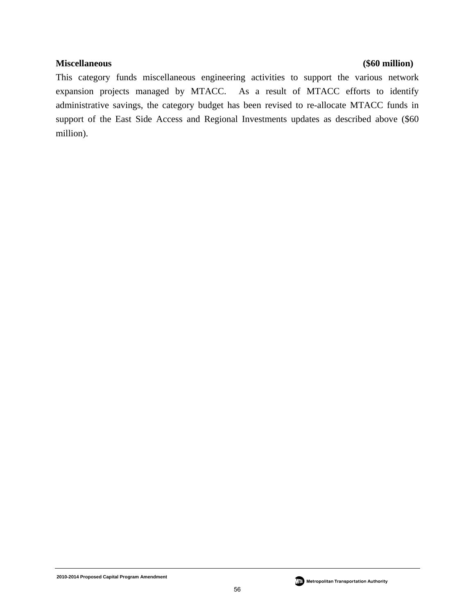### **Miscellaneous (\$60 million)**

This category funds miscellaneous engineering activities to support the various network expansion projects managed by MTACC. As a result of MTACC efforts to identify administrative savings, the category budget has been revised to re-allocate MTACC funds in support of the East Side Access and Regional Investments updates as described above (\$60 million).

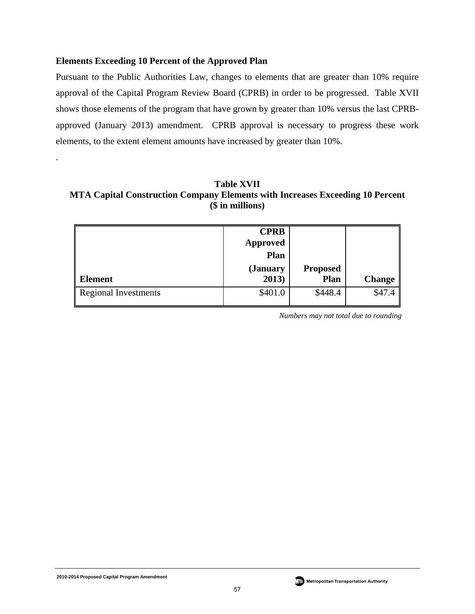### **Elements Exceeding 10 Percent of the Approved Plan**

.

Pursuant to the Public Authorities Law, changes to elements that are greater than 10% require approval of the Capital Program Review Board (CPRB) in order to be progressed. Table XVII shows those elements of the program that have grown by greater than 10% versus the last CPRBapproved (January 2013) amendment. CPRB approval is necessary to progress these work elements, to the extent element amounts have increased by greater than 10%.

### **Table XVII MTA Capital Construction Company Elements with Increases Exceeding 10 Percent (\$ in millions)**

| <b>Element</b>              | <b>CPRB</b><br><b>Approved</b><br>Plan<br>( <b>January</b><br>2013) | <b>Proposed</b><br>Plan | <b>Change</b> |
|-----------------------------|---------------------------------------------------------------------|-------------------------|---------------|
| <b>Regional Investments</b> | \$401.0                                                             | \$448.4                 | \$47.4        |

 *Numbers may not total due to rounding*

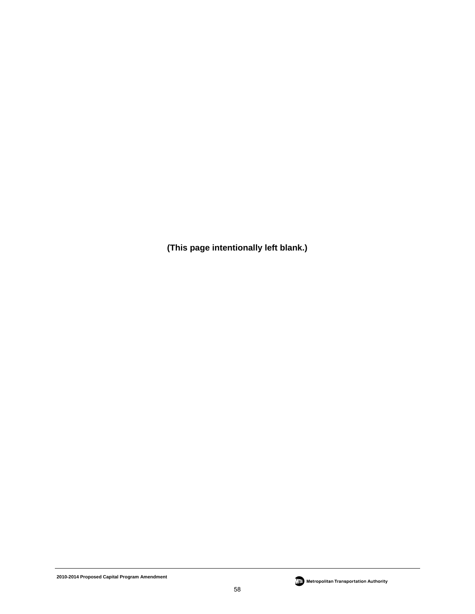**(This page intentionally left blank.)** 



**<sup>2010-2014</sup> Proposed Capital Program Amendment**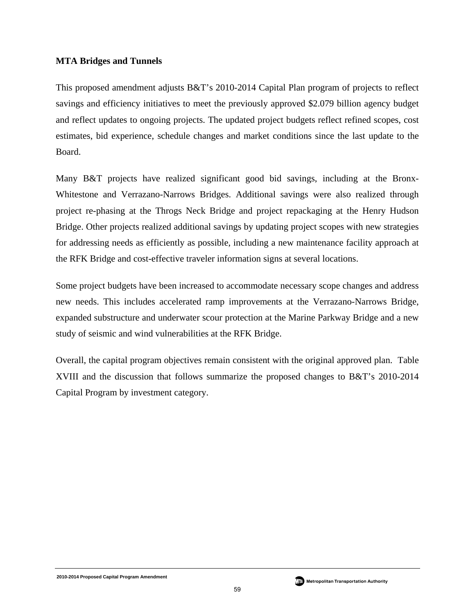#### **MTA Bridges and Tunnels**

This proposed amendment adjusts B&T's 2010-2014 Capital Plan program of projects to reflect savings and efficiency initiatives to meet the previously approved \$2.079 billion agency budget and reflect updates to ongoing projects. The updated project budgets reflect refined scopes, cost estimates, bid experience, schedule changes and market conditions since the last update to the Board.

Many B&T projects have realized significant good bid savings, including at the Bronx-Whitestone and Verrazano-Narrows Bridges. Additional savings were also realized through project re-phasing at the Throgs Neck Bridge and project repackaging at the Henry Hudson Bridge. Other projects realized additional savings by updating project scopes with new strategies for addressing needs as efficiently as possible, including a new maintenance facility approach at the RFK Bridge and cost-effective traveler information signs at several locations.

Some project budgets have been increased to accommodate necessary scope changes and address new needs. This includes accelerated ramp improvements at the Verrazano-Narrows Bridge, expanded substructure and underwater scour protection at the Marine Parkway Bridge and a new study of seismic and wind vulnerabilities at the RFK Bridge.

Overall, the capital program objectives remain consistent with the original approved plan. Table XVIII and the discussion that follows summarize the proposed changes to B&T's 2010-2014 Capital Program by investment category.

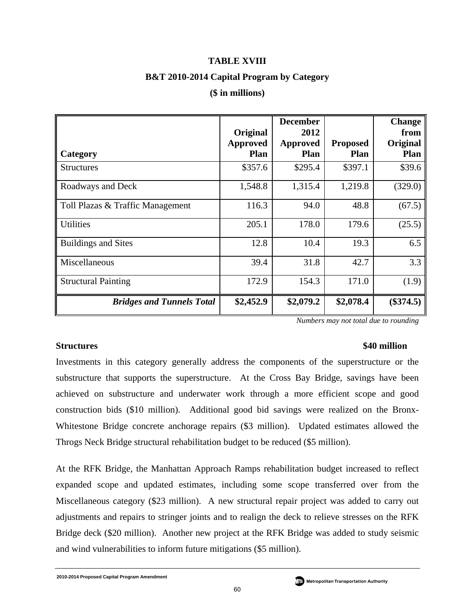#### **TABLE XVIII**

### **B&T 2010-2014 Capital Program by Category**

#### **(\$ in millions)**

| Category                         | Original<br><b>Approved</b><br><b>Plan</b> | <b>December</b><br>2012<br><b>Approved</b><br><b>Plan</b> | <b>Proposed</b><br><b>Plan</b> | <b>Change</b><br>from<br>Original<br><b>Plan</b> |
|----------------------------------|--------------------------------------------|-----------------------------------------------------------|--------------------------------|--------------------------------------------------|
| <b>Structures</b>                | \$357.6                                    | \$295.4                                                   | \$397.1                        | \$39.6                                           |
| Roadways and Deck                | 1,548.8                                    | 1,315.4                                                   | 1,219.8                        | (329.0)                                          |
| Toll Plazas & Traffic Management | 116.3                                      | 94.0                                                      | 48.8                           | (67.5)                                           |
| <b>Utilities</b>                 | 205.1                                      | 178.0                                                     | 179.6                          | (25.5)                                           |
| <b>Buildings and Sites</b>       | 12.8                                       | 10.4                                                      | 19.3                           | 6.5                                              |
| Miscellaneous                    | 39.4                                       | 31.8                                                      | 42.7                           | 3.3                                              |
| <b>Structural Painting</b>       | 172.9                                      | 154.3                                                     | 171.0                          | (1.9)                                            |
| <b>Bridges and Tunnels Total</b> | \$2,452.9                                  | \$2,079.2                                                 | \$2,078.4                      | $(\$374.5)$                                      |

 *Numbers may not total due to rounding* 

#### **Structures \$40 million**

Investments in this category generally address the components of the superstructure or the substructure that supports the superstructure. At the Cross Bay Bridge, savings have been achieved on substructure and underwater work through a more efficient scope and good construction bids (\$10 million). Additional good bid savings were realized on the Bronx-Whitestone Bridge concrete anchorage repairs (\$3 million). Updated estimates allowed the Throgs Neck Bridge structural rehabilitation budget to be reduced (\$5 million).

At the RFK Bridge, the Manhattan Approach Ramps rehabilitation budget increased to reflect expanded scope and updated estimates, including some scope transferred over from the Miscellaneous category (\$23 million). A new structural repair project was added to carry out adjustments and repairs to stringer joints and to realign the deck to relieve stresses on the RFK Bridge deck (\$20 million). Another new project at the RFK Bridge was added to study seismic and wind vulnerabilities to inform future mitigations (\$5 million).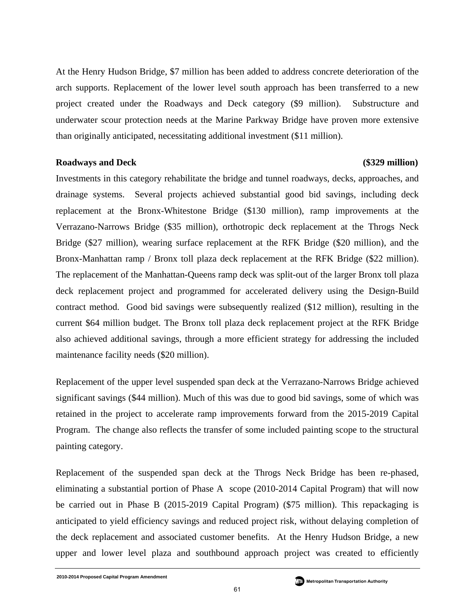At the Henry Hudson Bridge, \$7 million has been added to address concrete deterioration of the arch supports. Replacement of the lower level south approach has been transferred to a new project created under the Roadways and Deck category (\$9 million). Substructure and underwater scour protection needs at the Marine Parkway Bridge have proven more extensive than originally anticipated, necessitating additional investment (\$11 million).

#### **Roadways and Deck (\$329 million)**

Investments in this category rehabilitate the bridge and tunnel roadways, decks, approaches, and drainage systems. Several projects achieved substantial good bid savings, including deck replacement at the Bronx-Whitestone Bridge (\$130 million), ramp improvements at the Verrazano-Narrows Bridge (\$35 million), orthotropic deck replacement at the Throgs Neck Bridge (\$27 million), wearing surface replacement at the RFK Bridge (\$20 million), and the Bronx-Manhattan ramp / Bronx toll plaza deck replacement at the RFK Bridge (\$22 million). The replacement of the Manhattan-Queens ramp deck was split-out of the larger Bronx toll plaza deck replacement project and programmed for accelerated delivery using the Design-Build contract method. Good bid savings were subsequently realized (\$12 million), resulting in the current \$64 million budget. The Bronx toll plaza deck replacement project at the RFK Bridge also achieved additional savings, through a more efficient strategy for addressing the included maintenance facility needs (\$20 million).

Replacement of the upper level suspended span deck at the Verrazano-Narrows Bridge achieved significant savings (\$44 million). Much of this was due to good bid savings, some of which was retained in the project to accelerate ramp improvements forward from the 2015-2019 Capital Program. The change also reflects the transfer of some included painting scope to the structural painting category.

Replacement of the suspended span deck at the Throgs Neck Bridge has been re-phased, eliminating a substantial portion of Phase A scope (2010-2014 Capital Program) that will now be carried out in Phase B (2015-2019 Capital Program) (\$75 million). This repackaging is anticipated to yield efficiency savings and reduced project risk, without delaying completion of the deck replacement and associated customer benefits. At the Henry Hudson Bridge, a new upper and lower level plaza and southbound approach project was created to efficiently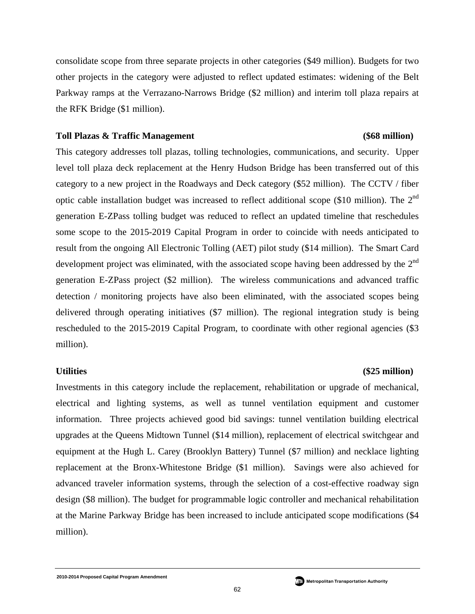consolidate scope from three separate projects in other categories (\$49 million). Budgets for two other projects in the category were adjusted to reflect updated estimates: widening of the Belt Parkway ramps at the Verrazano-Narrows Bridge (\$2 million) and interim toll plaza repairs at the RFK Bridge (\$1 million).

#### **Toll Plazas & Traffic Management (\$68 million)**

This category addresses toll plazas, tolling technologies, communications, and security. Upper level toll plaza deck replacement at the Henry Hudson Bridge has been transferred out of this category to a new project in the Roadways and Deck category (\$52 million). The CCTV / fiber optic cable installation budget was increased to reflect additional scope (\$10 million). The  $2<sup>nd</sup>$ generation E-ZPass tolling budget was reduced to reflect an updated timeline that reschedules some scope to the 2015-2019 Capital Program in order to coincide with needs anticipated to result from the ongoing All Electronic Tolling (AET) pilot study (\$14 million). The Smart Card development project was eliminated, with the associated scope having been addressed by the  $2<sup>nd</sup>$ generation E-ZPass project (\$2 million). The wireless communications and advanced traffic detection / monitoring projects have also been eliminated, with the associated scopes being delivered through operating initiatives (\$7 million). The regional integration study is being rescheduled to the 2015-2019 Capital Program, to coordinate with other regional agencies (\$3 million).

### **Utilities (\$25 million)**

Investments in this category include the replacement, rehabilitation or upgrade of mechanical, electrical and lighting systems, as well as tunnel ventilation equipment and customer information. Three projects achieved good bid savings: tunnel ventilation building electrical upgrades at the Queens Midtown Tunnel (\$14 million), replacement of electrical switchgear and equipment at the Hugh L. Carey (Brooklyn Battery) Tunnel (\$7 million) and necklace lighting replacement at the Bronx-Whitestone Bridge (\$1 million). Savings were also achieved for advanced traveler information systems, through the selection of a cost-effective roadway sign design (\$8 million). The budget for programmable logic controller and mechanical rehabilitation at the Marine Parkway Bridge has been increased to include anticipated scope modifications (\$4 million).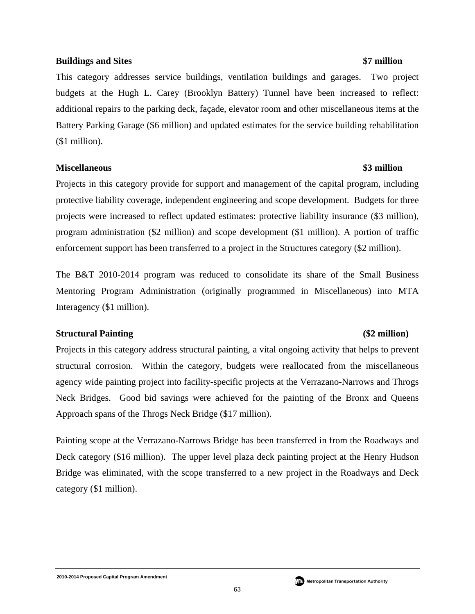#### **Buildings and Sites \$7 million**

## This category addresses service buildings, ventilation buildings and garages. Two project budgets at the Hugh L. Carey (Brooklyn Battery) Tunnel have been increased to reflect: additional repairs to the parking deck, façade, elevator room and other miscellaneous items at the Battery Parking Garage (\$6 million) and updated estimates for the service building rehabilitation (\$1 million).

#### **Miscellaneous \$3 million**

Projects in this category provide for support and management of the capital program, including protective liability coverage, independent engineering and scope development. Budgets for three projects were increased to reflect updated estimates: protective liability insurance (\$3 million), program administration (\$2 million) and scope development (\$1 million). A portion of traffic enforcement support has been transferred to a project in the Structures category (\$2 million).

The B&T 2010-2014 program was reduced to consolidate its share of the Small Business Mentoring Program Administration (originally programmed in Miscellaneous) into MTA Interagency (\$1 million).

### **Structural Painting (\$2 million)**

## Projects in this category address structural painting, a vital ongoing activity that helps to prevent structural corrosion. Within the category, budgets were reallocated from the miscellaneous agency wide painting project into facility-specific projects at the Verrazano-Narrows and Throgs Neck Bridges. Good bid savings were achieved for the painting of the Bronx and Queens Approach spans of the Throgs Neck Bridge (\$17 million).

Painting scope at the Verrazano-Narrows Bridge has been transferred in from the Roadways and Deck category (\$16 million). The upper level plaza deck painting project at the Henry Hudson Bridge was eliminated, with the scope transferred to a new project in the Roadways and Deck category (\$1 million).

#### **2010-2014 Proposed Capital Program Amendment**

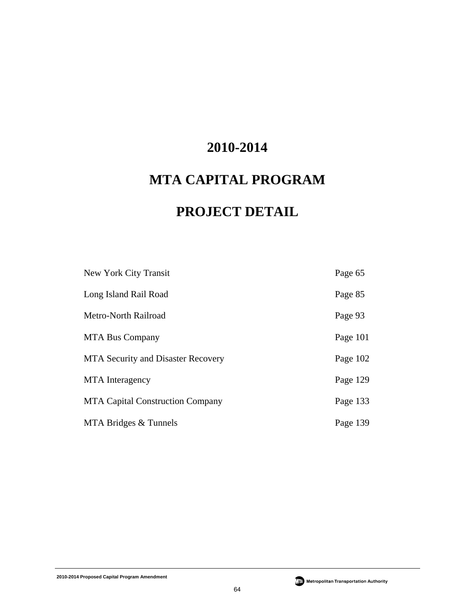## **2010-2014**

## **MTA CAPITAL PROGRAM**

## **PROJECT DETAIL**

| New York City Transit                     | Page 65  |
|-------------------------------------------|----------|
| Long Island Rail Road                     | Page 85  |
| Metro-North Railroad                      | Page 93  |
| <b>MTA Bus Company</b>                    | Page 101 |
| <b>MTA Security and Disaster Recovery</b> | Page 102 |
| <b>MTA</b> Interagency                    | Page 129 |
| <b>MTA Capital Construction Company</b>   | Page 133 |
| MTA Bridges & Tunnels                     | Page 139 |

**The Metropolitan Transportation Authority**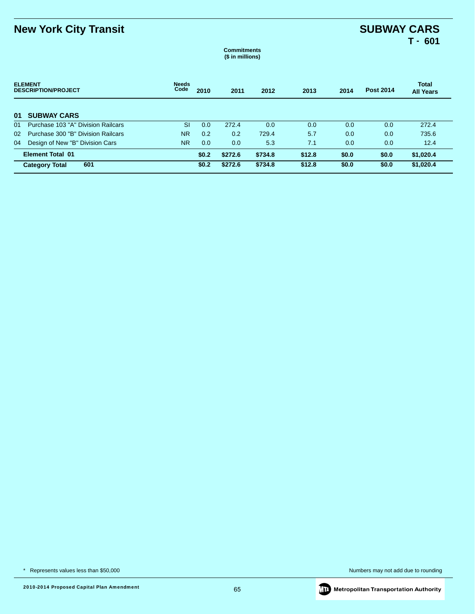## **New York City Transit SUBWAY CARS**

# **T - 601**

**Commitments (\$ in millions)**

| <b>ELEMENT</b><br><b>DESCRIPTION/PROJECT</b> |                                    | <b>Needs</b><br>Code | 2010  | 2011    | 2012    | 2013   | 2014  | <b>Post 2014</b> | <b>Total</b><br><b>All Years</b> |
|----------------------------------------------|------------------------------------|----------------------|-------|---------|---------|--------|-------|------------------|----------------------------------|
| 01                                           | <b>SUBWAY CARS</b>                 |                      |       |         |         |        |       |                  |                                  |
| 01                                           | Purchase 103 "A" Division Railcars | <b>SI</b>            | 0.0   | 272.4   | 0.0     | 0.0    | 0.0   | 0.0              | 272.4                            |
| 02 <sub>2</sub>                              | Purchase 300 "B" Division Railcars | <b>NR</b>            | 0.2   | 0.2     | 729.4   | 5.7    | 0.0   | 0.0              | 735.6                            |
| 04                                           | Design of New "B" Division Cars    | <b>NR</b>            | 0.0   | 0.0     | 5.3     | 7.1    | 0.0   | 0.0              | 12.4                             |
|                                              | <b>Element Total 01</b>            |                      | \$0.2 | \$272.6 | \$734.8 | \$12.8 | \$0.0 | \$0.0            | \$1,020.4                        |
|                                              | 601<br><b>Category Total</b>       |                      | \$0.2 | \$272.6 | \$734.8 | \$12.8 | \$0.0 | \$0.0            | \$1,020.4                        |

\* Represents values less than \$50,000 Numbers may not add due to rounding

65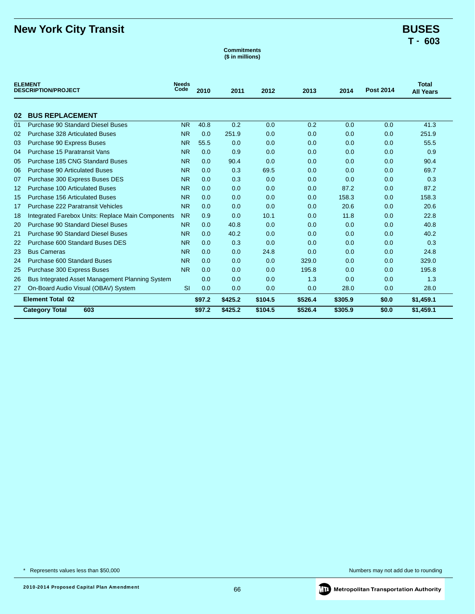**New York City Transit BUSES**

**T - 603**

**Commitments (\$ in millions)**

|    | <b>ELEMENT</b><br><b>DESCRIPTION/PROJECT</b>           | <b>Needs</b><br>Code | 2010   | 2011    | 2012    | 2013    | 2014    | <b>Post 2014</b> | <b>Total</b><br><b>All Years</b> |
|----|--------------------------------------------------------|----------------------|--------|---------|---------|---------|---------|------------------|----------------------------------|
| 02 | <b>BUS REPLACEMENT</b>                                 |                      |        |         |         |         |         |                  |                                  |
| 01 | Purchase 90 Standard Diesel Buses                      | <b>NR</b>            | 40.8   | 0.2     | 0.0     | 0.2     | 0.0     | 0.0              | 41.3                             |
| 02 | Purchase 328 Articulated Buses                         | <b>NR</b>            | 0.0    | 251.9   | 0.0     | 0.0     | 0.0     | 0.0              | 251.9                            |
| 03 | Purchase 90 Express Buses                              | <b>NR</b>            | 55.5   | 0.0     | 0.0     | 0.0     | 0.0     | 0.0              | 55.5                             |
| 04 | Purchase 15 Paratransit Vans                           | <b>NR</b>            | 0.0    | 0.9     | 0.0     | 0.0     | 0.0     | 0.0              | 0.9                              |
| 05 | Purchase 185 CNG Standard Buses                        | <b>NR</b>            | 0.0    | 90.4    | 0.0     | 0.0     | 0.0     | 0.0              | 90.4                             |
| 06 | <b>Purchase 90 Articulated Buses</b>                   | <b>NR</b>            | 0.0    | 0.3     | 69.5    | 0.0     | 0.0     | 0.0              | 69.7                             |
| 07 | Purchase 300 Express Buses DES                         | <b>NR</b>            | 0.0    | 0.3     | 0.0     | 0.0     | 0.0     | 0.0              | 0.3                              |
| 12 | Purchase 100 Articulated Buses                         | <b>NR</b>            | 0.0    | 0.0     | 0.0     | 0.0     | 87.2    | 0.0              | 87.2                             |
| 15 | <b>Purchase 156 Articulated Buses</b>                  | <b>NR</b>            | 0.0    | 0.0     | 0.0     | 0.0     | 158.3   | 0.0              | 158.3                            |
| 17 | Purchase 222 Paratransit Vehicles                      | <b>NR</b>            | 0.0    | 0.0     | 0.0     | 0.0     | 20.6    | 0.0              | 20.6                             |
| 18 | Integrated Farebox Units: Replace Main Components      | <b>NR</b>            | 0.9    | 0.0     | 10.1    | 0.0     | 11.8    | 0.0              | 22.8                             |
| 20 | Purchase 90 Standard Diesel Buses                      | <b>NR</b>            | 0.0    | 40.8    | 0.0     | 0.0     | 0.0     | 0.0              | 40.8                             |
| 21 | Purchase 90 Standard Diesel Buses                      | <b>NR</b>            | 0.0    | 40.2    | 0.0     | 0.0     | 0.0     | 0.0              | 40.2                             |
| 22 | Purchase 600 Standard Buses DES                        | <b>NR</b>            | 0.0    | 0.3     | 0.0     | 0.0     | 0.0     | 0.0              | 0.3                              |
| 23 | <b>Bus Cameras</b>                                     | <b>NR</b>            | 0.0    | 0.0     | 24.8    | 0.0     | 0.0     | 0.0              | 24.8                             |
| 24 | Purchase 600 Standard Buses                            | <b>NR</b>            | 0.0    | 0.0     | 0.0     | 329.0   | 0.0     | 0.0              | 329.0                            |
| 25 | Purchase 300 Express Buses                             | <b>NR</b>            | 0.0    | 0.0     | 0.0     | 195.8   | 0.0     | 0.0              | 195.8                            |
| 26 | <b>Bus Integrated Asset Management Planning System</b> |                      | 0.0    | 0.0     | 0.0     | 1.3     | 0.0     | 0.0              | 1.3                              |
| 27 | On-Board Audio Visual (OBAV) System                    | <b>SI</b>            | 0.0    | 0.0     | 0.0     | 0.0     | 28.0    | 0.0              | 28.0                             |
|    | <b>Element Total 02</b>                                |                      | \$97.2 | \$425.2 | \$104.5 | \$526.4 | \$305.9 | \$0.0            | \$1,459.1                        |
|    | <b>Category Total</b><br>603                           |                      | \$97.2 | \$425.2 | \$104.5 | \$526.4 | \$305.9 | \$0.0            | \$1,459.1                        |

\* Represents values less than \$50,000 Numbers may not add due to rounding



66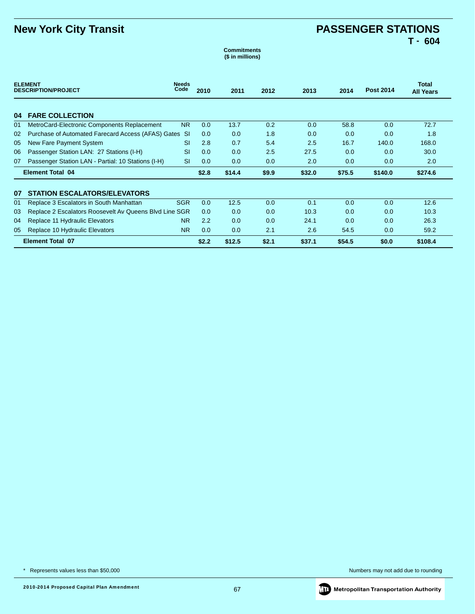**T - 604**

**Commitments (\$ in millions)**

|    | <b>Needs</b><br><b>ELEMENT</b><br>Code<br><b>DESCRIPTION/PROJECT</b> | 2010  | 2011   | 2012  | 2013   | 2014   | <b>Post 2014</b> | <b>Total</b><br><b>All Years</b> |
|----|----------------------------------------------------------------------|-------|--------|-------|--------|--------|------------------|----------------------------------|
| 04 | <b>FARE COLLECTION</b>                                               |       |        |       |        |        |                  |                                  |
| 01 | MetroCard-Electronic Components Replacement<br>N <sub>R</sub>        | 0.0   | 13.7   | 0.2   | 0.0    | 58.8   | 0.0              | 72.7                             |
| 02 | Purchase of Automated Farecard Access (AFAS) Gates SI                | 0.0   | 0.0    | 1.8   | 0.0    | 0.0    | 0.0              | 1.8                              |
| 05 | <b>SI</b><br>New Fare Payment System                                 | 2.8   | 0.7    | 5.4   | 2.5    | 16.7   | 140.0            | 168.0                            |
| 06 | <b>SI</b><br>Passenger Station LAN: 27 Stations (I-H)                | 0.0   | 0.0    | 2.5   | 27.5   | 0.0    | 0.0              | 30.0                             |
| 07 | <b>SI</b><br>Passenger Station LAN - Partial: 10 Stations (I-H)      | 0.0   | 0.0    | 0.0   | 2.0    | 0.0    | 0.0              | 2.0                              |
|    | <b>Element Total 04</b>                                              | \$2.8 | \$14.4 | \$9.9 | \$32.0 | \$75.5 | \$140.0          | \$274.6                          |
| 07 | <b>STATION ESCALATORS/ELEVATORS</b>                                  |       |        |       |        |        |                  |                                  |
| 01 | <b>SGR</b><br>Replace 3 Escalators in South Manhattan                | 0.0   | 12.5   | 0.0   | 0.1    | 0.0    | 0.0              | 12.6                             |
| 03 | Replace 2 Escalators Roosevelt Av Queens Blvd Line SGR               | 0.0   | 0.0    | 0.0   | 10.3   | 0.0    | 0.0              | 10.3                             |
| 04 | Replace 11 Hydraulic Elevators<br>NR.                                | 2.2   | 0.0    | 0.0   | 24.1   | 0.0    | 0.0              | 26.3                             |
| 05 | Replace 10 Hydraulic Elevators<br>N <sub>R</sub>                     | 0.0   | 0.0    | 2.1   | 2.6    | 54.5   | 0.0              | 59.2                             |
|    | <b>Element Total 07</b>                                              | \$2.2 | \$12.5 | \$2.1 | \$37.1 | \$54.5 | \$0.0            | \$108.4                          |

\* Represents values less than \$50,000 Numbers may not add due to rounding

67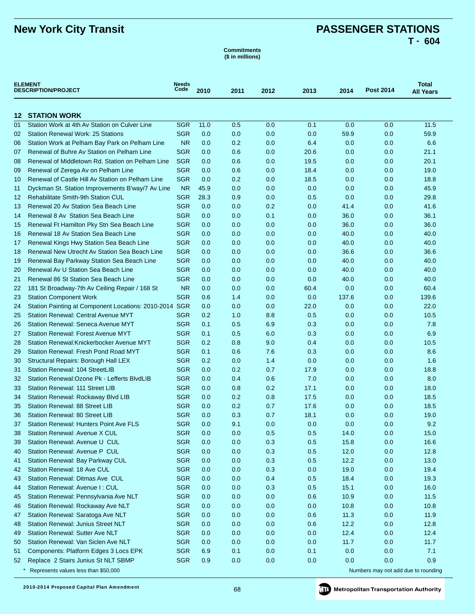**T - 604**

**Commitments (\$ in millions)**

| <b>ELEMENT</b><br><b>DESCRIPTION/PROJECT</b> |                                                    | <b>Needs</b><br>Code | 2010 | 2011 | 2012 | 2013 | 2014  | <b>Post 2014</b>                    | <b>Total</b><br><b>All Years</b> |
|----------------------------------------------|----------------------------------------------------|----------------------|------|------|------|------|-------|-------------------------------------|----------------------------------|
| 12                                           | <b>STATION WORK</b>                                |                      |      |      |      |      |       |                                     |                                  |
| 01                                           | Station Work at 4th Ay Station on Culver Line      | <b>SGR</b>           | 11.0 | 0.5  | 0.0  | 0.1  | 0.0   | 0.0                                 | 11.5                             |
| 02                                           | <b>Station Renewal Work: 25 Stations</b>           | <b>SGR</b>           | 0.0  | 0.0  | 0.0  | 0.0  | 59.9  | 0.0                                 | 59.9                             |
| 06                                           | Station Work at Pelham Bay Park on Pelham Line     | <b>NR</b>            | 0.0  | 0.2  | 0.0  | 6.4  | 0.0   | 0.0                                 | 6.6                              |
| 07                                           | Renewal of Buhre Av Station on Pelham Line         | <b>SGR</b>           | 0.0  | 0.6  | 0.0  | 20.6 | 0.0   | 0.0                                 | 21.1                             |
| 08                                           | Renewal of Middletown Rd. Station on Pelham Line   | <b>SGR</b>           | 0.0  | 0.6  | 0.0  | 19.5 | 0.0   | 0.0                                 | 20.1                             |
| 09                                           | Renewal of Zerega Av on Pelham Line                | <b>SGR</b>           | 0.0  | 0.6  | 0.0  | 18.4 | 0.0   | 0.0                                 | 19.0                             |
| 10                                           | Renewal of Castle Hill Av Station on Pelham Line   | <b>SGR</b>           | 0.0  | 0.2  | 0.0  | 18.5 | 0.0   | 0.0                                 | 18.8                             |
| 11                                           | Dyckman St. Station Improvements B'way/7 Av Line   | <b>NR</b>            | 45.9 | 0.0  | 0.0  | 0.0  | 0.0   | 0.0                                 | 45.9                             |
| 12                                           | Rehabilitate Smith-9th Station CUL                 | <b>SGR</b>           | 28.3 | 0.9  | 0.0  | 0.5  | 0.0   | 0.0                                 | 29.8                             |
| 13                                           | Renewal 20 Av Station Sea Beach Line               | <b>SGR</b>           | 0.0  | 0.0  | 0.2  | 0.0  | 41.4  | 0.0                                 | 41.6                             |
| 14                                           | Renewal 8 Av Station Sea Beach Line                | <b>SGR</b>           | 0.0  | 0.0  | 0.1  | 0.0  | 36.0  | 0.0                                 | 36.1                             |
| 15                                           | Renewal Ft Hamilton Pky Stn Sea Beach Line         | <b>SGR</b>           | 0.0  | 0.0  | 0.0  | 0.0  | 36.0  | 0.0                                 | 36.0                             |
| 16                                           | Renewal 18 Av Station Sea Beach Line               | <b>SGR</b>           | 0.0  | 0.0  | 0.0  | 0.0  | 40.0  | 0.0                                 | 40.0                             |
| 17                                           | Renewal Kings Hwy Station Sea Beach Line           | <b>SGR</b>           | 0.0  | 0.0  | 0.0  | 0.0  | 40.0  | 0.0                                 | 40.0                             |
| 18                                           | Renewal New Utrecht Av Station Sea Beach Line      | <b>SGR</b>           | 0.0  | 0.0  | 0.0  | 0.0  | 36.6  | 0.0                                 | 36.6                             |
| 19                                           | Renewal Bay Parkway Station Sea Beach Line         | <b>SGR</b>           | 0.0  | 0.0  | 0.0  | 0.0  | 40.0  | 0.0                                 | 40.0                             |
| 20                                           | Renewal Av U Station Sea Beach Line                | <b>SGR</b>           | 0.0  | 0.0  | 0.0  | 0.0  | 40.0  | 0.0                                 | 40.0                             |
| 21                                           | Renewal 86 St Station Sea Beach Line               | <b>SGR</b>           | 0.0  | 0.0  | 0.0  | 0.0  | 40.0  | 0.0                                 | 40.0                             |
| 22                                           | 181 St Broadway-7th Av Ceiling Repair / 168 St     | <b>NR</b>            | 0.0  | 0.0  | 0.0  | 60.4 | 0.0   | 0.0                                 | 60.4                             |
| 23                                           | <b>Station Component Work</b>                      | <b>SGR</b>           | 0.6  | 1.4  | 0.0  | 0.0  | 137.6 | 0.0                                 | 139.6                            |
| 24                                           | Station Painting at Component Locations: 2010-2014 | <b>SGR</b>           | 0.0  | 0.0  | 0.0  | 22.0 | 0.0   | 0.0                                 | 22.0                             |
| 25                                           | <b>Station Renewal: Central Avenue MYT</b>         | <b>SGR</b>           | 0.2  | 1.0  | 8.8  | 0.5  | 0.0   | 0.0                                 | 10.5                             |
| 26                                           | Station Renewal: Seneca Avenue MYT                 | <b>SGR</b>           | 0.1  | 0.5  | 6.9  | 0.3  | 0.0   | 0.0                                 | 7.8                              |
| 27                                           | <b>Station Renewal: Forest Avenue MYT</b>          | <b>SGR</b>           | 0.1  | 0.5  | 6.0  | 0.3  | 0.0   | 0.0                                 | 6.9                              |
| 28                                           | Station Renewal: Knickerbocker Avenue MYT          | <b>SGR</b>           | 0.2  | 0.8  | 9.0  | 0.4  | 0.0   | 0.0                                 | 10.5                             |
| 29                                           | Station Renewal: Fresh Pond Road MYT               | <b>SGR</b>           | 0.1  | 0.6  | 7.6  | 0.3  | 0.0   | 0.0                                 | 8.6                              |
| 30                                           | Structural Repairs: Borough Hall LEX               | <b>SGR</b>           | 0.2  | 0.0  | 1.4  | 0.0  | 0.0   | 0.0                                 | 1.6                              |
| 31                                           | Station Renewal: 104 StreetLIB                     | <b>SGR</b>           | 0.0  | 0.2  | 0.7  | 17.9 | 0.0   | 0.0                                 | 18.8                             |
| 32                                           | Station Renewal: Ozone Pk - Lefferts BlvdLIB       | <b>SGR</b>           | 0.0  | 0.4  | 0.6  | 7.0  | 0.0   | 0.0                                 | 8.0                              |
| 33                                           | Station Renewal: 111 Street LIB                    | <b>SGR</b>           | 0.0  | 0.8  | 0.2  | 17.1 | 0.0   | 0.0                                 | 18.0                             |
| 34                                           | Station Renewal: Rockaway Blvd LIB                 | <b>SGR</b>           | 0.0  | 0.2  | 0.8  | 17.5 | 0.0   | 0.0                                 | 18.5                             |
| 35                                           | Station Renewal: 88 Street LIB                     | <b>SGR</b>           | 0.0  | 0.2  | 0.7  | 17.6 | 0.0   | 0.0                                 | 18.5                             |
| 36                                           | Station Renewal: 80 Street LIB                     | <b>SGR</b>           | 0.0  | 0.3  | 0.7  | 18.1 | 0.0   | 0.0                                 | 19.0                             |
| 37                                           | <b>Station Renewal: Hunters Point Ave FLS</b>      | <b>SGR</b>           | 0.0  | 9.1  | 0.0  | 0.0  | 0.0   | 0.0                                 | 9.2                              |
| 38                                           | Station Renewal: Avenue X CUL                      | SGR                  | 0.0  | 0.0  | 0.5  | 0.5  | 14.0  | 0.0                                 | 15.0                             |
| 39                                           | Station Renewal: Avenue U CUL                      | <b>SGR</b>           | 0.0  | 0.0  | 0.3  | 0.5  | 15.8  | 0.0                                 | 16.6                             |
| 40                                           | Station Renewal: Avenue P CUL                      | <b>SGR</b>           | 0.0  | 0.0  | 0.3  | 0.5  | 12.0  | 0.0                                 | 12.8                             |
| 41                                           | Station Renewal: Bay Parkway CUL                   | <b>SGR</b>           | 0.0  | 0.0  | 0.3  | 0.5  | 12.2  | 0.0                                 | 13.0                             |
| 42                                           | Station Renewal: 18 Ave CUL                        | <b>SGR</b>           | 0.0  | 0.0  | 0.3  | 0.0  | 19.0  | 0.0                                 | 19.4                             |
| 43                                           | Station Renewal: Ditmas Ave CUL                    | <b>SGR</b>           | 0.0  | 0.0  | 0.4  | 0.5  | 18.4  | 0.0                                 | 19.3                             |
| 44                                           | Station Renewal: Avenue I: CUL                     | <b>SGR</b>           | 0.0  | 0.0  | 0.3  | 0.5  | 15.1  | $0.0\,$                             | 16.0                             |
| 45                                           | Station Renewal: Pennsylvania Ave NLT              | <b>SGR</b>           | 0.0  | 0.0  | 0.0  | 0.6  | 10.9  | 0.0                                 | 11.5                             |
| 46                                           | Station Renewal: Rockaway Ave NLT                  | <b>SGR</b>           | 0.0  | 0.0  | 0.0  | 0.0  | 10.8  | 0.0                                 | 10.8                             |
| 47                                           | Station Renewal: Saratoga Ave NLT                  | <b>SGR</b>           | 0.0  | 0.0  | 0.0  | 0.6  | 11.3  | $0.0\,$                             | 11.9                             |
| 48                                           | <b>Station Renewal: Junius Street NLT</b>          | <b>SGR</b>           | 0.0  | 0.0  | 0.0  | 0.6  | 12.2  | 0.0                                 | 12.8                             |
| 49                                           | <b>Station Renewal: Sutter Ave NLT</b>             | <b>SGR</b>           | 0.0  | 0.0  | 0.0  | 0.0  | 12.4  | 0.0                                 | 12.4                             |
| 50                                           | Station Renewal: Van Siclen Ave NLT                | <b>SGR</b>           | 0.0  | 0.0  | 0.0  | 0.0  | 11.7  | 0.0                                 | 11.7                             |
| 51                                           | Components: Platform Edges 3 Locs EPK              | <b>SGR</b>           | 6.9  | 0.1  | 0.0  | 0.1  | 0.0   | $0.0\,$                             | 7.1                              |
| 52                                           | Replace 2 Stairs Junius St NLT SBMP                | <b>SGR</b>           | 0.9  | 0.0  | 0.0  | 0.0  | 0.0   | 0.0                                 | 0.9                              |
|                                              | Represents values less than \$50,000               |                      |      |      |      |      |       |                                     |                                  |
|                                              |                                                    |                      |      |      |      |      |       | Numbers may not add due to rounding |                                  |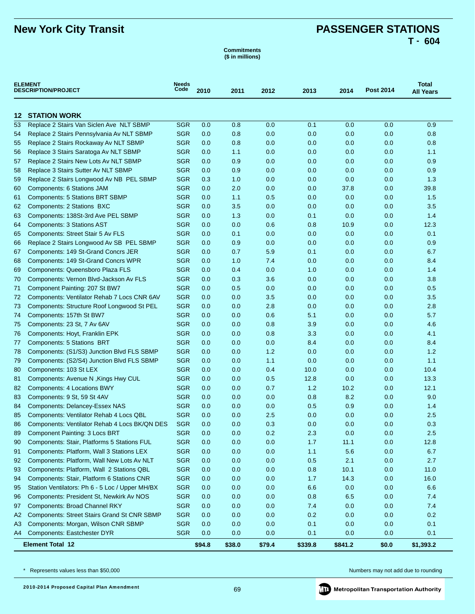**T - 604**

**Commitments** 

**(\$ in millions)**

| <b>ELEMENT</b><br><b>DESCRIPTION/PROJECT</b> |                                                    | <b>Needs</b><br>Code | 2010   | 2011   | 2012   | 2013    | 2014    | <b>Post 2014</b> | <b>Total</b><br><b>All Years</b> |
|----------------------------------------------|----------------------------------------------------|----------------------|--------|--------|--------|---------|---------|------------------|----------------------------------|
|                                              |                                                    |                      |        |        |        |         |         |                  |                                  |
| 12                                           | <b>STATION WORK</b>                                |                      |        |        |        |         |         |                  |                                  |
| 53                                           | Replace 2 Stairs Van Siclen Ave NLT SBMP           | <b>SGR</b>           | 0.0    | 0.8    | 0.0    | 0.1     | 0.0     | 0.0              | 0.9                              |
| 54                                           | Replace 2 Stairs Pennsylvania Av NLT SBMP          | <b>SGR</b>           | 0.0    | 0.8    | 0.0    | 0.0     | 0.0     | 0.0              | 0.8                              |
| 55                                           | Replace 2 Stairs Rockaway Av NLT SBMP              | <b>SGR</b>           | 0.0    | 0.8    | 0.0    | 0.0     | 0.0     | 0.0              | 0.8                              |
| 56                                           | Replace 3 Stairs Saratoga Av NLT SBMP              | <b>SGR</b>           | 0.0    | 1.1    | 0.0    | 0.0     | 0.0     | 0.0              | 1.1                              |
| 57                                           | Replace 2 Stairs New Lots Av NLT SBMP              | <b>SGR</b>           | 0.0    | 0.9    | 0.0    | 0.0     | 0.0     | 0.0              | 0.9                              |
| 58                                           | Replace 3 Stairs Sutter Av NLT SBMP                | <b>SGR</b>           | 0.0    | 0.9    | 0.0    | 0.0     | 0.0     | 0.0              | 0.9                              |
| 59                                           | Replace 2 Stairs Longwood Av NB PEL SBMP           | <b>SGR</b>           | 0.3    | 1.0    | 0.0    | 0.0     | 0.0     | 0.0              | 1.3                              |
| 60                                           | Components: 6 Stations JAM                         | <b>SGR</b>           | 0.0    | 2.0    | 0.0    | 0.0     | 37.8    | 0.0              | 39.8                             |
| 61                                           | <b>Components: 5 Stations BRT SBMP</b>             | <b>SGR</b>           | 0.0    | 1.1    | 0.5    | 0.0     | 0.0     | 0.0              | 1.5                              |
| 62                                           | Components: 2 Stations BXC                         | <b>SGR</b>           | 0.0    | 3.5    | 0.0    | 0.0     | 0.0     | 0.0              | 3.5                              |
| 63                                           | Components: 138St-3rd Ave PEL SBMP                 | <b>SGR</b>           | 0.0    | 1.3    | 0.0    | 0.1     | 0.0     | 0.0              | 1.4                              |
| 64                                           | <b>Components: 3 Stations AST</b>                  | <b>SGR</b>           | 0.0    | 0.0    | 0.6    | 0.8     | 10.9    | 0.0              | 12.3                             |
| 65                                           | Components: Street Stair 5 Av FLS                  | <b>SGR</b>           | 0.0    | 0.1    | 0.0    | 0.0     | 0.0     | 0.0              | 0.1                              |
| 66                                           | Replace 2 Stairs Longwood Av SB PEL SBMP           | SGR                  | 0.0    | 0.9    | 0.0    | 0.0     | 0.0     | 0.0              | 0.9                              |
| 67                                           | Components: 149 St-Grand Concrs JER                | <b>SGR</b>           | 0.0    | 0.7    | 5.9    | 0.1     | 0.0     | 0.0              | 6.7                              |
| 68                                           | Components: 149 St-Grand Concrs WPR                | <b>SGR</b>           | 0.0    | 1.0    | 7.4    | 0.0     | 0.0     | 0.0              | 8.4                              |
| 69                                           | Components: Queensboro Plaza FLS                   | <b>SGR</b>           | 0.0    | 0.4    | 0.0    | 1.0     | 0.0     | 0.0              | 1.4                              |
| 70                                           | Components: Vernon Blvd-Jackson Av FLS             | <b>SGR</b>           | 0.0    | 0.3    | 3.6    | 0.0     | 0.0     | 0.0              | 3.8                              |
| 71                                           | Component Painting: 207 St BW7                     | <b>SGR</b>           | 0.0    | 0.5    | 0.0    | 0.0     | 0.0     | 0.0              | 0.5                              |
| 72                                           | Components: Ventilator Rehab 7 Locs CNR 6AV        | <b>SGR</b>           | 0.0    | 0.0    | 3.5    | 0.0     | 0.0     | 0.0              | 3.5                              |
| 73                                           | Components: Structure Roof Longwood St PEL         | <b>SGR</b>           | 0.0    | 0.0    | 2.8    | 0.0     | 0.0     | 0.0              | 2.8                              |
| 74                                           | Components: 157th St BW7                           | <b>SGR</b>           | 0.0    | 0.0    | 0.6    | 5.1     | 0.0     | 0.0              | 5.7                              |
| 75                                           | Components: 23 St, 7 Av 6AV                        | SGR                  | 0.0    | 0.0    | 0.8    | 3.9     | 0.0     | 0.0              | 4.6                              |
| 76                                           | Components: Hoyt, Franklin EPK                     | SGR                  | 0.0    | 0.0    | 0.8    | 3.3     | 0.0     | 0.0              | 4.1                              |
| 77                                           | Components: 5 Stations BRT                         | SGR                  | 0.0    | 0.0    | 0.0    | 8.4     | 0.0     | 0.0              | 8.4                              |
| 78                                           | Components: (S1/S3) Junction Blvd FLS SBMP         | SGR                  | 0.0    | 0.0    | 1.2    | 0.0     | 0.0     | 0.0              | 1.2                              |
| 79                                           | Components: (S2/S4) Junction Blvd FLS SBMP         | <b>SGR</b>           | 0.0    | 0.0    | 1.1    | 0.0     | 0.0     | 0.0              | 1.1                              |
| 80                                           | Components: 103 St LEX                             | <b>SGR</b>           | 0.0    | 0.0    | 0.4    | 10.0    | 0.0     | 0.0              | 10.4                             |
| 81                                           | Components: Avenue N , Kings Hwy CUL               | <b>SGR</b>           | 0.0    | 0.0    | 0.5    | 12.8    | 0.0     | 0.0              | 13.3                             |
| 82                                           | Components: 4 Locations BWY                        | <b>SGR</b>           | 0.0    | 0.0    | 0.7    | 1.2     | 10.2    | 0.0              | 12.1                             |
| 83                                           | Components: 9 St, 59 St 4AV                        | <b>SGR</b>           | 0.0    | 0.0    | 0.0    | 0.8     | 8.2     | 0.0              | 9.0                              |
| 84                                           | <b>Components: Delancey-Essex NAS</b>              | <b>SGR</b>           | 0.0    | 0.0    | 0.0    | 0.5     | 0.9     | 0.0              | 1.4                              |
| 85                                           | Components: Ventilator Rehab 4 Locs QBL            | <b>SGR</b>           | 0.0    | 0.0    | 2.5    | 0.0     | 0.0     | 0.0              | 2.5                              |
| 86                                           | Components: Ventilator Rehab 4 Locs BK/QN DES      | <b>SGR</b>           | 0.0    | 0.0    | 0.3    | 0.0     | 0.0     | 0.0              | 0.3                              |
| 89                                           | Component Painting: 3 Locs BRT                     | <b>SGR</b>           | 0.0    | 0.0    | 0.2    | 2.3     | 0.0     | 0.0              | 2.5                              |
| 90                                           | Components: Stair, Platforms 5 Stations FUL        | SGR                  | 0.0    | 0.0    | 0.0    | $1.7$   | 11.1    | 0.0              | 12.8                             |
| 91                                           | Components: Platform, Wall 3 Stations LEX          | <b>SGR</b>           | 0.0    | 0.0    | 0.0    | 1.1     | $5.6\,$ | 0.0              | 6.7                              |
| 92                                           | Components: Platform, Wall New Lots Av NLT         | <b>SGR</b>           | 0.0    | 0.0    | 0.0    | 0.5     | 2.1     | 0.0              | 2.7                              |
| 93                                           | Components: Platform, Wall 2 Stations QBL          | <b>SGR</b>           | 0.0    | 0.0    | 0.0    | 0.8     | 10.1    | 0.0              | 11.0                             |
| 94                                           | Components: Stair, Platform 6 Stations CNR         | <b>SGR</b>           | 0.0    | 0.0    | 0.0    | 1.7     | 14.3    | 0.0              | 16.0                             |
| 95                                           | Station Ventilators: Ph 6 - 5 Loc / Upper MH/BX    | SGR                  | 0.0    | 0.0    | 0.0    | 6.6     | 0.0     | $0.0\,$          | 6.6                              |
| 96                                           | Components: President St, Newkirk Av NOS           | <b>SGR</b>           | 0.0    | 0.0    | 0.0    | 0.8     | 6.5     | 0.0              | 7.4                              |
| 97                                           | Components: Broad Channel RKY                      | <b>SGR</b>           | 0.0    | 0.0    | 0.0    | 7.4     | 0.0     | 0.0              | 7.4                              |
| A2                                           | <b>Components: Street Stairs Grand St CNR SBMP</b> | <b>SGR</b>           | 0.0    | 0.0    | 0.0    | 0.2     | 0.0     | 0.0              | 0.2                              |
| A3                                           | Components: Morgan, Wilson CNR SBMP                | <b>SGR</b>           | 0.0    | 0.0    | 0.0    | 0.1     | 0.0     | 0.0              | 0.1                              |
| A4                                           | Components: Eastchester DYR                        | <b>SGR</b>           | 0.0    | 0.0    | 0.0    | 0.1     | 0.0     | 0.0              | 0.1                              |
|                                              | <b>Element Total 12</b>                            |                      | \$94.8 | \$38.0 | \$79.4 | \$339.8 | \$841.2 | \$0.0\$          | \$1,393.2                        |

\* Represents values less than \$50,000 Numbers may not add due to rounding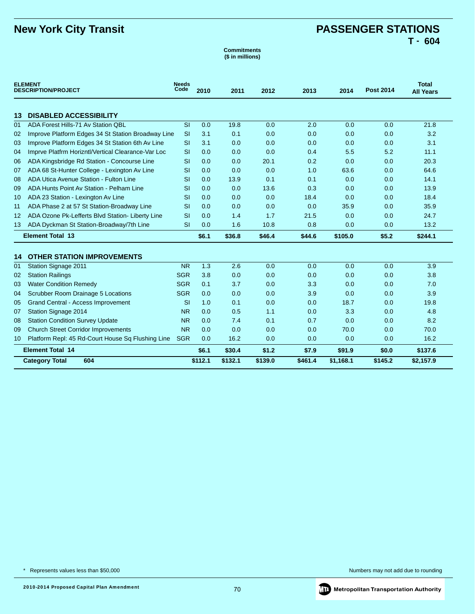**T - 604**

**Commitments (\$ in millions)**

| <b>ELEMENT</b><br><b>DESCRIPTION/PROJECT</b> |                                                    | <b>Needs</b><br>Code | 2010    | 2011    | 2012    | 2013    | 2014      | <b>Post 2014</b> | <b>Total</b><br><b>All Years</b> |
|----------------------------------------------|----------------------------------------------------|----------------------|---------|---------|---------|---------|-----------|------------------|----------------------------------|
| 13                                           | <b>DISABLED ACCESSIBILITY</b>                      |                      |         |         |         |         |           |                  |                                  |
| 01                                           | <b>ADA Forest Hills-71 Av Station QBL</b>          | SI                   | 0.0     | 19.8    | 0.0     | 2.0     | 0.0       | 0.0              | 21.8                             |
| 02                                           | Improve Platform Edges 34 St Station Broadway Line | <b>SI</b>            | 3.1     | 0.1     | 0.0     | 0.0     | 0.0       | 0.0              | 3.2                              |
| 03                                           | Improve Platform Edges 34 St Station 6th Av Line   | <b>SI</b>            | 3.1     | 0.0     | 0.0     | 0.0     | 0.0       | 0.0              | 3.1                              |
| 04                                           | Imprve Platfrm Horizntl/Vertical Clearance-Var Loc | <b>SI</b>            | 0.0     | 0.0     | 0.0     | 0.4     | 5.5       | 5.2              | 11.1                             |
| 06                                           | ADA Kingsbridge Rd Station - Concourse Line        | <b>SI</b>            | 0.0     | 0.0     | 20.1    | 0.2     | 0.0       | 0.0              | 20.3                             |
| 07                                           | ADA 68 St-Hunter College - Lexington Av Line       | <b>SI</b>            | 0.0     | 0.0     | 0.0     | 1.0     | 63.6      | 0.0              | 64.6                             |
| 08                                           | ADA Utica Avenue Station - Fulton Line             | <b>SI</b>            | 0.0     | 13.9    | 0.1     | 0.1     | 0.0       | 0.0              | 14.1                             |
| 09                                           | ADA Hunts Point Av Station - Pelham Line           | <b>SI</b>            | 0.0     | 0.0     | 13.6    | 0.3     | 0.0       | 0.0              | 13.9                             |
| 10                                           | ADA 23 Station - Lexington Av Line                 | <b>SI</b>            | 0.0     | 0.0     | 0.0     | 18.4    | 0.0       | 0.0              | 18.4                             |
| 11                                           | ADA Phase 2 at 57 St Station-Broadway Line         | <b>SI</b>            | 0.0     | 0.0     | 0.0     | 0.0     | 35.9      | 0.0              | 35.9                             |
| 12                                           | ADA Ozone Pk-Lefferts Blvd Station- Liberty Line   | <b>SI</b>            | 0.0     | 1.4     | 1.7     | 21.5    | 0.0       | 0.0              | 24.7                             |
| 13                                           | ADA Dyckman St Station-Broadway/7th Line           | SI                   | 0.0     | 1.6     | 10.8    | 0.8     | 0.0       | 0.0              | 13.2                             |
|                                              | <b>Element Total 13</b>                            |                      | \$6.1   | \$36.8  | \$46.4  | \$44.6  | \$105.0   | \$5.2            | \$244.1                          |
|                                              |                                                    |                      |         |         |         |         |           |                  |                                  |
| 14                                           | <b>OTHER STATION IMPROVEMENTS</b>                  |                      |         |         |         |         |           |                  |                                  |
| 01                                           | <b>Station Signage 2011</b>                        | N <sub>R</sub>       | 1.3     | 2.6     | 0.0     | 0.0     | 0.0       | 0.0              | 3.9                              |
| 02                                           | <b>Station Railings</b>                            | <b>SGR</b>           | 3.8     | 0.0     | 0.0     | 0.0     | 0.0       | 0.0              | 3.8                              |
| 03                                           | <b>Water Condition Remedy</b>                      | <b>SGR</b>           | 0.1     | 3.7     | 0.0     | 3.3     | 0.0       | 0.0              | 7.0                              |
| 04                                           | Scrubber Room Drainage 5 Locations                 | <b>SGR</b>           | 0.0     | 0.0     | 0.0     | 3.9     | 0.0       | 0.0              | 3.9                              |
| 05                                           | <b>Grand Central - Access Improvement</b>          | SI                   | 1.0     | 0.1     | 0.0     | 0.0     | 18.7      | 0.0              | 19.8                             |
| 07                                           | Station Signage 2014                               | <b>NR</b>            | 0.0     | 0.5     | 1.1     | 0.0     | 3.3       | 0.0              | 4.8                              |
| 08                                           | <b>Station Condition Survey Update</b>             | <b>NR</b>            | 0.0     | 7.4     | 0.1     | 0.7     | 0.0       | 0.0              | 8.2                              |
| 09                                           | <b>Church Street Corridor Improvements</b>         | <b>NR</b>            | 0.0     | 0.0     | 0.0     | 0.0     | 70.0      | 0.0              | 70.0                             |
| 10                                           | Platform Repl: 45 Rd-Court House Sq Flushing Line  | <b>SGR</b>           | 0.0     | 16.2    | 0.0     | 0.0     | 0.0       | 0.0              | 16.2                             |
|                                              | <b>Element Total 14</b>                            |                      | \$6.1   | \$30.4  | \$1.2   | \$7.9   | \$91.9    | \$0.0            | \$137.6                          |
|                                              | <b>Category Total</b><br>604                       |                      | \$112.1 | \$132.1 | \$139.0 | \$461.4 | \$1.168.1 | \$145.2          | \$2.157.9                        |

70

\* Represents values less than \$50,000 Numbers may not add due to rounding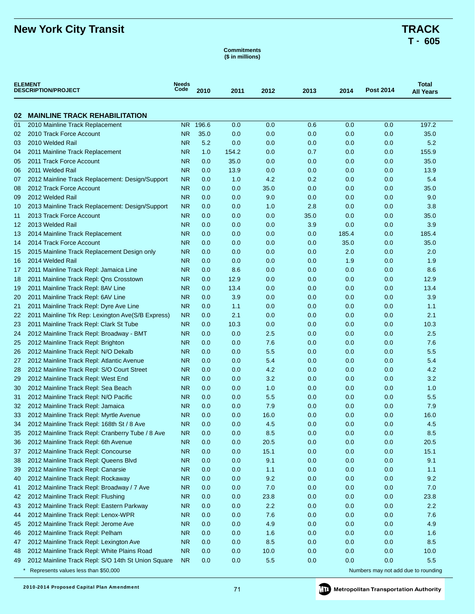**New York City Transit TRACK**

**T - 605**

**Commitments (\$ in millions)**

|    | <b>ELEMENT</b><br><b>DESCRIPTION/PROJECT</b>       | <b>Needs</b><br>Code | 2010  | 2011  | 2012    | 2013 | 2014       | <b>Post 2014</b>                    | <b>Total</b><br><b>All Years</b> |
|----|----------------------------------------------------|----------------------|-------|-------|---------|------|------------|-------------------------------------|----------------------------------|
| 02 | <b>MAINLINE TRACK REHABILITATION</b>               |                      |       |       |         |      |            |                                     |                                  |
| 01 | 2010 Mainline Track Replacement                    | <b>NR</b>            | 196.6 | 0.0   | 0.0     | 0.6  | 0.0        | 0.0                                 | 197.2                            |
| 02 | 2010 Track Force Account                           | <b>NR</b>            | 35.0  | 0.0   | 0.0     | 0.0  | 0.0        | 0.0                                 | 35.0                             |
| 03 | 2010 Welded Rail                                   | <b>NR</b>            | 5.2   | 0.0   | 0.0     | 0.0  | 0.0        | 0.0                                 | 5.2                              |
| 04 | 2011 Mainline Track Replacement                    | <b>NR</b>            | 1.0   | 154.2 | 0.0     | 0.7  | 0.0        | 0.0                                 | 155.9                            |
| 05 | 2011 Track Force Account                           | <b>NR</b>            | 0.0   | 35.0  | 0.0     | 0.0  | 0.0        | 0.0                                 | 35.0                             |
| 06 | 2011 Welded Rail                                   | <b>NR</b>            | 0.0   | 13.9  | 0.0     | 0.0  | 0.0        | 0.0                                 | 13.9                             |
| 07 | 2012 Mainline Track Replacement: Design/Support    | <b>NR</b>            | 0.0   | 1.0   | 4.2     | 0.2  | 0.0        | 0.0                                 | 5.4                              |
| 08 | 2012 Track Force Account                           | <b>NR</b>            | 0.0   | 0.0   | 35.0    | 0.0  | 0.0        | 0.0                                 | 35.0                             |
| 09 | 2012 Welded Rail                                   | <b>NR</b>            | 0.0   | 0.0   | 9.0     | 0.0  | 0.0        | 0.0                                 | 9.0                              |
| 10 | 2013 Mainline Track Replacement: Design/Support    | <b>NR</b>            | 0.0   | 0.0   | 1.0     | 2.8  | 0.0        | 0.0                                 | 3.8                              |
| 11 | 2013 Track Force Account                           | <b>NR</b>            | 0.0   | 0.0   | 0.0     | 35.0 | 0.0        | 0.0                                 | 35.0                             |
| 12 | 2013 Welded Rail                                   | <b>NR</b>            | 0.0   | 0.0   | 0.0     | 3.9  | 0.0        | 0.0                                 | 3.9                              |
| 13 | 2014 Mainline Track Replacement                    | <b>NR</b>            | 0.0   | 0.0   | 0.0     | 0.0  | 185.4      | 0.0                                 | 185.4                            |
| 14 | 2014 Track Force Account                           | <b>NR</b>            | 0.0   | 0.0   | 0.0     | 0.0  | 35.0       | 0.0                                 | 35.0                             |
| 15 | 2015 Mainline Track Replacement Design only        | <b>NR</b>            | 0.0   | 0.0   | 0.0     | 0.0  | 2.0        | 0.0                                 | 2.0                              |
| 16 | 2014 Welded Rail                                   | N <sub>R</sub>       | 0.0   | 0.0   | 0.0     | 0.0  | 1.9        | 0.0                                 | 1.9                              |
| 17 | 2011 Mainline Track Repl: Jamaica Line             | <b>NR</b>            | 0.0   | 8.6   | 0.0     | 0.0  | 0.0        | 0.0                                 | 8.6                              |
| 18 | 2011 Mainline Track Repl: Qns Crosstown            | <b>NR</b>            | 0.0   | 12.9  | 0.0     | 0.0  | 0.0        | 0.0                                 | 12.9                             |
| 19 | 2011 Mainline Track Repl: 8AV Line                 | <b>NR</b>            | 0.0   | 13.4  | 0.0     | 0.0  | 0.0        | 0.0                                 | 13.4                             |
| 20 | 2011 Mainline Track Repl: 6AV Line                 | <b>NR</b>            | 0.0   | 3.9   | 0.0     | 0.0  | 0.0        | 0.0                                 | 3.9                              |
| 21 | 2011 Mainline Track Repl: Dyre Ave Line            | <b>NR</b>            | 0.0   | 1.1   | 0.0     | 0.0  | 0.0        | 0.0                                 | 1.1                              |
| 22 | 2011 Mainline Trk Rep: Lexington Ave(S/B Express)  | N <sub>R</sub>       | 0.0   | 2.1   | 0.0     | 0.0  | 0.0        | 0.0                                 | 2.1                              |
| 23 | 2011 Mainline Track Repl: Clark St Tube            | <b>NR</b>            | 0.0   | 10.3  | 0.0     | 0.0  | 0.0        | 0.0                                 | 10.3                             |
|    | 2012 Mainline Track Repl: Broadway - BMT           | <b>NR</b>            | 0.0   | 0.0   | 2.5     | 0.0  |            | 0.0                                 | 2.5                              |
| 24 | 2012 Mainline Track Repl: Brighton                 | <b>NR</b>            | 0.0   | 0.0   | 7.6     | 0.0  | 0.0<br>0.0 | 0.0                                 | 7.6                              |
| 25 |                                                    |                      |       |       |         |      |            |                                     | 5.5                              |
| 26 | 2012 Mainline Track Repl: N/O Dekalb               | N <sub>R</sub>       | 0.0   | 0.0   | 5.5     | 0.0  | 0.0        | 0.0                                 |                                  |
| 27 | 2012 Mainline Track Repl: Atlantic Avenue          | N <sub>R</sub>       | 0.0   | 0.0   | 5.4     | 0.0  | 0.0        | 0.0                                 | 5.4                              |
| 28 | 2012 Mainline Track Repl: S/O Court Street         | N <sub>R</sub>       | 0.0   | 0.0   | 4.2     | 0.0  | 0.0        | 0.0                                 | 4.2                              |
| 29 | 2012 Mainline Track Repl: West End                 | <b>NR</b>            | 0.0   | 0.0   | 3.2     | 0.0  | 0.0        | 0.0                                 | 3.2                              |
| 30 | 2012 Mainline Track Repl: Sea Beach                | <b>NR</b>            | 0.0   | 0.0   | 1.0     | 0.0  | 0.0        | 0.0                                 | 1.0                              |
| 31 | 2012 Mainline Track Repl: N/O Pacific              | <b>NR</b>            | 0.0   | 0.0   | 5.5     | 0.0  | 0.0        | 0.0                                 | 5.5                              |
| 32 | 2012 Mainline Track Repl: Jamaica                  | N <sub>R</sub>       | 0.0   | 0.0   | 7.9     | 0.0  | 0.0        | 0.0                                 | 7.9                              |
| 33 | 2012 Mainline Track Repl: Myrtle Avenue            | <b>NR</b>            | 0.0   | 0.0   | 16.0    | 0.0  | 0.0        | 0.0                                 | 16.0                             |
| 34 | 2012 Mainline Track Repl: 168th St / 8 Ave         | <b>NR</b>            | 0.0   | 0.0   | 4.5     | 0.0  | 0.0        | 0.0                                 | 4.5                              |
| 35 | 2012 Mainline Track Repl: Cranberry Tube / 8 Ave   | <b>NR</b>            | 0.0   | 0.0   | 8.5     | 0.0  | 0.0        | 0.0                                 | 8.5                              |
| 36 | 2012 Mainline Track Repl: 6th Avenue               | <b>NR</b>            | 0.0   | 0.0   | 20.5    | 0.0  | 0.0        | 0.0                                 | 20.5                             |
| 37 | 2012 Mainline Track Repl: Concourse                | <b>NR</b>            | 0.0   | 0.0   | 15.1    | 0.0  | 0.0        | 0.0                                 | 15.1                             |
| 38 | 2012 Mainline Track Repl: Queens Blvd              | <b>NR</b>            | 0.0   | 0.0   | 9.1     | 0.0  | 0.0        | 0.0                                 | 9.1                              |
| 39 | 2012 Mainline Track Repl: Canarsie                 | <b>NR</b>            | 0.0   | 0.0   | 1.1     | 0.0  | 0.0        | 0.0                                 | 1.1                              |
| 40 | 2012 Mainline Track Repl: Rockaway                 | <b>NR</b>            | 0.0   | 0.0   | 9.2     | 0.0  | 0.0        | 0.0                                 | 9.2                              |
| 41 | 2012 Mainline Track Repl: Broadway / 7 Ave         | NR.                  | 0.0   | 0.0   | 7.0     | 0.0  | 0.0        | 0.0                                 | 7.0                              |
| 42 | 2012 Mainline Track Repl: Flushing                 | NR.                  | 0.0   | 0.0   | 23.8    | 0.0  | 0.0        | 0.0                                 | 23.8                             |
| 43 | 2012 Mainline Track Repl: Eastern Parkway          | <b>NR</b>            | 0.0   | 0.0   | 2.2     | 0.0  | 0.0        | 0.0                                 | 2.2                              |
| 44 | 2012 Mainline Track Repl: Lenox-WPR                | <b>NR</b>            | 0.0   | 0.0   | 7.6     | 0.0  | 0.0        | 0.0                                 | 7.6                              |
| 45 | 2012 Mainline Track Repl: Jerome Ave               | <b>NR</b>            | 0.0   | 0.0   | 4.9     | 0.0  | 0.0        | 0.0                                 | 4.9                              |
| 46 | 2012 Mainline Track Repl: Pelham                   | NR.                  | 0.0   | 0.0   | 1.6     | 0.0  | 0.0        | 0.0                                 | 1.6                              |
| 47 | 2012 Mainline Track Repl: Lexington Ave            | NR.                  | 0.0   | 0.0   | 8.5     | 0.0  | 0.0        | 0.0                                 | 8.5                              |
| 48 | 2012 Mainline Track Repl: White Plains Road        | <b>NR</b>            | 0.0   | 0.0   | 10.0    | 0.0  | 0.0        | 0.0                                 | 10.0                             |
| 49 | 2012 Mainline Track Repl: S/O 14th St Union Square | <b>NR</b>            | 0.0   | 0.0   | $5.5\,$ | 0.0  | 0.0        | 0.0                                 | 5.5                              |
|    | Represents values less than \$50,000               |                      |       |       |         |      |            | Numbers may not add due to rounding |                                  |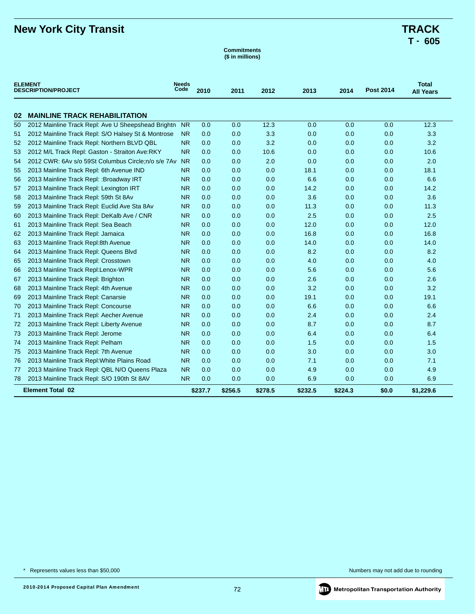**New York City Transit TRACK**

**T - 605**

**Commitments (\$ in millions)**

|    | <b>ELEMENT</b><br><b>DESCRIPTION/PROJECT</b>        | <b>Needs</b><br>Code | 2010    | 2011    | 2012    | 2013    | 2014    | <b>Post 2014</b> | <b>Total</b><br><b>All Years</b> |
|----|-----------------------------------------------------|----------------------|---------|---------|---------|---------|---------|------------------|----------------------------------|
| 02 | <b>MAINLINE TRACK REHABILITATION</b>                |                      |         |         |         |         |         |                  |                                  |
| 50 | 2012 Mainline Track Repl: Ave U Sheepshead Brightn  | <b>NR</b>            | 0.0     | 0.0     | 12.3    | 0.0     | 0.0     | 0.0              | 12.3                             |
| 51 | 2012 Mainline Track Repl: S/O Halsey St & Montrose  | <b>NR</b>            | 0.0     | 0.0     | 3.3     | 0.0     | 0.0     | 0.0              | 3.3                              |
| 52 | 2012 Mainline Track Repl: Northern BLVD QBL         | <b>NR</b>            | 0.0     | 0.0     | 3.2     | 0.0     | 0.0     | 0.0              | 3.2                              |
| 53 | 2012 M/L Track Repl: Gaston - Straiton Ave:RKY      | <b>NR</b>            | 0.0     | 0.0     | 10.6    | 0.0     | 0.0     | 0.0              | 10.6                             |
| 54 | 2012 CWR: 6Av s/o 59St Columbus Circle; n/o s/e 7Av | N <sub>R</sub>       | 0.0     | 0.0     | 2.0     | 0.0     | 0.0     | 0.0              | 2.0                              |
| 55 | 2013 Mainline Track Repl: 6th Avenue IND            | N <sub>R</sub>       | 0.0     | 0.0     | 0.0     | 18.1    | 0.0     | 0.0              | 18.1                             |
| 56 | 2013 Mainline Track Repl: : Broadway IRT            | <b>NR</b>            | 0.0     | 0.0     | 0.0     | 6.6     | 0.0     | 0.0              | 6.6                              |
| 57 | 2013 Mainline Track Repl: Lexington IRT             | N <sub>R</sub>       | 0.0     | 0.0     | 0.0     | 14.2    | 0.0     | 0.0              | 14.2                             |
| 58 | 2013 Mainline Track Repl: 59th St 8Av               | <b>NR</b>            | 0.0     | 0.0     | 0.0     | 3.6     | 0.0     | 0.0              | 3.6                              |
| 59 | 2013 Mainline Track Repl: Euclid Ave Sta 8Av        | <b>NR</b>            | 0.0     | 0.0     | 0.0     | 11.3    | 0.0     | 0.0              | 11.3                             |
| 60 | 2013 Mainline Track Repl: DeKalb Ave / CNR          | NR.                  | 0.0     | 0.0     | 0.0     | 2.5     | 0.0     | 0.0              | 2.5                              |
| 61 | 2013 Mainline Track Repl: Sea Beach                 | <b>NR</b>            | 0.0     | 0.0     | 0.0     | 12.0    | 0.0     | 0.0              | 12.0                             |
| 62 | 2013 Mainline Track Repl: Jamaica                   | N <sub>R</sub>       | 0.0     | 0.0     | 0.0     | 16.8    | 0.0     | 0.0              | 16.8                             |
| 63 | 2013 Mainline Track Repl:8th Avenue                 | <b>NR</b>            | 0.0     | 0.0     | 0.0     | 14.0    | 0.0     | 0.0              | 14.0                             |
| 64 | 2013 Mainline Track Repl: Queens Blvd               | <b>NR</b>            | 0.0     | 0.0     | 0.0     | 8.2     | 0.0     | 0.0              | 8.2                              |
| 65 | 2013 Mainline Track Repl: Crosstown                 | <b>NR</b>            | 0.0     | 0.0     | 0.0     | 4.0     | 0.0     | 0.0              | 4.0                              |
| 66 | 2013 Mainline Track Repl:Lenox-WPR                  | <b>NR</b>            | 0.0     | 0.0     | 0.0     | 5.6     | 0.0     | 0.0              | 5.6                              |
| 67 | 2013 Mainline Track Repl: Brighton                  | N <sub>R</sub>       | 0.0     | 0.0     | 0.0     | 2.6     | 0.0     | 0.0              | 2.6                              |
| 68 | 2013 Mainline Track Repl: 4th Avenue                | <b>NR</b>            | 0.0     | 0.0     | 0.0     | 3.2     | 0.0     | 0.0              | 3.2                              |
| 69 | 2013 Mainline Track Repl: Canarsie                  | <b>NR</b>            | 0.0     | 0.0     | 0.0     | 19.1    | 0.0     | 0.0              | 19.1                             |
| 70 | 2013 Mainline Track Repl: Concourse                 | <b>NR</b>            | 0.0     | 0.0     | 0.0     | 6.6     | 0.0     | 0.0              | 6.6                              |
| 71 | 2013 Mainline Track Repl: Aecher Avenue             | <b>NR</b>            | 0.0     | 0.0     | 0.0     | 2.4     | 0.0     | 0.0              | 2.4                              |
| 72 | 2013 Mainline Track Repl: Liberty Avenue            | <b>NR</b>            | 0.0     | 0.0     | 0.0     | 8.7     | 0.0     | 0.0              | 8.7                              |
| 73 | 2013 Mainline Track Repl: Jerome                    | N <sub>R</sub>       | 0.0     | 0.0     | 0.0     | 6.4     | 0.0     | 0.0              | 6.4                              |
| 74 | 2013 Mainline Track Repl: Pelham                    | <b>NR</b>            | 0.0     | 0.0     | 0.0     | 1.5     | 0.0     | 0.0              | 1.5                              |
| 75 | 2013 Mainline Track Repl: 7th Avenue                | N <sub>R</sub>       | 0.0     | 0.0     | 0.0     | 3.0     | 0.0     | 0.0              | 3.0                              |
| 76 | 2013 Mainline Track Repl: White Plains Road         | <b>NR</b>            | 0.0     | 0.0     | 0.0     | 7.1     | 0.0     | 0.0              | 7.1                              |
| 77 | 2013 Mainline Track Repl: QBL N/O Queens Plaza      | <b>NR</b>            | 0.0     | 0.0     | 0.0     | 4.9     | 0.0     | 0.0              | 4.9                              |
| 78 | 2013 Mainline Track Repl: S/O 190th St 8AV          | <b>NR</b>            | 0.0     | 0.0     | 0.0     | 6.9     | 0.0     | 0.0              | 6.9                              |
|    | <b>Element Total 02</b>                             |                      | \$237.7 | \$256.5 | \$278.5 | \$232.5 | \$224.3 | \$0.0            | \$1,229.6                        |

\* Represents values less than \$50,000 Numbers may not add due to rounding

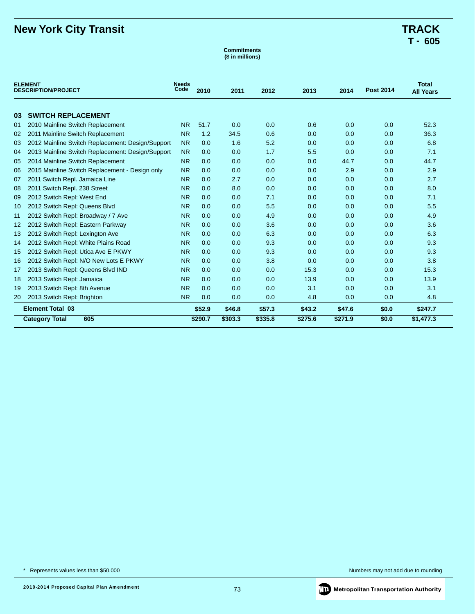**New York City Transit TRACK**

**T - 605**

#### **Commitments (\$ in millions)**

|                   | <b>ELEMENT</b><br><b>DESCRIPTION/PROJECT</b>     | <b>Needs</b><br>Code | 2010    | 2011    | 2012    | 2013    | 2014    | <b>Post 2014</b> | <b>Total</b><br><b>All Years</b> |
|-------------------|--------------------------------------------------|----------------------|---------|---------|---------|---------|---------|------------------|----------------------------------|
| 03                | <b>SWITCH REPLACEMENT</b>                        |                      |         |         |         |         |         |                  |                                  |
| 01                | 2010 Mainline Switch Replacement                 | <b>NR</b>            | 51.7    | 0.0     | 0.0     | 0.6     | 0.0     | 0.0              | 52.3                             |
| 02                | 2011 Mainline Switch Replacement                 | <b>NR</b>            | 1.2     | 34.5    | 0.6     | 0.0     | 0.0     | 0.0              | 36.3                             |
| 03                | 2012 Mainline Switch Replacement: Design/Support | N <sub>R</sub>       | 0.0     | 1.6     | 5.2     | 0.0     | 0.0     | 0.0              | 6.8                              |
| 04                | 2013 Mainline Switch Replacement: Design/Support | N <sub>R</sub>       | 0.0     | 0.0     | 1.7     | 5.5     | 0.0     | 0.0              | 7.1                              |
| 05                | 2014 Mainline Switch Replacement                 | N <sub>R</sub>       | 0.0     | 0.0     | 0.0     | 0.0     | 44.7    | 0.0              | 44.7                             |
| 06                | 2015 Mainline Switch Replacement - Design only   | <b>NR</b>            | 0.0     | 0.0     | 0.0     | 0.0     | 2.9     | 0.0              | 2.9                              |
| 07                | 2011 Switch Repl. Jamaica Line                   | N <sub>R</sub>       | 0.0     | 2.7     | 0.0     | 0.0     | 0.0     | 0.0              | 2.7                              |
| 08                | 2011 Switch Repl. 238 Street                     | N <sub>R</sub>       | 0.0     | 8.0     | 0.0     | 0.0     | 0.0     | 0.0              | 8.0                              |
| 09                | 2012 Switch Repl: West End                       | <b>NR</b>            | 0.0     | 0.0     | 7.1     | 0.0     | 0.0     | 0.0              | 7.1                              |
| 10                | 2012 Switch Repl: Queens Blvd                    | <b>NR</b>            | 0.0     | 0.0     | 5.5     | 0.0     | 0.0     | 0.0              | 5.5                              |
| 11                | 2012 Switch Repl: Broadway / 7 Ave               | N <sub>R</sub>       | 0.0     | 0.0     | 4.9     | 0.0     | 0.0     | 0.0              | 4.9                              |
| $12 \overline{ }$ | 2012 Switch Repl: Eastern Parkway                | N <sub>R</sub>       | 0.0     | 0.0     | 3.6     | 0.0     | 0.0     | 0.0              | 3.6                              |
| 13                | 2012 Switch Repl: Lexington Ave                  | <b>NR</b>            | 0.0     | 0.0     | 6.3     | 0.0     | 0.0     | 0.0              | 6.3                              |
| 14                | 2012 Switch Repl: White Plains Road              | N <sub>R</sub>       | 0.0     | 0.0     | 9.3     | 0.0     | 0.0     | 0.0              | 9.3                              |
| 15                | 2012 Switch Repl: Utica Ave E PKWY               | <b>NR</b>            | 0.0     | 0.0     | 9.3     | 0.0     | 0.0     | 0.0              | 9.3                              |
| 16                | 2012 Switch Repl: N/O New Lots E PKWY            | N <sub>R</sub>       | 0.0     | 0.0     | 3.8     | 0.0     | 0.0     | 0.0              | 3.8                              |
| 17                | 2013 Switch Repl: Queens Blvd IND                | <b>NR</b>            | 0.0     | 0.0     | 0.0     | 15.3    | 0.0     | 0.0              | 15.3                             |
| 18                | 2013 Switch Repl: Jamaica                        | <b>NR</b>            | 0.0     | 0.0     | 0.0     | 13.9    | 0.0     | 0.0              | 13.9                             |
| 19                | 2013 Switch Repl: 8th Avenue                     | <b>NR</b>            | 0.0     | 0.0     | 0.0     | 3.1     | 0.0     | 0.0              | 3.1                              |
| 20                | 2013 Switch Repl: Brighton                       | <b>NR</b>            | 0.0     | 0.0     | 0.0     | 4.8     | 0.0     | 0.0              | 4.8                              |
|                   | <b>Element Total 03</b>                          |                      | \$52.9  | \$46.8  | \$57.3  | \$43.2  | \$47.6  | \$0.0            | \$247.7                          |
|                   | <b>Category Total</b><br>605                     |                      | \$290.7 | \$303.3 | \$335.8 | \$275.6 | \$271.9 | \$0.0            | \$1,477.3                        |

73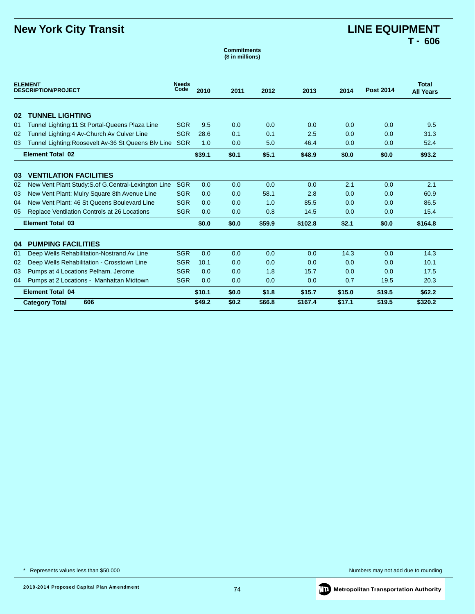**New York City Transit LINE EQUIPMENT** 

**T - 606**

**Commitments** 

**(\$ in millions)**

|    | <b>ELEMENT</b><br><b>DESCRIPTION/PROJECT</b>         | <b>Needs</b><br>Code | 2010   | 2011  | 2012   | 2013    | 2014   | <b>Post 2014</b> | <b>Total</b><br><b>All Years</b> |
|----|------------------------------------------------------|----------------------|--------|-------|--------|---------|--------|------------------|----------------------------------|
| 02 | <b>TUNNEL LIGHTING</b>                               |                      |        |       |        |         |        |                  |                                  |
| 01 | Tunnel Lighting:11 St Portal-Queens Plaza Line       | <b>SGR</b>           | 9.5    | 0.0   | 0.0    | 0.0     | 0.0    | 0.0              | 9.5                              |
| 02 | Tunnel Lighting: 4 Av-Church Av Culver Line          | <b>SGR</b>           | 28.6   | 0.1   | 0.1    | 2.5     | 0.0    | 0.0              | 31.3                             |
| 03 | Tunnel Lighting: Roosevelt Av-36 St Queens Blv Line  | <b>SGR</b>           | 1.0    | 0.0   | 5.0    | 46.4    | 0.0    | 0.0              | 52.4                             |
|    | <b>Element Total 02</b>                              |                      | \$39.1 | \$0.1 | \$5.1  | \$48.9  | \$0.0  | \$0.0            | \$93.2                           |
| 03 | <b>VENTILATION FACILITIES</b>                        |                      |        |       |        |         |        |                  |                                  |
| 02 | New Vent Plant Study: S.of G. Central-Lexington Line | <b>SGR</b>           | 0.0    | 0.0   | 0.0    | 0.0     | 2.1    | 0.0              | 2.1                              |
| 03 | New Vent Plant: Mulry Square 8th Avenue Line         | <b>SGR</b>           | 0.0    | 0.0   | 58.1   | 2.8     | 0.0    | 0.0              | 60.9                             |
| 04 | New Vent Plant: 46 St Queens Boulevard Line          | <b>SGR</b>           | 0.0    | 0.0   | 1.0    | 85.5    | 0.0    | 0.0              | 86.5                             |
| 05 | Replace Ventilation Controls at 26 Locations         | <b>SGR</b>           | 0.0    | 0.0   | 0.8    | 14.5    | 0.0    | 0.0              | 15.4                             |
|    | <b>Element Total 03</b>                              |                      | \$0.0  | \$0.0 | \$59.9 | \$102.8 | \$2.1  | \$0.0            | \$164.8                          |
| 04 | <b>PUMPING FACILITIES</b>                            |                      |        |       |        |         |        |                  |                                  |
| 01 | Deep Wells Rehabilitation-Nostrand Av Line           | <b>SGR</b>           | 0.0    | 0.0   | 0.0    | 0.0     | 14.3   | 0.0              | 14.3                             |
| 02 | Deep Wells Rehabilitation - Crosstown Line           | <b>SGR</b>           | 10.1   | 0.0   | 0.0    | 0.0     | 0.0    | 0.0              | 10.1                             |
| 03 | Pumps at 4 Locations Pelham. Jerome                  | <b>SGR</b>           | 0.0    | 0.0   | 1.8    | 15.7    | 0.0    | 0.0              | 17.5                             |
| 04 | Pumps at 2 Locations - Manhattan Midtown             | <b>SGR</b>           | 0.0    | 0.0   | 0.0    | 0.0     | 0.7    | 19.5             | 20.3                             |
|    | <b>Element Total 04</b>                              |                      | \$10.1 | \$0.0 | \$1.8  | \$15.7  | \$15.0 | \$19.5           | \$62.2                           |
|    | 606<br><b>Category Total</b>                         |                      | \$49.2 | \$0.2 | \$66.8 | \$167.4 | \$17.1 | \$19.5           | \$320.2                          |

\* Represents values less than \$50,000 Numbers may not add due to rounding

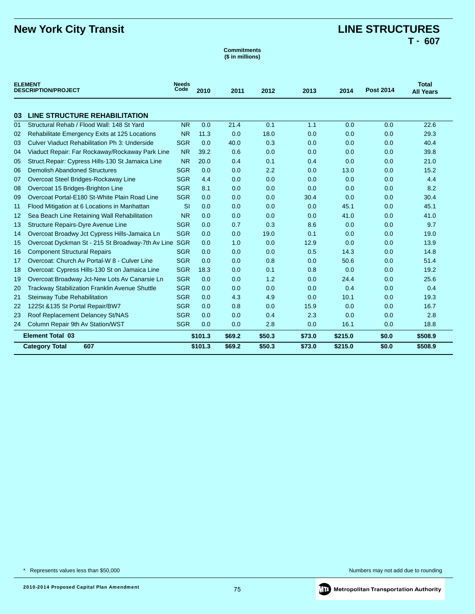### **New York City Transit LINE STRUCTURES**

**T - 607**

**Commitments (\$ in millions)**

|    | <b>ELEMENT</b><br><b>DESCRIPTION/PROJECT</b>          | <b>Needs</b><br>Code | 2010    | 2011   | 2012   | 2013   | 2014    | <b>Post 2014</b> | <b>Total</b><br><b>All Years</b> |
|----|-------------------------------------------------------|----------------------|---------|--------|--------|--------|---------|------------------|----------------------------------|
| 03 | LINE STRUCTURE REHABILITATION                         |                      |         |        |        |        |         |                  |                                  |
| 01 | Structural Rehab / Flood Wall: 148 St Yard            | <b>NR</b>            | 0.0     | 21.4   | 0.1    | 1.1    | 0.0     | 0.0              | 22.6                             |
| 02 | Rehabilitate Emergency Exits at 125 Locations         | <b>NR</b>            | 11.3    | 0.0    | 18.0   | 0.0    | 0.0     | 0.0              | 29.3                             |
| 03 | <b>Culver Viaduct Rehabilitation Ph 3: Underside</b>  | <b>SGR</b>           | 0.0     | 40.0   | 0.3    | 0.0    | 0.0     | 0.0              | 40.4                             |
| 04 | Viaduct Repair: Far Rockaway/Rockaway Park Line       | <b>NR</b>            | 39.2    | 0.6    | 0.0    | 0.0    | 0.0     | 0.0              | 39.8                             |
| 05 | Struct. Repair: Cypress Hills-130 St Jamaica Line     | <b>NR</b>            | 20.0    | 0.4    | 0.1    | 0.4    | 0.0     | 0.0              | 21.0                             |
| 06 | <b>Demolish Abandoned Structures</b>                  | <b>SGR</b>           | 0.0     | 0.0    | 2.2    | 0.0    | 13.0    | 0.0              | 15.2                             |
| 07 | Overcoat Steel Bridges-Rockaway Line                  | <b>SGR</b>           | 4.4     | 0.0    | 0.0    | 0.0    | 0.0     | 0.0              | 4.4                              |
| 08 | Overcoat 15 Bridges-Brighton Line                     | <b>SGR</b>           | 8.1     | 0.0    | 0.0    | 0.0    | 0.0     | 0.0              | 8.2                              |
| 09 | Overcoat Portal-E180 St-White Plain Road Line         | <b>SGR</b>           | 0.0     | 0.0    | 0.0    | 30.4   | 0.0     | 0.0              | 30.4                             |
| 11 | Flood Mitigation at 6 Locations in Manhattan          | <b>SI</b>            | 0.0     | 0.0    | 0.0    | 0.0    | 45.1    | 0.0              | 45.1                             |
| 12 | Sea Beach Line Retaining Wall Rehabilitation          | <b>NR</b>            | 0.0     | 0.0    | 0.0    | 0.0    | 41.0    | 0.0              | 41.0                             |
| 13 | <b>Structure Repairs-Dyre Avenue Line</b>             | <b>SGR</b>           | 0.0     | 0.7    | 0.3    | 8.6    | 0.0     | 0.0              | 9.7                              |
| 14 | Overcoat Broadwy Jct Cypress Hills-Jamaica Ln         | <b>SGR</b>           | 0.0     | 0.0    | 19.0   | 0.1    | 0.0     | 0.0              | 19.0                             |
| 15 | Overcoat Dyckman St - 215 St Broadway-7th Av Line     | <b>SGR</b>           | 0.0     | 1.0    | 0.0    | 12.9   | 0.0     | 0.0              | 13.9                             |
| 16 | <b>Component Structural Repairs</b>                   | <b>SGR</b>           | 0.0     | 0.0    | 0.0    | 0.5    | 14.3    | 0.0              | 14.8                             |
| 17 | Overcoat: Church Av Portal-W 8 - Culver Line          | <b>SGR</b>           | 0.0     | 0.0    | 0.8    | 0.0    | 50.6    | 0.0              | 51.4                             |
| 18 | Overcoat: Cypress Hills-130 St on Jamaica Line        | <b>SGR</b>           | 18.3    | 0.0    | 0.1    | 0.8    | 0.0     | 0.0              | 19.2                             |
| 19 | Overcoat: Broadway Jct-New Lots Av Canarsie Ln        | <b>SGR</b>           | 0.0     | 0.0    | 1.2    | 0.0    | 24.4    | 0.0              | 25.6                             |
| 20 | <b>Trackway Stabilization Franklin Avenue Shuttle</b> | <b>SGR</b>           | 0.0     | 0.0    | 0.0    | 0.0    | 0.4     | 0.0              | 0.4                              |
| 21 | Steinway Tube Rehabilitation                          | <b>SGR</b>           | 0.0     | 4.3    | 4.9    | 0.0    | 10.1    | 0.0              | 19.3                             |
| 22 | 122St & 135 St Portal Repair/BW7                      | <b>SGR</b>           | 0.0     | 0.8    | 0.0    | 15.9   | 0.0     | 0.0              | 16.7                             |
| 23 | Roof Replacement Delancey St/NAS                      | <b>SGR</b>           | 0.0     | 0.0    | 0.4    | 2.3    | 0.0     | 0.0              | 2.8                              |
| 24 | Column Repair 9th Av Station/WST                      | <b>SGR</b>           | 0.0     | 0.0    | 2.8    | 0.0    | 16.1    | 0.0              | 18.8                             |
|    | <b>Element Total 03</b>                               |                      | \$101.3 | \$69.2 | \$50.3 | \$73.0 | \$215.0 | \$0.0            | \$508.9                          |
|    | 607<br><b>Category Total</b>                          |                      | \$101.3 | \$69.2 | \$50.3 | \$73.0 | \$215.0 | \$0.0            | \$508.9                          |

75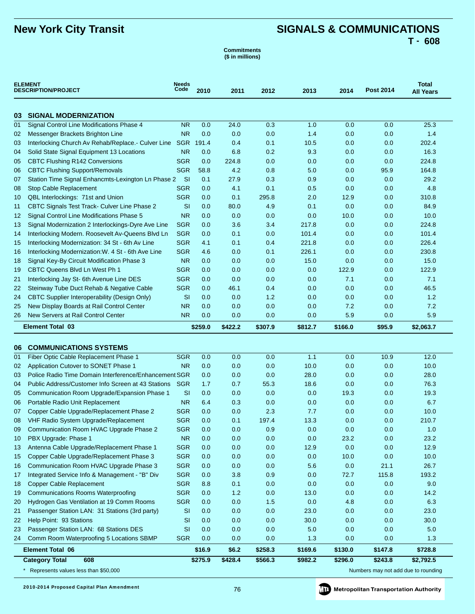### **New York City Transit SIGNALS & COMMUNICATIONS**

**T - 608**

**Commitments** 

**(\$ in millions)**

|    | <b>ELEMENT</b><br><b>DESCRIPTION/PROJECT</b>          | <b>Needs</b><br>Code | 2010    | 2011    | 2012    | 2013               | 2014               | <b>Post 2014</b>   | <b>Total</b><br><b>All Years</b> |
|----|-------------------------------------------------------|----------------------|---------|---------|---------|--------------------|--------------------|--------------------|----------------------------------|
|    |                                                       |                      |         |         |         |                    |                    |                    |                                  |
| 03 | <b>SIGNAL MODERNIZATION</b>                           |                      |         |         |         |                    |                    |                    |                                  |
| 01 | Signal Control Line Modifications Phase 4             | <b>NR</b>            | 0.0     | 24.0    | 0.3     | 1.0                | 0.0                | 0.0                | 25.3                             |
| 02 | Messenger Brackets Brighton Line                      | <b>NR</b>            | 0.0     | 0.0     | 0.0     | 1.4                | 0.0                | 0.0                | 1.4                              |
| 03 | Interlocking Church Av Rehab/Replace.- Culver Line    | <b>SGR</b>           | 191.4   | 0.4     | 0.1     | 10.5               | 0.0                | 0.0                | 202.4                            |
| 04 | Solid State Signal Equipment 13 Locations             | <b>NR</b>            | 0.0     | 6.8     | 0.2     | 9.3                | 0.0                | 0.0                | 16.3                             |
| 05 | <b>CBTC Flushing R142 Conversions</b>                 | <b>SGR</b>           | 0.0     | 224.8   | 0.0     | 0.0                | 0.0                | 0.0                | 224.8                            |
| 06 | <b>CBTC Flushing Support/Removals</b>                 | <b>SGR</b>           | 58.8    | 4.2     | 0.8     | 5.0                | 0.0                | 95.9               | 164.8                            |
| 07 | Station Time Signal Enhancmts-Lexington Ln Phase 2    | - SI                 | 0.1     | 27.9    | 0.3     | 0.9                | 0.0                | 0.0                | 29.2                             |
| 08 | Stop Cable Replacement                                | <b>SGR</b>           | 0.0     | 4.1     | 0.1     | 0.5                | 0.0                | 0.0                | 4.8                              |
| 10 | QBL Interlockings: 71st and Union                     | <b>SGR</b>           | 0.0     | 0.1     | 295.8   | 2.0                | 12.9               | 0.0                | 310.8                            |
| 11 | CBTC Signals Test Track- Culver Line Phase 2          | SI                   | 0.0     | 80.0    | 4.9     | 0.1                | 0.0                | 0.0                | 84.9                             |
| 12 | Signal Control Line Modifications Phase 5             | <b>NR</b>            | 0.0     | 0.0     | 0.0     | 0.0                | 10.0               | 0.0                | 10.0                             |
| 13 | Signal Modernization 2 Interlockings-Dyre Ave Line    | <b>SGR</b>           | 0.0     | 3.6     | 3.4     | 217.8              | 0.0                | 0.0                | 224.8                            |
| 14 | Interlocking Modern. Roosevelt Av-Queens Blvd Ln      | <b>SGR</b>           | 0.0     | 0.1     | 0.0     | 101.4              | 0.0                | 0.0                | 101.4                            |
| 15 | Interlocking Modernization: 34 St - 6th Av Line       | <b>SGR</b>           | 4.1     | 0.1     | 0.4     | 221.8              | 0.0                | 0.0                | 226.4                            |
| 16 | Interlocking Modernization: W. 4 St - 6th Ave Line    | <b>SGR</b>           | 4.6     | 0.0     | 0.1     | 226.1              | 0.0                | 0.0                | 230.8                            |
| 18 | Signal Key-By Circuit Modification Phase 3            | <b>NR</b>            | 0.0     | 0.0     | 0.0     | 15.0               | 0.0                | 0.0                | 15.0                             |
| 19 | <b>CBTC Queens Blvd Ln West Ph 1</b>                  | <b>SGR</b>           | 0.0     | 0.0     | 0.0     | 0.0                | 122.9              | 0.0                | 122.9                            |
| 21 | Interlocking Jay St- 6th Avenue Line DES              | <b>SGR</b>           | 0.0     | 0.0     | 0.0     | 0.0                | 7.1                | 0.0                | 7.1                              |
| 22 | Steinway Tube Duct Rehab & Negative Cable             | <b>SGR</b>           | 0.0     | 46.1    | 0.4     | 0.0                | 0.0                | 0.0                | 46.5                             |
| 24 | CBTC Supplier Interoperability (Design Only)          | SI                   | 0.0     | 0.0     | 1.2     | 0.0                | 0.0                | 0.0                | 1.2                              |
| 25 | New Display Boards at Rail Control Center             | N <sub>R</sub>       | 0.0     | 0.0     | 0.0     | 0.0                | 7.2                | 0.0                | 7.2                              |
| 26 | New Servers at Rail Control Center                    | <b>NR</b>            | 0.0     | 0.0     | 0.0     | 0.0                | 5.9                | 0.0                | 5.9                              |
|    | <b>Element Total 03</b>                               |                      | \$259.0 | \$422.2 | \$307.9 | \$812.7            | \$166.0            | \$95.9             | \$2,063.7                        |
|    |                                                       |                      |         |         |         |                    |                    |                    |                                  |
| 06 | <b>COMMUNICATIONS SYSTEMS</b>                         |                      |         |         |         |                    |                    |                    |                                  |
| 01 | Fiber Optic Cable Replacement Phase 1                 | <b>SGR</b>           | 0.0     | 0.0     | 0.0     | 1.1                | 0.0                | 10.9               | 12.0                             |
| 02 | Application Cutover to SONET Phase 1                  | <b>NR</b>            | 0.0     | 0.0     | 0.0     | 10.0               | 0.0                | 0.0                | 10.0                             |
| 03 | Police Radio Time Domain Interference/Enhancement SGR |                      | 0.0     | 0.0     | 0.0     | 28.0               | 0.0                | 0.0                | 28.0                             |
| 04 | Public Address/Customer Info Screen at 43 Stations    | <b>SGR</b>           | 1.7     | 0.7     | 55.3    | 18.6               | 0.0                | 0.0                | 76.3                             |
| 05 | Communication Room Upgrade/Expansion Phase 1          | <b>SI</b>            | 0.0     | 0.0     | 0.0     | 0.0                | 19.3               | 0.0                | 19.3                             |
| 06 | Portable Radio Unit Replacement                       | <b>NR</b>            | 6.4     | 0.3     | 0.0     | 0.0                | 0.0                | 0.0                | 6.7                              |
| 07 | Copper Cable Upgrade/Replacement Phase 2              | <b>SGR</b>           | 0.0     | 0.0     | 2.3     | 7.7                | 0.0                | 0.0                | 10.0                             |
| 08 | VHF Radio System Upgrade/Replacement                  | <b>SGR</b>           | 0.0     | 0.1     | 197.4   | 13.3               | 0.0                | 0.0                | 210.7                            |
| 09 | Communication Room HVAC Upgrade Phase 2               | <b>SGR</b>           | 0.0     | 0.0     | 0.9     | 0.0                | 0.0                | 0.0                | 1.0                              |
| 10 | PBX Upgrade: Phase 1                                  | ${\sf NR}$           | 0.0     | 0.0     | 0.0     | 0.0                | 23.2               | 0.0                | 23.2                             |
| 13 | Antenna Cable Upgrade/Replacement Phase 1             | <b>SGR</b>           | 0.0     | 0.0     | 0.0     | 12.9               | 0.0                | 0.0                | 12.9                             |
| 15 | Copper Cable Upgrade/Replacement Phase 3              | <b>SGR</b>           | 0.0     | 0.0     | $0.0\,$ | 0.0                | 10.0               | $0.0\,$            | 10.0                             |
| 16 | Communication Room HVAC Upgrade Phase 3               | SGR                  | 0.0     | 0.0     | 0.0     | 5.6                | 0.0                | 21.1               | 26.7                             |
| 17 | Integrated Service Info & Management - "B" Div        | <b>SGR</b>           | 0.0     | 3.8     | 0.9     | 0.0                | 72.7               | 115.8              | 193.2                            |
| 18 | <b>Copper Cable Replacement</b>                       | <b>SGR</b>           | 8.8     | 0.1     | 0.0     | 0.0                | 0.0                | 0.0                | 9.0                              |
| 19 | <b>Communications Rooms Waterproofing</b>             | <b>SGR</b>           | 0.0     | 1.2     | 0.0     | 13.0               | 0.0                | 0.0                | 14.2                             |
| 20 | Hydrogen Gas Ventilation at 19 Comm Rooms             | <b>SGR</b>           | 0.0     | 0.0     | 1.5     | $0.0\,$            | 4.8                | 0.0                | 6.3                              |
| 21 | Passenger Station LAN: 31 Stations (3rd party)        | SI                   | 0.0     | 0.0     | 0.0     | 23.0               | 0.0                | 0.0                | 23.0                             |
| 22 | Help Point: 93 Stations                               | SI                   | 0.0     | 0.0     | 0.0     | 30.0               | 0.0                | 0.0                | 30.0                             |
| 23 | Passenger Station LAN: 68 Stations DES                | SI                   | 0.0     | 0.0     | 0.0     | 5.0                | 0.0                | 0.0                | 5.0                              |
| 24 | Comm Room Waterproofing 5 Locations SBMP              | <b>SGR</b>           | 0.0     | 0.0     | 0.0     | 1.3                | 0.0                | 0.0                | 1.3                              |
|    | <b>Element Total 06</b>                               |                      | \$16.9  | \$6.2\$ | \$258.3 | \$169.6<br>\$982.2 | \$130.0<br>\$296.0 | \$147.8<br>\$243.8 | \$728.8<br>\$2,792.5             |
|    | <b>Category Total</b><br>608                          |                      | \$275.9 | \$428.4 | \$566.3 |                    |                    |                    |                                  |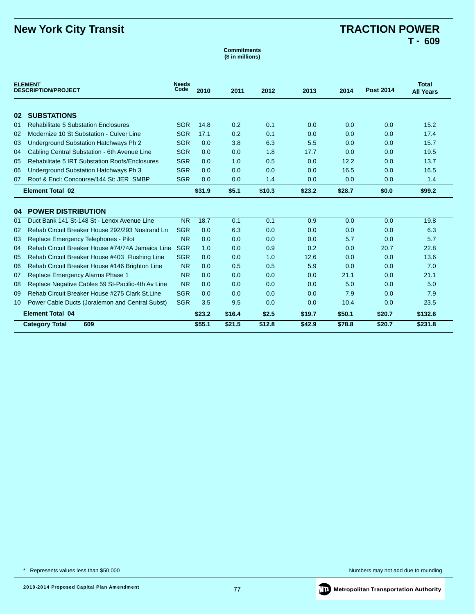#### **New York City Transit <b>TRACTION POWER T - 609**

**Commitments (\$ in millions)**

|                 | <b>ELEMENT</b><br><b>DESCRIPTION/PROJECT</b>          | <b>Needs</b><br>Code | 2010   | 2011   | 2012   | 2013   | 2014   | <b>Post 2014</b> | <b>Total</b><br><b>All Years</b> |
|-----------------|-------------------------------------------------------|----------------------|--------|--------|--------|--------|--------|------------------|----------------------------------|
| 02              | <b>SUBSTATIONS</b>                                    |                      |        |        |        |        |        |                  |                                  |
| 01              | <b>Rehabilitate 5 Substation Enclosures</b>           | <b>SGR</b>           | 14.8   | 0.2    | 0.1    | 0.0    | 0.0    | 0.0              | 15.2                             |
| 02              | Modernize 10 St Substation - Culver Line              | <b>SGR</b>           | 17.1   | 0.2    | 0.1    | 0.0    | 0.0    | 0.0              | 17.4                             |
| 03              | Underground Substation Hatchways Ph 2                 | <b>SGR</b>           | 0.0    | 3.8    | 6.3    | 5.5    | 0.0    | 0.0              | 15.7                             |
| 04              | Cabling Central Substation - 6th Avenue Line          | <b>SGR</b>           | 0.0    | 0.0    | 1.8    | 17.7   | 0.0    | 0.0              | 19.5                             |
| 05              | <b>Rehabilitate 5 IRT Substation Roofs/Enclosures</b> | <b>SGR</b>           | 0.0    | 1.0    | 0.5    | 0.0    | 12.2   | 0.0              | 13.7                             |
| 06              | Underground Substation Hatchways Ph 3                 | <b>SGR</b>           | 0.0    | 0.0    | 0.0    | 0.0    | 16.5   | 0.0              | 16.5                             |
| 07              | Roof & Encl: Concourse/144 St: JER SMBP               | <b>SGR</b>           | 0.0    | 0.0    | 1.4    | 0.0    | 0.0    | 0.0              | 1.4                              |
|                 | <b>Element Total 02</b>                               |                      | \$31.9 | \$5.1  | \$10.3 | \$23.2 | \$28.7 | \$0.0            | \$99.2                           |
| 04              | <b>POWER DISTRIBUTION</b>                             |                      |        |        |        |        |        |                  |                                  |
| 01              | Duct Bank 141 St-148 St - Lenox Avenue Line           | <b>NR</b>            | 18.7   | 0.1    | 0.1    | 0.9    | 0.0    | 0.0              | 19.8                             |
| 02              | Rehab Circuit Breaker House 292/293 Nostrand Ln       | <b>SGR</b>           | 0.0    | 6.3    | 0.0    | 0.0    | 0.0    | 0.0              | 6.3                              |
| 03              | Replace Emergency Telephones - Pilot                  | <b>NR</b>            | 0.0    | 0.0    | 0.0    | 0.0    | 5.7    | 0.0              | 5.7                              |
| 04              | Rehab Circuit Breaker House #74/74A Jamaica Line      | <b>SGR</b>           | 1.0    | 0.0    | 0.9    | 0.2    | 0.0    | 20.7             | 22.8                             |
| 05              | Rehab Circuit Breaker House #403 Flushing Line        | <b>SGR</b>           | 0.0    | 0.0    | 1.0    | 12.6   | 0.0    | 0.0              | 13.6                             |
| 06              | Rehab Circuit Breaker House #146 Brighton Line        | <b>NR</b>            | 0.0    | 0.5    | 0.5    | 5.9    | 0.0    | 0.0              | 7.0                              |
| 07              | Replace Emergency Alarms Phase 1                      | <b>NR</b>            | 0.0    | 0.0    | 0.0    | 0.0    | 21.1   | 0.0              | 21.1                             |
| 08              | Replace Negative Cables 59 St-Pacific-4th Av Line     | <b>NR</b>            | 0.0    | 0.0    | 0.0    | 0.0    | 5.0    | 0.0              | 5.0                              |
| 09              | Rehab Circuit Breaker House #275 Clark St.Line        | <b>SGR</b>           | 0.0    | 0.0    | 0.0    | 0.0    | 7.9    | 0.0              | 7.9                              |
| 10 <sup>°</sup> | Power Cable Ducts (Joralemon and Central Subst)       | <b>SGR</b>           | 3.5    | 9.5    | 0.0    | 0.0    | 10.4   | 0.0              | 23.5                             |
|                 | <b>Element Total 04</b>                               |                      | \$23.2 | \$16.4 | \$2.5  | \$19.7 | \$50.1 | \$20.7           | \$132.6                          |
|                 | <b>Category Total</b><br>609                          |                      | \$55.1 | \$21.5 | \$12.8 | \$42.9 | \$78.8 | \$20.7           | \$231.8                          |

\* Represents values less than \$50,000 Numbers may not add due to rounding

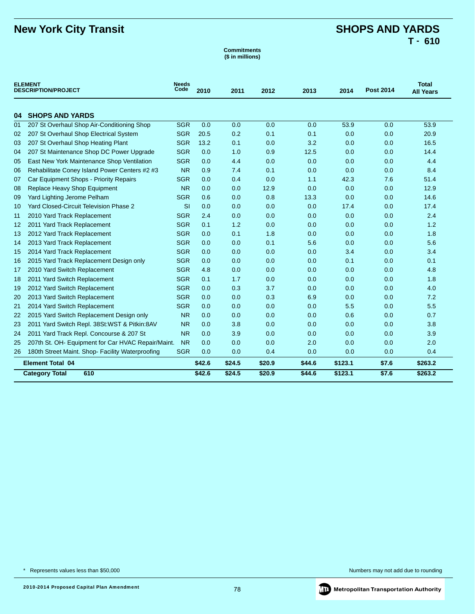### **New York City Transit SHOPS AND YARDS**

**T - 610**

**Commitments** 

|  | Communents       |  |
|--|------------------|--|
|  | (\$ in millions) |  |

|                   | <b>ELEMENT</b><br><b>DESCRIPTION/PROJECT</b>       | <b>Needs</b><br>Code | 2010   | 2011   | 2012   | 2013   | 2014    | <b>Post 2014</b> | <b>Total</b><br><b>All Years</b> |
|-------------------|----------------------------------------------------|----------------------|--------|--------|--------|--------|---------|------------------|----------------------------------|
| 04                | <b>SHOPS AND YARDS</b>                             |                      |        |        |        |        |         |                  |                                  |
| 01                | 207 St Overhaul Shop Air-Conditioning Shop         | <b>SGR</b>           | 0.0    | 0.0    | 0.0    | 0.0    | 53.9    | 0.0              | 53.9                             |
| 02                | 207 St Overhaul Shop Electrical System             | <b>SGR</b>           | 20.5   | 0.2    | 0.1    | 0.1    | 0.0     | 0.0              | 20.9                             |
| 03                | 207 St Overhaul Shop Heating Plant                 | <b>SGR</b>           | 13.2   | 0.1    | 0.0    | 3.2    | 0.0     | 0.0              | 16.5                             |
| 04                | 207 St Maintenance Shop DC Power Upgrade           | <b>SGR</b>           | 0.0    | 1.0    | 0.9    | 12.5   | 0.0     | 0.0              | 14.4                             |
| 05                | East New York Maintenance Shop Ventilation         | <b>SGR</b>           | 0.0    | 4.4    | 0.0    | 0.0    | 0.0     | 0.0              | 4.4                              |
| 06                | Rehabilitate Coney Island Power Centers #2 #3      | <b>NR</b>            | 0.9    | 7.4    | 0.1    | 0.0    | 0.0     | 0.0              | 8.4                              |
| 07                | Car Equipment Shops - Priority Repairs             | <b>SGR</b>           | 0.0    | 0.4    | 0.0    | 1.1    | 42.3    | 7.6              | 51.4                             |
| 08                | Replace Heavy Shop Equipment                       | <b>NR</b>            | 0.0    | 0.0    | 12.9   | 0.0    | 0.0     | 0.0              | 12.9                             |
| 09                | Yard Lighting Jerome Pelham                        | <b>SGR</b>           | 0.6    | 0.0    | 0.8    | 13.3   | 0.0     | 0.0              | 14.6                             |
| 10                | <b>Yard Closed-Circuit Television Phase 2</b>      | <b>SI</b>            | 0.0    | 0.0    | 0.0    | 0.0    | 17.4    | 0.0              | 17.4                             |
| 11                | 2010 Yard Track Replacement                        | <b>SGR</b>           | 2.4    | 0.0    | 0.0    | 0.0    | 0.0     | 0.0              | 2.4                              |
| $12 \overline{ }$ | 2011 Yard Track Replacement                        | <b>SGR</b>           | 0.1    | 1.2    | 0.0    | 0.0    | 0.0     | 0.0              | 1.2                              |
| 13                | 2012 Yard Track Replacement                        | <b>SGR</b>           | 0.0    | 0.1    | 1.8    | 0.0    | 0.0     | 0.0              | 1.8                              |
| 14                | 2013 Yard Track Replacement                        | <b>SGR</b>           | 0.0    | 0.0    | 0.1    | 5.6    | 0.0     | 0.0              | 5.6                              |
| 15                | 2014 Yard Track Replacement                        | <b>SGR</b>           | 0.0    | 0.0    | 0.0    | 0.0    | 3.4     | 0.0              | 3.4                              |
| 16                | 2015 Yard Track Replacement Design only            | <b>SGR</b>           | 0.0    | 0.0    | 0.0    | 0.0    | 0.1     | 0.0              | 0.1                              |
| 17                | 2010 Yard Switch Replacement                       | <b>SGR</b>           | 4.8    | 0.0    | 0.0    | 0.0    | 0.0     | 0.0              | 4.8                              |
| 18                | 2011 Yard Switch Replacement                       | <b>SGR</b>           | 0.1    | 1.7    | 0.0    | 0.0    | 0.0     | 0.0              | 1.8                              |
| 19                | 2012 Yard Switch Replacement                       | <b>SGR</b>           | 0.0    | 0.3    | 3.7    | 0.0    | 0.0     | 0.0              | 4.0                              |
| 20                | 2013 Yard Switch Replacement                       | <b>SGR</b>           | 0.0    | 0.0    | 0.3    | 6.9    | 0.0     | 0.0              | 7.2                              |
| 21                | 2014 Yard Switch Replacement                       | <b>SGR</b>           | 0.0    | 0.0    | 0.0    | 0.0    | 5.5     | 0.0              | 5.5                              |
| 22                | 2015 Yard Switch Replacement Design only           | <b>NR</b>            | 0.0    | 0.0    | 0.0    | 0.0    | 0.6     | 0.0              | 0.7                              |
| 23                | 2011 Yard Switch Repl. 38St:WST & Pitkin:8AV       | N <sub>R</sub>       | 0.0    | 3.8    | 0.0    | 0.0    | 0.0     | 0.0              | 3.8                              |
| 24                | 2011 Yard Track Repl. Concourse & 207 St           | <b>NR</b>            | 0.0    | 3.9    | 0.0    | 0.0    | 0.0     | 0.0              | 3.9                              |
| 25                | 207th St. OH- Equipment for Car HVAC Repair/Maint. | N <sub>R</sub>       | 0.0    | 0.0    | 0.0    | 2.0    | 0.0     | 0.0              | 2.0                              |
| 26                | 180th Street Maint. Shop- Facility Waterproofing   | <b>SGR</b>           | 0.0    | 0.0    | 0.4    | 0.0    | 0.0     | 0.0              | 0.4                              |
|                   | <b>Element Total 04</b>                            |                      | \$42.6 | \$24.5 | \$20.9 | \$44.6 | \$123.1 | \$7.6            | \$263.2                          |
|                   | <b>Category Total</b><br>610                       |                      | \$42.6 | \$24.5 | \$20.9 | \$44.6 | \$123.1 | \$7.6            | \$263.2                          |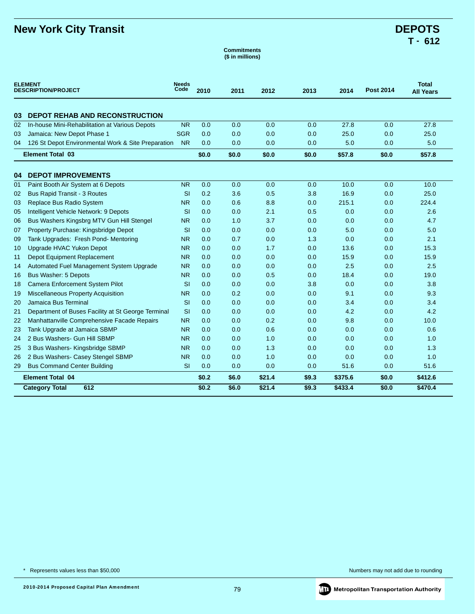**New York City Transit DEPOTS**

**T - 612**

**Commitments (\$ in millions)**

| <b>ELEMENT</b><br><b>DESCRIPTION/PROJECT</b> |                                                    | <b>Needs</b><br>Code | 2010  | 2011  | 2012   | 2013  | 2014    | <b>Post 2014</b> | <b>Total</b><br><b>All Years</b> |
|----------------------------------------------|----------------------------------------------------|----------------------|-------|-------|--------|-------|---------|------------------|----------------------------------|
| 03                                           | <b>DEPOT REHAB AND RECONSTRUCTION</b>              |                      |       |       |        |       |         |                  |                                  |
| 02                                           | In-house Mini-Rehabilitation at Various Depots     | <b>NR</b>            | 0.0   | 0.0   | 0.0    | 0.0   | 27.8    | 0.0              | 27.8                             |
| 03                                           | Jamaica: New Depot Phase 1                         | <b>SGR</b>           | 0.0   | 0.0   | 0.0    | 0.0   | 25.0    | 0.0              | 25.0                             |
| 04                                           | 126 St Depot Environmental Work & Site Preparation | <b>NR</b>            | 0.0   | 0.0   | 0.0    | 0.0   | 5.0     | 0.0              | 5.0                              |
|                                              | <b>Element Total 03</b>                            |                      | \$0.0 | \$0.0 | \$0.0  | \$0.0 | \$57.8  | \$0.0            | \$57.8                           |
| 04                                           | <b>DEPOT IMPROVEMENTS</b>                          |                      |       |       |        |       |         |                  |                                  |
| 01                                           | Paint Booth Air System at 6 Depots                 | <b>NR</b>            | 0.0   | 0.0   | 0.0    | 0.0   | 10.0    | 0.0              | 10.0                             |
| 02                                           | <b>Bus Rapid Transit - 3 Routes</b>                | <b>SI</b>            | 0.2   | 3.6   | 0.5    | 3.8   | 16.9    | 0.0              | 25.0                             |
| 03                                           | Replace Bus Radio System                           | <b>NR</b>            | 0.0   | 0.6   | 8.8    | 0.0   | 215.1   | 0.0              | 224.4                            |
| 05                                           | Intelligent Vehicle Network: 9 Depots              | <b>SI</b>            | 0.0   | 0.0   | 2.1    | 0.5   | 0.0     | 0.0              | 2.6                              |
| 06                                           | Bus Washers Kingsbrg MTV Gun Hill Stengel          | <b>NR</b>            | 0.0   | 1.0   | 3.7    | 0.0   | 0.0     | 0.0              | 4.7                              |
| 07                                           | Property Purchase: Kingsbridge Depot               | <b>SI</b>            | 0.0   | 0.0   | 0.0    | 0.0   | 5.0     | 0.0              | 5.0                              |
| 09                                           | Tank Upgrades: Fresh Pond- Mentoring               | <b>NR</b>            | 0.0   | 0.7   | 0.0    | 1.3   | 0.0     | 0.0              | 2.1                              |
| 10                                           | Upgrade HVAC Yukon Depot                           | <b>NR</b>            | 0.0   | 0.0   | 1.7    | 0.0   | 13.6    | 0.0              | 15.3                             |
| 11                                           | Depot Equipment Replacement                        | <b>NR</b>            | 0.0   | 0.0   | 0.0    | 0.0   | 15.9    | 0.0              | 15.9                             |
| 14                                           | Automated Fuel Management System Upgrade           | <b>NR</b>            | 0.0   | 0.0   | 0.0    | 0.0   | 2.5     | 0.0              | 2.5                              |
| 16                                           | <b>Bus Washer: 5 Depots</b>                        | <b>NR</b>            | 0.0   | 0.0   | 0.5    | 0.0   | 18.4    | 0.0              | 19.0                             |
| 18                                           | <b>Camera Enforcement System Pilot</b>             | <b>SI</b>            | 0.0   | 0.0   | 0.0    | 3.8   | 0.0     | 0.0              | 3.8                              |
| 19                                           | Miscellaneous Property Acquisition                 | <b>NR</b>            | 0.0   | 0.2   | 0.0    | 0.0   | 9.1     | 0.0              | 9.3                              |
| 20                                           | Jamaica Bus Terminal                               | <b>SI</b>            | 0.0   | 0.0   | 0.0    | 0.0   | 3.4     | 0.0              | 3.4                              |
| 21                                           | Department of Buses Facility at St George Terminal | <b>SI</b>            | 0.0   | 0.0   | 0.0    | 0.0   | 4.2     | 0.0              | 4.2                              |
| 22                                           | Manhattanville Comprehensive Facade Repairs        | <b>NR</b>            | 0.0   | 0.0   | 0.2    | 0.0   | 9.8     | 0.0              | 10.0                             |
| 23                                           | Tank Upgrade at Jamaica SBMP                       | <b>NR</b>            | 0.0   | 0.0   | 0.6    | 0.0   | 0.0     | 0.0              | 0.6                              |
| 24                                           | 2 Bus Washers- Gun Hill SBMP                       | <b>NR</b>            | 0.0   | 0.0   | 1.0    | 0.0   | 0.0     | 0.0              | 1.0                              |
| 25                                           | 3 Bus Washers- Kingsbridge SBMP                    | <b>NR</b>            | 0.0   | 0.0   | 1.3    | 0.0   | 0.0     | 0.0              | 1.3                              |
| 26                                           | 2 Bus Washers- Casey Stengel SBMP                  | <b>NR</b>            | 0.0   | 0.0   | 1.0    | 0.0   | 0.0     | 0.0              | 1.0                              |
| 29                                           | <b>Bus Command Center Building</b>                 | <b>SI</b>            | 0.0   | 0.0   | 0.0    | 0.0   | 51.6    | 0.0              | 51.6                             |
|                                              | <b>Element Total 04</b>                            |                      | \$0.2 | \$6.0 | \$21.4 | \$9.3 | \$375.6 | \$0.0            | \$412.6                          |
|                                              | 612<br><b>Category Total</b>                       |                      | \$0.2 | \$6.0 | \$21.4 | \$9.3 | \$433.4 | \$0.0            | \$470.4                          |

79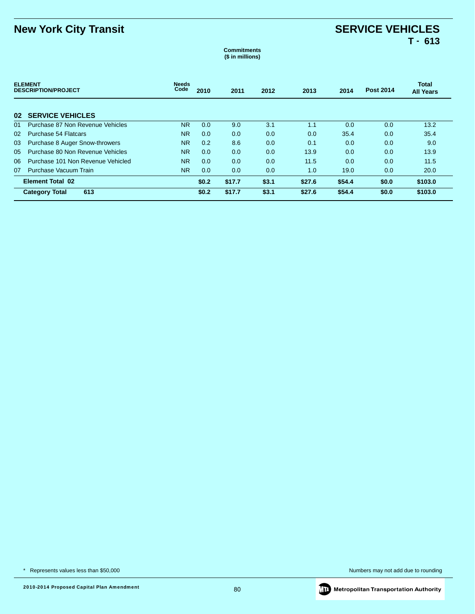### **New York City Transit SERVICE VEHICLES**

**T - 613**

**Commitments (\$ in millions)**

| <b>ELEMENT</b><br><b>DESCRIPTION/PROJECT</b> |                                   | <b>Needs</b><br>Code | 2010  | 2011   | 2012  | 2013   | 2014   | <b>Post 2014</b> | <b>Total</b><br><b>All Years</b> |
|----------------------------------------------|-----------------------------------|----------------------|-------|--------|-------|--------|--------|------------------|----------------------------------|
| 02                                           | <b>SERVICE VEHICLES</b>           |                      |       |        |       |        |        |                  |                                  |
| 01                                           | Purchase 87 Non Revenue Vehicles  | N <sub>R</sub>       | 0.0   | 9.0    | 3.1   |        | 0.0    | 0.0              | 13.2                             |
| 02 <sub>2</sub>                              | Purchase 54 Flatcars              | N <sub>R</sub>       | 0.0   | 0.0    | 0.0   | 0.0    | 35.4   | 0.0              | 35.4                             |
| 03                                           | Purchase 8 Auger Snow-throwers    | N <sub>R</sub>       | 0.2   | 8.6    | 0.0   | 0.1    | 0.0    | 0.0              | 9.0                              |
| 0.5                                          | Purchase 80 Non Revenue Vehicles  | N <sub>R</sub>       | 0.0   | 0.0    | 0.0   | 13.9   | 0.0    | 0.0              | 13.9                             |
| 06                                           | Purchase 101 Non Revenue Vehicled | NR.                  | 0.0   | 0.0    | 0.0   | 11.5   | 0.0    | 0.0              | 11.5                             |
| 07                                           | Purchase Vacuum Train             | N <sub>R</sub>       | 0.0   | 0.0    | 0.0   | 1.0    | 19.0   | 0.0              | 20.0                             |
|                                              | <b>Element Total 02</b>           |                      | \$0.2 | \$17.7 | \$3.1 | \$27.6 | \$54.4 | \$0.0            | \$103.0                          |
|                                              | 613<br><b>Category Total</b>      |                      | \$0.2 | \$17.7 | \$3.1 | \$27.6 | \$54.4 | \$0.0            | \$103.0                          |

\* Represents values less than \$50,000 Numbers may not add due to rounding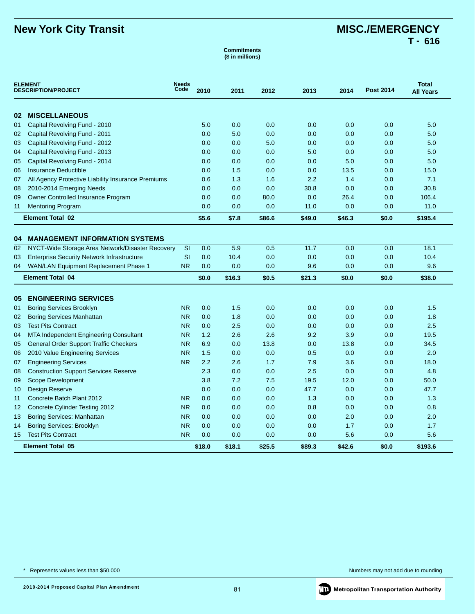**New York City Transit MISC./EMERGENCY** 

**T - 616**

**Commitments** 

**(\$ in millions)**

|    | <b>ELEMENT</b><br><b>DESCRIPTION/PROJECT</b>       | <b>Needs</b><br>Code    | 2010   | 2011   | 2012   | 2013   | 2014   | <b>Post 2014</b> | <b>Total</b><br><b>All Years</b> |
|----|----------------------------------------------------|-------------------------|--------|--------|--------|--------|--------|------------------|----------------------------------|
| 02 | <b>MISCELLANEOUS</b>                               |                         |        |        |        |        |        |                  |                                  |
| 01 | Capital Revolving Fund - 2010                      |                         | 5.0    | 0.0    | 0.0    | 0.0    | 0.0    | 0.0              | 5.0                              |
| 02 | Capital Revolving Fund - 2011                      |                         | 0.0    | 5.0    | 0.0    | 0.0    | 0.0    | 0.0              | 5.0                              |
| 03 | Capital Revolving Fund - 2012                      |                         | 0.0    | 0.0    | 5.0    | 0.0    | 0.0    | 0.0              | 5.0                              |
| 04 | Capital Revolving Fund - 2013                      |                         | 0.0    | 0.0    | 0.0    | 5.0    | 0.0    | 0.0              | 5.0                              |
| 05 | Capital Revolving Fund - 2014                      |                         | 0.0    | 0.0    | 0.0    | 0.0    | 5.0    | 0.0              | 5.0                              |
| 06 | <b>Insurance Deductible</b>                        |                         | 0.0    | 1.5    | 0.0    | 0.0    | 13.5   | 0.0              | 15.0                             |
| 07 | All Agency Protective Liability Insurance Premiums |                         | 0.6    | 1.3    | 1.6    | 2.2    | 1.4    | 0.0              | 7.1                              |
| 08 | 2010-2014 Emerging Needs                           |                         | 0.0    | 0.0    | 0.0    | 30.8   | 0.0    | 0.0              | 30.8                             |
| 09 | Owner Controlled Insurance Program                 |                         | 0.0    | 0.0    | 80.0   | 0.0    | 26.4   | 0.0              | 106.4                            |
| 11 | <b>Mentoring Program</b>                           |                         | 0.0    | 0.0    | 0.0    | 11.0   | 0.0    | 0.0              | 11.0                             |
|    | <b>Element Total 02</b>                            |                         | \$5.6  | \$7.8  | \$86.6 | \$49.0 | \$46.3 | \$0.0            | \$195.4                          |
| 04 | <b>MANAGEMENT INFORMATION SYSTEMS</b>              |                         |        |        |        |        |        |                  |                                  |
| 02 | NYCT-Wide Storage Area Network/Disaster Recovery   | $\overline{\mathbf{S}}$ | 0.0    | 5.9    | 0.5    | 11.7   | 0.0    | 0.0              | 18.1                             |
| 03 | <b>Enterprise Security Network Infrastructure</b>  | SI                      | 0.0    | 10.4   | 0.0    | 0.0    | 0.0    | 0.0              | 10.4                             |
| 04 | WAN/LAN Equipment Replacement Phase 1              | <b>NR</b>               | 0.0    | 0.0    | 0.0    | 9.6    | 0.0    | 0.0              | 9.6                              |
|    | <b>Element Total 04</b>                            |                         | \$0.0  | \$16.3 | \$0.5  | \$21.3 | \$0.0  | \$0.0            | \$38.0                           |
|    |                                                    |                         |        |        |        |        |        |                  |                                  |
| 05 | <b>ENGINEERING SERVICES</b>                        |                         |        |        |        |        |        |                  |                                  |
| 01 | <b>Boring Services Brooklyn</b>                    | <b>NR</b>               | 0.0    | 1.5    | 0.0    | 0.0    | 0.0    | 0.0              | 1.5                              |
| 02 | <b>Boring Services Manhattan</b>                   | <b>NR</b>               | 0.0    | 1.8    | 0.0    | 0.0    | 0.0    | 0.0              | 1.8                              |
| 03 | <b>Test Pits Contract</b>                          | N <sub>R</sub>          | 0.0    | 2.5    | 0.0    | 0.0    | 0.0    | 0.0              | 2.5                              |
| 04 | <b>MTA Independent Engineering Consultant</b>      | N <sub>R</sub>          | 1.2    | 2.6    | 2.6    | 9.2    | 3.9    | 0.0              | 19.5                             |
| 05 | <b>General Order Support Traffic Checkers</b>      | <b>NR</b>               | 6.9    | 0.0    | 13.8   | 0.0    | 13.8   | 0.0              | 34.5                             |
| 06 | 2010 Value Engineering Services                    | N <sub>R</sub>          | 1.5    | 0.0    | 0.0    | 0.5    | 0.0    | 0.0              | 2.0                              |
| 07 | <b>Engineering Services</b>                        | <b>NR</b>               | 2.2    | 2.6    | 1.7    | 7.9    | 3.6    | 0.0              | 18.0                             |
| 08 | <b>Construction Support Services Reserve</b>       |                         | 2.3    | 0.0    | 0.0    | 2.5    | 0.0    | 0.0              | 4.8                              |
| 09 | Scope Development                                  |                         | 3.8    | 7.2    | 7.5    | 19.5   | 12.0   | 0.0              | 50.0                             |
| 10 | <b>Design Reserve</b>                              |                         | 0.0    | 0.0    | 0.0    | 47.7   | 0.0    | 0.0              | 47.7                             |
| 11 | Concrete Batch Plant 2012                          | NR.                     | 0.0    | 0.0    | 0.0    | 1.3    | 0.0    | 0.0              | 1.3                              |
| 12 | Concrete Cylinder Testing 2012                     | <b>NR</b>               | 0.0    | 0.0    | 0.0    | 0.8    | 0.0    | 0.0              | 0.8                              |
| 13 | Boring Services: Manhattan                         | N <sub>R</sub>          | 0.0    | 0.0    | 0.0    | 0.0    | 2.0    | 0.0              | 2.0                              |
| 14 | <b>Boring Services: Brooklyn</b>                   | <b>NR</b>               | 0.0    | 0.0    | 0.0    | 0.0    | 1.7    | 0.0              | 1.7                              |
| 15 | <b>Test Pits Contract</b>                          | <b>NR</b>               | 0.0    | 0.0    | 0.0    | 0.0    | 5.6    | 0.0              | 5.6                              |
|    | <b>Element Total 05</b>                            |                         | \$18.0 | \$18.1 | \$25.5 | \$89.3 | \$42.6 | \$0.0            | \$193.6                          |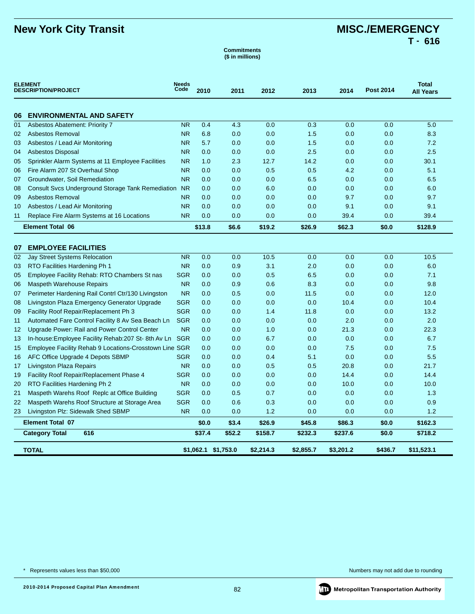**New York City Transit MISC./EMERGENCY** 

**T - 616**

**Commitments** 

**(\$ in millions)**

|    | <b>ELEMENT</b><br><b>DESCRIPTION/PROJECT</b>             | <b>Needs</b><br>Code | 2010   | 2011                | 2012      | 2013      | 2014      | <b>Post 2014</b> | <b>Total</b><br><b>All Years</b> |
|----|----------------------------------------------------------|----------------------|--------|---------------------|-----------|-----------|-----------|------------------|----------------------------------|
| 06 | <b>ENVIRONMENTAL AND SAFETY</b>                          |                      |        |                     |           |           |           |                  |                                  |
| 01 | <b>Asbestos Abatement: Priority 7</b>                    | <b>NR</b>            | 0.4    | 4.3                 | 0.0       | 0.3       | 0.0       | 0.0              | 5.0                              |
| 02 | <b>Asbestos Removal</b>                                  | <b>NR</b>            | 6.8    | 0.0                 | 0.0       | 1.5       | 0.0       | 0.0              | 8.3                              |
| 03 | Asbestos / Lead Air Monitoring                           | <b>NR</b>            | 5.7    | 0.0                 | 0.0       | 1.5       | 0.0       | 0.0              | 7.2                              |
| 04 | <b>Asbestos Disposal</b>                                 | <b>NR</b>            | 0.0    | 0.0                 | 0.0       | 2.5       | 0.0       | 0.0              | 2.5                              |
| 05 | Sprinkler Alarm Systems at 11 Employee Facilities        | <b>NR</b>            | 1.0    | 2.3                 | 12.7      | 14.2      | 0.0       | 0.0              | 30.1                             |
| 06 | Fire Alarm 207 St Overhaul Shop                          | N <sub>R</sub>       | 0.0    | 0.0                 | 0.5       | 0.5       | 4.2       | 0.0              | 5.1                              |
| 07 | Groundwater, Soil Remediation                            | <b>NR</b>            | 0.0    | 0.0                 | 0.0       | 6.5       | 0.0       | 0.0              | 6.5                              |
| 08 | <b>Consult Svcs Underground Storage Tank Remediation</b> | <b>NR</b>            | 0.0    | 0.0                 | 6.0       | 0.0       | 0.0       | 0.0              | 6.0                              |
| 09 | <b>Asbestos Removal</b>                                  | <b>NR</b>            | 0.0    | 0.0                 | 0.0       | 0.0       | 9.7       | 0.0              | 9.7                              |
| 10 | Asbestos / Lead Air Monitoring                           | <b>NR</b>            | 0.0    | 0.0                 | 0.0       | 0.0       | 9.1       | 0.0              | 9.1                              |
| 11 | Replace Fire Alarm Systems at 16 Locations               | <b>NR</b>            | 0.0    | 0.0                 | 0.0       | 0.0       | 39.4      | 0.0              | 39.4                             |
|    | <b>Element Total 06</b>                                  |                      | \$13.8 | \$6.6               | \$19.2    | \$26.9    | \$62.3    | \$0.0            | \$128.9                          |
|    |                                                          |                      |        |                     |           |           |           |                  |                                  |
| 07 | <b>EMPLOYEE FACILITIES</b>                               |                      |        |                     |           |           |           |                  |                                  |
| 02 | Jay Street Systems Relocation                            | <b>NR</b>            | 0.0    | 0.0                 | 10.5      | 0.0       | 0.0       | 0.0              | 10.5                             |
| 03 | RTO Facilities Hardening Ph 1                            | <b>NR</b>            | 0.0    | 0.9                 | 3.1       | 2.0       | 0.0       | 0.0              | 6.0                              |
| 05 | Employee Facility Rehab: RTO Chambers St nas             | <b>SGR</b>           | 0.0    | 0.0                 | 0.5       | 6.5       | 0.0       | 0.0              | 7.1                              |
| 06 | <b>Maspeth Warehouse Repairs</b>                         | <b>NR</b>            | 0.0    | 0.9                 | 0.6       | 8.3       | 0.0       | 0.0              | 9.8                              |
| 07 | Perimeter Hardening Rail Contrl Ctr/130 Livingston       | <b>NR</b>            | 0.0    | 0.5                 | 0.0       | 11.5      | 0.0       | 0.0              | 12.0                             |
| 08 | Livingston Plaza Emergency Generator Upgrade             | <b>SGR</b>           | 0.0    | 0.0                 | 0.0       | 0.0       | 10.4      | 0.0              | 10.4                             |
| 09 | Facility Roof Repair/Replacement Ph 3                    | <b>SGR</b>           | 0.0    | 0.0                 | 1.4       | 11.8      | 0.0       | 0.0              | 13.2                             |
| 11 | Automated Fare Control Facility 8 Av Sea Beach Ln        | <b>SGR</b>           | 0.0    | 0.0                 | 0.0       | 0.0       | 2.0       | 0.0              | 2.0                              |
| 12 | Upgrade Power: Rail and Power Control Center             | <b>NR</b>            | 0.0    | 0.0                 | 1.0       | 0.0       | 21.3      | 0.0              | 22.3                             |
| 13 | In-house: Employee Facility Rehab: 207 St-8th Av Ln SGR  |                      | 0.0    | 0.0                 | 6.7       | 0.0       | 0.0       | 0.0              | 6.7                              |
| 15 | Employee Facility Rehab 9 Locations-Crosstown Line SGR   |                      | 0.0    | 0.0                 | 0.0       | 0.0       | 7.5       | 0.0              | 7.5                              |
| 16 | AFC Office Upgrade 4 Depots SBMP                         | <b>SGR</b>           | 0.0    | 0.0                 | 0.4       | 5.1       | 0.0       | 0.0              | 5.5                              |
| 17 | Livingston Plaza Repairs                                 | <b>NR</b>            | 0.0    | 0.0                 | 0.5       | 0.5       | 20.8      | 0.0              | 21.7                             |
| 19 | Facility Roof Repair/Replacement Phase 4                 | <b>SGR</b>           | 0.0    | 0.0                 | 0.0       | 0.0       | 14.4      | 0.0              | 14.4                             |
| 20 | RTO Facilities Hardening Ph 2                            | <b>NR</b>            | 0.0    | 0.0                 | 0.0       | 0.0       | 10.0      | 0.0              | 10.0                             |
| 21 | Maspeth Warehs Roof Replc at Office Building             | <b>SGR</b>           | 0.0    | 0.5                 | 0.7       | 0.0       | 0.0       | 0.0              | 1.3                              |
| 22 | Maspeth Warehs Roof Structure at Storage Area            | <b>SGR</b>           | 0.0    | 0.6                 | 0.3       | 0.0       | 0.0       | 0.0              | 0.9                              |
| 23 | Livingston Plz: Sidewalk Shed SBMP                       | <b>NR</b>            | 0.0    | 0.0                 | 1.2       | 0.0       | 0.0       | 0.0              | 1.2                              |
|    | <b>Element Total 07</b>                                  |                      | \$0.0  | \$3.4               | \$26.9    | \$45.8    | \$86.3    | \$0.0            | \$162.3                          |
|    | 616<br><b>Category Total</b>                             |                      | \$37.4 | \$52.2              | \$158.7   | \$232.3   | \$237.6   | \$0.0            | \$718.2                          |
|    | <b>TOTAL</b>                                             |                      |        | \$1,062.1 \$1,753.0 | \$2.214.3 | \$2,855.7 | \$3,201.2 | \$436.7          | \$11,523.1                       |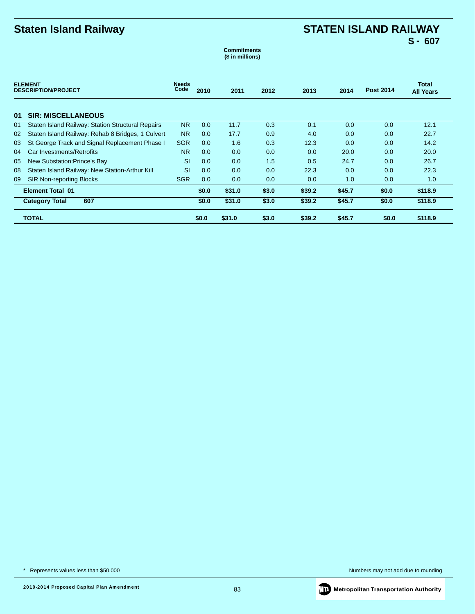## **Staten Island Railway STATEN ISLAND RAILWAY**

**S - 607**

**Commitments (\$ in millions)**

|    | <b>ELEMENT</b><br><b>DESCRIPTION/PROJECT</b>      | <b>Needs</b><br>Code | 2010  | 2011   | 2012  | 2013   | 2014   | <b>Post 2014</b> | <b>Total</b><br><b>All Years</b> |
|----|---------------------------------------------------|----------------------|-------|--------|-------|--------|--------|------------------|----------------------------------|
| 01 | <b>SIR: MISCELLANEOUS</b>                         |                      |       |        |       |        |        |                  |                                  |
| 01 | Staten Island Railway: Station Structural Repairs | NR.                  | 0.0   | 11.7   | 0.3   | 0.1    | 0.0    | 0.0              | 12.1                             |
| 02 | Staten Island Railway: Rehab 8 Bridges, 1 Culvert | N <sub>R</sub>       | 0.0   | 17.7   | 0.9   | 4.0    | 0.0    | 0.0              | 22.7                             |
| 03 | St George Track and Signal Replacement Phase I    | <b>SGR</b>           | 0.0   | 1.6    | 0.3   | 12.3   | 0.0    | 0.0              | 14.2                             |
| 04 | Car Investments/Retrofits                         | N <sub>R</sub>       | 0.0   | 0.0    | 0.0   | 0.0    | 20.0   | 0.0              | 20.0                             |
| 05 | New Substation: Prince's Bay                      | <b>SI</b>            | 0.0   | 0.0    | 1.5   | 0.5    | 24.7   | 0.0              | 26.7                             |
| 08 | Staten Island Railway: New Station-Arthur Kill    | <b>SI</b>            | 0.0   | 0.0    | 0.0   | 22.3   | 0.0    | 0.0              | 22.3                             |
| 09 | <b>SIR Non-reporting Blocks</b>                   | <b>SGR</b>           | 0.0   | 0.0    | 0.0   | 0.0    | 1.0    | 0.0              | 1.0                              |
|    | <b>Element Total 01</b>                           |                      | \$0.0 | \$31.0 | \$3.0 | \$39.2 | \$45.7 | \$0.0            | \$118.9                          |
|    | 607<br><b>Category Total</b>                      |                      | \$0.0 | \$31.0 | \$3.0 | \$39.2 | \$45.7 | \$0.0            | \$118.9                          |
|    | <b>TOTAL</b>                                      |                      | \$0.0 | \$31.0 | \$3.0 | \$39.2 | \$45.7 | \$0.0            | \$118.9                          |

\* Represents values less than \$50,000 Numbers may not add due to rounding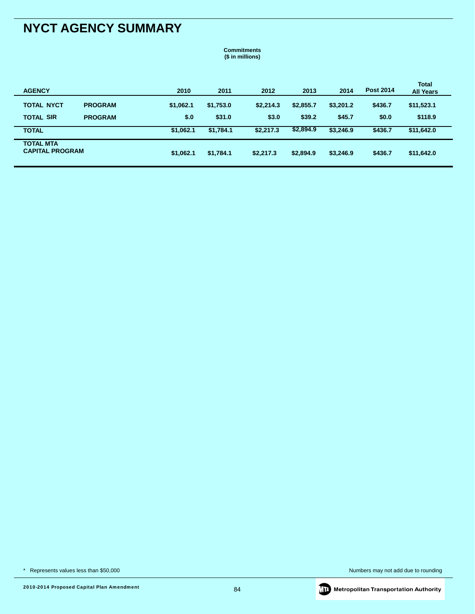## **NYCT AGENCY SUMMARY**

#### **Commitments (\$ in millions)**

| <b>AGENCY</b>                              |                | 2010      | 2011      | 2012      | 2013      | 2014      | <b>Post 2014</b> | <b>Total</b><br><b>All Years</b> |
|--------------------------------------------|----------------|-----------|-----------|-----------|-----------|-----------|------------------|----------------------------------|
| <b>TOTAL NYCT</b>                          | <b>PROGRAM</b> | \$1,062.1 | \$1,753.0 | \$2,214.3 | \$2,855.7 | \$3,201.2 | \$436.7          | \$11,523.1                       |
| <b>TOTAL SIR</b>                           | <b>PROGRAM</b> | \$0       | \$31.0    | \$3.0     | \$39.2    | \$45.7    | \$0.0            | \$118.9                          |
| <b>TOTAL</b>                               |                | \$1,062.1 | \$1,784.1 | \$2,217.3 | \$2,894.9 | \$3,246.9 | \$436.7          | \$11,642.0                       |
| <b>TOTAL MTA</b><br><b>CAPITAL PROGRAM</b> |                | \$1,062.1 | \$1,784.1 | \$2,217.3 | \$2,894.9 | \$3,246.9 | \$436.7          | \$11,642.0                       |

\* Represents values less than \$50,000 Numbers may not add due to rounding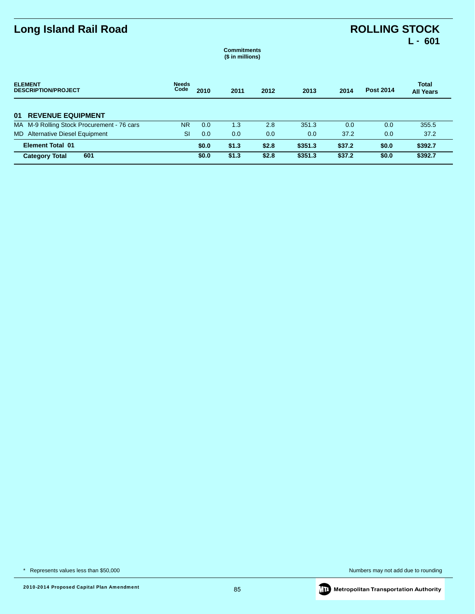### **Long Island Rail Road ROLLING STOCK**

# **L - 601**

**Commitments (\$ in millions)**

|    | <b>ELEMENT</b><br><b>DESCRIPTION/PROJECT</b> |           | 2010  | 2011  | 2012  | 2013    | 2014   | <b>Post 2014</b> | <b>Total</b><br><b>All Years</b> |
|----|----------------------------------------------|-----------|-------|-------|-------|---------|--------|------------------|----------------------------------|
| 01 | <b>REVENUE EQUIPMENT</b>                     |           |       |       |       |         |        |                  |                                  |
|    | MA M-9 Rolling Stock Procurement - 76 cars   | <b>NR</b> | 0.0   | 1.3   | 2.8   | 351.3   | 0.0    | 0.0              | 355.5                            |
|    | <b>MD</b> Alternative Diesel Equipment       | <b>SI</b> | 0.0   | 0.0   | 0.0   | 0.0     | 37.2   | 0.0              | 37.2                             |
|    | <b>Element Total 01</b>                      |           | \$0.0 | \$1.3 | \$2.8 | \$351.3 | \$37.2 | \$0.0            | \$392.7                          |
|    | 601<br><b>Category Total</b>                 |           | \$0.0 | \$1.3 | \$2.8 | \$351.3 | \$37.2 | \$0.0            | \$392.7                          |

\* Represents values less than \$50,000 Numbers may not add due to rounding

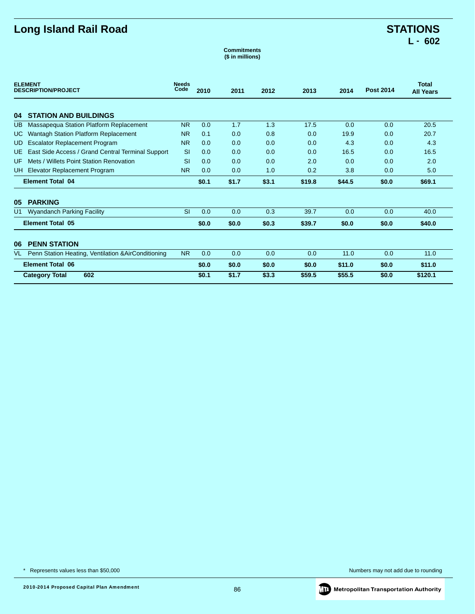**Long Island Rail Road STATIONS** 

**L - 602**

#### **Commitments (\$ in millions)**

|     | <b>ELEMENT</b><br><b>DESCRIPTION/PROJECT</b>        |                | 2010  | 2011  | 2012  | 2013   | 2014   | <b>Post 2014</b> | <b>Total</b><br><b>All Years</b> |
|-----|-----------------------------------------------------|----------------|-------|-------|-------|--------|--------|------------------|----------------------------------|
| 04  | <b>STATION AND BUILDINGS</b>                        |                |       |       |       |        |        |                  |                                  |
| UB  | Massapequa Station Platform Replacement             | <b>NR</b>      | 0.0   | 1.7   | 1.3   | 17.5   | 0.0    | 0.0              | 20.5                             |
| UC. | <b>Wantagh Station Platform Replacement</b>         | <b>NR</b>      | 0.1   | 0.0   | 0.8   | 0.0    | 19.9   | 0.0              | 20.7                             |
| UD  | <b>Escalator Replacement Program</b>                | <b>NR</b>      | 0.0   | 0.0   | 0.0   | 0.0    | 4.3    | 0.0              | 4.3                              |
| UE  | East Side Access / Grand Central Terminal Support   | <b>SI</b>      | 0.0   | 0.0   | 0.0   | 0.0    | 16.5   | 0.0              | 16.5                             |
| UF  | Mets / Willets Point Station Renovation             | <b>SI</b>      | 0.0   | 0.0   | 0.0   | 2.0    | 0.0    | 0.0              | 2.0                              |
| UH  | Elevator Replacement Program                        | N <sub>R</sub> | 0.0   | 0.0   | 1.0   | 0.2    | 3.8    | 0.0              | 5.0                              |
|     | <b>Element Total 04</b>                             |                | \$0.1 | \$1.7 | \$3.1 | \$19.8 | \$44.5 | \$0.0            | \$69.1                           |
| 05  | <b>PARKING</b>                                      |                |       |       |       |        |        |                  |                                  |
| U1  | <b>Wyandanch Parking Facility</b>                   | <b>SI</b>      | 0.0   | 0.0   | 0.3   | 39.7   | 0.0    | 0.0              | 40.0                             |
|     | <b>Element Total 05</b>                             |                | \$0.0 | \$0.0 | \$0.3 | \$39.7 | \$0.0  | \$0.0            | \$40.0                           |
| 06  | <b>PENN STATION</b>                                 |                |       |       |       |        |        |                  |                                  |
| VL  | Penn Station Heating, Ventilation & AirConditioning | N <sub>R</sub> | 0.0   | 0.0   | 0.0   | 0.0    | 11.0   | 0.0              | 11.0                             |
|     | <b>Element Total 06</b>                             |                | \$0.0 | \$0.0 | \$0.0 | \$0.0  | \$11.0 | \$0.0            | \$11.0                           |
|     | 602<br><b>Category Total</b>                        |                | \$0.1 | \$1.7 | \$3.3 | \$59.5 | \$55.5 | \$0.0            | \$120.1                          |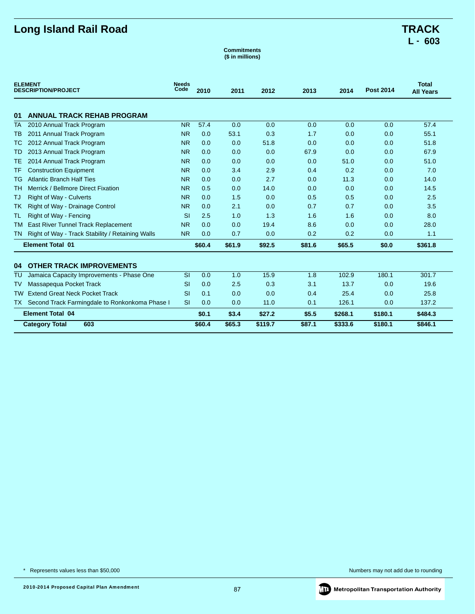**Long Island Rail Road TRACK**

**L - 603**

#### **Commitments (\$ in millions)**

|           | <b>ELEMENT</b><br><b>DESCRIPTION/PROJECT</b>     | <b>Needs</b><br>Code | 2010   | 2011   | 2012    | 2013   | 2014    | <b>Post 2014</b> | <b>Total</b><br><b>All Years</b> |
|-----------|--------------------------------------------------|----------------------|--------|--------|---------|--------|---------|------------------|----------------------------------|
| 01        | ANNUAL TRACK REHAB PROGRAM                       |                      |        |        |         |        |         |                  |                                  |
| <b>TA</b> | 2010 Annual Track Program                        | <b>NR</b>            | 57.4   | 0.0    | 0.0     | 0.0    | 0.0     | 0.0              | 57.4                             |
| ТB        | 2011 Annual Track Program                        | <b>NR</b>            | 0.0    | 53.1   | 0.3     | 1.7    | 0.0     | 0.0              | 55.1                             |
| ТC        | 2012 Annual Track Program                        | <b>NR</b>            | 0.0    | 0.0    | 51.8    | 0.0    | 0.0     | 0.0              | 51.8                             |
| TD        | 2013 Annual Track Program                        | <b>NR</b>            | 0.0    | 0.0    | 0.0     | 67.9   | 0.0     | 0.0              | 67.9                             |
| TE.       | 2014 Annual Track Program                        | N <sub>R</sub>       | 0.0    | 0.0    | 0.0     | 0.0    | 51.0    | 0.0              | 51.0                             |
| <b>TF</b> | <b>Construction Equipment</b>                    | <b>NR</b>            | 0.0    | 3.4    | 2.9     | 0.4    | 0.2     | 0.0              | 7.0                              |
| ТG        | <b>Atlantic Branch Half Ties</b>                 | <b>NR</b>            | 0.0    | 0.0    | 2.7     | 0.0    | 11.3    | 0.0              | 14.0                             |
| TH        | Merrick / Bellmore Direct Fixation               | <b>NR</b>            | 0.5    | 0.0    | 14.0    | 0.0    | 0.0     | 0.0              | 14.5                             |
| TJ        | <b>Right of Way - Culverts</b>                   | <b>NR</b>            | 0.0    | 1.5    | 0.0     | 0.5    | 0.5     | 0.0              | 2.5                              |
| TK.       | Right of Way - Drainage Control                  | <b>NR</b>            | 0.0    | 2.1    | 0.0     | 0.7    | 0.7     | 0.0              | 3.5                              |
| TL.       | Right of Way - Fencing                           | <b>SI</b>            | 2.5    | 1.0    | 1.3     | 1.6    | 1.6     | 0.0              | 8.0                              |
| <b>TM</b> | <b>East River Tunnel Track Replacement</b>       | <b>NR</b>            | 0.0    | 0.0    | 19.4    | 8.6    | 0.0     | 0.0              | 28.0                             |
| TN        | Right of Way - Track Stability / Retaining Walls | <b>NR</b>            | 0.0    | 0.7    | 0.0     | 0.2    | 0.2     | 0.0              | 1.1                              |
|           | <b>Element Total 01</b>                          |                      | \$60.4 | \$61.9 | \$92.5  | \$81.6 | \$65.5  | \$0.0            | \$361.8                          |
| 04        | <b>OTHER TRACK IMPROVEMENTS</b>                  |                      |        |        |         |        |         |                  |                                  |
| TU        | Jamaica Capacity Improvements - Phase One        | <b>SI</b>            | 0.0    | 1.0    | 15.9    | 1.8    | 102.9   | 180.1            | 301.7                            |
| <b>TV</b> | Massapequa Pocket Track                          | <b>SI</b>            | 0.0    | 2.5    | 0.3     | 3.1    | 13.7    | 0.0              | 19.6                             |
| <b>TW</b> | <b>Extend Great Neck Pocket Track</b>            | <b>SI</b>            | 0.1    | 0.0    | 0.0     | 0.4    | 25.4    | 0.0              | 25.8                             |
| TX.       | Second Track Farmingdale to Ronkonkoma Phase I   | <b>SI</b>            | 0.0    | 0.0    | 11.0    | 0.1    | 126.1   | 0.0              | 137.2                            |
|           | <b>Element Total 04</b>                          |                      | \$0.1  | \$3.4  | \$27.2  | \$5.5  | \$268.1 | \$180.1          | \$484.3                          |
|           | <b>Category Total</b><br>603                     |                      | \$60.4 | \$65.3 | \$119.7 | \$87.1 | \$333.6 | \$180.1          | \$846.1                          |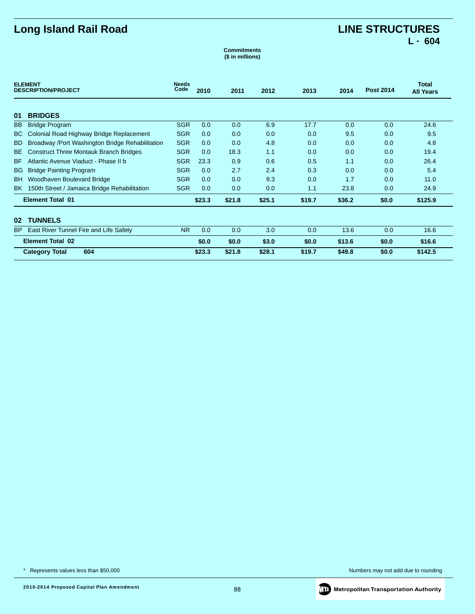#### **Long Island Rail Road LINE STRUCTURES L - 604**

**Commitments** 

**(\$ in millions)**

|           | <b>ELEMENT</b><br><b>DESCRIPTION/PROJECT</b>    |            | 2010   | 2011   | 2012   | 2013   | 2014   | <b>Post 2014</b> | <b>Total</b><br><b>All Years</b> |
|-----------|-------------------------------------------------|------------|--------|--------|--------|--------|--------|------------------|----------------------------------|
| 01        | <b>BRIDGES</b>                                  |            |        |        |        |        |        |                  |                                  |
| <b>BB</b> | <b>Bridge Program</b>                           | <b>SGR</b> | 0.0    | 0.0    | 6.9    | 17.7   | 0.0    | 0.0              | 24.6                             |
| BC.       | Colonial Road Highway Bridge Replacement        | <b>SGR</b> | 0.0    | 0.0    | 0.0    | 0.0    | 9.5    | 0.0              | 9.5                              |
| <b>BD</b> | Broadway /Port Washington Bridge Rehabilitation | <b>SGR</b> | 0.0    | 0.0    | 4.8    | 0.0    | 0.0    | 0.0              | 4.8                              |
| BE.       | <b>Construct Three Montauk Branch Bridges</b>   | <b>SGR</b> | 0.0    | 18.3   | 1.1    | 0.0    | 0.0    | 0.0              | 19.4                             |
| ВF        | Atlantic Avenue Viaduct - Phase II b            | <b>SGR</b> | 23.3   | 0.9    | 0.6    | 0.5    | 1.1    | 0.0              | 26.4                             |
| BG.       | <b>Bridge Painting Program</b>                  | <b>SGR</b> | 0.0    | 2.7    | 2.4    | 0.3    | 0.0    | 0.0              | 5.4                              |
| BH.       | Woodhaven Boulevard Bridge                      | <b>SGR</b> | 0.0    | 0.0    | 9.3    | 0.0    | 1.7    | 0.0              | 11.0                             |
| BK.       | 150th Street / Jamaica Bridge Rehabilitation    | <b>SGR</b> | 0.0    | 0.0    | 0.0    | 1.1    | 23.8   | 0.0              | 24.9                             |
|           | <b>Element Total 01</b>                         |            | \$23.3 | \$21.8 | \$25.1 | \$19.7 | \$36.2 | \$0.0            | \$125.9                          |
| 02        | <b>TUNNELS</b>                                  |            |        |        |        |        |        |                  |                                  |
| <b>BP</b> | East River Tunnel Fire and Life Safety          | NR         | 0.0    | 0.0    | 3.0    | 0.0    | 13.6   | 0.0              | 16.6                             |
|           | <b>Element Total 02</b>                         |            | \$0.0  | \$0.0  | \$3.0  | \$0.0  | \$13.6 | \$0.0            | \$16.6                           |
|           | 604<br><b>Category Total</b>                    |            | \$23.3 | \$21.8 | \$28.1 | \$19.7 | \$49.8 | \$0.0            | \$142.5                          |
|           |                                                 |            |        |        |        |        |        |                  |                                  |

\* Represents values less than \$50,000 Numbers may not add due to rounding

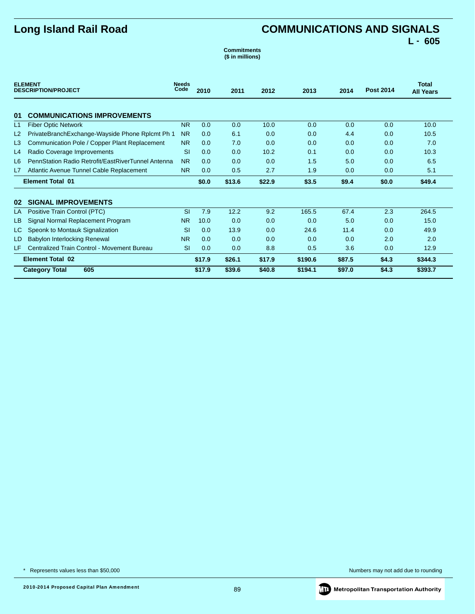### **Long Island Rail Road COMMUNICATIONS AND SIGNALS**

**L - 605**

**Commitments** 

**(\$ in millions)**

|                         | <b>ELEMENT</b><br><b>DESCRIPTION/PROJECT</b>       |                | 2010   | 2011   | 2012   | 2013    | 2014   | <b>Post 2014</b> | <b>Total</b><br><b>All Years</b> |
|-------------------------|----------------------------------------------------|----------------|--------|--------|--------|---------|--------|------------------|----------------------------------|
| 01                      | <b>COMMUNICATIONS IMPROVEMENTS</b>                 |                |        |        |        |         |        |                  |                                  |
| L1                      | <b>Fiber Optic Network</b>                         | N <sub>R</sub> | 0.0    | 0.0    | 10.0   | 0.0     | 0.0    | 0.0              | 10.0                             |
| L2                      | PrivateBranchExchange-Wayside Phone Rplcmt Ph 1    | N <sub>R</sub> | 0.0    | 6.1    | 0.0    | 0.0     | 4.4    | 0.0              | 10.5                             |
| L <sub>3</sub>          | Communication Pole / Copper Plant Replacement      | <b>NR</b>      | 0.0    | 7.0    | 0.0    | 0.0     | 0.0    | 0.0              | 7.0                              |
| L4                      | Radio Coverage Improvements                        | <b>SI</b>      | 0.0    | 0.0    | 10.2   | 0.1     | 0.0    | 0.0              | 10.3                             |
| L <sub>6</sub>          | PennStation Radio Retrofit/EastRiverTunnel Antenna | <b>NR</b>      | 0.0    | 0.0    | 0.0    | 1.5     | 5.0    | 0.0              | 6.5                              |
| L7                      | Atlantic Avenue Tunnel Cable Replacement           | <b>NR</b>      | 0.0    | 0.5    | 2.7    | 1.9     | 0.0    | 0.0              | 5.1                              |
| <b>Element Total 01</b> |                                                    |                | \$0.0  | \$13.6 | \$22.9 | \$3.5   | \$9.4  | \$0.0            | \$49.4                           |
| 02                      | <b>SIGNAL IMPROVEMENTS</b>                         |                |        |        |        |         |        |                  |                                  |
| LA                      | Positive Train Control (PTC)                       | SI             | 7.9    | 12.2   | 9.2    | 165.5   | 67.4   | 2.3              | 264.5                            |
| LB.                     | Signal Normal Replacement Program                  | <b>NR</b>      | 10.0   | 0.0    | 0.0    | 0.0     | 5.0    | 0.0              | 15.0                             |
| LC.                     | Speonk to Montauk Signalization                    | <b>SI</b>      | 0.0    | 13.9   | 0.0    | 24.6    | 11.4   | 0.0              | 49.9                             |
| LD.                     | Babylon Interlocking Renewal                       | <b>NR</b>      | 0.0    | 0.0    | 0.0    | 0.0     | 0.0    | 2.0              | 2.0                              |
| LF                      | Centralized Train Control - Movement Bureau        | <b>SI</b>      | 0.0    | 0.0    | 8.8    | 0.5     | 3.6    | 0.0              | 12.9                             |
|                         | <b>Element Total 02</b>                            |                | \$17.9 | \$26.1 | \$17.9 | \$190.6 | \$87.5 | \$4.3            | \$344.3                          |
|                         | <b>Category Total</b><br>605                       |                | \$17.9 | \$39.6 | \$40.8 | \$194.1 | \$97.0 | \$4.3            | \$393.7                          |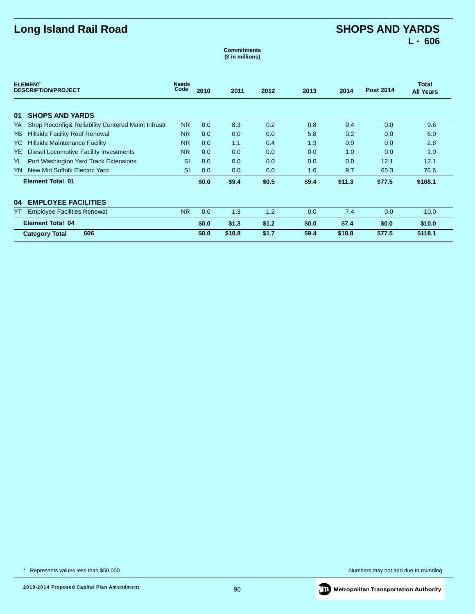## **Long Island Rail Road SHOPS AND YARDS**

**L - 606**

**Commitments (\$ in millions)**

|     | <b>ELEMENT</b><br><b>DESCRIPTION/PROJECT</b>       |                | 2010    | 2011   | 2012  | 2013  | 2014   | <b>Post 2014</b> | <b>Total</b><br><b>All Years</b> |
|-----|----------------------------------------------------|----------------|---------|--------|-------|-------|--------|------------------|----------------------------------|
| 01  | <b>SHOPS AND YARDS</b>                             |                |         |        |       |       |        |                  |                                  |
| YA  | Shop Reconfig& Reliability Centered Maint Infrastr | N <sub>R</sub> | 0.0     | 8.3    | 0.2   | 0.8   | 0.4    | 0.0              | 9.6                              |
| YB  | <b>Hillside Facility Roof Renewal</b>              | N <sub>R</sub> | 0.0     | 0.0    | 0.0   | 5.8   | 0.2    | 0.0              | 6.0                              |
| YC  | <b>Hillside Maintenance Facility</b>               | N <sub>R</sub> | 0.0     | 1.1    | 0.4   | 1.3   | 0.0    | 0.0              | 2.8                              |
| YE  | Diesel Locomotive Facility Investments             | N <sub>R</sub> | 0.0     | 0.0    | 0.0   | 0.0   | 1.0    | 0.0              | 1.0                              |
| YL  | Port Washington Yard Track Extensions              | <b>SI</b>      | 0.0     | 0.0    | 0.0   | 0.0   | 0.0    | 12.1             | 12.1                             |
| YN. | New Mid Suffolk Electric Yard                      | <b>SI</b>      | 0.0     | 0.0    | 0.0   | 1.6   | 9.7    | 65.3             | 76.6                             |
|     | <b>Element Total 01</b>                            |                | \$0.0   | \$9.4  | \$0.5 | \$9.4 | \$11.3 | \$77.5           | \$108.1                          |
| 04  | <b>EMPLOYEE FACILITIES</b>                         |                |         |        |       |       |        |                  |                                  |
| YT  | <b>Employee Facilities Renewal</b>                 | <b>NR</b>      | 0.0     | 1.3    | 1.2   | 0.0   | 7.4    | 0.0              | 10.0                             |
|     | <b>Element Total 04</b>                            |                | \$0.0\$ | \$1.3  | \$1.2 | \$0.0 | \$7.4  | \$0.0            | \$10.0                           |
|     | 606<br><b>Category Total</b>                       |                | \$0.0   | \$10.8 | \$1.7 | \$9.4 | \$18.8 | \$77.5           | \$118.1                          |

\* Represents values less than \$50,000 Numbers may not add due to rounding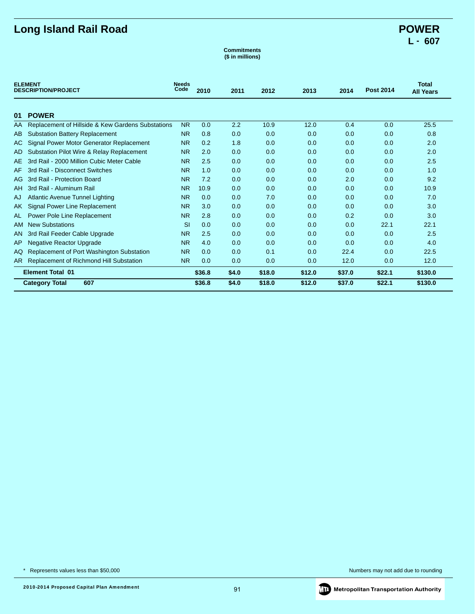**Long Island Rail Road POWER**

**L - 607**

#### **Commitments (\$ in millions)**

|           | <b>Needs</b><br><b>ELEMENT</b><br><b>DESCRIPTION/PROJECT</b> |           | 2010   | 2011  | 2012   | 2013   | 2014   | <b>Post 2014</b> | <b>Total</b><br><b>All Years</b> |
|-----------|--------------------------------------------------------------|-----------|--------|-------|--------|--------|--------|------------------|----------------------------------|
| 01        | <b>POWER</b>                                                 |           |        |       |        |        |        |                  |                                  |
| AA        | Replacement of Hillside & Kew Gardens Substations            | <b>NR</b> | 0.0    | 2.2   | 10.9   | 12.0   | 0.4    | 0.0              | 25.5                             |
| AB        | <b>Substation Battery Replacement</b>                        | <b>NR</b> | 0.8    | 0.0   | 0.0    | 0.0    | 0.0    | 0.0              | 0.8                              |
| AC.       | Signal Power Motor Generator Replacement                     | <b>NR</b> | 0.2    | 1.8   | 0.0    | 0.0    | 0.0    | 0.0              | 2.0                              |
| <b>AD</b> | Substation Pilot Wire & Relay Replacement                    | <b>NR</b> | 2.0    | 0.0   | 0.0    | 0.0    | 0.0    | 0.0              | 2.0                              |
| AE        | 3rd Rail - 2000 Million Cubic Meter Cable                    | <b>NR</b> | 2.5    | 0.0   | 0.0    | 0.0    | 0.0    | 0.0              | 2.5                              |
| AF        | 3rd Rail - Disconnect Switches                               | <b>NR</b> | 1.0    | 0.0   | 0.0    | 0.0    | 0.0    | 0.0              | 1.0                              |
| AG.       | 3rd Rail - Protection Board                                  | <b>NR</b> | 7.2    | 0.0   | 0.0    | 0.0    | 2.0    | 0.0              | 9.2                              |
| AH.       | 3rd Rail - Aluminum Rail                                     | <b>NR</b> | 10.9   | 0.0   | 0.0    | 0.0    | 0.0    | 0.0              | 10.9                             |
| AJ        | <b>Atlantic Avenue Tunnel Lighting</b>                       | <b>NR</b> | 0.0    | 0.0   | 7.0    | 0.0    | 0.0    | 0.0              | 7.0                              |
| AK.       | Signal Power Line Replacement                                | <b>NR</b> | 3.0    | 0.0   | 0.0    | 0.0    | 0.0    | 0.0              | 3.0                              |
| AL.       | Power Pole Line Replacement                                  | <b>NR</b> | 2.8    | 0.0   | 0.0    | 0.0    | 0.2    | 0.0              | 3.0                              |
| <b>AM</b> | <b>New Substations</b>                                       | SI        | 0.0    | 0.0   | 0.0    | 0.0    | 0.0    | 22.1             | 22.1                             |
| AN.       | 3rd Rail Feeder Cable Upgrade                                | <b>NR</b> | 2.5    | 0.0   | 0.0    | 0.0    | 0.0    | 0.0              | 2.5                              |
| AP        | <b>Negative Reactor Upgrade</b>                              | <b>NR</b> | 4.0    | 0.0   | 0.0    | 0.0    | 0.0    | 0.0              | 4.0                              |
| AQ        | Replacement of Port Washington Substation                    | <b>NR</b> | 0.0    | 0.0   | 0.1    | 0.0    | 22.4   | 0.0              | 22.5                             |
| AR.       | Replacement of Richmond Hill Substation                      | <b>NR</b> | 0.0    | 0.0   | 0.0    | 0.0    | 12.0   | 0.0              | 12.0                             |
|           | <b>Element Total 01</b>                                      |           | \$36.8 | \$4.0 | \$18.0 | \$12.0 | \$37.0 | \$22.1           | \$130.0                          |
|           | 607<br><b>Category Total</b>                                 |           | \$36.8 | \$4.0 | \$18.0 | \$12.0 | \$37.0 | \$22.1           | \$130.0                          |

91

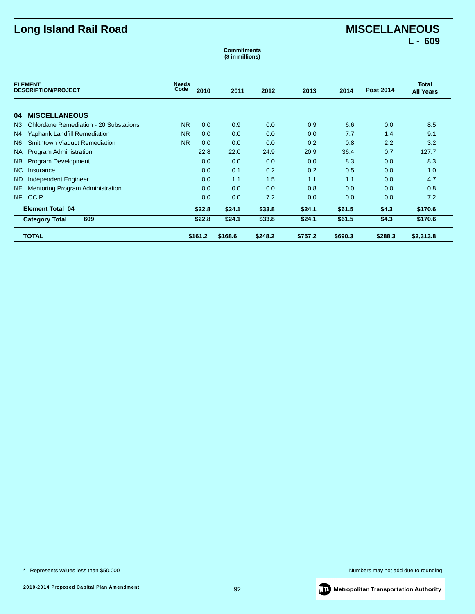**Long Island Rail Road MISCELLANEOUS** 

**L - 609**

**Commitments (\$ in millions)**

|                | <b>ELEMENT</b><br><b>DESCRIPTION/PROJECT</b>  | <b>Needs</b><br>Code | 2010    | 2011    | 2013<br>2012 |         | 2014    | <b>Post 2014</b> | <b>Total</b><br><b>All Years</b> |
|----------------|-----------------------------------------------|----------------------|---------|---------|--------------|---------|---------|------------------|----------------------------------|
| 04             | <b>MISCELLANEOUS</b>                          |                      |         |         |              |         |         |                  |                                  |
| N <sub>3</sub> | <b>Chlordane Remediation - 20 Substations</b> | <b>NR</b>            | 0.0     | 0.9     | 0.0          | 0.9     | 6.6     | 0.0              | 8.5                              |
| N <sub>4</sub> | <b>Yaphank Landfill Remediation</b>           | N <sub>R</sub>       | 0.0     | 0.0     | 0.0          | 0.0     | 7.7     | 1.4              | 9.1                              |
| N <sub>6</sub> | <b>Smithtown Viaduct Remediation</b>          | <b>NR</b>            | 0.0     | 0.0     | 0.0          | 0.2     | 0.8     | 2.2              | 3.2                              |
| NA.            | Program Administration                        |                      | 22.8    | 22.0    | 24.9         | 20.9    | 36.4    | 0.7              | 127.7                            |
| NB.            | <b>Program Development</b>                    |                      | 0.0     | 0.0     | 0.0          | 0.0     | 8.3     | 0.0              | 8.3                              |
| NC             | Insurance                                     |                      | 0.0     | 0.1     | 0.2          | 0.2     | 0.5     | 0.0              | 1.0                              |
| ND.            | Independent Engineer                          |                      | 0.0     | 1.1     | 1.5          | 1.1     | 1.1     | 0.0              | 4.7                              |
| NE.            | <b>Mentoring Program Administration</b>       |                      | 0.0     | 0.0     | 0.0          | 0.8     | 0.0     | 0.0              | 0.8                              |
| <b>NF</b>      | <b>OCIP</b>                                   |                      | 0.0     | 0.0     | 7.2          | 0.0     | 0.0     | 0.0              | 7.2                              |
|                | <b>Element Total 04</b>                       |                      | \$22.8  | \$24.1  | \$33.8       | \$24.1  | \$61.5  | \$4.3            | \$170.6                          |
|                | 609<br><b>Category Total</b>                  |                      | \$22.8  | \$24.1  | \$33.8       | \$24.1  | \$61.5  | \$4.3            | \$170.6                          |
|                | <b>TOTAL</b>                                  |                      | \$161.2 | \$168.6 | \$248.2      | \$757.2 | \$690.3 | \$288.3          | \$2,313.8                        |

\* Represents values less than \$50,000 Numbers may not add due to rounding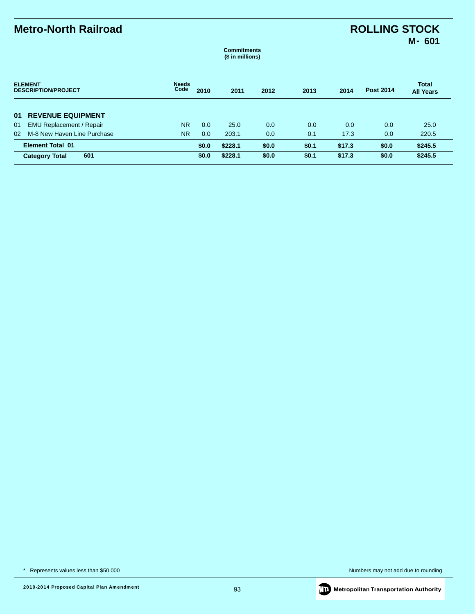### **Metro-North Railroad ROLLING STOCK**

**M - 601**

**Commitments** 

|  | uunnunun         |  |
|--|------------------|--|
|  | (\$ in millions) |  |

|    | <b>ELEMENT</b><br><b>DESCRIPTION/PROJECT</b> | <b>Needs</b><br>Code | 2010  | 2011    | 2012    | 2013  | 2014   | <b>Post 2014</b> | <b>Total</b><br><b>All Years</b> |
|----|----------------------------------------------|----------------------|-------|---------|---------|-------|--------|------------------|----------------------------------|
| 01 | <b>REVENUE EQUIPMENT</b>                     |                      |       |         |         |       |        |                  |                                  |
| 01 | <b>EMU Replacement / Repair</b>              | N <sub>R</sub>       | 0.0   | 25.0    | 0.0     | 0.0   | 0.0    | 0.0              | 25.0                             |
|    | 02 M-8 New Haven Line Purchase               | N <sub>R</sub>       | 0.0   | 203.1   | 0.0     | 0.1   | 17.3   | 0.0              | 220.5                            |
|    | <b>Element Total 01</b>                      |                      | \$0.0 | \$228.1 | \$0.0\$ | \$0.1 | \$17.3 | \$0.0            | \$245.5                          |
|    | 601<br><b>Category Total</b>                 |                      | \$0.0 | \$228.1 | \$0.0   | \$0.1 | \$17.3 | \$0.0            | \$245.5                          |

\* Represents values less than \$50,000 Numbers may not add due to rounding

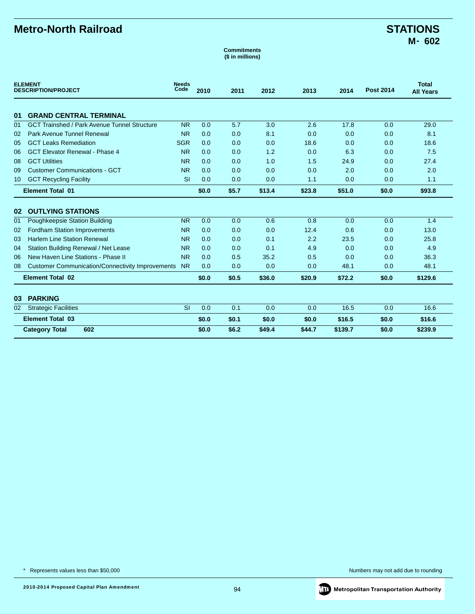**Metro-North Railroad STATIONS**

**M - 602**

**Commitments (\$ in millions)**

|    | <b>Needs</b><br><b>ELEMENT</b><br>Code<br><b>DESCRIPTION/PROJECT</b> |                | 2010  | 2011  | 2012   | 2013   | 2014    | <b>Post 2014</b> | <b>Total</b><br><b>All Years</b> |
|----|----------------------------------------------------------------------|----------------|-------|-------|--------|--------|---------|------------------|----------------------------------|
| 01 | <b>GRAND CENTRAL TERMINAL</b>                                        |                |       |       |        |        |         |                  |                                  |
| 01 | <b>GCT Trainshed / Park Avenue Tunnel Structure</b>                  | <b>NR</b>      | 0.0   | 5.7   | 3.0    | 2.6    | 17.8    | 0.0              | 29.0                             |
| 02 | Park Avenue Tunnel Renewal                                           | <b>NR</b>      | 0.0   | 0.0   | 8.1    | 0.0    | 0.0     | 0.0              | 8.1                              |
| 05 | <b>GCT Leaks Remediation</b>                                         | <b>SGR</b>     | 0.0   | 0.0   | 0.0    | 18.6   | 0.0     | 0.0              | 18.6                             |
| 06 | <b>GCT Elevator Renewal - Phase 4</b>                                | <b>NR</b>      | 0.0   | 0.0   | 1.2    | 0.0    | 6.3     | 0.0              | 7.5                              |
| 08 | <b>GCT Utilities</b>                                                 | <b>NR</b>      | 0.0   | 0.0   | 1.0    | 1.5    | 24.9    | 0.0              | 27.4                             |
| 09 | <b>Customer Communications - GCT</b>                                 | <b>NR</b>      | 0.0   | 0.0   | 0.0    | 0.0    | 2.0     | 0.0              | 2.0                              |
| 10 | <b>GCT Recycling Facility</b>                                        | <b>SI</b>      | 0.0   | 0.0   | 0.0    | 1.1    | 0.0     | 0.0              | 1.1                              |
|    | <b>Element Total 01</b>                                              |                | \$0.0 | \$5.7 | \$13.4 | \$23.8 | \$51.0  | \$0.0            | \$93.8                           |
| 02 | <b>OUTLYING STATIONS</b>                                             |                |       |       |        |        |         |                  |                                  |
| 01 | Poughkeepsie Station Building                                        | <b>NR</b>      | 0.0   | 0.0   | 0.6    | 0.8    | 0.0     | 0.0              | 1.4                              |
| 02 | <b>Fordham Station Improvements</b>                                  | <b>NR</b>      | 0.0   | 0.0   | 0.0    | 12.4   | 0.6     | 0.0              | 13.0                             |
| 03 | <b>Harlem Line Station Renewal</b>                                   | <b>NR</b>      | 0.0   | 0.0   | 0.1    | 2.2    | 23.5    | 0.0              | 25.8                             |
| 04 | Station Building Renewal / Net Lease                                 | N <sub>R</sub> | 0.0   | 0.0   | 0.1    | 4.9    | 0.0     | 0.0              | 4.9                              |
| 06 | New Haven Line Stations - Phase II                                   | N <sub>R</sub> | 0.0   | 0.5   | 35.2   | 0.5    | 0.0     | 0.0              | 36.3                             |
| 08 | <b>Customer Communication/Connectivity Improvements</b>              | <b>NR</b>      | 0.0   | 0.0   | 0.0    | 0.0    | 48.1    | 0.0              | 48.1                             |
|    | <b>Element Total 02</b>                                              |                | \$0.0 | \$0.5 | \$36.0 | \$20.9 | \$72.2  | \$0.0            | \$129.6                          |
| 03 | <b>PARKING</b>                                                       |                |       |       |        |        |         |                  |                                  |
| 02 | <b>Strategic Facilities</b>                                          | SI             | 0.0   | 0.1   | 0.0    | 0.0    | 16.5    | 0.0              | 16.6                             |
|    | <b>Element Total 03</b>                                              |                | \$0.0 | \$0.1 | \$0.0  | \$0.0  | \$16.5  | \$0.0            | \$16.6                           |
|    | <b>Category Total</b><br>602                                         |                | \$0.0 | \$6.2 | \$49.4 | \$44.7 | \$139.7 | \$0.0            | \$239.9                          |
|    |                                                                      |                |       |       |        |        |         |                  |                                  |

\* Represents values less than \$50,000 Numbers may not add due to rounding not add due to rounding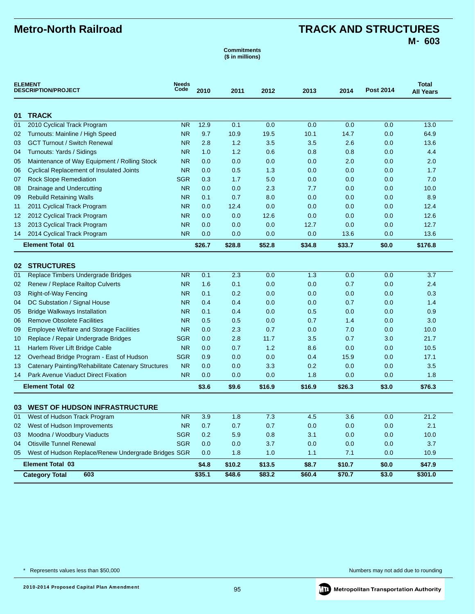### **Metro-North Railroad TRACK AND STRUCTURES**

**M - 603**

**Commitments** 

**(\$ in millions)**

|                   | <b>ELEMENT</b><br><b>DESCRIPTION/PROJECT</b>        |            | 2010   | 2011   | 2012   | 2013   | 2014   | <b>Post 2014</b> | <b>Total</b><br><b>All Years</b> |
|-------------------|-----------------------------------------------------|------------|--------|--------|--------|--------|--------|------------------|----------------------------------|
|                   |                                                     |            |        |        |        |        |        |                  |                                  |
| 01                | <b>TRACK</b>                                        |            |        |        |        |        |        |                  |                                  |
| 01                | 2010 Cyclical Track Program                         | <b>NR</b>  | 12.9   | 0.1    | 0.0    | 0.0    | 0.0    | 0.0              | 13.0                             |
| 02                | Turnouts: Mainline / High Speed                     | <b>NR</b>  | 9.7    | 10.9   | 19.5   | 10.1   | 14.7   | 0.0              | 64.9                             |
| 03                | <b>GCT Turnout / Switch Renewal</b>                 | <b>NR</b>  | 2.8    | 1.2    | 3.5    | 3.5    | 2.6    | 0.0              | 13.6                             |
| 04                | Turnouts: Yards / Sidings                           | <b>NR</b>  | 1.0    | 1.2    | 0.6    | 0.8    | 0.8    | 0.0              | 4.4                              |
| 05                | Maintenance of Way Equipment / Rolling Stock        | <b>NR</b>  | 0.0    | 0.0    | 0.0    | 0.0    | 2.0    | 0.0              | 2.0                              |
| 06                | <b>Cyclical Replacement of Insulated Joints</b>     | <b>NR</b>  | 0.0    | 0.5    | 1.3    | 0.0    | 0.0    | 0.0              | 1.7                              |
| 07                | <b>Rock Slope Remediation</b>                       | <b>SGR</b> | 0.3    | 1.7    | 5.0    | 0.0    | 0.0    | 0.0              | 7.0                              |
| 08                | Drainage and Undercutting                           | <b>NR</b>  | 0.0    | 0.0    | 2.3    | 7.7    | 0.0    | 0.0              | 10.0                             |
| 09                | <b>Rebuild Retaining Walls</b>                      | <b>NR</b>  | 0.1    | 0.7    | 8.0    | 0.0    | 0.0    | 0.0              | 8.9                              |
| 11                | 2011 Cyclical Track Program                         | <b>NR</b>  | 0.0    | 12.4   | 0.0    | 0.0    | 0.0    | 0.0              | 12.4                             |
| 12                | 2012 Cyclical Track Program                         | <b>NR</b>  | 0.0    | 0.0    | 12.6   | 0.0    | 0.0    | 0.0              | 12.6                             |
| 13                | 2013 Cyclical Track Program                         | <b>NR</b>  | 0.0    | 0.0    | 0.0    | 12.7   | 0.0    | 0.0              | 12.7                             |
| 14                | 2014 Cyclical Track Program                         | <b>NR</b>  | 0.0    | 0.0    | 0.0    | 0.0    | 13.6   | 0.0              | 13.6                             |
|                   | <b>Element Total 01</b>                             |            | \$26.7 | \$28.8 | \$52.8 | \$34.8 | \$33.7 | \$0.0            | \$176.8                          |
|                   |                                                     |            |        |        |        |        |        |                  |                                  |
| 02                | <b>STRUCTURES</b>                                   |            |        |        |        |        |        |                  |                                  |
| 01                | Replace Timbers Undergrade Bridges                  | <b>NR</b>  | 0.1    | 2.3    | 0.0    | 1.3    | 0.0    | 0.0              | 3.7                              |
| 02 <sub>2</sub>   | Renew / Replace Railtop Culverts                    | <b>NR</b>  | 1.6    | 0.1    | 0.0    | 0.0    | 0.7    | 0.0              | 2.4                              |
| 03                | Right-of-Way Fencing                                | <b>NR</b>  | 0.1    | 0.2    | 0.0    | 0.0    | 0.0    | 0.0              | 0.3                              |
| 04                | DC Substation / Signal House                        | <b>NR</b>  | 0.4    | 0.4    | 0.0    | 0.0    | 0.7    | 0.0              | 1.4                              |
| 05                | <b>Bridge Walkways Installation</b>                 | <b>NR</b>  | 0.1    | 0.4    | 0.0    | 0.5    | 0.0    | 0.0              | 0.9                              |
| 06                | <b>Remove Obsolete Facilities</b>                   | <b>NR</b>  | 0.5    | 0.5    | 0.0    | 0.7    | 1.4    | 0.0              | 3.0                              |
| 09                | <b>Employee Welfare and Storage Facilities</b>      | <b>NR</b>  | 0.0    | 2.3    | 0.7    | 0.0    | 7.0    | 0.0              | 10.0                             |
| 10                | Replace / Repair Undergrade Bridges                 | <b>SGR</b> | 0.0    | 2.8    | 11.7   | 3.5    | 0.7    | 3.0              | 21.7                             |
| 11                | Harlem River Lift Bridge Cable                      | <b>NR</b>  | 0.0    | 0.7    | 1.2    | 8.6    | 0.0    | 0.0              | 10.5                             |
| $12 \overline{ }$ | Overhead Bridge Program - East of Hudson            | <b>SGR</b> | 0.9    | 0.0    | 0.0    | 0.4    | 15.9   | 0.0              | 17.1                             |
| 13                | Catenary Painting/Rehabilitate Catenary Structures  | <b>NR</b>  | 0.0    | 0.0    | 3.3    | 0.2    | 0.0    | 0.0              | 3.5                              |
| 14                | Park Avenue Viaduct Direct Fixation                 | <b>NR</b>  | 0.0    | 0.0    | 0.0    | 1.8    | 0.0    | 0.0              | 1.8                              |
|                   | <b>Element Total 02</b>                             |            | \$3.6  | \$9.6  | \$16.9 | \$16.9 | \$26.3 | \$3.0            | \$76.3                           |
| 03                | <b>WEST OF HUDSON INFRASTRUCTURE</b>                |            |        |        |        |        |        |                  |                                  |
| 01                | West of Hudson Track Program                        | <b>NR</b>  | 3.9    | 1.8    | 7.3    | 4.5    | 3.6    | 0.0              | 21.2                             |
|                   |                                                     |            |        |        |        |        |        |                  |                                  |
| 02                | West of Hudson Improvements                         | <b>NR</b>  | 0.7    | 0.7    | 0.7    | 0.0    | 0.0    | 0.0              | 2.1                              |
| 03                | Moodna / Woodbury Viaducts                          | <b>SGR</b> | 0.2    | 5.9    | 0.8    | 3.1    | 0.0    | 0.0              | 10.0                             |
| 04                | <b>Otisville Tunnel Renewal</b>                     | <b>SGR</b> | 0.0    | 0.0    | 3.7    | 0.0    | 0.0    | 0.0              | 3.7                              |
| 05                | West of Hudson Replace/Renew Undergrade Bridges SGR |            | 0.0    | 1.8    | 1.0    | 1.1    | 7.1    | 0.0              | 10.9                             |
|                   | <b>Element Total 03</b>                             |            | \$4.8  | \$10.2 | \$13.5 | \$8.7  | \$10.7 | \$0.0            | \$47.9                           |
|                   | 603<br><b>Category Total</b>                        |            | \$35.1 | \$48.6 | \$83.2 | \$60.4 | \$70.7 | \$3.0            | \$301.0                          |

\* Represents values less than \$50,000 Numbers may not add due to rounding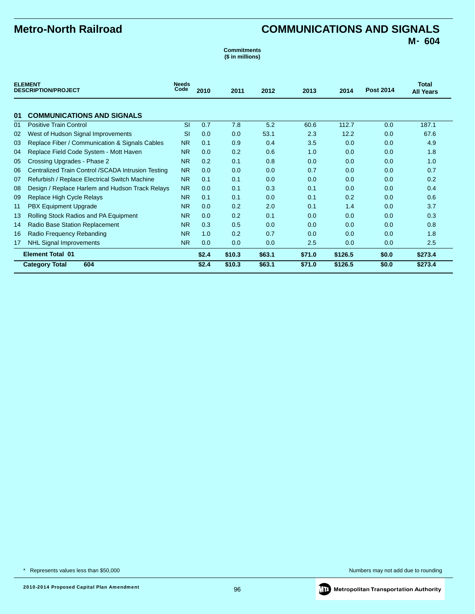### **Metro-North Railroad COMMUNICATIONS AND SIGNALS**

**M - 604**

**Commitments** 

**(\$ in millions)**

|     | <b>ELEMENT</b><br><b>DESCRIPTION/PROJECT</b>        |                | 2010  | 2011   | 2012   | 2013   | 2014    | <b>Post 2014</b> | <b>Total</b><br><b>All Years</b> |
|-----|-----------------------------------------------------|----------------|-------|--------|--------|--------|---------|------------------|----------------------------------|
| -01 | <b>COMMUNICATIONS AND SIGNALS</b>                   |                |       |        |        |        |         |                  |                                  |
| 01  | <b>Positive Train Control</b>                       | <b>SI</b>      | 0.7   | 7.8    | 5.2    | 60.6   | 112.7   | 0.0              | 187.1                            |
| 02  | West of Hudson Signal Improvements                  | <b>SI</b>      | 0.0   | 0.0    | 53.1   | 2.3    | 12.2    | 0.0              | 67.6                             |
| 03  | Replace Fiber / Communication & Signals Cables      | N <sub>R</sub> | 0.1   | 0.9    | 0.4    | 3.5    | 0.0     | 0.0              | 4.9                              |
| 04  | Replace Field Code System - Mott Haven              | N <sub>R</sub> | 0.0   | 0.2    | 0.6    | 1.0    | 0.0     | 0.0              | 1.8                              |
| 05  | Crossing Upgrades - Phase 2                         | N <sub>R</sub> | 0.2   | 0.1    | 0.8    | 0.0    | 0.0     | 0.0              | 1.0                              |
| 06  | Centralized Train Control / SCADA Intrusion Testing | N <sub>R</sub> | 0.0   | 0.0    | 0.0    | 0.7    | 0.0     | 0.0              | 0.7                              |
| 07  | Refurbish / Replace Electrical Switch Machine       | <b>NR</b>      | 0.1   | 0.1    | 0.0    | 0.0    | 0.0     | 0.0              | 0.2                              |
| 08  | Design / Replace Harlem and Hudson Track Relays     | N <sub>R</sub> | 0.0   | 0.1    | 0.3    | 0.1    | 0.0     | 0.0              | 0.4                              |
| 09  | Replace High Cycle Relays                           | N <sub>R</sub> | 0.1   | 0.1    | 0.0    | 0.1    | 0.2     | 0.0              | 0.6                              |
| 11  | <b>PBX Equipment Upgrade</b>                        | <b>NR</b>      | 0.0   | 0.2    | 2.0    | 0.1    | 1.4     | 0.0              | 3.7                              |
| 13  | Rolling Stock Radios and PA Equipment               | N <sub>R</sub> | 0.0   | 0.2    | 0.1    | 0.0    | 0.0     | 0.0              | 0.3                              |
| 14  | Radio Base Station Replacement                      | <b>NR</b>      | 0.3   | 0.5    | 0.0    | 0.0    | 0.0     | 0.0              | 0.8                              |
| 16  | Radio Frequency Rebanding                           | N <sub>R</sub> | 1.0   | 0.2    | 0.7    | 0.0    | 0.0     | 0.0              | 1.8                              |
| 17  | <b>NHL Signal Improvements</b>                      | NR.            | 0.0   | 0.0    | 0.0    | 2.5    | 0.0     | 0.0              | 2.5                              |
|     | <b>Element Total 01</b>                             |                | \$2.4 | \$10.3 | \$63.1 | \$71.0 | \$126.5 | \$0.0            | \$273.4                          |
|     | <b>Category Total</b><br>604                        |                | \$2.4 | \$10.3 | \$63.1 | \$71.0 | \$126.5 | \$0.0            | \$273.4                          |

\* Represents values less than \$50,000 Numbers may not add due to rounding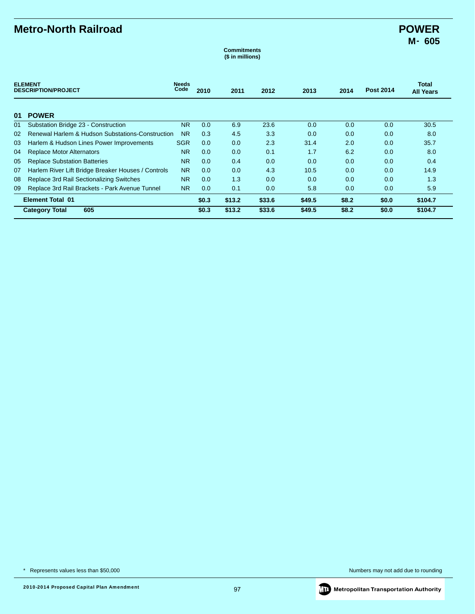**Metro-North Railroad POWER**

**M - 605**

#### **Commitments (\$ in millions)**

|    | <b>ELEMENT</b><br><b>DESCRIPTION/PROJECT</b>       |                | 2010  | 2011   | 2012   | 2013   | 2014  | <b>Post 2014</b> | <b>Total</b><br><b>All Years</b> |
|----|----------------------------------------------------|----------------|-------|--------|--------|--------|-------|------------------|----------------------------------|
| 01 | <b>POWER</b>                                       |                |       |        |        |        |       |                  |                                  |
| 01 | Substation Bridge 23 - Construction                | N <sub>R</sub> | 0.0   | 6.9    | 23.6   | 0.0    | 0.0   | 0.0              | 30.5                             |
| 02 | Renewal Harlem & Hudson Substations-Construction   | <b>NR</b>      | 0.3   | 4.5    | 3.3    | 0.0    | 0.0   | 0.0              | 8.0                              |
| 03 | Harlem & Hudson Lines Power Improvements           | <b>SGR</b>     | 0.0   | 0.0    | 2.3    | 31.4   | 2.0   | 0.0              | 35.7                             |
| 04 | <b>Replace Motor Alternators</b>                   | N <sub>R</sub> | 0.0   | 0.0    | 0.1    | 1.7    | 6.2   | 0.0              | 8.0                              |
| 05 | <b>Replace Substation Batteries</b>                | N <sub>R</sub> | 0.0   | 0.4    | 0.0    | 0.0    | 0.0   | 0.0              | 0.4                              |
| 07 | Harlem River Lift Bridge Breaker Houses / Controls | N <sub>R</sub> | 0.0   | 0.0    | 4.3    | 10.5   | 0.0   | 0.0              | 14.9                             |
| 08 | Replace 3rd Rail Sectionalizing Switches           | N <sub>R</sub> | 0.0   | 1.3    | 0.0    | 0.0    | 0.0   | 0.0              | 1.3                              |
| 09 | Replace 3rd Rail Brackets - Park Avenue Tunnel     | N <sub>R</sub> | 0.0   | 0.1    | 0.0    | 5.8    | 0.0   | 0.0              | 5.9                              |
|    | <b>Element Total 01</b>                            |                | \$0.3 | \$13.2 | \$33.6 | \$49.5 | \$8.2 | \$0.0            | \$104.7                          |
|    | 605<br><b>Category Total</b>                       |                | \$0.3 | \$13.2 | \$33.6 | \$49.5 | \$8.2 | \$0.0            | \$104.7                          |

\* Represents values less than \$50,000 Numbers may not add due to rounding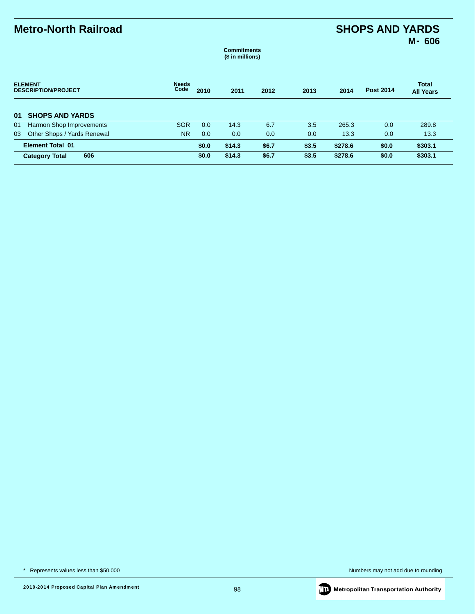## **Metro-North Railroad SHOPS AND YARDS**

**M - 606**

**Commitments (\$ in millions)**

|                 | <b>ELEMENT</b><br><b>DESCRIPTION/PROJECT</b> | <b>Needs</b><br>Code | 2010  | 2011   | 2012  | 2013  | 2014    | <b>Post 2014</b> | <b>Total</b><br><b>All Years</b> |
|-----------------|----------------------------------------------|----------------------|-------|--------|-------|-------|---------|------------------|----------------------------------|
|                 | 01 SHOPS AND YARDS                           |                      |       |        |       |       |         |                  |                                  |
| 01              | Harmon Shop Improvements                     | <b>SGR</b>           | 0.0   | 14.3   | 6.7   | 3.5   | 265.3   | 0.0              | 289.8                            |
| 03 <sub>o</sub> | Other Shops / Yards Renewal                  | N <sub>R</sub>       | 0.0   | 0.0    | 0.0   | 0.0   | 13.3    | 0.0              | 13.3                             |
|                 | <b>Element Total 01</b>                      |                      | \$0.0 | \$14.3 | \$6.7 | \$3.5 | \$278.6 | \$0.0            | \$303.1                          |
|                 | 606<br><b>Category Total</b>                 |                      | \$0.0 | \$14.3 | \$6.7 | \$3.5 | \$278.6 | \$0.0            | \$303.1                          |

\* Represents values less than \$50,000 Numbers may not add due to rounding

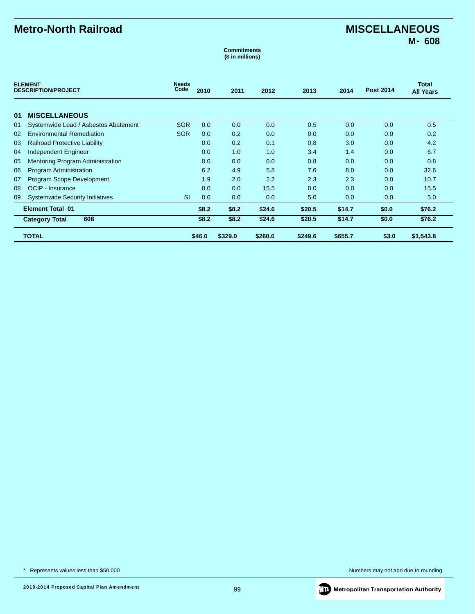#### **Metro-North Railroad MISCELLANEOUS**

**M - 608**

**Commitments** 

|  | Communents       |  |
|--|------------------|--|
|  | (\$ in millions) |  |

| <b>ELEMENT</b><br><b>DESCRIPTION/PROJECT</b> |                                         | <b>Needs</b><br>Code | 2010   | 2011    | 2012    | 2013    | 2014    | <b>Post 2014</b> | <b>Total</b><br><b>All Years</b> |
|----------------------------------------------|-----------------------------------------|----------------------|--------|---------|---------|---------|---------|------------------|----------------------------------|
| 01                                           | <b>MISCELLANEOUS</b>                    |                      |        |         |         |         |         |                  |                                  |
| 01                                           | Systemwide Lead / Asbestos Abatement    | <b>SGR</b>           | 0.0    | 0.0     | 0.0     | 0.5     | 0.0     | 0.0              | 0.5                              |
| 02                                           | <b>Environmental Remediation</b>        | <b>SGR</b>           | 0.0    | 0.2     | 0.0     | 0.0     | 0.0     | 0.0              | 0.2                              |
| 03                                           | <b>Railroad Protective Liability</b>    |                      | 0.0    | 0.2     | 0.1     | 0.8     | 3.0     | 0.0              | 4.2                              |
| 04                                           | Independent Engineer                    |                      | 0.0    | 1.0     | 1.0     | 3.4     | 1.4     | 0.0              | 6.7                              |
| 05                                           | <b>Mentoring Program Administration</b> |                      | 0.0    | 0.0     | 0.0     | 0.8     | 0.0     | 0.0              | 0.8                              |
| 06                                           | Program Administration                  |                      | 6.2    | 4.9     | 5.8     | 7.6     | 8.0     | 0.0              | 32.6                             |
| 07                                           | Program Scope Development               |                      | 1.9    | 2.0     | 2.2     | 2.3     | 2.3     | 0.0              | 10.7                             |
| 08                                           | OCIP - Insurance                        |                      | 0.0    | 0.0     | 15.5    | 0.0     | 0.0     | 0.0              | 15.5                             |
| 09                                           | <b>Systemwide Security Initiatives</b>  | <b>SI</b>            | 0.0    | 0.0     | 0.0     | 5.0     | 0.0     | 0.0              | 5.0                              |
|                                              | <b>Element Total 01</b>                 |                      | \$8.2  | \$8.2   | \$24.6  | \$20.5  | \$14.7  | \$0.0            | \$76.2                           |
|                                              | 608<br><b>Category Total</b>            |                      | \$8.2  | \$8.2   | \$24.6  | \$20.5  | \$14.7  | \$0.0            | \$76.2                           |
|                                              | <b>TOTAL</b>                            |                      | \$46.0 | \$329.0 | \$260.6 | \$249.6 | \$655.7 | \$3.0            | \$1,543.8                        |

\* Represents values less than \$50,000 Numbers may not add due to rounding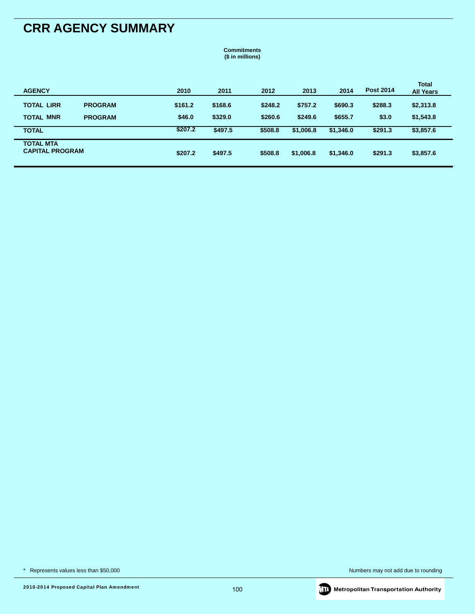## **CRR AGENCY SUMMARY**

**Commitments (\$ in millions)**

| <b>AGENCY</b>                              |                | 2010    | 2011    | 2012    | 2013      | 2014      | <b>Post 2014</b> | <b>Total</b><br><b>All Years</b> |
|--------------------------------------------|----------------|---------|---------|---------|-----------|-----------|------------------|----------------------------------|
| <b>TOTAL LIRR</b>                          | <b>PROGRAM</b> | \$161.2 | \$168.6 | \$248.2 | \$757.2   | \$690.3   | \$288.3          | \$2,313.8                        |
| <b>TOTAL MNR</b>                           | <b>PROGRAM</b> | \$46.0  | \$329.0 | \$260.6 | \$249.6   | \$655.7   | \$3.0            | \$1,543.8                        |
| <b>TOTAL</b>                               |                | \$207.2 | \$497.5 | \$508.8 | \$1,006.8 | \$1,346.0 | \$291.3          | \$3,857.6                        |
| <b>TOTAL MTA</b><br><b>CAPITAL PROGRAM</b> |                | \$207.2 | \$497.5 | \$508.8 | \$1,006.8 | \$1,346.0 | \$291.3          | \$3,857.6                        |

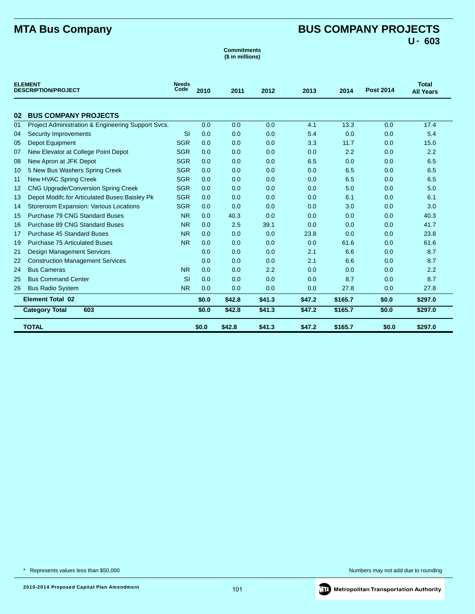#### **MTA Bus Company <b>BUS COMPANY PROJECTS U - 603**

**Commitments** 

**(\$ in millions)**

|    | <b>ELEMENT</b><br><b>DESCRIPTION/PROJECT</b>       |                | 2010  | 2011   | 2012   | 2013   | 2014    | <b>Post 2014</b> | <b>Total</b><br><b>All Years</b> |
|----|----------------------------------------------------|----------------|-------|--------|--------|--------|---------|------------------|----------------------------------|
| 02 | <b>BUS COMPANY PROJECTS</b>                        |                |       |        |        |        |         |                  |                                  |
| 01 | Project Administration & Engineering Support Svcs. |                | 0.0   | 0.0    | 0.0    | 4.1    | 13.3    | 0.0              | 17.4                             |
| 04 | <b>Security Improvements</b>                       | SI             | 0.0   | 0.0    | 0.0    | 5.4    | 0.0     | 0.0              | 5.4                              |
| 05 | Depot Equipment                                    | <b>SGR</b>     | 0.0   | 0.0    | 0.0    | 3.3    | 11.7    | 0.0              | 15.0                             |
| 07 | New Elevator at College Point Depot                | <b>SGR</b>     | 0.0   | 0.0    | 0.0    | 0.0    | 2.2     | 0.0              | 2.2                              |
| 08 | New Apron at JFK Depot                             | <b>SGR</b>     | 0.0   | 0.0    | 0.0    | 6.5    | 0.0     | 0.0              | 6.5                              |
| 10 | 5 New Bus Washers Spring Creek                     | <b>SGR</b>     | 0.0   | 0.0    | 0.0    | 0.0    | 6.5     | 0.0              | 6.5                              |
| 11 | <b>New HVAC Spring Creek</b>                       | <b>SGR</b>     | 0.0   | 0.0    | 0.0    | 0.0    | 6.5     | 0.0              | 6.5                              |
| 12 | <b>CNG Upgrade/Conversion Spring Creek</b>         | <b>SGR</b>     | 0.0   | 0.0    | 0.0    | 0.0    | 5.0     | 0.0              | 5.0                              |
| 13 | Depot Modifc.for Articulated Buses: Baisley Pk     | <b>SGR</b>     | 0.0   | 0.0    | 0.0    | 0.0    | 6.1     | 0.0              | 6.1                              |
| 14 | Storeroom Expansion: Various Locations             | <b>SGR</b>     | 0.0   | 0.0    | 0.0    | 0.0    | 3.0     | 0.0              | 3.0                              |
| 15 | Purchase 79 CNG Standard Buses                     | <b>NR</b>      | 0.0   | 40.3   | 0.0    | 0.0    | 0.0     | 0.0              | 40.3                             |
| 16 | Purchase 89 CNG Standard Buses                     | <b>NR</b>      | 0.0   | 2.5    | 39.1   | 0.0    | 0.0     | 0.0              | 41.7                             |
| 17 | Purchase 45 Standard Buses                         | <b>NR</b>      | 0.0   | 0.0    | 0.0    | 23.8   | 0.0     | 0.0              | 23.8                             |
| 19 | <b>Purchase 75 Articulated Buses</b>               | N <sub>R</sub> | 0.0   | 0.0    | 0.0    | 0.0    | 61.6    | 0.0              | 61.6                             |
| 21 | <b>Design Management Services</b>                  |                | 0.0   | 0.0    | 0.0    | 2.1    | 6.6     | 0.0              | 8.7                              |
| 22 | <b>Construction Management Services</b>            |                | 0.0   | 0.0    | 0.0    | 2.1    | 6.6     | 0.0              | 8.7                              |
| 24 | <b>Bus Cameras</b>                                 | <b>NR</b>      | 0.0   | 0.0    | 2.2    | 0.0    | 0.0     | 0.0              | 2.2                              |
| 25 | <b>Bus Command Center</b>                          | <b>SI</b>      | 0.0   | 0.0    | 0.0    | 0.0    | 8.7     | 0.0              | 8.7                              |
| 26 | <b>Bus Radio System</b>                            | N <sub>R</sub> | 0.0   | 0.0    | 0.0    | 0.0    | 27.8    | 0.0              | 27.8                             |
|    | <b>Element Total 02</b>                            |                | \$0.0 | \$42.8 | \$41.3 | \$47.2 | \$165.7 | \$0.0            | \$297.0                          |
|    | <b>Category Total</b><br>603                       |                | \$0.0 | \$42.8 | \$41.3 | \$47.2 | \$165.7 | \$0.0            | \$297.0                          |
|    | <b>TOTAL</b>                                       |                | \$0.0 | \$42.8 | \$41.3 | \$47.2 | \$165.7 | \$0.0            | \$297.0                          |

101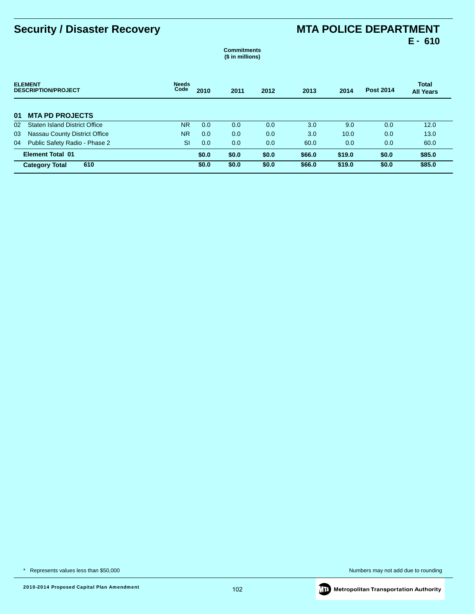#### **Security / Disaster Recovery <b>MTA POLICE DEPARTMENT E - 610**

**Commitments (\$ in millions)**

|                 | <b>ELEMENT</b><br><b>DESCRIPTION/PROJECT</b> | <b>Needs</b><br>Code | 2010  | 2011    | 2012    | 2013   | 2014   | <b>Post 2014</b> | <b>Total</b><br><b>All Years</b> |
|-----------------|----------------------------------------------|----------------------|-------|---------|---------|--------|--------|------------------|----------------------------------|
| 01              | <b>MTA PD PROJECTS</b>                       |                      |       |         |         |        |        |                  |                                  |
| 02 <sub>2</sub> | <b>Staten Island District Office</b>         | N <sub>R</sub>       | 0.0   | 0.0     | 0.0     | 3.0    | 9.0    | 0.0              | 12.0                             |
| 03              | Nassau County District Office                | <b>NR</b>            | 0.0   | 0.0     | 0.0     | 3.0    | 10.0   | 0.0              | 13.0                             |
|                 | 04 Public Safety Radio - Phase 2             | <b>SI</b>            | 0.0   | 0.0     | 0.0     | 60.0   | 0.0    | 0.0              | 60.0                             |
|                 | <b>Element Total 01</b>                      |                      | \$0.0 | \$0.0   | \$0.0   | \$66.0 | \$19.0 | \$0.0            | \$85.0                           |
|                 | 610<br><b>Category Total</b>                 |                      | \$0.0 | \$0.0\$ | \$0.0\$ | \$66.0 | \$19.0 | \$0.0            | \$85.0                           |

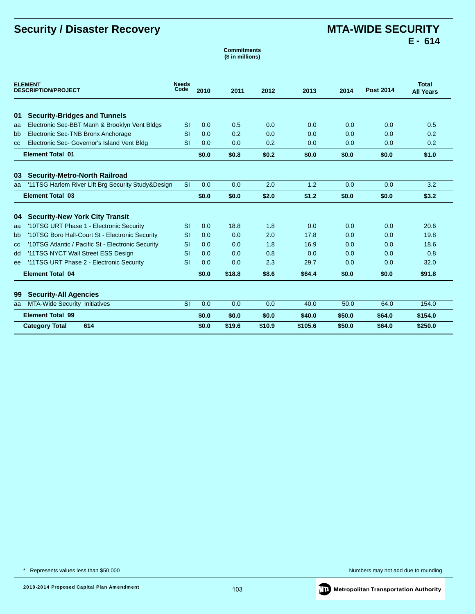**Security / Disaster Recovery <b>MTA-WIDE SECURITY** 

**E - 614**

**Commitments (\$ in millions)**

|           | <b>ELEMENT</b><br><b>DESCRIPTION/PROJECT</b>       |           | 2010  | 2011   | 2012   | 2013    | 2014   | <b>Post 2014</b> | <b>Total</b><br><b>All Years</b> |
|-----------|----------------------------------------------------|-----------|-------|--------|--------|---------|--------|------------------|----------------------------------|
| 01        | <b>Security-Bridges and Tunnels</b>                |           |       |        |        |         |        |                  |                                  |
| aa        | Electronic Sec-BBT Manh & Brooklyn Vent Bldgs      | <b>SI</b> | 0.0   | 0.5    | 0.0    | 0.0     | 0.0    | 0.0              | 0.5                              |
| bb        | Electronic Sec-TNB Bronx Anchorage                 | <b>SI</b> | 0.0   | 0.2    | 0.0    | 0.0     | 0.0    | 0.0              | 0.2                              |
| CC.       | Electronic Sec- Governor's Island Vent Bldg        | <b>SI</b> | 0.0   | 0.0    | 0.2    | 0.0     | 0.0    | 0.0              | 0.2                              |
|           | <b>Element Total 01</b>                            |           | \$0.0 | \$0.8  | \$0.2  | \$0.0   | \$0.0  | \$0.0            | \$1.0                            |
| 03        | <b>Security-Metro-North Railroad</b>               |           |       |        |        |         |        |                  |                                  |
| aa        | '11TSG Harlem River Lift Brg Security Study&Design | <b>SI</b> | 0.0   | 0.0    | 2.0    | 1.2     | 0.0    | 0.0              | 3.2                              |
|           | <b>Element Total 03</b>                            |           | \$0.0 | \$0.0  | \$2.0  | \$1.2   | \$0.0  | \$0.0            | \$3.2                            |
| 04        | <b>Security-New York City Transit</b>              |           |       |        |        |         |        |                  |                                  |
| aa        | '10TSG URT Phase 1 - Electronic Security           | <b>SI</b> | 0.0   | 18.8   | 1.8    | 0.0     | 0.0    | 0.0              | 20.6                             |
| bb        | '10TSG Boro Hall-Court St - Electronic Security    | <b>SI</b> | 0.0   | 0.0    | 2.0    | 17.8    | 0.0    | 0.0              | 19.8                             |
| <b>CC</b> | '10TSG Atlantic / Pacific St - Electronic Security | <b>SI</b> | 0.0   | 0.0    | 1.8    | 16.9    | 0.0    | 0.0              | 18.6                             |
| dd        | '11TSG NYCT Wall Street ESS Design                 | <b>SI</b> | 0.0   | 0.0    | 0.8    | 0.0     | 0.0    | 0.0              | 0.8                              |
| ee        | '11TSG URT Phase 2 - Electronic Security           | <b>SI</b> | 0.0   | 0.0    | 2.3    | 29.7    | 0.0    | 0.0              | 32.0                             |
|           | <b>Element Total 04</b>                            |           | \$0.0 | \$18.8 | \$8.6  | \$64.4  | \$0.0  | \$0.0            | \$91.8                           |
| 99        | <b>Security-All Agencies</b>                       |           |       |        |        |         |        |                  |                                  |
| aa        | <b>MTA-Wide Security Initiatives</b>               | SI        | 0.0   | 0.0    | 0.0    | 40.0    | 50.0   | 64.0             | 154.0                            |
|           | <b>Element Total 99</b>                            |           | \$0.0 | \$0.0  | \$0.0  | \$40.0  | \$50.0 | \$64.0           | \$154.0                          |
|           | <b>Category Total</b><br>614                       |           | \$0.0 | \$19.6 | \$10.9 | \$105.6 | \$50.0 | \$64.0           | \$250.0                          |

\* Represents values less than \$50,000 Numbers may not add due to rounding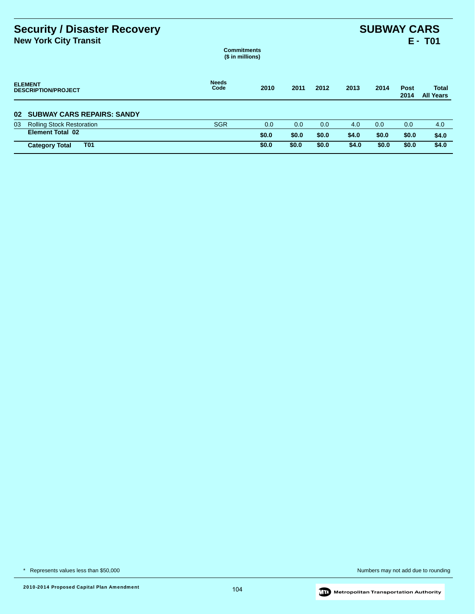## **Security / Disaster Recovery And SUBWAY CARS**

#### **New York City Transit**

# **E - T01**

**Commitments (\$ in millions)**

|    | <b>ELEMENT</b><br><b>DESCRIPTION/PROJECT</b> | <b>Needs</b><br>Code | 2010  | 2011    | 2012  | 2013  | 2014  | <b>Post</b><br>2014 | <b>Total</b><br><b>All Years</b> |
|----|----------------------------------------------|----------------------|-------|---------|-------|-------|-------|---------------------|----------------------------------|
|    | 02 SUBWAY CARS REPAIRS: SANDY                |                      |       |         |       |       |       |                     |                                  |
| 03 | <b>Rolling Stock Restoration</b>             | <b>SGR</b>           | 0.0   | 0.0     | 0.0   | 4.0   | 0.0   | 0.0                 | 4.0                              |
|    | <b>Element Total 02</b>                      |                      | \$0.0 | \$0.0   | \$0.0 | \$4.0 | \$0.0 | \$0.0\$             | \$4.0                            |
|    | <b>T01</b><br><b>Category Total</b>          |                      | \$0.0 | \$0.0\$ | \$0.0 | \$4.0 | \$0.0 | \$0.0\$             | \$4.0                            |

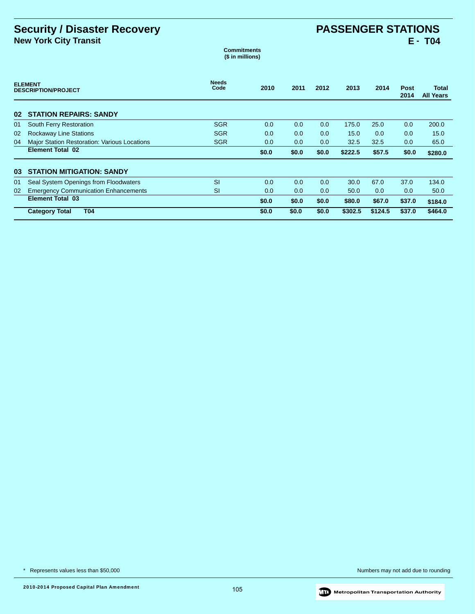#### **Security / Disaster Recovery PASSENGER STATIONS New York City Transit**

**E - T04**

**Commitments (\$ in millions)**

| <b>ELEMENT</b><br><b>DESCRIPTION/PROJECT</b> |                                                     | <b>Needs</b><br>Code | 2010  | 2011    | 2012  | 2013    | 2014    | Post<br>2014 | <b>Total</b><br><b>All Years</b> |
|----------------------------------------------|-----------------------------------------------------|----------------------|-------|---------|-------|---------|---------|--------------|----------------------------------|
| 02 <sub>2</sub>                              | <b>STATION REPAIRS: SANDY</b>                       |                      |       |         |       |         |         |              |                                  |
| 01                                           | South Ferry Restoration                             | <b>SGR</b>           | 0.0   | 0.0     | 0.0   | 175.0   | 25.0    | 0.0          | 200.0                            |
| 02                                           | <b>Rockaway Line Stations</b>                       | <b>SGR</b>           | 0.0   | 0.0     | 0.0   | 15.0    | 0.0     | 0.0          | 15.0                             |
| 04                                           | <b>Major Station Restoration: Various Locations</b> | <b>SGR</b>           | 0.0   | 0.0     | 0.0   | 32.5    | 32.5    | 0.0          | 65.0                             |
|                                              | <b>Element Total 02</b>                             |                      | \$0.0 | \$0.0   | \$0.0 | \$222.5 | \$57.5  | \$0.0        | \$280.0                          |
| 03                                           | <b>STATION MITIGATION: SANDY</b>                    |                      |       |         |       |         |         |              |                                  |
| 01                                           | Seal System Openings from Floodwaters               | <b>SI</b>            | 0.0   | 0.0     | 0.0   | 30.0    | 67.0    | 37.0         | 134.0                            |
| 02                                           | <b>Emergency Communication Enhancements</b>         | SI                   | 0.0   | 0.0     | 0.0   | 50.0    | 0.0     | 0.0          | 50.0                             |
|                                              | <b>Element Total 03</b>                             |                      | \$0.0 | \$0.0   | \$0.0 | \$80.0  | \$67.0  | \$37.0       | \$184.0                          |
|                                              | <b>T04</b><br><b>Category Total</b>                 |                      | \$0.0 | \$0.0\$ | \$0.0 | \$302.5 | \$124.5 | \$37.0       | \$464.0                          |

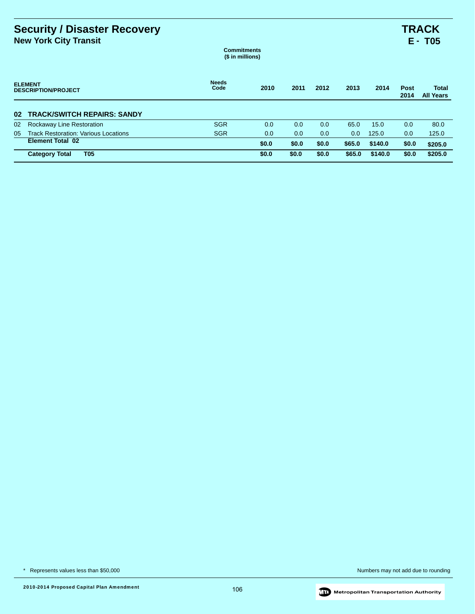#### **Security / Disaster Recovery TRACK New York City Transit**

**Commitments (\$ in millions)**

| <b>ELEMENT</b><br><b>DESCRIPTION/PROJECT</b> |                                             | <b>Needs</b><br>Code | 2010  | 2011    | 2012  | 2013   | 2014    | <b>Post</b><br>2014 | Total<br><b>All Years</b> |
|----------------------------------------------|---------------------------------------------|----------------------|-------|---------|-------|--------|---------|---------------------|---------------------------|
|                                              | 02 TRACK/SWITCH REPAIRS: SANDY              |                      |       |         |       |        |         |                     |                           |
| 02 <sub>2</sub>                              | <b>Rockaway Line Restoration</b>            | <b>SGR</b>           | 0.0   | 0.0     | 0.0   | 65.0   | 15.0    | 0.0                 | 80.0                      |
| 05                                           | <b>Track Restoration: Various Locations</b> | <b>SGR</b>           | 0.0   | 0.0     | 0.0   | 0.0    | 125.0   | 0.0                 | 125.0                     |
|                                              | <b>Element Total 02</b>                     |                      | \$0.0 | \$0.0   | \$0.0 | \$65.0 | \$140.0 | \$0.0               | \$205.0                   |
|                                              | <b>T05</b><br><b>Category Total</b>         |                      | \$0.0 | \$0.0\$ | \$0.0 | \$65.0 | \$140.0 | \$0.0               | \$205.0                   |

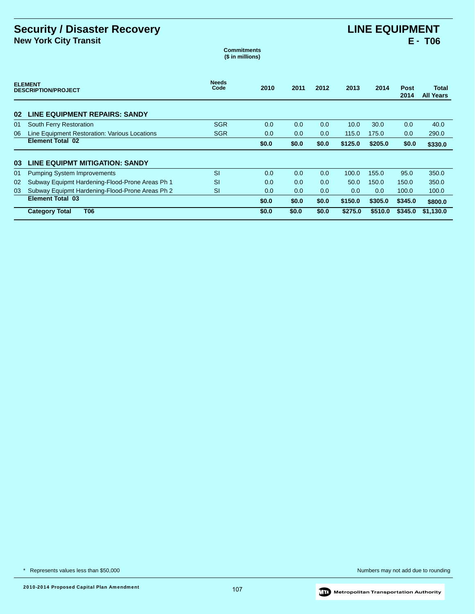### **Security / Disaster Recovery LINE EQUIPMENT New York City Transit**

# **E - T06**

**Commitments** 

**(\$ in millions)**

|    | <b>ELEMENT</b><br><b>DESCRIPTION/PROJECT</b>    | <b>Needs</b><br>Code | 2010  | 2011    | 2012  | 2013    | 2014    | Post<br>2014 | Total<br><b>All Years</b> |
|----|-------------------------------------------------|----------------------|-------|---------|-------|---------|---------|--------------|---------------------------|
| 02 | LINE EQUIPMENT REPAIRS: SANDY                   |                      |       |         |       |         |         |              |                           |
| 01 | South Ferry Restoration                         | <b>SGR</b>           | 0.0   | 0.0     | 0.0   | 10.0    | 30.0    | 0.0          | 40.0                      |
| 06 | Line Equipment Restoration: Various Locations   | <b>SGR</b>           | 0.0   | 0.0     | 0.0   | 115.0   | 175.0   | 0.0          | 290.0                     |
|    | <b>Element Total 02</b>                         |                      | \$0.0 | \$0.0   | \$0.0 | \$125.0 | \$205.0 | \$0.0        | \$330.0                   |
| 03 | LINE EQUIPMT MITIGATION: SANDY                  |                      |       |         |       |         |         |              |                           |
| 01 | <b>Pumping System Improvements</b>              | <b>SI</b>            | 0.0   | 0.0     | 0.0   | 100.0   | 155.0   | 95.0         | 350.0                     |
| 02 | Subway Equipmt Hardening-Flood-Prone Areas Ph 1 | <b>SI</b>            | 0.0   | 0.0     | 0.0   | 50.0    | 150.0   | 150.0        | 350.0                     |
| 03 | Subway Equipmt Hardening-Flood-Prone Areas Ph 2 | <b>SI</b>            | 0.0   | 0.0     | 0.0   | 0.0     | 0.0     | 100.0        | 100.0                     |
|    | <b>Element Total 03</b>                         |                      | \$0.0 | \$0.0\$ | \$0.0 | \$150.0 | \$305.0 | \$345.0      | \$800.0                   |
|    | <b>T06</b><br><b>Category Total</b>             |                      | \$0.0 | \$0.0\$ | \$0.0 | \$275.0 | \$510.0 | \$345.0      | \$1.130.0                 |

\* Represents values less than \$50,000 Numbers may not add due to rounding

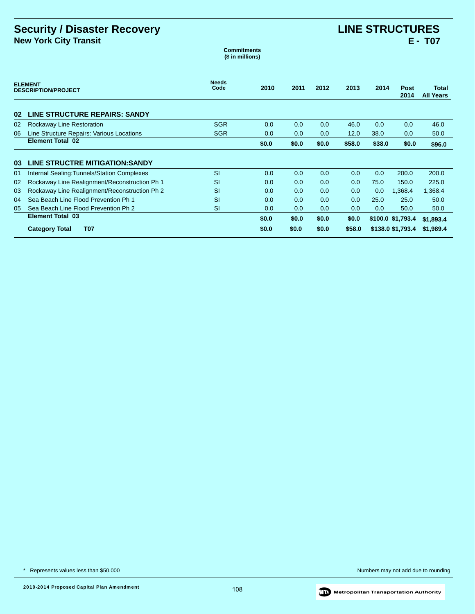### **Security / Disaster Recovery LINE STRUCTURES New York City Transit**

# **E - T07**

**Commitments (\$ in millions)**

|    | <b>ELEMENT</b><br><b>DESCRIPTION/PROJECT</b>  | <b>Needs</b><br>Code | 2010  | 2011  | 2012  | 2013   | 2014   | Post<br>2014      | <b>Total</b><br><b>All Years</b> |
|----|-----------------------------------------------|----------------------|-------|-------|-------|--------|--------|-------------------|----------------------------------|
| 02 | LINE STRUCTURE REPAIRS: SANDY                 |                      |       |       |       |        |        |                   |                                  |
| 02 | Rockaway Line Restoration                     | <b>SGR</b>           | 0.0   | 0.0   | 0.0   | 46.0   | 0.0    | 0.0               | 46.0                             |
| 06 | Line Structure Repairs: Various Locations     | <b>SGR</b>           | 0.0   | 0.0   | 0.0   | 12.0   | 38.0   | 0.0               | 50.0                             |
|    | <b>Element Total 02</b>                       |                      | \$0.0 | \$0.0 | \$0.0 | \$58.0 | \$38.0 | \$0.0             | \$96.0                           |
| 03 | LINE STRUCTRE MITIGATION: SANDY               |                      |       |       |       |        |        |                   |                                  |
| 01 | Internal Sealing: Tunnels/Station Complexes   | SI                   | 0.0   | 0.0   | 0.0   | 0.0    | 0.0    | 200.0             | 200.0                            |
| 02 | Rockaway Line Realignment/Reconstruction Ph 1 | <b>SI</b>            | 0.0   | 0.0   | 0.0   | 0.0    | 75.0   | 150.0             | 225.0                            |
| 03 | Rockaway Line Realignment/Reconstruction Ph 2 | SI                   | 0.0   | 0.0   | 0.0   | 0.0    | 0.0    | 1,368.4           | 1,368.4                          |
| 04 | Sea Beach Line Flood Prevention Ph 1          | SI                   | 0.0   | 0.0   | 0.0   | 0.0    | 25.0   | 25.0              | 50.0                             |
| 05 | Sea Beach Line Flood Prevention Ph 2          | <b>SI</b>            | 0.0   | 0.0   | 0.0   | 0.0    | 0.0    | 50.0              | 50.0                             |
|    | <b>Element Total 03</b>                       |                      | \$0.0 | \$0.0 | \$0.0 | \$0.0  |        | \$100.0 \$1,793.4 | \$1,893.4                        |
|    | <b>T07</b><br><b>Category Total</b>           |                      | \$0.0 | \$0.0 | \$0.0 | \$58.0 |        | \$138.0 \$1,793.4 | \$1,989.4                        |

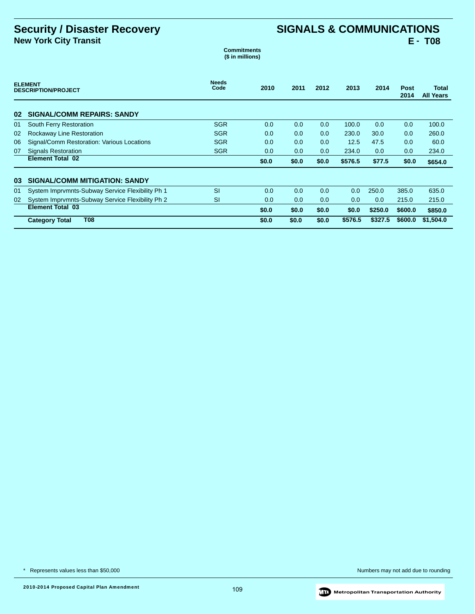# **New York City Transit**

## **Security / Disaster Recovery SIGNALS & COMMUNICATIONS**

**E - T08**

**Commitments (\$ in millions)**

|    | <b>ELEMENT</b><br><b>DESCRIPTION/PROJECT</b>     | <b>Needs</b><br>Code | 2010  | 2011    | 2012  | 2013    | 2014    | Post<br>2014 | <b>Total</b><br><b>All Years</b> |
|----|--------------------------------------------------|----------------------|-------|---------|-------|---------|---------|--------------|----------------------------------|
| 02 | <b>SIGNAL/COMM REPAIRS: SANDY</b>                |                      |       |         |       |         |         |              |                                  |
| 01 | South Ferry Restoration                          | <b>SGR</b>           | 0.0   | 0.0     | 0.0   | 100.0   | 0.0     | 0.0          | 100.0                            |
| 02 | Rockaway Line Restoration                        | <b>SGR</b>           | 0.0   | 0.0     | 0.0   | 230.0   | 30.0    | 0.0          | 260.0                            |
| 06 | Signal/Comm Restoration: Various Locations       | <b>SGR</b>           | 0.0   | 0.0     | 0.0   | 12.5    | 47.5    | 0.0          | 60.0                             |
| 07 | <b>Signals Restoration</b>                       | <b>SGR</b>           | 0.0   | 0.0     | 0.0   | 234.0   | 0.0     | 0.0          | 234.0                            |
|    | <b>Element Total 02</b>                          |                      | \$0.0 | \$0.0   | \$0.0 | \$576.5 | \$77.5  | \$0.0        | \$654.0                          |
| 03 | <b>SIGNAL/COMM MITIGATION: SANDY</b>             |                      |       |         |       |         |         |              |                                  |
| 01 | System Imprvmnts-Subway Service Flexibility Ph 1 | <b>SI</b>            | 0.0   | 0.0     | 0.0   | 0.0     | 250.0   | 385.0        | 635.0                            |
| 02 | System Imprymnts-Subway Service Flexibility Ph 2 | <b>SI</b>            | 0.0   | 0.0     | 0.0   | 0.0     | 0.0     | 215.0        | 215.0                            |
|    | <b>Element Total 03</b>                          |                      | \$0.0 | \$0.0   | \$0.0 | \$0.0\$ | \$250.0 | \$600.0      | \$850.0                          |
|    | <b>T08</b><br><b>Category Total</b>              |                      | \$0.0 | \$0.0\$ | \$0.0 | \$576.5 | \$327.5 | \$600.0      | \$1,504.0                        |

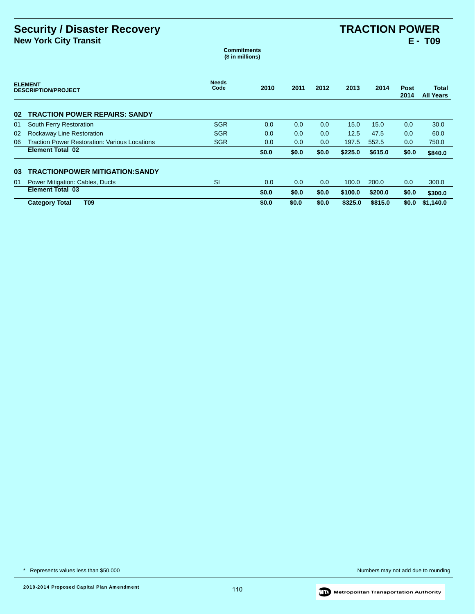## **Security / Disaster Recovery TRACTION POWER**

#### **New York City Transit**

# **E - T09**

**Commitments (\$ in millions)**

|                 | <b>ELEMENT</b><br><b>DESCRIPTION/PROJECT</b>         | <b>Needs</b><br>Code | 2010    | 2011    | 2012  | 2013    | 2014    | Post<br>2014 | Total<br><b>All Years</b> |
|-----------------|------------------------------------------------------|----------------------|---------|---------|-------|---------|---------|--------------|---------------------------|
| 02 <sub>2</sub> | <b>TRACTION POWER REPAIRS: SANDY</b>                 |                      |         |         |       |         |         |              |                           |
| 01              | South Ferry Restoration                              | <b>SGR</b>           | 0.0     | 0.0     | 0.0   | 15.0    | 15.0    | 0.0          | 30.0                      |
| 02              | <b>Rockaway Line Restoration</b>                     | <b>SGR</b>           | 0.0     | 0.0     | 0.0   | 12.5    | 47.5    | 0.0          | 60.0                      |
| 06              | <b>Traction Power Restoration: Various Locations</b> | <b>SGR</b>           | 0.0     | 0.0     | 0.0   | 197.5   | 552.5   | 0.0          | 750.0                     |
|                 | <b>Element Total 02</b>                              |                      | \$0.0\$ | \$0.0\$ | \$0.0 | \$225.0 | \$615.0 | \$0.0        | \$840.0                   |
| 03              | <b>TRACTIONPOWER MITIGATION:SANDY</b>                |                      |         |         |       |         |         |              |                           |
| 01              | Power Mitigation: Cables, Ducts                      | <b>SI</b>            | 0.0     | 0.0     | 0.0   | 100.0   | 200.0   | 0.0          | 300.0                     |
|                 | <b>Element Total 03</b>                              |                      | \$0.0   | \$0.0   | \$0.0 | \$100.0 | \$200.0 | \$0.0        | \$300.0                   |
|                 | <b>T09</b><br><b>Category Total</b>                  |                      | \$0.0\$ | \$0.0\$ | \$0.0 | \$325.0 | \$815.0 | \$0.0        | \$1,140.0                 |

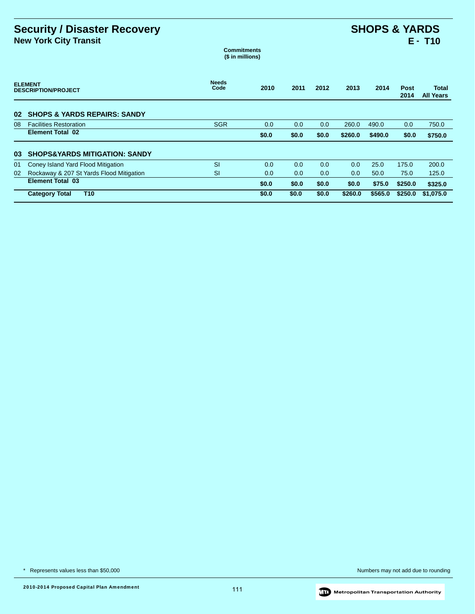## **Security / Disaster Recovery And SHOPS & YARDS**

#### **New York City Transit**

# **E - T10**

**Commitments (\$ in millions)**

|    | <b>ELEMENT</b><br><b>DESCRIPTION/PROJECT</b> | <b>Needs</b><br>Code | 2010  | 2011  | 2012  | 2013    | 2014    | Post<br>2014 | Total<br><b>All Years</b> |
|----|----------------------------------------------|----------------------|-------|-------|-------|---------|---------|--------------|---------------------------|
| 02 | <b>SHOPS &amp; YARDS REPAIRS: SANDY</b>      |                      |       |       |       |         |         |              |                           |
| 08 | <b>Facilities Restoration</b>                | <b>SGR</b>           | 0.0   | 0.0   | 0.0   | 260.0   | 490.0   | 0.0          | 750.0                     |
|    | <b>Element Total 02</b>                      |                      | \$0.0 | \$0.0 | \$0.0 | \$260.0 | \$490.0 | \$0.0        | \$750.0                   |
| 03 | <b>SHOPS&amp;YARDS MITIGATION: SANDY</b>     |                      |       |       |       |         |         |              |                           |
| 01 | Coney Island Yard Flood Mitigation           | <b>SI</b>            | 0.0   | 0.0   | 0.0   | 0.0     | 25.0    | 175.0        | 200.0                     |
| 02 | Rockaway & 207 St Yards Flood Mitigation     | SI                   | 0.0   | 0.0   | 0.0   | 0.0     | 50.0    | 75.0         | 125.0                     |
|    | <b>Element Total 03</b>                      |                      | \$0.0 | \$0.0 | \$0.0 | \$0.0   | \$75.0  | \$250.0      | \$325.0                   |
|    | <b>T10</b><br><b>Category Total</b>          |                      | \$0.0 | \$0.0 | \$0.0 | \$260.0 | \$565.0 | \$250.0      | \$1,075.0                 |

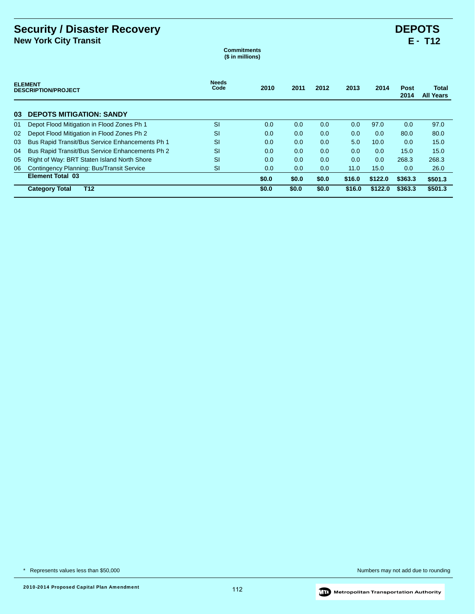### **Security / Disaster Recovery DEPOTS New York City Transit**

**E - T12**

**Commitments (\$ in millions)**

|    | <b>ELEMENT</b><br><b>DESCRIPTION/PROJECT</b>     | <b>Needs</b><br>Code | 2010  | 2011    | 2012  | 2013   | 2014             | Post<br>2014 | <b>Total</b><br><b>All Years</b> |
|----|--------------------------------------------------|----------------------|-------|---------|-------|--------|------------------|--------------|----------------------------------|
| 03 | <b>DEPOTS MITIGATION: SANDY</b>                  |                      |       |         |       |        |                  |              |                                  |
| 01 | Depot Flood Mitigation in Flood Zones Ph 1       | <b>SI</b>            | 0.0   | 0.0     | 0.0   | 0.0    | 97.0             | 0.0          | 97.0                             |
| 02 | Depot Flood Mitigation in Flood Zones Ph 2       | <b>SI</b>            | 0.0   | 0.0     | 0.0   | 0.0    | 0.0              | 80.0         | 80.0                             |
| 03 | Bus Rapid Transit/Bus Service Enhancements Ph 1  | <b>SI</b>            | 0.0   | 0.0     | 0.0   | 5.0    | 10.0             | 0.0          | 15.0                             |
| 04 | Bus Rapid Transit/Bus Service Enhancements Ph 2  | <b>SI</b>            | 0.0   | 0.0     | 0.0   | 0.0    | 0.0              | 15.0         | 15.0                             |
| 05 | Right of Way: BRT Staten Island North Shore      | SI                   | 0.0   | 0.0     | 0.0   | 0.0    | 0.0 <sub>1</sub> | 268.3        | 268.3                            |
| 06 | <b>Contingency Planning: Bus/Transit Service</b> | SI                   | 0.0   | 0.0     | 0.0   | 11.0   | 15.0             | 0.0          | 26.0                             |
|    | <b>Element Total 03</b>                          |                      | \$0.0 | \$0.0   | \$0.0 | \$16.0 | \$122.0          | \$363.3      | \$501.3                          |
|    | <b>T12</b><br><b>Category Total</b>              |                      | \$0.0 | \$0.0\$ | \$0.0 | \$16.0 | \$122.0          | \$363.3      | \$501.3                          |

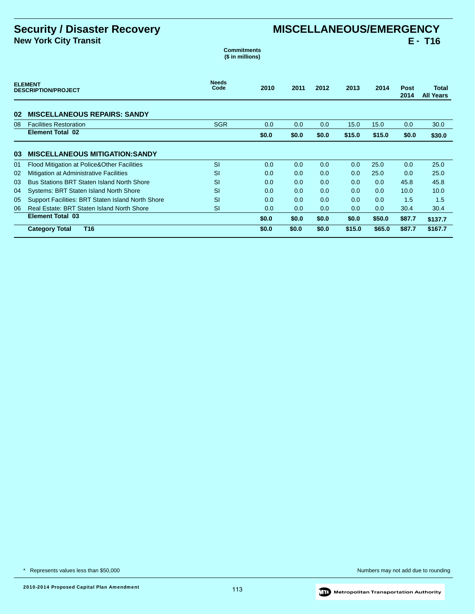# **Security / Disaster Recovery**<br>New York City Transit

## **Security / Disaster Recovery MISCELLANEOUS/EMERGENCY**

**E - T16**

**Commitments (\$ in millions)**

|    | <b>ELEMENT</b><br><b>DESCRIPTION/PROJECT</b>      | <b>Needs</b><br>Code | 2010  | 2011  | 2012  | 2013             | 2014   | Post<br>2014 | <b>Total</b><br><b>All Years</b> |
|----|---------------------------------------------------|----------------------|-------|-------|-------|------------------|--------|--------------|----------------------------------|
| 02 | <b>MISCELLANEOUS REPAIRS: SANDY</b>               |                      |       |       |       |                  |        |              |                                  |
| 08 | <b>Facilities Restoration</b>                     | <b>SGR</b>           | 0.0   | 0.0   | 0.0   | 15.0             | 15.0   | 0.0          | 30.0                             |
|    | <b>Element Total 02</b>                           |                      | \$0.0 | \$0.0 | \$0.0 | \$15.0           | \$15.0 | \$0.0        | \$30.0                           |
| 03 | <b>MISCELLANEOUS MITIGATION:SANDY</b>             |                      |       |       |       |                  |        |              |                                  |
| 01 | Flood Mitigation at Police&Other Facilities       | <b>SI</b>            | 0.0   | 0.0   | 0.0   | 0.0 <sub>1</sub> | 25.0   | 0.0          | 25.0                             |
| 02 | Mitigation at Administrative Facilities           | SI                   | 0.0   | 0.0   | 0.0   | 0.0 <sub>1</sub> | 25.0   | 0.0          | 25.0                             |
| 03 | <b>Bus Stations BRT Staten Island North Shore</b> | SI                   | 0.0   | 0.0   | 0.0   | 0.0              | 0.0    | 45.8         | 45.8                             |
| 04 | Systems: BRT Staten Island North Shore            | SI                   | 0.0   | 0.0   | 0.0   | 0.0 <sub>1</sub> | 0.0    | 10.0         | 10.0                             |
| 05 | Support Facilities: BRT Staten Island North Shore | SI                   | 0.0   | 0.0   | 0.0   | 0.0              | 0.0    | 1.5          | 1.5                              |
| 06 | Real Estate: BRT Staten Island North Shore        | SI                   | 0.0   | 0.0   | 0.0   | 0.0              | 0.0    | 30.4         | 30.4                             |
|    | <b>Element Total 03</b>                           |                      | \$0.0 | \$0.0 | \$0.0 | \$0.0            | \$50.0 | \$87.7       | \$137.7                          |
|    | T <sub>16</sub><br><b>Category Total</b>          |                      | \$0.0 | \$0.0 | \$0.0 | \$15.0           | \$65.0 | \$87.7       | \$167.7                          |

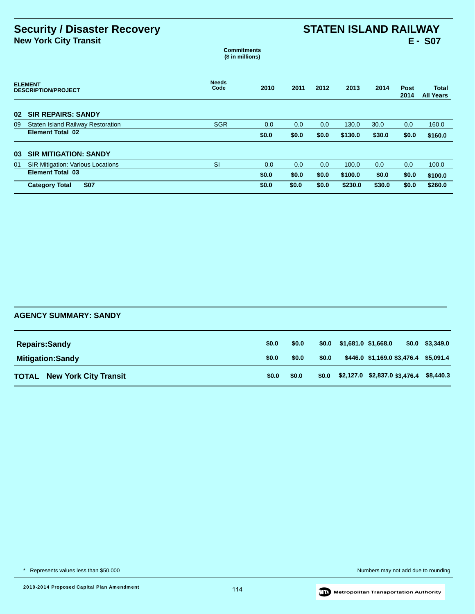### **Security / Disaster Recovery STATEN ISLAND RAILWAY New York City Transit**

**E - S07**

**Commitments (\$ in millions)**

|                 | <b>ELEMENT</b><br><b>DESCRIPTION/PROJECT</b> | <b>Needs</b><br>Code | 2010  | 2011  | 2012  | 2013    | 2014   | Post<br>2014 | <b>Total</b><br><b>All Years</b> |
|-----------------|----------------------------------------------|----------------------|-------|-------|-------|---------|--------|--------------|----------------------------------|
| 02 <sub>2</sub> | <b>SIR REPAIRS: SANDY</b>                    |                      |       |       |       |         |        |              |                                  |
| 09              | <b>Staten Island Railway Restoration</b>     | <b>SGR</b>           | 0.0   | 0.0   | 0.0   | 130.0   | 30.0   | 0.0          | 160.0                            |
|                 | <b>Element Total 02</b>                      |                      | \$0.0 | \$0.0 | \$0.0 | \$130.0 | \$30.0 | \$0.0        | \$160.0                          |
| 03              | <b>SIR MITIGATION: SANDY</b>                 |                      |       |       |       |         |        |              |                                  |
| 01              | <b>SIR Mitigation: Various Locations</b>     | S <sub>l</sub>       | 0.0   | 0.0   | 0.0   | 100.0   | 0.0    | 0.0          | 100.0                            |
|                 | <b>Element Total 03</b>                      |                      | \$0.0 | \$0.0 | \$0.0 | \$100.0 | \$0.0  | \$0.0        | \$100.0                          |
|                 | <b>S07</b><br><b>Category Total</b>          |                      | \$0.0 | \$0.0 | \$0.0 | \$230.0 | \$30.0 | \$0.0\$      | \$260.0                          |

|  | AGENCY SUMMARY: SANDY |  |
|--|-----------------------|--|
|--|-----------------------|--|

| <b>Repairs:Sandy</b>               | \$0.0 | \$0.0   |         | $$0.0$ $$1,681.0$ $$1,668.0$ |                                                    | $$0.0$ $$3,349.0$ |
|------------------------------------|-------|---------|---------|------------------------------|----------------------------------------------------|-------------------|
| <b>Mitigation:Sandy</b>            | \$0.0 | \$0.0\$ | \$0.0\$ |                              | \$446.0 \$1,169.0 \$3,476.4 \$5,091.4              |                   |
| <b>TOTAL New York City Transit</b> | \$0.0 | \$0.0\$ |         |                              | $$0.0$ $$2,127.0$ $$2,837.0$ $$3,476.4$ $$8,440.3$ |                   |

\* Represents values less than \$50,000 Numbers may not add due to rounding

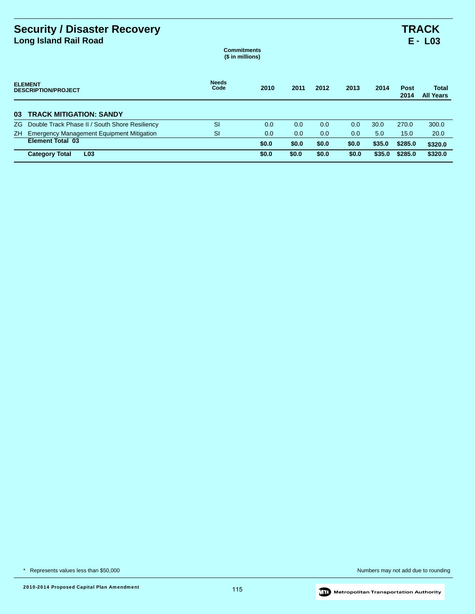### **Security / Disaster Recovery TRACK Long Island Rail Road**

**Commitments (\$ in millions)**

|     | <b>ELEMENT</b><br><b>DESCRIPTION/PROJECT</b>      | <b>Needs</b><br>Code | 2010  | 2011  | 2012  | 2013  | 2014   | <b>Post</b><br>2014 | Total<br><b>All Years</b> |
|-----|---------------------------------------------------|----------------------|-------|-------|-------|-------|--------|---------------------|---------------------------|
|     | 03 TRACK MITIGATION: SANDY                        |                      |       |       |       |       |        |                     |                           |
|     | ZG Double Track Phase II / South Shore Resiliency | SI                   | 0.0   | 0.0   | 0.0   | 0.0   | 30.0   | 270.0               | 300.0                     |
| ZH. | <b>Emergency Management Equipment Mitigation</b>  | <b>SI</b>            | 0.0   | 0.0   | 0.0   | 0.0   | 5.0    | 15.0                | 20.0                      |
|     | <b>Element Total 03</b>                           |                      | \$0.0 | \$0.0 | \$0.0 | \$0.0 | \$35.0 | \$285.0             | \$320.0                   |
|     | L <sub>03</sub><br><b>Category Total</b>          |                      | \$0.0 | \$0.0 | \$0.0 | \$0.0 | \$35.0 | \$285.0             | \$320.0                   |

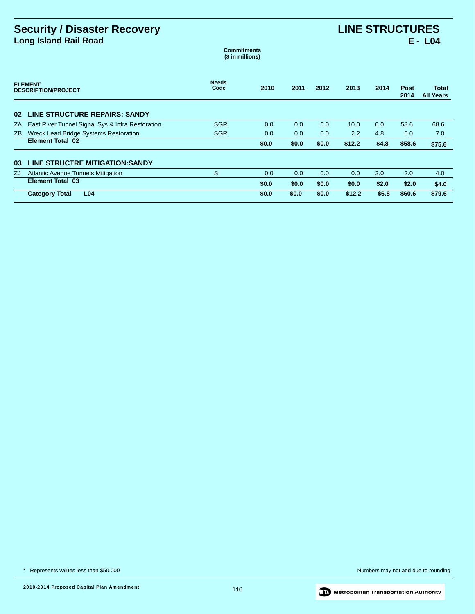### **Security / Disaster Recovery LINE STRUCTURES Long Island Rail Road**

# **E - L04**

**Commitments (\$ in millions)**

|                 | <b>ELEMENT</b><br><b>DESCRIPTION/PROJECT</b>     | <b>Needs</b><br>Code | 2010  | 2011    | 2012  | 2013             | 2014    | Post<br>2014 | <b>Total</b><br><b>All Years</b> |
|-----------------|--------------------------------------------------|----------------------|-------|---------|-------|------------------|---------|--------------|----------------------------------|
|                 |                                                  |                      |       |         |       |                  |         |              |                                  |
| 02 <sub>2</sub> | LINE STRUCTURE REPAIRS: SANDY                    |                      |       |         |       |                  |         |              |                                  |
| ZA              | East River Tunnel Signal Sys & Infra Restoration | <b>SGR</b>           | 0.0   | 0.0     | 0.0   | 10.0             | 0.0     | 58.6         | 68.6                             |
| ΖB              | <b>Wreck Lead Bridge Systems Restoration</b>     | <b>SGR</b>           | 0.0   | 0.0     | 0.0   | 2.2              | 4.8     | 0.0          | 7.0                              |
|                 | <b>Element Total 02</b>                          |                      | \$0.0 | \$0.0   | \$0.0 | \$12.2           | \$4.8   | \$58.6       | \$75.6                           |
| 03              | LINE STRUCTRE MITIGATION:SANDY                   |                      |       |         |       |                  |         |              |                                  |
| ZJ              | <b>Atlantic Avenue Tunnels Mitigation</b>        | SI                   | 0.0   | 0.0     | 0.0   | 0.0 <sub>1</sub> | 2.0     | 2.0          | 4.0                              |
|                 | <b>Element Total 03</b>                          |                      | \$0.0 | \$0.0   | \$0.0 | \$0.0            | \$2.0   | \$2.0        | \$4.0                            |
|                 | <b>Category Total</b><br>L <sub>04</sub>         |                      | \$0.0 | \$0.0\$ | \$0.0 | \$12.2           | \$6.8\$ | \$60.6       | \$79.6                           |

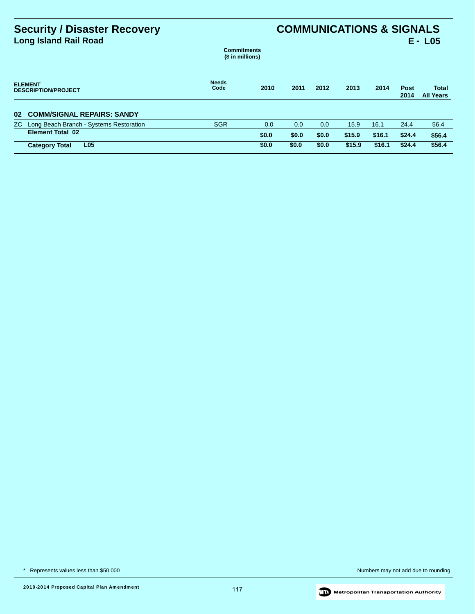# **Long Island Rail Road**

## **Security / Disaster Recovery <b>COMMUNICATIONS & SIGNALS**

**E - L05**

**Commitments (\$ in millions)**

|      | <b>ELEMENT</b><br><b>DESCRIPTION/PROJECT</b> | <b>Needs</b><br>Code | 2010  | 2011  | 2012  | 2013   | 2014   | <b>Post</b><br>2014 | Total<br><b>All Years</b> |
|------|----------------------------------------------|----------------------|-------|-------|-------|--------|--------|---------------------|---------------------------|
|      | 02 COMM/SIGNAL REPAIRS: SANDY                |                      |       |       |       |        |        |                     |                           |
| ZC - | Long Beach Branch - Systems Restoration      | <b>SGR</b>           | 0.0   | 0.0   | 0.0   | 15.9   | 16.1   | 24.4                | 56.4                      |
|      | <b>Element Total 02</b>                      |                      | \$0.0 | \$0.0 | \$0.0 | \$15.9 | \$16.1 | \$24.4              | \$56.4                    |
|      | L <sub>05</sub><br><b>Category Total</b>     |                      | \$0.0 | \$0.0 | \$0.0 | \$15.9 | \$16.1 | \$24.4              | \$56.4                    |

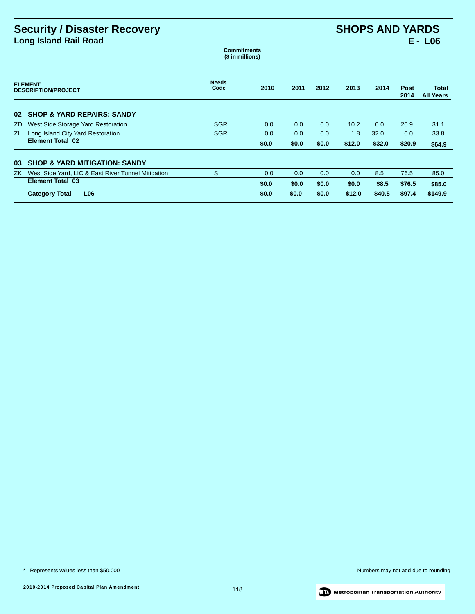### **Security / Disaster Recovery And SHOPS AND YARDS Long Island Rail Road**

# **E - L06**

**Commitments (\$ in millions)**

|      | <b>ELEMENT</b><br><b>DESCRIPTION/PROJECT</b>       | <b>Needs</b><br>Code | 2010  | 2011  | 2012  | 2013   | 2014   | Post<br>2014 | <b>Total</b><br><b>All Years</b> |
|------|----------------------------------------------------|----------------------|-------|-------|-------|--------|--------|--------------|----------------------------------|
|      | 02 SHOP & YARD REPAIRS: SANDY                      |                      |       |       |       |        |        |              |                                  |
| ZD   | West Side Storage Yard Restoration                 | <b>SGR</b>           | 0.0   | 0.0   | 0.0   | 10.2   | 0.0    | 20.9         | 31.1                             |
| ZL   | Long Island City Yard Restoration                  | <b>SGR</b>           | 0.0   | 0.0   | 0.0   | 1.8    | 32.0   | 0.0          | 33.8                             |
|      | <b>Element Total 02</b>                            |                      | \$0.0 | \$0.0 | \$0.0 | \$12.0 | \$32.0 | \$20.9       | \$64.9                           |
|      | 03 SHOP & YARD MITIGATION: SANDY                   |                      |       |       |       |        |        |              |                                  |
| ZK - | West Side Yard, LIC & East River Tunnel Mitigation | S <sub>l</sub>       | 0.0   | 0.0   | 0.0   | 0.0    | 8.5    | 76.5         | 85.0                             |
|      | <b>Element Total 03</b>                            |                      | \$0.0 | \$0.0 | \$0.0 | \$0.0  | \$8.5  | \$76.5       | \$85.0                           |
|      | <b>Category Total</b><br>L06                       |                      | \$0.0 | \$0.0 | \$0.0 | \$12.0 | \$40.5 | \$97.4       | \$149.9                          |

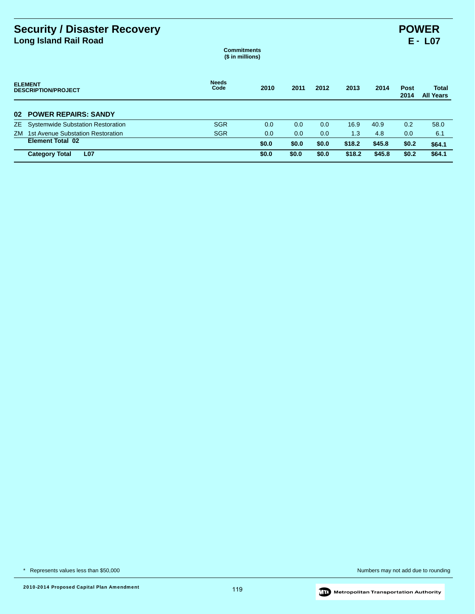### **Security / Disaster Recovery POWER Long Island Rail Road**

**Commitments (\$ in millions)**

| <b>ELEMENT</b><br><b>DESCRIPTION/PROJECT</b> | <b>Needs</b><br>Code | 2010  | 2011    | 2012  | 2013   | 2014   | <b>Post</b><br>2014 | Total<br><b>All Years</b> |
|----------------------------------------------|----------------------|-------|---------|-------|--------|--------|---------------------|---------------------------|
| 02 POWER REPAIRS: SANDY                      |                      |       |         |       |        |        |                     |                           |
| <b>ZE</b> Systemwide Substation Restoration  | <b>SGR</b>           | 0.0   | 0.0     | 0.0   | 16.9   | 40.9   | 0.2                 | 58.0                      |
| <b>ZM</b> 1st Avenue Substation Restoration  | <b>SGR</b>           | 0.0   | 0.0     | 0.0   | 1.3    | 4.8    | 0.0                 | 6.1                       |
| <b>Element Total 02</b>                      |                      | \$0.0 | \$0.0\$ | \$0.0 | \$18.2 | \$45.8 | \$0.2               | \$64.1                    |
| <b>Category Total</b><br>L07                 |                      | \$0.0 | \$0.0\$ | \$0.0 | \$18.2 | \$45.8 | \$0.2               | \$64.1                    |

\* Represents values less than \$50,000 Numbers may not add due to rounding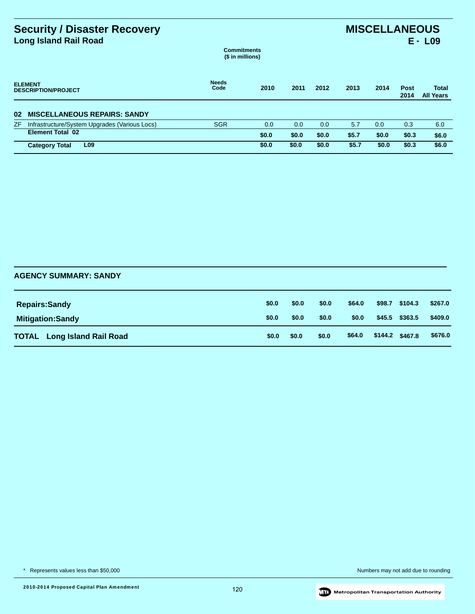## **Security / Disaster Recovery <b>MISCELLANEOUS Long Island Rail Road**

# **E - L09**

**Commitments (\$ in millions)**

|    | <b>ELEMENT</b><br><b>DESCRIPTION/PROJECT</b>  | <b>Needs</b><br>Code | 2010  | 2011    | 2012  | 2013  | 2014  | <b>Post</b><br>2014 | <b>Total</b><br><b>All Years</b> |
|----|-----------------------------------------------|----------------------|-------|---------|-------|-------|-------|---------------------|----------------------------------|
|    | 02 MISCELLANEOUS REPAIRS: SANDY               |                      |       |         |       |       |       |                     |                                  |
| ZF | Infrastructure/System Upgrades (Various Locs) | <b>SGR</b>           | 0.0   | 0.0     | 0.0   | 5.7   | 0.0   | 0.3                 | 6.0                              |
|    | <b>Element Total 02</b>                       |                      | \$0.0 | \$0.0   | \$0.0 | \$5.7 | \$0.0 | \$0.3               | \$6.0                            |
|    | <b>Category Total</b><br>L <sub>09</sub>      |                      | \$0.0 | \$0.0\$ | \$0.0 | \$5.7 | \$0.0 | \$0.3\$             | \$6.0                            |

#### **AGENCY SUMMARY: SANDY**

| <b>Repairs:Sandy</b>               | \$0.0 | \$0.0\$ | \$0.0\$ | \$64.0 | \$98.7           | \$104.3          | \$267.0 |
|------------------------------------|-------|---------|---------|--------|------------------|------------------|---------|
| <b>Mitigation:Sandy</b>            | \$0.0 | \$0.0   | \$0.0   | \$0.0  |                  | $$45.5$ $$363.5$ | \$409.0 |
| <b>TOTAL</b> Long Island Rail Road | \$0.0 | \$0.0   | \$0.0   | \$64.0 | $$144.2$ \$467.8 |                  | \$676.0 |

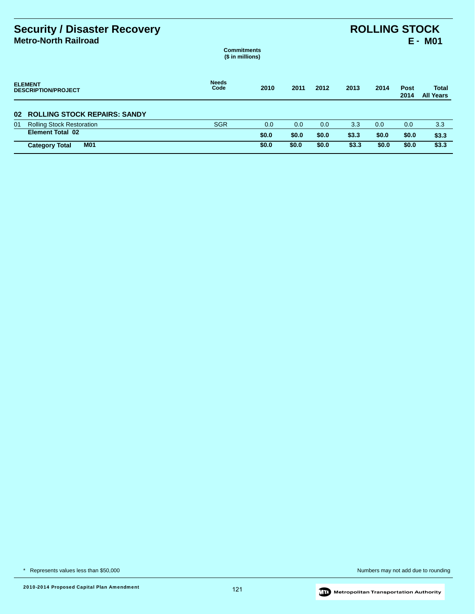### **Security / Disaster Recovery And Structure in the Contract of Contract Article STOCK Metro-North Railroad**

# **E - M01**

**Commitments (\$ in millions)**

|    | <b>ELEMENT</b><br><b>DESCRIPTION/PROJECT</b> | <b>Needs</b><br>Code | 2010  | 2011  | 2012  | 2013  | 2014  | Post<br>2014 | <b>Total</b><br><b>All Years</b> |
|----|----------------------------------------------|----------------------|-------|-------|-------|-------|-------|--------------|----------------------------------|
|    | 02 ROLLING STOCK REPAIRS: SANDY              |                      |       |       |       |       |       |              |                                  |
| 01 | <b>Rolling Stock Restoration</b>             | <b>SGR</b>           | 0.0   | 0.0   | 0.0   | 3.3   | 0.0   | 0.0          | 3.3                              |
|    | <b>Element Total 02</b>                      |                      | \$0.0 | \$0.0 | \$0.0 | \$3.3 | \$0.0 | \$0.0\$      | \$3.3                            |
|    | <b>M01</b><br><b>Category Total</b>          |                      | \$0.0 | \$0.0 | \$0.0 | \$3.3 | \$0.0 | \$0.0\$      | \$3.3                            |

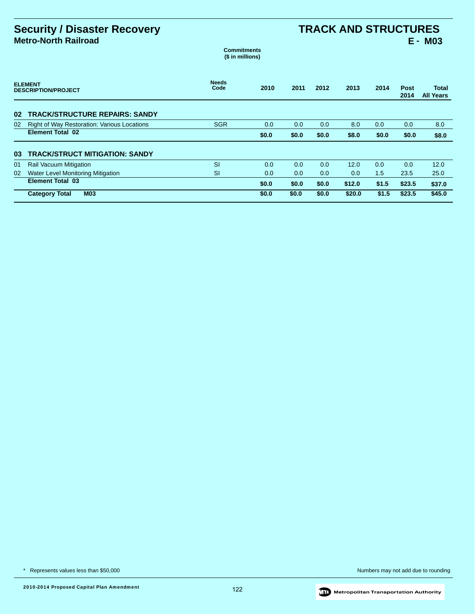### **Security / Disaster Recovery TRACK AND STRUCTURES Metro-North Railroad**

## **E - M03**

**Commitments (\$ in millions)**

|                 | <b>ELEMENT</b><br><b>DESCRIPTION/PROJECT</b>       | <b>Needs</b><br>Code | 2010  | 2011  | 2012  | 2013   | 2014  | Post<br>2014     | <b>Total</b><br><b>All Years</b> |
|-----------------|----------------------------------------------------|----------------------|-------|-------|-------|--------|-------|------------------|----------------------------------|
| 02 <sub>2</sub> | <b>TRACK/STRUCTURE REPAIRS: SANDY</b>              |                      |       |       |       |        |       |                  |                                  |
| 02 <sub>2</sub> | <b>Right of Way Restoration: Various Locations</b> | <b>SGR</b>           | 0.0   | 0.0   | 0.0   | 8.0    | 0.0   | 0.0 <sub>1</sub> | 8.0                              |
|                 | <b>Element Total 02</b>                            |                      | \$0.0 | \$0.0 | \$0.0 | \$8.0  | \$0.0 | \$0.0\$          | \$8.0                            |
| 03              | <b>TRACK/STRUCT MITIGATION: SANDY</b>              |                      |       |       |       |        |       |                  |                                  |
| 01              | <b>Rail Vacuum Mitigation</b>                      | <b>SI</b>            | 0.0   | 0.0   | 0.0   | 12.0   | 0.0   | 0.0              | 12.0                             |
| 02              | Water Level Monitoring Mitigation                  | SI                   | 0.0   | 0.0   | 0.0   | 0.0    | 1.5   | 23.5             | 25.0                             |
|                 | <b>Element Total 03</b>                            |                      | \$0.0 | \$0.0 | \$0.0 | \$12.0 | \$1.5 | \$23.5           | \$37.0                           |
|                 | <b>M03</b><br><b>Category Total</b>                |                      | \$0.0 | \$0.0 | \$0.0 | \$20.0 | \$1.5 | \$23.5           | \$45.0                           |

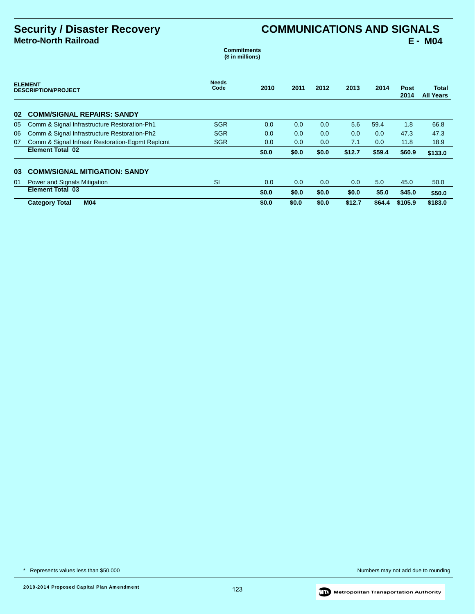# **Security / Disaster Recovery**<br>Metro-North Railroad

## **Security / Disaster Recovery COMMUNICATIONS AND SIGNALS**

**E - M04**

**Commitments (\$ in millions)**

|                 | <b>ELEMENT</b><br><b>DESCRIPTION/PROJECT</b>     | <b>Needs</b><br>Code | 2010    | 2011  | 2012  | 2013   | 2014   | Post<br>2014 | Total<br><b>All Years</b> |
|-----------------|--------------------------------------------------|----------------------|---------|-------|-------|--------|--------|--------------|---------------------------|
| 02 <sub>1</sub> | <b>COMM/SIGNAL REPAIRS: SANDY</b>                |                      |         |       |       |        |        |              |                           |
| 05 <sub>1</sub> | Comm & Signal Infrastructure Restoration-Ph1     | <b>SGR</b>           | 0.0     | 0.0   | 0.0   | 5.6    | 59.4   | 1.8          | 66.8                      |
| 06              | Comm & Signal Infrastructure Restoration-Ph2     | <b>SGR</b>           | 0.0     | 0.0   | 0.0   | 0.0    | 0.0    | 47.3         | 47.3                      |
| 07              | Comm & Signal Infrastr Restoration-Egpmt Replcmt | <b>SGR</b>           | 0.0     | 0.0   | 0.0   | 7.1    | 0.0    | 11.8         | 18.9                      |
|                 | <b>Element Total 02</b>                          |                      | \$0.0   | \$0.0 | \$0.0 | \$12.7 | \$59.4 | \$60.9       | \$133.0                   |
| 03              | <b>COMM/SIGNAL MITIGATION: SANDY</b>             |                      |         |       |       |        |        |              |                           |
| 01              | Power and Signals Mitigation                     | SI                   | 0.0     | 0.0   | 0.0   | 0.0    | 5.0    | 45.0         | 50.0                      |
|                 | <b>Element Total 03</b>                          |                      | \$0.0\$ | \$0.0 | \$0.0 | \$0.0  | \$5.0  | \$45.0       | \$50.0                    |
|                 | <b>M04</b><br><b>Category Total</b>              |                      | \$0.0   | \$0.0 | \$0.0 | \$12.7 | \$64.4 | \$105.9      | \$183.0                   |

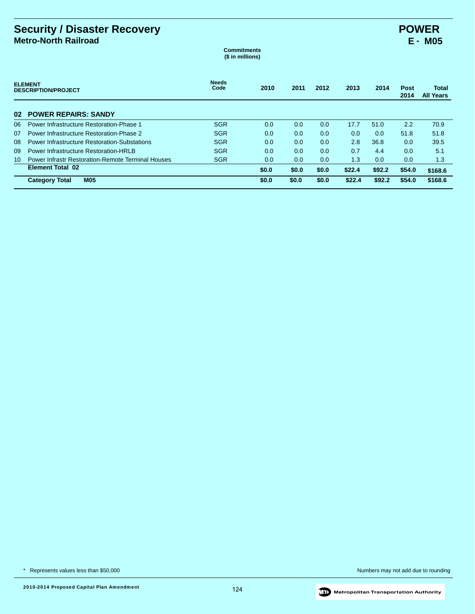### **Security / Disaster Recovery POWER Metro-North Railroad**

**Commitments (\$ in millions)**

|    | <b>ELEMENT</b><br><b>DESCRIPTION/PROJECT</b>             | <b>Needs</b><br>Code | 2010  | 2011  | 2012  | 2013   | 2014   | <b>Post</b><br>2014 | Total<br><b>All Years</b> |
|----|----------------------------------------------------------|----------------------|-------|-------|-------|--------|--------|---------------------|---------------------------|
|    | 02 POWER REPAIRS: SANDY                                  |                      |       |       |       |        |        |                     |                           |
| 06 | <b>Power Infrastructure Restoration-Phase 1</b>          | <b>SGR</b>           | 0.0   | 0.0   | 0.0   | 17.7   | 51.0   | 2.2                 | 70.9                      |
| 07 | Power Infrastructure Restoration-Phase 2                 | <b>SGR</b>           | 0.0   | 0.0   | 0.0   | 0.0    | 0.0    | 51.8                | 51.8                      |
| 08 | <b>Power Infrastructure Restoration-Substations</b>      | <b>SGR</b>           | 0.0   | 0.0   | 0.0   | 2.8    | 36.8   | 0.0                 | 39.5                      |
| 09 | <b>Power Infrastructure Restoration-HRI B</b>            | <b>SGR</b>           | 0.0   | 0.0   | 0.0   | 0.7    | 4.4    | 0.0                 | 5.1                       |
| 10 | <b>Power Infrastr Restoration-Remote Terminal Houses</b> | <b>SGR</b>           | 0.0   | 0.0   | 0.0   | 1.3    | 0.0    | 0.0                 | 1.3                       |
|    | <b>Element Total 02</b>                                  |                      | \$0.0 | \$0.0 | \$0.0 | \$22.4 | \$92.2 | \$54.0              | \$168.6                   |
|    | <b>M05</b><br><b>Category Total</b>                      |                      | \$0.0 | \$0.0 | \$0.0 | \$22.4 | \$92.2 | \$54.0              | \$168.6                   |

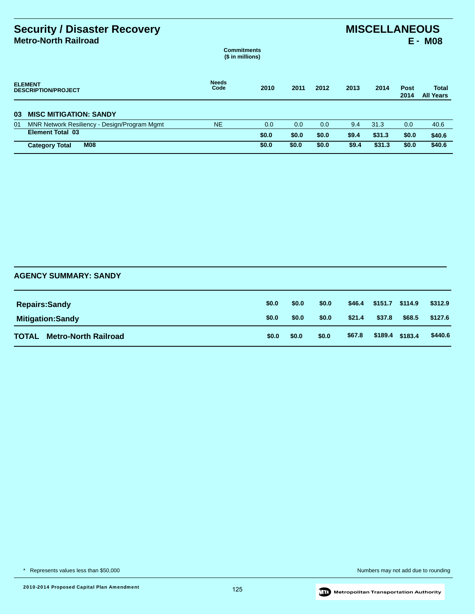### **Security / Disaster Recovery MISCELLANEOUS Metro-North Railroad**

# **E - M08**

**Commitments (\$ in millions)**

|    | <b>ELEMENT</b><br><b>DESCRIPTION/PROJECT</b>        | <b>Needs</b><br>Code | 2010  | 2011    | 2012  | 2013  | 2014   | <b>Post</b><br>2014 | <b>Total</b><br><b>All Years</b> |
|----|-----------------------------------------------------|----------------------|-------|---------|-------|-------|--------|---------------------|----------------------------------|
| 03 | <b>MISC MITIGATION: SANDY</b>                       |                      |       |         |       |       |        |                     |                                  |
| 01 | <b>MNR Network Resiliency - Design/Program Mgmt</b> | <b>NE</b>            | 0.0   | 0.0     | 0.0   | 9.4   | 31.3   | 0.0                 | 40.6                             |
|    | <b>Element Total 03</b>                             |                      | \$0.0 | \$0.0   | \$0.0 | \$9.4 | \$31.3 | \$0.0               | \$40.6                           |
|    | <b>M08</b><br><b>Category Total</b>                 |                      | \$0.0 | \$0.0\$ | \$0.0 | \$9.4 | \$31.3 | \$0.0               | \$40.6                           |

#### **AGENCY SUMMARY: SANDY**

| <b>Repairs:Sandy</b>                        | \$0.0   | \$0.0\$ | \$0.0\$ | \$46.4 | \$151.7 \$114.9 |                 | \$312.9 |
|---------------------------------------------|---------|---------|---------|--------|-----------------|-----------------|---------|
| <b>Mitigation:Sandy</b>                     | \$0.0\$ | \$0.0\$ | \$0.0\$ | \$21.4 | \$37.8          | \$68.5          | \$127.6 |
| <b>Metro-North Railroad</b><br><b>TOTAL</b> | \$0.0\$ | \$0.0   | \$0.0   | \$67.8 |                 | \$189.4 \$183.4 | \$440.6 |

\* Represents values less than \$50,000 Numbers may not add due to rounding

**WED** Metropolitan Transportation Authority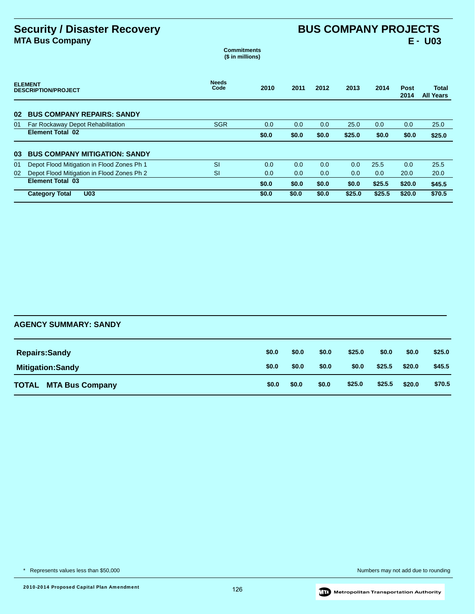## **Security / Disaster Recovery <b>BUS COMPANY PROJECTS MTA Bus Company**

**E - U03**

**Commitments (\$ in millions)**

|    | <b>ELEMENT</b><br><b>DESCRIPTION/PROJECT</b> | <b>Needs</b><br>Code | 2010  | 2011  | 2012  | 2013   | 2014   | Post<br>2014 | <b>Total</b><br><b>All Years</b> |
|----|----------------------------------------------|----------------------|-------|-------|-------|--------|--------|--------------|----------------------------------|
| 02 | <b>BUS COMPANY REPAIRS: SANDY</b>            |                      |       |       |       |        |        |              |                                  |
| 01 | Far Rockaway Depot Rehabilitation            | <b>SGR</b>           | 0.0   | 0.0   | 0.0   | 25.0   | 0.0    | 0.0          | 25.0                             |
|    | <b>Element Total 02</b>                      |                      | \$0.0 | \$0.0 | \$0.0 | \$25.0 | \$0.0  | \$0.0        | \$25.0                           |
| 03 | <b>BUS COMPANY MITIGATION: SANDY</b>         |                      |       |       |       |        |        |              |                                  |
| 01 | Depot Flood Mitigation in Flood Zones Ph 1   | <b>SI</b>            | 0.0   | 0.0   | 0.0   | 0.0    | 25.5   | 0.0          | 25.5                             |
| 02 | Depot Flood Mitigation in Flood Zones Ph 2   | SI                   | 0.0   | 0.0   | 0.0   | 0.0    | 0.0    | 20.0         | 20.0                             |
|    | <b>Element Total 03</b>                      |                      | \$0.0 | \$0.0 | \$0.0 | \$0.0  | \$25.5 | \$20.0       | \$45.5                           |
|    | <b>Category Total</b><br>U03                 |                      | \$0.0 | \$0.0 | \$0.0 | \$25.0 | \$25.5 | \$20.0       | \$70.5                           |

#### **AGENCY SUMMARY: SANDY**

| <b>Repairs:Sandy</b>                   | \$0.0   | \$0.0 | \$0.0 | \$25.0 | \$0.0  | \$0.0  | \$25.0 |
|----------------------------------------|---------|-------|-------|--------|--------|--------|--------|
| Mitigation:Sandy                       | \$0.0\$ | \$0.0 | \$0.0 | \$0.0  | \$25.5 | \$20.0 | \$45.5 |
| <b>MTA Bus Company</b><br><b>TOTAL</b> | \$0.0   | \$0.0 | \$0.0 | \$25.0 | \$25.5 | \$20.0 | \$70.5 |

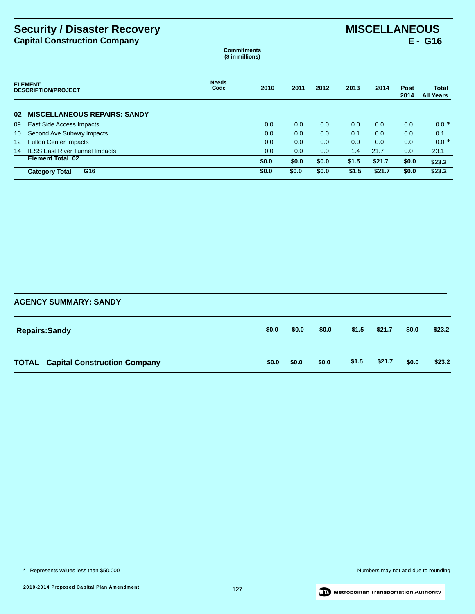## **Security / Disaster Recovery MISCELLANEOUS**

**Capital Construction Company**

# **E - G16**

**Commitments (\$ in millions)**

|                 | <b>ELEMENT</b><br><b>DESCRIPTION/PROJECT</b> | <b>Needs</b><br>Code | 2010  | 2011    | 2012  | 2013  | 2014   | <b>Post</b><br>2014 | <b>Total</b><br><b>All Years</b> |
|-----------------|----------------------------------------------|----------------------|-------|---------|-------|-------|--------|---------------------|----------------------------------|
| 02              | <b>MISCELLANEOUS REPAIRS: SANDY</b>          |                      |       |         |       |       |        |                     |                                  |
| 09              | East Side Access Impacts                     |                      | 0.0   | 0.0     | 0.0   | 0.0   | 0.0    | 0.0                 | $0.0 *$                          |
| 10 <sup>1</sup> | Second Ave Subway Impacts                    |                      | 0.0   | 0.0     | 0.0   | 0.1   | 0.0    | 0.0                 | 0.1                              |
| 12 <sup>2</sup> | <b>Fulton Center Impacts</b>                 |                      | 0.0   | 0.0     | 0.0   | 0.0   | 0.0    | 0.0                 | $0.0 *$                          |
| 14              | <b>IESS East River Tunnel Impacts</b>        |                      | 0.0   | 0.0     | 0.0   | 1.4   | 21.7   | 0.0                 | 23.1                             |
|                 | <b>Element Total 02</b>                      |                      | \$0.0 | \$0.0   | \$0.0 | \$1.5 | \$21.7 | \$0.0               | \$23.2                           |
|                 | G16<br><b>Category Total</b>                 |                      | \$0.0 | \$0.0\$ | \$0.0 | \$1.5 | \$21.7 | \$0.0               | \$23.2                           |

#### **AGENCY SUMMARY: SANDY**

| <b>Repairs:Sandy</b>                      | \$0.0   | \$0.0 | \$0.0 | \$1.5 | \$21.7 | \$0.0 | \$23.2 |
|-------------------------------------------|---------|-------|-------|-------|--------|-------|--------|
| <b>TOTAL Capital Construction Company</b> | \$0.0\$ | \$0.0 | \$0.0 | \$1.5 | \$21.7 | \$0.0 | \$23.2 |

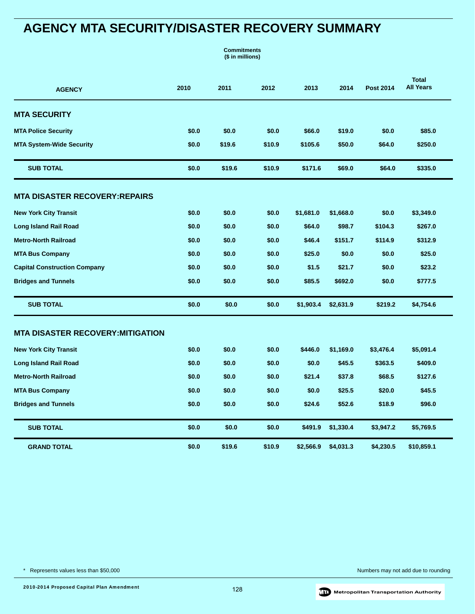## **AGENCY MTA SECURITY/DISASTER RECOVERY SUMMARY**

**Commitments** 

|                                          |       | (\$ in millions) |        |           |           |                  |                                  |  |
|------------------------------------------|-------|------------------|--------|-----------|-----------|------------------|----------------------------------|--|
| <b>AGENCY</b>                            | 2010  | 2011             | 2012   | 2013      | 2014      | <b>Post 2014</b> | <b>Total</b><br><b>All Years</b> |  |
| <b>MTA SECURITY</b>                      |       |                  |        |           |           |                  |                                  |  |
| <b>MTA Police Security</b>               | \$0.0 | \$0.0            | \$0.0  | \$66.0    | \$19.0    | \$0.0            | \$85.0                           |  |
| <b>MTA System-Wide Security</b>          | \$0.0 | \$19.6           | \$10.9 | \$105.6   | \$50.0    | \$64.0           | \$250.0                          |  |
| <b>SUB TOTAL</b>                         | \$0.0 | \$19.6           | \$10.9 | \$171.6   | \$69.0    | \$64.0           | \$335.0                          |  |
| <b>MTA DISASTER RECOVERY: REPAIRS</b>    |       |                  |        |           |           |                  |                                  |  |
| <b>New York City Transit</b>             | \$0.0 | \$0.0            | \$0.0  | \$1,681.0 | \$1,668.0 | \$0.0            | \$3,349.0                        |  |
| <b>Long Island Rail Road</b>             | \$0.0 | \$0.0            | \$0.0  | \$64.0    | \$98.7    | \$104.3          | \$267.0                          |  |
| <b>Metro-North Railroad</b>              | \$0.0 | \$0.0            | \$0.0  | \$46.4    | \$151.7   | \$114.9          | \$312.9                          |  |
| <b>MTA Bus Company</b>                   | \$0.0 | \$0.0            | \$0.0  | \$25.0    | \$0.0     | \$0.0            | \$25.0                           |  |
| <b>Capital Construction Company</b>      | \$0.0 | \$0.0            | \$0.0  | \$1.5     | \$21.7    | \$0.0            | \$23.2                           |  |
| <b>Bridges and Tunnels</b>               | \$0.0 | \$0.0            | \$0.0  | \$85.5    | \$692.0   | \$0.0            | \$777.5                          |  |
| <b>SUB TOTAL</b>                         | \$0.0 | \$0.0            | \$0.0  | \$1,903.4 | \$2,631.9 | \$219.2          | \$4,754.6                        |  |
| <b>MTA DISASTER RECOVERY: MITIGATION</b> |       |                  |        |           |           |                  |                                  |  |
| <b>New York City Transit</b>             | \$0.0 | \$0.0            | \$0.0  | \$446.0   | \$1,169.0 | \$3,476.4        | \$5,091.4                        |  |
| <b>Long Island Rail Road</b>             | \$0.0 | \$0.0            | \$0.0  | \$0.0     | \$45.5    | \$363.5          | \$409.0                          |  |
| <b>Metro-North Railroad</b>              | \$0.0 | \$0.0            | \$0.0  | \$21.4    | \$37.8    | \$68.5           | \$127.6                          |  |
| <b>MTA Bus Company</b>                   | \$0.0 | \$0.0            | \$0.0  | \$0.0     | \$25.5    | \$20.0           | \$45.5                           |  |
| <b>Bridges and Tunnels</b>               | \$0.0 | \$0.0            | \$0.0  | \$24.6    | \$52.6    | \$18.9           | \$96.0                           |  |
| <b>SUB TOTAL</b>                         | \$0.0 | \$0.0            | \$0.0  | \$491.9   | \$1,330.4 | \$3,947.2        | \$5,769.5                        |  |
| <b>GRAND TOTAL</b>                       | \$0.0 | \$19.6           | \$10.9 | \$2,566.9 | \$4,031.3 | \$4,230.5        | \$10,859.1                       |  |

\* Represents values less than \$50,000 Numbers may not add due to rounding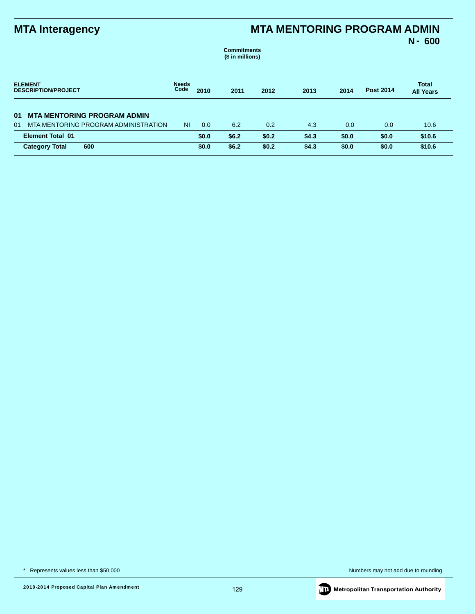## **MTA Interagency MTA MENTORING PROGRAM ADMIN**

**N - 600**

**Commitments (\$ in millions)**

|    | <b>ELEMENT</b><br><b>DESCRIPTION/PROJECT</b> | <b>Needs</b><br>Code | 2010  | 2011  | 2012    | 2013  | 2014  | <b>Post 2014</b> | <b>Total</b><br><b>All Years</b> |
|----|----------------------------------------------|----------------------|-------|-------|---------|-------|-------|------------------|----------------------------------|
| 01 | <b>MTA MENTORING PROGRAM ADMIN</b>           |                      |       |       |         |       |       |                  |                                  |
| 01 | MTA MENTORING PROGRAM ADMINISTRATION         | <b>NI</b>            | 0.0   | 6.2   | 0.2     | 4.3   | 0.0   | 0.0              | 10.6                             |
|    | <b>Element Total 01</b>                      |                      | \$0.0 | \$6.2 | \$0.2\$ | \$4.3 | \$0.0 | \$0.0\$          | \$10.6                           |
|    | 600<br><b>Category Total</b>                 |                      | \$0.0 | \$6.2 | \$0.2\$ | \$4.3 | \$0.0 | \$0.0            | \$10.6                           |
|    |                                              |                      |       |       |         |       |       |                  |                                  |

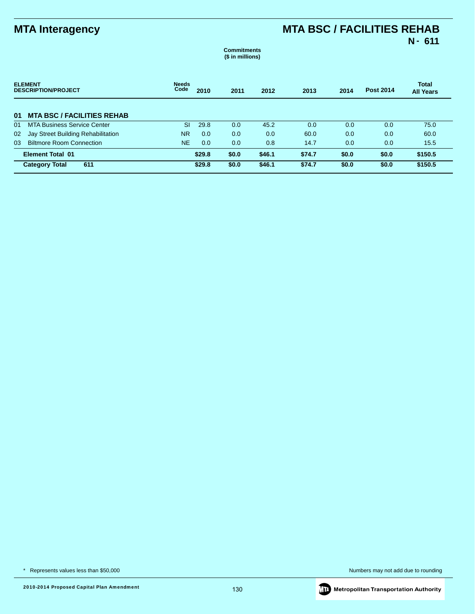## **MTA Interagency MTA BSC / FACILITIES REHAB**

**N - 611**

**Commitments (\$ in millions)**

|                 | <b>ELEMENT</b><br><b>DESCRIPTION/PROJECT</b> | <b>Needs</b><br>Code | 2010   | 2011  | 2012   | 2013   | 2014  | <b>Post 2014</b> | <b>Total</b><br><b>All Years</b> |
|-----------------|----------------------------------------------|----------------------|--------|-------|--------|--------|-------|------------------|----------------------------------|
| 01              | <b>MTA BSC / FACILITIES REHAB</b>            |                      |        |       |        |        |       |                  |                                  |
| 01              | <b>MTA Business Service Center</b>           | <b>SI</b>            | 29.8   | 0.0   | 45.2   | 0.0    | 0.0   | 0.0              | 75.0                             |
|                 | 02 Jay Street Building Rehabilitation        | <b>NR</b>            | 0.0    | 0.0   | 0.0    | 60.0   | 0.0   | 0.0              | 60.0                             |
| 03 <sub>1</sub> | <b>Biltmore Room Connection</b>              | <b>NE</b>            | 0.0    | 0.0   | 0.8    | 14.7   | 0.0   | 0.0              | 15.5                             |
|                 | <b>Element Total 01</b>                      |                      | \$29.8 | \$0.0 | \$46.1 | \$74.7 | \$0.0 | \$0.0            | \$150.5                          |
|                 | <b>Category Total</b><br>611                 |                      | \$29.8 | \$0.0 | \$46.1 | \$74.7 | \$0.0 | \$0.0\$          | \$150.5                          |

\* Represents values less than \$50,000 Numbers may not add due to rounding

130

**The Metropolitan Transportation Authority**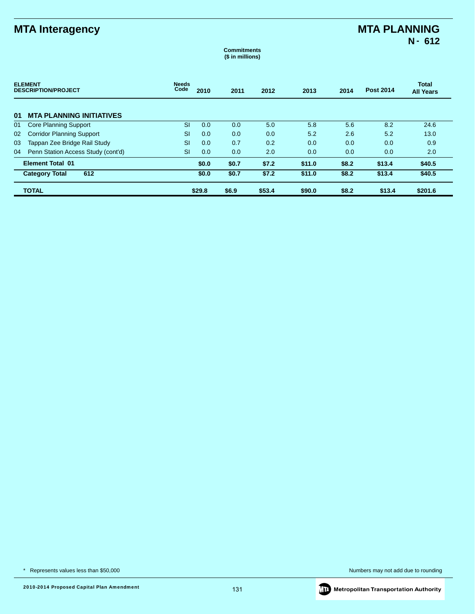## **MTA Interagency MTA PLANNING**

**N - 612**

**Commitments (\$ in millions)**

|                 | <b>ELEMENT</b><br><b>DESCRIPTION/PROJECT</b> | <b>Needs</b><br>Code | 2010   | 2011  | 2012   | 2013   | 2014  | <b>Post 2014</b> | <b>Total</b><br><b>All Years</b> |
|-----------------|----------------------------------------------|----------------------|--------|-------|--------|--------|-------|------------------|----------------------------------|
| 01              | <b>MTA PLANNING INITIATIVES</b>              |                      |        |       |        |        |       |                  |                                  |
| 01              | Core Planning Support                        | <b>SI</b>            | 0.0    | 0.0   | 5.0    | 5.8    | 5.6   | 8.2              | 24.6                             |
| 02 <sub>2</sub> | <b>Corridor Planning Support</b>             | SI                   | 0.0    | 0.0   | 0.0    | 5.2    | 2.6   | 5.2              | 13.0                             |
| 03              | Tappan Zee Bridge Rail Study                 | SI                   | 0.0    | 0.7   | 0.2    | 0.0    | 0.0   | 0.0              | 0.9                              |
| 04              | Penn Station Access Study (cont'd)           | <b>SI</b>            | 0.0    | 0.0   | 2.0    | 0.0    | 0.0   | 0.0              | 2.0                              |
|                 | <b>Element Total 01</b>                      |                      | \$0.0  | \$0.7 | \$7.2  | \$11.0 | \$8.2 | \$13.4           | \$40.5                           |
|                 | <b>Category Total</b><br>612                 |                      | \$0.0  | \$0.7 | \$7.2  | \$11.0 | \$8.2 | \$13.4           | \$40.5                           |
|                 | <b>TOTAL</b>                                 |                      | \$29.8 | \$6.9 | \$53.4 | \$90.0 | \$8.2 | \$13.4           | \$201.6                          |

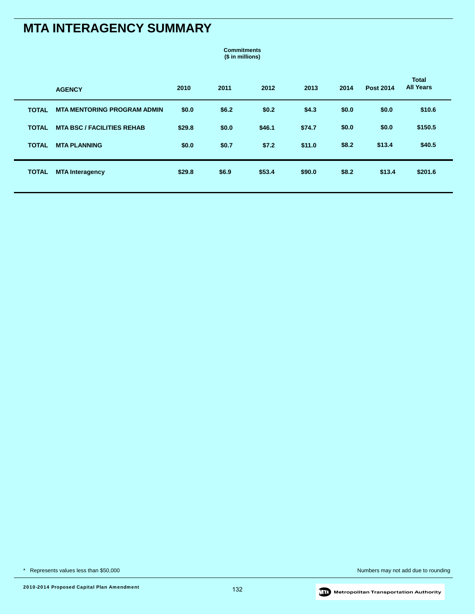## **MTA INTERAGENCY SUMMARY**

|              | <b>AGENCY</b>                      | 2010   | 2011  | 2012   | 2013   | 2014  | <b>Post 2014</b> | <b>Total</b><br><b>All Years</b> |  |
|--------------|------------------------------------|--------|-------|--------|--------|-------|------------------|----------------------------------|--|
| <b>TOTAL</b> | <b>MTA MENTORING PROGRAM ADMIN</b> | \$0.0  | \$6.2 | \$0.2  | \$4.3  | \$0.0 | \$0.0            | \$10.6                           |  |
| <b>TOTAL</b> | <b>MTA BSC / FACILITIES REHAB</b>  | \$29.8 | \$0.0 | \$46.1 | \$74.7 | \$0.0 | \$0.0            | \$150.5                          |  |
| <b>TOTAL</b> | <b>MTA PLANNING</b>                | \$0.0  | \$0.7 | \$7.2  | \$11.0 | \$8.2 | \$13.4           | \$40.5                           |  |
| <b>TOTAL</b> | <b>MTA Interagency</b>             | \$29.8 | \$6.9 | \$53.4 | \$90.0 | \$8.2 | \$13.4           | \$201.6                          |  |

**Commitments (\$ in millions)**

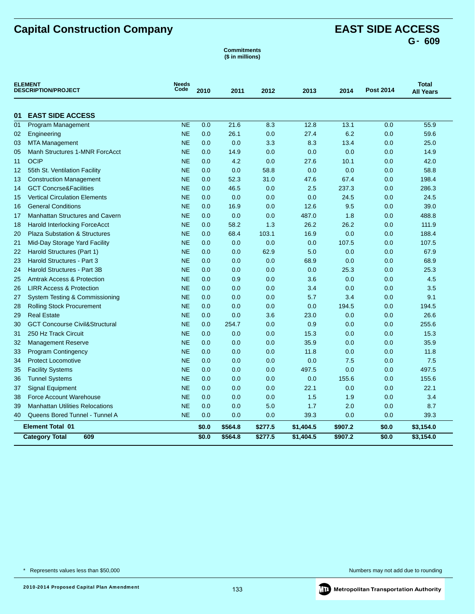## **Capital Construction Company EAST SIDE ACCESS**

**G - 609**

**Commitments (\$ in millions)**

|    | <b>ELEMENT</b><br><b>DESCRIPTION/PROJECT</b> | <b>Needs</b><br>Code | 2010  | 2011    | 2012    | 2013      | 2014    | <b>Post 2014</b> | <b>Total</b><br><b>All Years</b> |
|----|----------------------------------------------|----------------------|-------|---------|---------|-----------|---------|------------------|----------------------------------|
| 01 | <b>EAST SIDE ACCESS</b>                      |                      |       |         |         |           |         |                  |                                  |
| 01 | Program Management                           | <b>NE</b>            | 0.0   | 21.6    | 8.3     | 12.8      | 13.1    | 0.0              | 55.9                             |
| 02 | Engineering                                  | <b>NE</b>            | 0.0   | 26.1    | 0.0     | 27.4      | 6.2     | 0.0              | 59.6                             |
| 03 | <b>MTA Management</b>                        | <b>NE</b>            | 0.0   | 0.0     | 3.3     | 8.3       | 13.4    | 0.0              | 25.0                             |
| 05 | Manh Structures 1-MNR ForcAcct               | <b>NE</b>            | 0.0   | 14.9    | 0.0     | 0.0       | 0.0     | 0.0              | 14.9                             |
| 11 | <b>OCIP</b>                                  | <b>NE</b>            | 0.0   | 4.2     | 0.0     | 27.6      | 10.1    | 0.0              | 42.0                             |
| 12 | 55th St. Ventilation Facility                | <b>NE</b>            | 0.0   | 0.0     | 58.8    | 0.0       | 0.0     | 0.0              | 58.8                             |
| 13 | <b>Construction Management</b>               | <b>NE</b>            | 0.0   | 52.3    | 31.0    | 47.6      | 67.4    | 0.0              | 198.4                            |
| 14 | <b>GCT Concrse&amp;Facilities</b>            | <b>NE</b>            | 0.0   | 46.5    | 0.0     | 2.5       | 237.3   | 0.0              | 286.3                            |
| 15 | <b>Vertical Circulation Elements</b>         | <b>NE</b>            | 0.0   | 0.0     | 0.0     | 0.0       | 24.5    | 0.0              | 24.5                             |
| 16 | <b>General Conditions</b>                    | <b>NE</b>            | 0.0   | 16.9    | 0.0     | 12.6      | 9.5     | 0.0              | 39.0                             |
| 17 | Manhattan Structures and Cavern              | <b>NE</b>            | 0.0   | 0.0     | 0.0     | 487.0     | 1.8     | 0.0              | 488.8                            |
| 18 | <b>Harold Interlocking ForceAcct</b>         | <b>NE</b>            | 0.0   | 58.2    | 1.3     | 26.2      | 26.2    | 0.0              | 111.9                            |
| 20 | <b>Plaza Substation &amp; Structures</b>     | <b>NE</b>            | 0.0   | 68.4    | 103.1   | 16.9      | 0.0     | 0.0              | 188.4                            |
| 21 | Mid-Day Storage Yard Facility                | <b>NE</b>            | 0.0   | 0.0     | 0.0     | 0.0       | 107.5   | 0.0              | 107.5                            |
| 22 | Harold Structures (Part 1)                   | <b>NE</b>            | 0.0   | 0.0     | 62.9    | 5.0       | 0.0     | 0.0              | 67.9                             |
| 23 | Harold Structures - Part 3                   | <b>NE</b>            | 0.0   | 0.0     | 0.0     | 68.9      | 0.0     | 0.0              | 68.9                             |
| 24 | Harold Structures - Part 3B                  | <b>NE</b>            | 0.0   | 0.0     | 0.0     | 0.0       | 25.3    | 0.0              | 25.3                             |
| 25 | <b>Amtrak Access &amp; Protection</b>        | <b>NE</b>            | 0.0   | 0.9     | 0.0     | 3.6       | 0.0     | 0.0              | 4.5                              |
| 26 | <b>LIRR Access &amp; Protection</b>          | <b>NE</b>            | 0.0   | 0.0     | 0.0     | 3.4       | 0.0     | 0.0              | 3.5                              |
| 27 | System Testing & Commissioning               | <b>NE</b>            | 0.0   | 0.0     | 0.0     | 5.7       | 3.4     | 0.0              | 9.1                              |
| 28 | <b>Rolling Stock Procurement</b>             | <b>NE</b>            | 0.0   | 0.0     | 0.0     | 0.0       | 194.5   | 0.0              | 194.5                            |
| 29 | <b>Real Estate</b>                           | <b>NE</b>            | 0.0   | 0.0     | 3.6     | 23.0      | 0.0     | 0.0              | 26.6                             |
| 30 | <b>GCT Concourse Civil&amp;Structural</b>    | <b>NE</b>            | 0.0   | 254.7   | 0.0     | 0.9       | 0.0     | 0.0              | 255.6                            |
| 31 | 250 Hz Track Circuit                         | <b>NE</b>            | 0.0   | 0.0     | 0.0     | 15.3      | 0.0     | 0.0              | 15.3                             |
| 32 | <b>Management Reserve</b>                    | <b>NE</b>            | 0.0   | 0.0     | 0.0     | 35.9      | 0.0     | 0.0              | 35.9                             |
| 33 | <b>Program Contingency</b>                   | <b>NE</b>            | 0.0   | 0.0     | 0.0     | 11.8      | 0.0     | 0.0              | 11.8                             |
| 34 | <b>Protect Locomotive</b>                    | <b>NE</b>            | 0.0   | 0.0     | 0.0     | 0.0       | 7.5     | 0.0              | 7.5                              |
| 35 | <b>Facility Systems</b>                      | <b>NE</b>            | 0.0   | 0.0     | 0.0     | 497.5     | 0.0     | 0.0              | 497.5                            |
| 36 | <b>Tunnel Systems</b>                        | <b>NE</b>            | 0.0   | 0.0     | 0.0     | 0.0       | 155.6   | 0.0              | 155.6                            |
| 37 | <b>Signal Equipment</b>                      | <b>NE</b>            | 0.0   | 0.0     | 0.0     | 22.1      | 0.0     | 0.0              | 22.1                             |
| 38 | <b>Force Account Warehouse</b>               | <b>NE</b>            | 0.0   | 0.0     | 0.0     | 1.5       | 1.9     | 0.0              | 3.4                              |
| 39 | <b>Manhattan Utilities Relocations</b>       | <b>NE</b>            | 0.0   | 0.0     | 5.0     | 1.7       | 2.0     | 0.0              | 8.7                              |
| 40 | Queens Bored Tunnel - Tunnel A               | <b>NE</b>            | 0.0   | 0.0     | 0.0     | 39.3      | 0.0     | 0.0              | 39.3                             |
|    | <b>Element Total 01</b>                      |                      | \$0.0 | \$564.8 | \$277.5 | \$1,404.5 | \$907.2 | \$0.0            | \$3,154.0                        |
|    | 609<br><b>Category Total</b>                 |                      | \$0.0 | \$564.8 | \$277.5 | \$1,404.5 | \$907.2 | \$0.0            | \$3,154.0                        |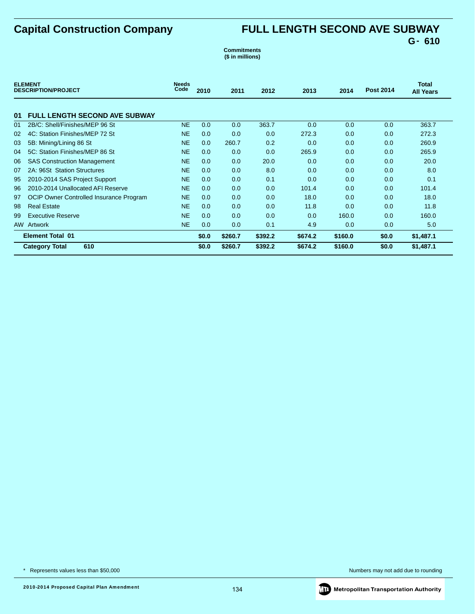## **Capital Construction Company FULL LENGTH SECOND AVE SUBWAY**

**G - 610**

**Commitments (\$ in millions)**

|     | <b>ELEMENT</b><br><b>DESCRIPTION/PROJECT</b>   | <b>Needs</b><br>Code | 2010  | 2011    | 2012    | 2013    | 2014    | <b>Post 2014</b> | <b>Total</b><br><b>All Years</b> |
|-----|------------------------------------------------|----------------------|-------|---------|---------|---------|---------|------------------|----------------------------------|
| 01  | <b>FULL LENGTH SECOND AVE SUBWAY</b>           |                      |       |         |         |         |         |                  |                                  |
| 01  | 2B/C: Shell/Finishes/MEP 96 St                 | <b>NE</b>            | 0.0   | 0.0     | 363.7   | 0.0     | 0.0     | 0.0              | 363.7                            |
| 02  | 4C: Station Finishes/MEP 72 St                 | <b>NE</b>            | 0.0   | 0.0     | 0.0     | 272.3   | 0.0     | 0.0              | 272.3                            |
| 03  | 5B: Mining/Lining 86 St                        | <b>NE</b>            | 0.0   | 260.7   | 0.2     | 0.0     | 0.0     | 0.0              | 260.9                            |
| 04  | 5C: Station Finishes/MEP 86 St                 | <b>NE</b>            | 0.0   | 0.0     | 0.0     | 265.9   | 0.0     | 0.0              | 265.9                            |
| 06  | <b>SAS Construction Management</b>             | <b>NE</b>            | 0.0   | 0.0     | 20.0    | 0.0     | 0.0     | 0.0              | 20.0                             |
| 07  | 2A: 96St Station Structures                    | <b>NE</b>            | 0.0   | 0.0     | 8.0     | 0.0     | 0.0     | 0.0              | 8.0                              |
| 95  | 2010-2014 SAS Project Support                  | <b>NE</b>            | 0.0   | 0.0     | 0.1     | 0.0     | 0.0     | 0.0              | 0.1                              |
| 96  | 2010-2014 Unallocated AFI Reserve              | <b>NE</b>            | 0.0   | 0.0     | 0.0     | 101.4   | 0.0     | 0.0              | 101.4                            |
| 97  | <b>OCIP Owner Controlled Insurance Program</b> | <b>NE</b>            | 0.0   | 0.0     | 0.0     | 18.0    | 0.0     | 0.0              | 18.0                             |
| 98  | <b>Real Estate</b>                             | <b>NE</b>            | 0.0   | 0.0     | 0.0     | 11.8    | 0.0     | 0.0              | 11.8                             |
| 99  | Executive Reserve                              | NE.                  | 0.0   | 0.0     | 0.0     | 0.0     | 160.0   | 0.0              | 160.0                            |
| AW. | Artwork                                        | <b>NE</b>            | 0.0   | 0.0     | 0.1     | 4.9     | 0.0     | 0.0              | 5.0                              |
|     | <b>Element Total 01</b>                        |                      | \$0.0 | \$260.7 | \$392.2 | \$674.2 | \$160.0 | \$0.0            | \$1,487.1                        |
|     | 610<br><b>Category Total</b>                   |                      | \$0.0 | \$260.7 | \$392.2 | \$674.2 | \$160.0 | \$0.0            | \$1,487.1                        |

\* Represents values less than \$50,000 Numbers may not add due to rounding

**The Metropolitan Transportation Authority**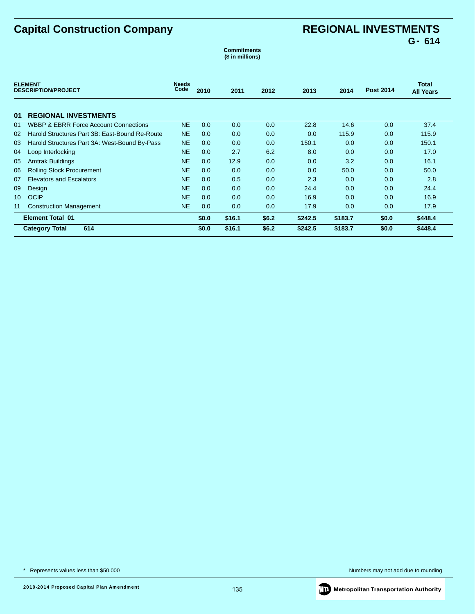**Capital Construction Company** *REGIONAL INVESTMENTS* 

**G - 614**

**Commitments (\$ in millions)**

|    | <b>ELEMENT</b><br><b>DESCRIPTION/PROJECT</b>     | <b>Needs</b><br>Code | 2010  | 2011   | 2012  | 2013    | 2014    | <b>Post 2014</b> | <b>Total</b><br><b>All Years</b> |
|----|--------------------------------------------------|----------------------|-------|--------|-------|---------|---------|------------------|----------------------------------|
| 01 | <b>REGIONAL INVESTMENTS</b>                      |                      |       |        |       |         |         |                  |                                  |
| 01 | <b>WBBP &amp; EBRR Force Account Connections</b> | NE                   | 0.0   | 0.0    | 0.0   | 22.8    | 14.6    | 0.0              | 37.4                             |
| 02 | Harold Structures Part 3B: East-Bound Re-Route   | NE                   | 0.0   | 0.0    | 0.0   | 0.0     | 115.9   | 0.0              | 115.9                            |
| 03 | Harold Structures Part 3A: West-Bound By-Pass    | NE                   | 0.0   | 0.0    | 0.0   | 150.1   | 0.0     | 0.0              | 150.1                            |
| 04 | Loop Interlocking                                | <b>NE</b>            | 0.0   | 2.7    | 6.2   | 8.0     | 0.0     | 0.0              | 17.0                             |
| 05 | <b>Amtrak Buildings</b>                          | NE.                  | 0.0   | 12.9   | 0.0   | 0.0     | 3.2     | 0.0              | 16.1                             |
| 06 | <b>Rolling Stock Procurement</b>                 | NE.                  | 0.0   | 0.0    | 0.0   | 0.0     | 50.0    | 0.0              | 50.0                             |
| 07 | <b>Elevators and Escalators</b>                  | NE                   | 0.0   | 0.5    | 0.0   | 2.3     | 0.0     | 0.0              | 2.8                              |
| 09 | Design                                           | NE                   | 0.0   | 0.0    | 0.0   | 24.4    | 0.0     | 0.0              | 24.4                             |
| 10 | <b>OCIP</b>                                      | <b>NE</b>            | 0.0   | 0.0    | 0.0   | 16.9    | 0.0     | 0.0              | 16.9                             |
| 11 | <b>Construction Management</b>                   | <b>NE</b>            | 0.0   | 0.0    | 0.0   | 17.9    | 0.0     | 0.0              | 17.9                             |
|    | <b>Element Total 01</b>                          |                      | \$0.0 | \$16.1 | \$6.2 | \$242.5 | \$183.7 | \$0.0            | \$448.4                          |
|    | 614<br><b>Category Total</b>                     |                      | \$0.0 | \$16.1 | \$6.2 | \$242.5 | \$183.7 | \$0.0\$          | \$448.4                          |

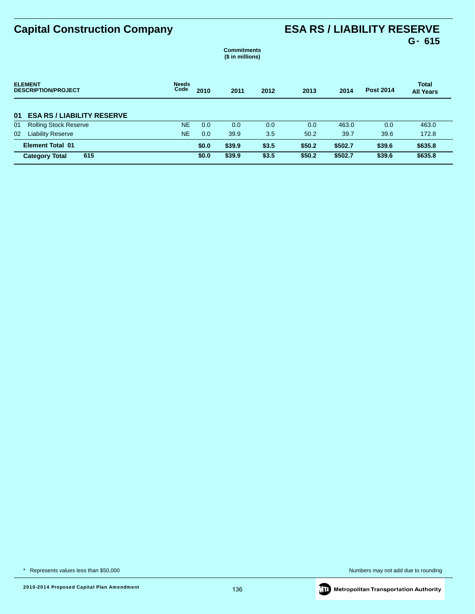## **Capital Construction Company ESA RS / LIABILITY RESERVE G - 615**

**Commitments (\$ in millions)**

|                 | <b>ELEMENT</b><br><b>DESCRIPTION/PROJECT</b> | <b>Needs</b><br>Code | 2010  | 2011   | 2012  | 2013   | 2014    | <b>Post 2014</b> | <b>Total</b><br><b>All Years</b> |
|-----------------|----------------------------------------------|----------------------|-------|--------|-------|--------|---------|------------------|----------------------------------|
| 01              | <b>ESA RS / LIABILITY RESERVE</b>            |                      |       |        |       |        |         |                  |                                  |
| 01              | <b>Rolling Stock Reserve</b>                 | <b>NE</b>            | 0.0   | 0.0    | 0.0   | 0.0    | 463.0   | 0.0              | 463.0                            |
| 02 <sup>2</sup> | <b>Liability Reserve</b>                     | <b>NE</b>            | 0.0   | 39.9   | 3.5   | 50.2   | 39.7    | 39.6             | 172.8                            |
|                 | <b>Element Total 01</b>                      |                      | \$0.0 | \$39.9 | \$3.5 | \$50.2 | \$502.7 | \$39.6           | \$635.8                          |
|                 | 615<br><b>Category Total</b>                 |                      | \$0.0 | \$39.9 | \$3.5 | \$50.2 | \$502.7 | \$39.6           | \$635.8                          |

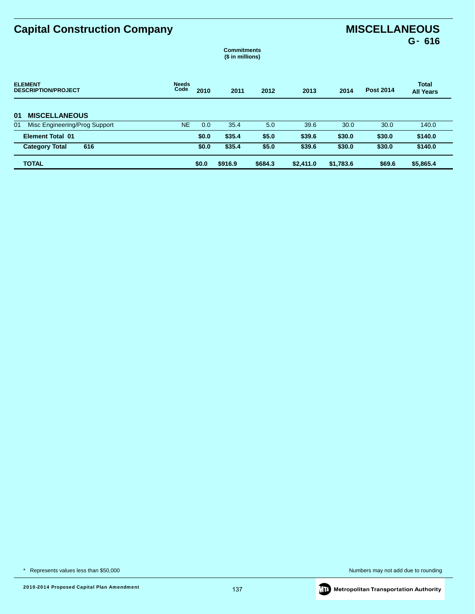**Capital Construction Company MISCELLANEOUS** 

**G - 616**

**Commitments (\$ in millions)**

| <b>ELEMENT</b><br><b>DESCRIPTION/PROJECT</b> | <b>Needs</b><br>Code | 2010  | 2011    | 2012    | 2013      | 2014      | <b>Post 2014</b> | <b>Total</b><br><b>All Years</b> |
|----------------------------------------------|----------------------|-------|---------|---------|-----------|-----------|------------------|----------------------------------|
| <b>MISCELLANEOUS</b><br>01                   |                      |       |         |         |           |           |                  |                                  |
| Misc Engineering/Prog Support<br>01          | <b>NE</b>            | 0.0   | 35.4    | 5.0     | 39.6      | 30.0      | 30.0             | 140.0                            |
| <b>Element Total 01</b>                      |                      | \$0.0 | \$35.4  | \$5.0   | \$39.6    | \$30.0    | \$30.0           | \$140.0                          |
| 616<br><b>Category Total</b>                 |                      | \$0.0 | \$35.4  | \$5.0   | \$39.6    | \$30.0    | \$30.0           | \$140.0                          |
| <b>TOTAL</b>                                 |                      | \$0.0 | \$916.9 | \$684.3 | \$2,411.0 | \$1,783.6 | \$69.6           | \$5,865.4                        |

\* Represents values less than \$50,000 Numbers may not add due to rounding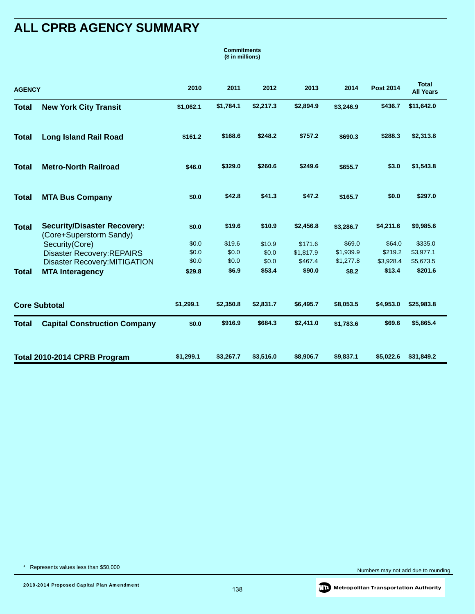## **ALL CPRB AGENCY SUMMARY**

|                                                               | 2010                                                                                                         | 2011               | 2012                        | 2013                | 2014                | <b>Post 2014</b>       | <b>Total</b><br><b>All Years</b> |
|---------------------------------------------------------------|--------------------------------------------------------------------------------------------------------------|--------------------|-----------------------------|---------------------|---------------------|------------------------|----------------------------------|
| <b>New York City Transit</b>                                  | \$1,062.1                                                                                                    | \$1,784.1          | \$2,217.3                   | \$2,894.9           | \$3.246.9           | \$436.7                | \$11,642.0                       |
| <b>Long Island Rail Road</b>                                  | \$161.2                                                                                                      | \$168.6            | \$248.2                     | \$757.2             | \$690.3             | \$288.3                | \$2,313.8                        |
| <b>Metro-North Railroad</b>                                   | \$46.0                                                                                                       | \$329.0            | \$260.6                     | \$249.6             | \$655.7             | \$3.0                  | \$1,543.8                        |
| <b>MTA Bus Company</b>                                        | \$0.0                                                                                                        | \$42.8             | \$41.3                      | \$47.2              | \$165.7             | \$0.0                  | \$297.0                          |
| <b>Security/Disaster Recovery:</b><br>(Core+Superstorm Sandy) | \$0.0                                                                                                        | \$19.6             | \$10.9                      | \$2,456.8           | \$3,286.7           | \$4,211.6              | \$9,985.6                        |
| Security(Core)                                                | \$0.0                                                                                                        | \$19.6             | \$10.9                      | \$171.6             | \$69.0              | \$64.0                 | \$335.0                          |
| <b>Disaster Recovery:REPAIRS</b>                              | \$0.0                                                                                                        | \$0.0              | \$0.0                       | \$1,817.9           | \$1,939.9           | \$219.2                | \$3,977.1                        |
|                                                               |                                                                                                              |                    | \$0.0                       | \$467.4             |                     | \$3,928.4              | \$5,673.5                        |
| <b>MTA Interagency</b>                                        | \$29.8                                                                                                       |                    |                             |                     | \$8.2               |                        | \$201.6                          |
|                                                               | \$1,299.1                                                                                                    | \$2,350.8          | \$2,831.7                   | \$6,495.7           | \$8,053.5           | \$4,953.0              | \$25,983.8                       |
| <b>Capital Construction Company</b>                           | \$0.0                                                                                                        | \$916.9            | \$684.3                     | \$2,411.0           | \$1,783.6           | \$69.6                 | \$5,865.4                        |
|                                                               |                                                                                                              |                    |                             |                     |                     |                        | \$31,849.2                       |
|                                                               | <b>AGENCY</b><br><b>Disaster Recovery:MITIGATION</b><br><b>Core Subtotal</b><br>Total 2010-2014 CPRB Program | \$0.0<br>\$1,299.1 | \$0.0<br>\$6.9<br>\$3,267.7 | \$53.4<br>\$3,516.0 | \$90.0<br>\$8,906.7 | \$1,277.8<br>\$9,837.1 | \$13.4<br>\$5,022.6              |

**Commitments (\$ in millions)**

\* Represents values less than \$50,000 Numbers may not add due to rounding



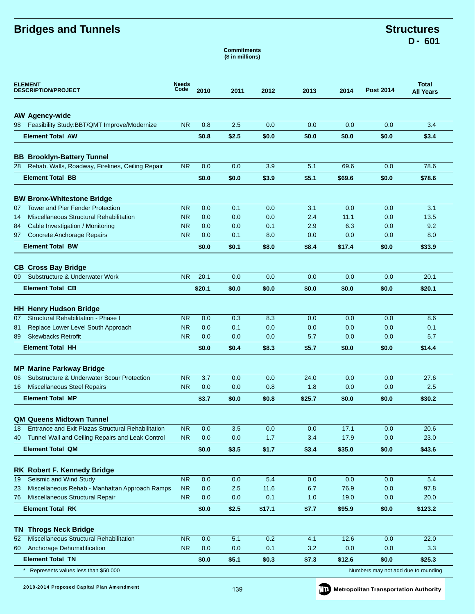**Bridges and Tunnels Structures Bridges and Tunnels** 

## **D - 601**

**Commitments** 

**(\$ in millions)**

|    | <b>ELEMENT</b><br><b>DESCRIPTION/PROJECT</b>       | <b>Needs</b><br>Code     | 2010   | 2011    | 2012    | 2013   | 2014   | <b>Post 2014</b>                    | <b>Total</b><br><b>All Years</b> |
|----|----------------------------------------------------|--------------------------|--------|---------|---------|--------|--------|-------------------------------------|----------------------------------|
|    | <b>AW Agency-wide</b>                              |                          |        |         |         |        |        |                                     |                                  |
| 98 | Feasibility Study:BBT/QMT Improve/Modernize        | <b>NR</b>                | 0.8    | 2.5     | 0.0     | 0.0    | 0.0    | 0.0                                 | 3.4                              |
|    | <b>Element Total AW</b>                            |                          | \$0.8  | \$2.5   | \$0.0   | \$0.0  | \$0.0  | \$0.0                               | \$3.4                            |
|    | <b>BB Brooklyn-Battery Tunnel</b>                  |                          |        |         |         |        |        |                                     |                                  |
| 28 | Rehab. Walls, Roadway, Firelines, Ceiling Repair   | <b>NR</b>                | 0.0    | 0.0     | 3.9     | 5.1    | 69.6   | 0.0                                 | 78.6                             |
|    | <b>Element Total BB</b>                            |                          | \$0.0  | \$0.0   | \$3.9   | \$5.1  | \$69.6 | \$0.0                               | \$78.6                           |
|    |                                                    |                          |        |         |         |        |        |                                     |                                  |
|    | <b>BW Bronx-Whitestone Bridge</b>                  |                          |        |         |         |        |        |                                     |                                  |
| 07 | <b>Tower and Pier Fender Protection</b>            | <b>NR</b>                | 0.0    | 0.1     | 0.0     | 3.1    | 0.0    | 0.0                                 | 3.1                              |
| 14 | Miscellaneous Structural Rehabilitation            | <b>NR</b>                | 0.0    | 0.0     | 0.0     | 2.4    | 11.1   | 0.0                                 | 13.5                             |
| 84 | Cable Investigation / Monitoring                   | <b>NR</b>                | 0.0    | 0.0     | 0.1     | 2.9    | 6.3    | 0.0                                 | 9.2                              |
| 97 | Concrete Anchorage Repairs                         | <b>NR</b>                | 0.0    | 0.1     | 8.0     | 0.0    | 0.0    | 0.0                                 | 8.0                              |
|    | <b>Element Total BW</b>                            |                          | \$0.0  | \$0.1   | \$8.0   | \$8.4  | \$17.4 | \$0.0                               | \$33.9                           |
|    | <b>CB Cross Bay Bridge</b>                         |                          |        |         |         |        |        |                                     |                                  |
| 09 | Substructure & Underwater Work                     | <b>NR</b>                | 20.1   | 0.0     | 0.0     | 0.0    | 0.0    | 0.0                                 | 20.1                             |
|    | <b>Element Total CB</b>                            |                          | \$20.1 | \$0.0   | \$0.0   | \$0.0  | \$0.0  | \$0.0                               | \$20.1                           |
|    | <b>HH Henry Hudson Bridge</b>                      |                          |        |         |         |        |        |                                     |                                  |
| 07 | Structural Rehabilitation - Phase I                | <b>NR</b>                | 0.0    | 0.3     | 8.3     | 0.0    | 0.0    | 0.0                                 | 8.6                              |
| 81 | Replace Lower Level South Approach                 | <b>NR</b>                | 0.0    | 0.1     | 0.0     | 0.0    | 0.0    | 0.0                                 | 0.1                              |
| 89 | <b>Skewbacks Retrofit</b>                          | NR.                      | 0.0    | 0.0     | 0.0     | 5.7    | 0.0    | 0.0                                 | 5.7                              |
|    | <b>Element Total HH</b>                            |                          | \$0.0  | \$0.4   | \$8.3   | \$5.7  | \$0.0  | \$0.0                               | \$14.4                           |
|    |                                                    |                          |        |         |         |        |        |                                     |                                  |
|    | <b>MP Marine Parkway Bridge</b>                    |                          |        |         |         |        |        |                                     |                                  |
| 06 | Substructure & Underwater Scour Protection         | <b>NR</b>                | 3.7    | 0.0     | 0.0     | 24.0   | 0.0    | 0.0                                 | 27.6                             |
| 16 | <b>Miscellaneous Steel Repairs</b>                 | N <sub>R</sub>           | 0.0    | 0.0     | 0.8     | 1.8    | 0.0    | 0.0                                 | 2.5                              |
|    | <b>Element Total MP</b>                            |                          | \$3.7  | \$0.0   | \$0.8   | \$25.7 | \$0.0  | \$0.0                               | \$30.2                           |
|    | <b>QM Queens Midtown Tunnel</b>                    |                          |        |         |         |        |        |                                     |                                  |
| 18 | Entrance and Exit Plazas Structural Rehabilitation | <b>NR</b>                | 0.0    | 3.5     | 0.0     | 0.0    | 17.1   | 0.0                                 | 20.6                             |
| 40 | Tunnel Wall and Ceiling Repairs and Leak Control   | <b>NR</b>                | 0.0    | 0.0     | 1.7     | 3.4    | 17.9   | 0.0                                 | 23.0                             |
|    | <b>Element Total QM</b>                            |                          | \$0.0  | \$3.5   | \$1.7   | \$3.4  | \$35.0 | \$0.0                               | \$43.6                           |
|    | <b>RK Robert F. Kennedy Bridge</b>                 |                          |        |         |         |        |        |                                     |                                  |
| 19 | Seismic and Wind Study                             | $\overline{\mathsf{NR}}$ | 0.0    | $0.0\,$ | 5.4     | 0.0    | 0.0    | 0.0                                 | 5.4                              |
| 23 | Miscellaneous Rehab - Manhattan Approach Ramps     | NR                       | 0.0    | 2.5     | $11.6$  | 6.7    | 76.9   | 0.0                                 | 97.8                             |
| 76 | Miscellaneous Structural Repair                    | <b>NR</b>                | 0.0    | 0.0     | 0.1     | 1.0    | 19.0   | 0.0                                 | 20.0                             |
|    | <b>Element Total RK</b>                            |                          | \$0.0  | \$2.5   | \$17.1  | \$7.7  | \$95.9 | \$0.0                               | \$123.2                          |
|    | <b>TN Throgs Neck Bridge</b>                       |                          |        |         |         |        |        |                                     |                                  |
| 52 | Miscellaneous Structural Rehabilitation            | <b>NR</b>                | 0.0    | 5.1     | 0.2     | 4.1    | 12.6   | 0.0                                 | 22.0                             |
| 60 | Anchorage Dehumidification                         | <b>NR</b>                | 0.0    | 0.0     | 0.1     | 3.2    | 0.0    | 0.0                                 | 3.3                              |
|    | <b>Element Total TN</b>                            |                          | \$0.0  | \$5.1   | \$0.3\$ | \$7.3  | \$12.6 | \$0.0                               | \$25.3                           |
|    | * Represents values less than \$50,000             |                          |        |         |         |        |        | Numbers may not add due to rounding |                                  |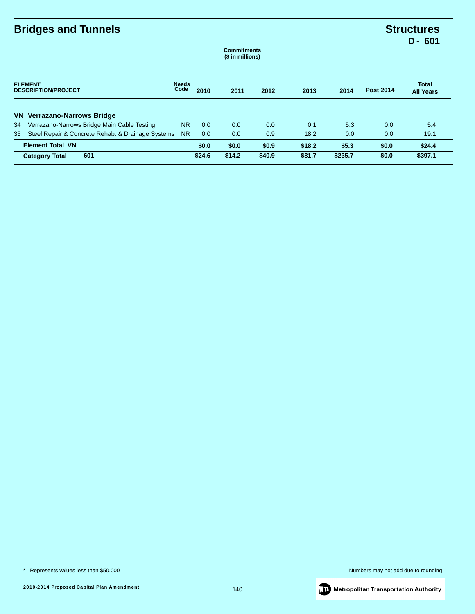## **Bridges and Tunnels Structures Bridges and Tunnels**

## **D - 601**

**Commitments (\$ in millions)**

|                 | <b>ELEMENT</b><br><b>DESCRIPTION/PROJECT</b>      | <b>Needs</b><br>Code | 2010   | 2011   | 2012   | 2013   | 2014    | <b>Post 2014</b> | <b>Total</b><br><b>All Years</b> |
|-----------------|---------------------------------------------------|----------------------|--------|--------|--------|--------|---------|------------------|----------------------------------|
|                 | <b>VN Verrazano-Narrows Bridge</b>                |                      |        |        |        |        |         |                  |                                  |
| 34              | Verrazano-Narrows Bridge Main Cable Testing       | <b>NR</b>            | 0.0    | 0.0    | 0.0    | 0.1    | 5.3     | 0.0              | 5.4                              |
| 35 <sub>2</sub> | Steel Repair & Concrete Rehab. & Drainage Systems | <b>NR</b>            | 0.0    | 0.0    | 0.9    | 18.2   | 0.0     | 0.0              | 19.1                             |
|                 | <b>Element Total VN</b>                           |                      | \$0.0  | \$0.0  | \$0.9  | \$18.2 | \$5.3   | \$0.0            | \$24.4                           |
|                 | 601<br><b>Category Total</b>                      |                      | \$24.6 | \$14.2 | \$40.9 | \$81.7 | \$235.7 | \$0.0\$          | \$397.1                          |

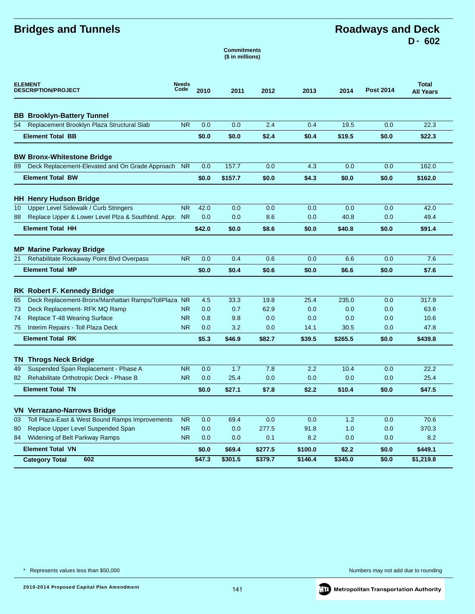**Bridges and Tunnels Roadways and Deck**

# **D - 602**

**Commitments** 

**(\$ in millions)**

|                 | <b>ELEMENT</b><br><b>DESCRIPTION/PROJECT</b>                                    | <b>Needs</b><br>Code | 2010   | 2011    | 2012    | 2013    | 2014    | <b>Post 2014</b> | <b>Total</b><br><b>All Years</b> |  |
|-----------------|---------------------------------------------------------------------------------|----------------------|--------|---------|---------|---------|---------|------------------|----------------------------------|--|
|                 |                                                                                 |                      |        |         |         |         |         |                  |                                  |  |
| 54              | <b>BB Brooklyn-Battery Tunnel</b><br>Replacement Brooklyn Plaza Structural Slab | <b>NR</b>            | 0.0    | 0.0     | 2.4     | 0.4     | 19.5    | 0.0              | 22.3                             |  |
|                 |                                                                                 |                      |        |         |         |         |         |                  |                                  |  |
|                 | <b>Element Total BB</b>                                                         |                      | \$0.0  | \$0.0   | \$2.4   | \$0.4   | \$19.5  | \$0.0            | \$22.3                           |  |
|                 | <b>BW Bronx-Whitestone Bridge</b>                                               |                      |        |         |         |         |         |                  |                                  |  |
| 89              | Deck Replacement-Elevated and On Grade Approach                                 | <b>NR</b>            | 0.0    | 157.7   | 0.0     | 4.3     | 0.0     | 0.0              | 162.0                            |  |
|                 | <b>Element Total BW</b>                                                         |                      | \$0.0  | \$157.7 | \$0.0   | \$4.3   | \$0.0   | \$0.0            | \$162.0                          |  |
|                 | <b>HH Henry Hudson Bridge</b>                                                   |                      |        |         |         |         |         |                  |                                  |  |
| 10 <sup>1</sup> | Upper Level Sidewalk / Curb Stringers                                           | <b>NR</b>            | 42.0   | 0.0     | 0.0     | 0.0     | 0.0     | 0.0              | 42.0                             |  |
| 88              | Replace Upper & Lower Level Plza & Southbnd. Appr.                              | <b>NR</b>            | 0.0    | 0.0     | 8.6     | 0.0     | 40.8    | 0.0              | 49.4                             |  |
|                 | <b>Element Total HH</b>                                                         |                      | \$42.0 | \$0.0   | \$8.6   | \$0.0   | \$40.8  | \$0.0            | \$91.4                           |  |
|                 |                                                                                 |                      |        |         |         |         |         |                  |                                  |  |
|                 | <b>MP Marine Parkway Bridge</b>                                                 |                      |        |         |         |         |         |                  |                                  |  |
| 21              | Rehabilitate Rockaway Point Blvd Overpass                                       | <b>NR</b>            | 0.0    | 0.4     | 0.6     | 0.0     | 6.6     | 0.0              | 7.6                              |  |
|                 | <b>Element Total MP</b>                                                         |                      | \$0.0  | \$0.4   | \$0.6   | \$0.0   | \$6.6   | \$0.0            | \$7.6                            |  |
|                 | <b>RK Robert F. Kennedy Bridge</b>                                              |                      |        |         |         |         |         |                  |                                  |  |
| 65              | Deck Replacement-Bronx/Manhattan Ramps/TollPlaza NR                             |                      | 4.5    | 33.3    | 19.8    | 25.4    | 235.0   | 0.0              | 317.9                            |  |
| 73              | Deck Replacement-RFK MQ Ramp                                                    | N <sub>R</sub>       | 0.0    | 0.7     | 62.9    | 0.0     | 0.0     | 0.0              | 63.6                             |  |
| 74              | Replace T-48 Wearing Surface                                                    | <b>NR</b>            | 0.8    | 9.8     | 0.0     | 0.0     | 0.0     | 0.0              | 10.6                             |  |
| 75              | Interim Repairs - Toll Plaza Deck                                               | <b>NR</b>            | 0.0    | 3.2     | 0.0     | 14.1    | 30.5    | 0.0              | 47.8                             |  |
|                 | <b>Element Total RK</b>                                                         |                      | \$5.3  | \$46.9  | \$82.7  | \$39.5  | \$265.5 | \$0.0            | \$439.8                          |  |
|                 | <b>TN Throgs Neck Bridge</b>                                                    |                      |        |         |         |         |         |                  |                                  |  |
| 49              | Suspended Span Replacement - Phase A                                            | <b>NR</b>            | 0.0    | 1.7     | 7.8     | 2.2     | 10.4    | 0.0              | 22.2                             |  |
| 82              | Rehabilitate Orthotropic Deck - Phase B                                         | <b>NR</b>            | 0.0    | 25.4    | 0.0     | 0.0     | 0.0     | 0.0              | 25.4                             |  |
|                 | <b>Element Total TN</b>                                                         |                      | \$0.0  | \$27.1  | \$7.8   | \$2.2   | \$10.4  | \$0.0            | \$47.5                           |  |
|                 |                                                                                 |                      |        |         |         |         |         |                  |                                  |  |
|                 | <b>VN Verrazano-Narrows Bridge</b>                                              |                      |        |         |         |         |         |                  |                                  |  |
| 03              | Toll Plaza-East & West Bound Ramps Improvements                                 | <b>NR</b>            | 0.0    | 69.4    | 0.0     | 0.0     | 1.2     | 0.0              | 70.6                             |  |
| 80              | Replace Upper Level Suspended Span                                              | <b>NR</b>            | 0.0    | 0.0     | 277.5   | 91.8    | 1.0     | 0.0              | 370.3                            |  |
| 84              | Widening of Belt Parkway Ramps                                                  | <b>NR</b>            | 0.0    | 0.0     | 0.1     | 8.2     | 0.0     | 0.0              | 8.2                              |  |
|                 | <b>Element Total VN</b>                                                         |                      | \$0.0  | \$69.4  | \$277.5 | \$100.0 | \$2.2   | \$0.0            | \$449.1                          |  |
|                 | <b>Category Total</b><br>602                                                    |                      | \$47.3 | \$301.5 | \$379.7 | \$146.4 | \$345.0 | \$0.0            | \$1,219.8                        |  |

\* Represents values less than \$50,000 Numbers may not add due to rounding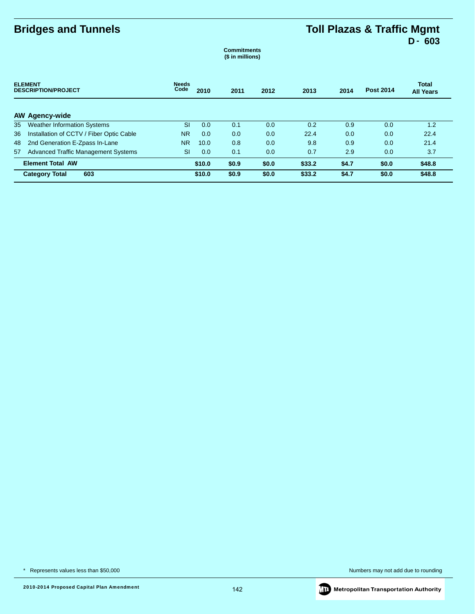## **Bridges and Tunnels Toll Plazas & Traffic Mgmt D - 603**

**Commitments (\$ in millions)**

|                 | <b>ELEMENT</b><br><b>DESCRIPTION/PROJECT</b> | <b>Needs</b><br>Code | 2010   | 2011  | 2012  | 2013   | 2014  | <b>Post 2014</b> | <b>Total</b><br><b>All Years</b> |
|-----------------|----------------------------------------------|----------------------|--------|-------|-------|--------|-------|------------------|----------------------------------|
|                 | <b>AW Agency-wide</b>                        |                      |        |       |       |        |       |                  |                                  |
| 35 <sup>2</sup> | <b>Weather Information Systems</b>           | <b>SI</b>            | 0.0    | 0.1   | 0.0   | 0.2    | 0.9   | 0.0              | 1.2                              |
| 36              | Installation of CCTV / Fiber Optic Cable     | <b>NR</b>            | 0.0    | 0.0   | 0.0   | 22.4   | 0.0   | 0.0              | 22.4                             |
| 48              | 2nd Generation E-Zpass In-Lane               | <b>NR</b>            | 10.0   | 0.8   | 0.0   | 9.8    | 0.9   | 0.0              | 21.4                             |
| 57              | <b>Advanced Traffic Management Systems</b>   | <b>SI</b>            | 0.0    | 0.1   | 0.0   | 0.7    | 2.9   | 0.0              | 3.7                              |
|                 | <b>Element Total AW</b>                      |                      | \$10.0 | \$0.9 | \$0.0 | \$33.2 | \$4.7 | \$0.0            | \$48.8                           |
|                 | <b>Category Total</b><br>603                 |                      | \$10.0 | \$0.9 | \$0.0 | \$33.2 | \$4.7 | \$0.0            | \$48.8                           |

\* Represents values less than \$50,000 Numbers may not add due to rounding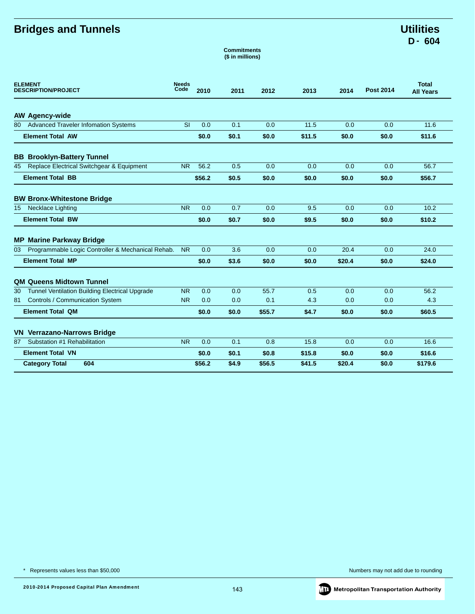## **Bridges and Tunnels Utilities**

**D - 604**

**Commitments (\$ in millions)**

| <b>ELEMENT</b><br><b>DESCRIPTION/PROJECT</b>                | <b>Needs</b><br>Code | 2010   | 2011  | 2012   | 2013   | 2014   | <b>Post 2014</b> | <b>Total</b><br><b>All Years</b> |
|-------------------------------------------------------------|----------------------|--------|-------|--------|--------|--------|------------------|----------------------------------|
| <b>AW Agency-wide</b>                                       |                      |        |       |        |        |        |                  |                                  |
| Advanced Traveler Infomation Systems<br>80.                 | SI                   | 0.0    | 0.1   | 0.0    | 11.5   | 0.0    | 0.0              | 11.6                             |
| <b>Element Total AW</b>                                     |                      | \$0.0  | \$0.1 | \$0.0  | \$11.5 | \$0.0  | \$0.0            | \$11.6                           |
| <b>BB Brooklyn-Battery Tunnel</b>                           |                      |        |       |        |        |        |                  |                                  |
| Replace Electrical Switchgear & Equipment<br>45             | <b>NR</b>            | 56.2   | 0.5   | 0.0    | 0.0    | 0.0    | 0.0              | 56.7                             |
| <b>Element Total BB</b>                                     |                      | \$56.2 | \$0.5 | \$0.0  | \$0.0  | \$0.0  | \$0.0            | \$56.7                           |
| <b>BW Bronx-Whitestone Bridge</b>                           |                      |        |       |        |        |        |                  |                                  |
| Necklace Lighting<br>15                                     | <b>NR</b>            | 0.0    | 0.7   | 0.0    | 9.5    | 0.0    | 0.0              | 10.2                             |
| <b>Element Total BW</b>                                     |                      | \$0.0  | \$0.7 | \$0.0  | \$9.5  | \$0.0  | \$0.0            | \$10.2\$                         |
| <b>MP Marine Parkway Bridge</b>                             |                      |        |       |        |        |        |                  |                                  |
| 03 Programmable Logic Controller & Mechanical Rehab.        | <b>NR</b>            | 0.0    | 3.6   | 0.0    | 0.0    | 20.4   | 0.0              | 24.0                             |
| <b>Element Total MP</b>                                     |                      | \$0.0  | \$3.6 | \$0.0  | \$0.0  | \$20.4 | \$0.0            | \$24.0                           |
| <b>QM Queens Midtown Tunnel</b>                             |                      |        |       |        |        |        |                  |                                  |
| <b>Tunnel Ventilation Building Electrical Upgrade</b><br>30 | <b>NR</b>            | 0.0    | 0.0   | 55.7   | 0.5    | 0.0    | 0.0              | 56.2                             |
| <b>Controls / Communication System</b><br>81                | <b>NR</b>            | 0.0    | 0.0   | 0.1    | 4.3    | 0.0    | 0.0              | 4.3                              |
| <b>Element Total QM</b>                                     |                      | \$0.0  | \$0.0 | \$55.7 | \$4.7  | \$0.0  | \$0.0            | \$60.5                           |
| <b>VN Verrazano-Narrows Bridge</b>                          |                      |        |       |        |        |        |                  |                                  |
| Substation #1 Rehabilitation<br>87                          | <b>NR</b>            | 0.0    | 0.1   | 0.8    | 15.8   | 0.0    | 0.0              | 16.6                             |
| <b>Element Total VN</b>                                     |                      | \$0.0  | \$0.1 | \$0.8  | \$15.8 | \$0.0  | \$0.0            | \$16.6                           |
| 604<br><b>Category Total</b>                                |                      | \$56.2 | \$4.9 | \$56.5 | \$41.5 | \$20.4 | \$0.0            | \$179.6                          |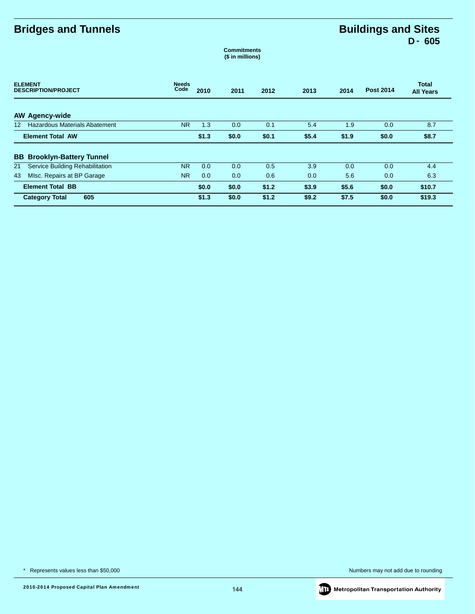### **Bridges and Tunnels**

# **Buildings and Sites**<br>D-605

**Commitments** 

**(\$ in millions)**

| <b>ELEMENT</b><br><b>DESCRIPTION/PROJECT</b> | <b>Needs</b><br>Code | 2010  | 2011  | 2012  | 2013  | 2014  | <b>Post 2014</b> | <b>Total</b><br><b>All Years</b> |
|----------------------------------------------|----------------------|-------|-------|-------|-------|-------|------------------|----------------------------------|
| <b>AW Agency-wide</b>                        |                      |       |       |       |       |       |                  |                                  |
| 12 Hazardous Materials Abatement             | <b>NR</b>            | 1.3   | 0.0   | 0.1   | 5.4   | 1.9   | 0.0              | 8.7                              |
| <b>Element Total AW</b>                      |                      | \$1.3 | \$0.0 | \$0.1 | \$5.4 | \$1.9 | \$0.0            | \$8.7                            |
| <b>BB Brooklyn-Battery Tunnel</b>            |                      |       |       |       |       |       |                  |                                  |
| Service Building Rehabilitation<br>21        | <b>NR</b>            | 0.0   | 0.0   | 0.5   | 3.9   | 0.0   | 0.0              | 4.4                              |
| MIsc. Repairs at BP Garage<br>43             | <b>NR</b>            | 0.0   | 0.0   | 0.6   | 0.0   | 5.6   | 0.0              | 6.3                              |
| <b>Element Total BB</b>                      |                      | \$0.0 | \$0.0 | \$1.2 | \$3.9 | \$5.6 | \$0.0            | \$10.7                           |
| 605<br><b>Category Total</b>                 |                      | \$1.3 | \$0.0 | \$1.2 | \$9.2 | \$7.5 | \$0.0            | \$19.3                           |

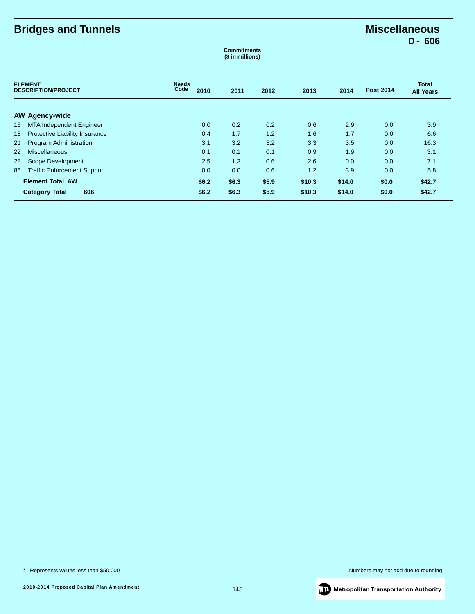## **Bridges and Tunnels Miscellaneous**

# **D - 606**

**Commitments (\$ in millions)**

| <b>ELEMENT</b><br><b>DESCRIPTION/PROJECT</b> |                                       | <b>Needs</b><br>Code<br>2010 | 2011  | 2012  | 2013   | 2014   | <b>Post 2014</b> | <b>Total</b><br><b>All Years</b> |
|----------------------------------------------|---------------------------------------|------------------------------|-------|-------|--------|--------|------------------|----------------------------------|
|                                              | <b>AW Agency-wide</b>                 |                              |       |       |        |        |                  |                                  |
| 15 <sup>2</sup>                              | <b>MTA Independent Engineer</b>       | 0.0                          | 0.2   | 0.2   | 0.6    | 2.9    | 0.0              | 3.9                              |
| 18                                           | <b>Protective Liability Insurance</b> | 0.4                          | 1.7   | 1.2   | 1.6    | 1.7    | 0.0              | 6.6                              |
| 21                                           | <b>Program Administration</b>         | 3.1                          | 3.2   | 3.2   | 3.3    | 3.5    | 0.0              | 16.3                             |
| 22                                           | Miscellaneous                         | 0.1                          | 0.1   | 0.1   | 0.9    | 1.9    | 0.0              | 3.1                              |
| 28                                           | Scope Development                     | 2.5                          | 1.3   | 0.6   | 2.6    | 0.0    | 0.0              | 7.1                              |
| 85                                           | <b>Traffic Enforcement Support</b>    | 0.0                          | 0.0   | 0.6   | 1.2    | 3.9    | 0.0              | 5.8                              |
|                                              | <b>Element Total AW</b>               | \$6.2                        | \$6.3 | \$5.9 | \$10.3 | \$14.0 | \$0.0            | \$42.7                           |
|                                              | 606<br><b>Category Total</b>          | \$6.2                        | \$6.3 | \$5.9 | \$10.3 | \$14.0 | \$0.0            | \$42.7                           |

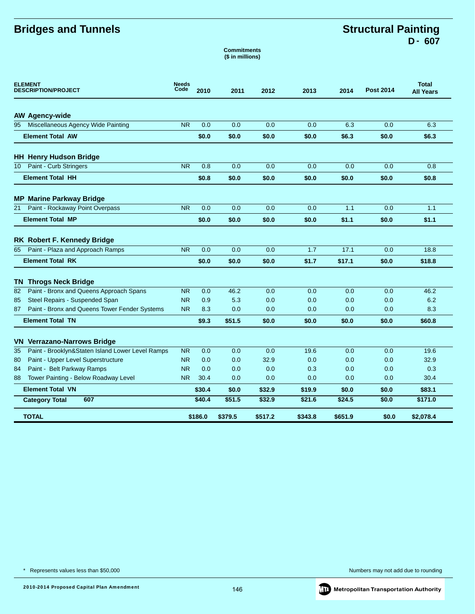**Bridges and Tunnels** 

# **Structural Painting**<br>D-607

**Commitments** 

**(\$ in millions)**

| <b>ELEMENT</b><br><b>DESCRIPTION/PROJECT</b>                                 | <b>Needs</b><br>Code   | 2010    | 2011    | 2012    | 2013    | 2014    | <b>Post 2014</b> | <b>Total</b><br><b>All Years</b> |
|------------------------------------------------------------------------------|------------------------|---------|---------|---------|---------|---------|------------------|----------------------------------|
| <b>AW Agency-wide</b>                                                        |                        |         |         |         |         |         |                  |                                  |
| Miscellaneous Agency Wide Painting<br>95                                     | <b>NR</b>              | 0.0     | 0.0     | 0.0     | 0.0     | 6.3     | 0.0              | 6.3                              |
| <b>Element Total AW</b>                                                      |                        | \$0.0   | \$0.0   | \$0.0   | \$0.0   | \$6.3   | \$0.0            | \$6.3                            |
| <b>HH Henry Hudson Bridge</b>                                                |                        |         |         |         |         |         |                  |                                  |
| Paint - Curb Stringers<br>10 <sup>°</sup>                                    | $\overline{\text{NR}}$ | 0.8     | 0.0     | 0.0     | 0.0     | 0.0     | 0.0              | 0.8                              |
| <b>Element Total HH</b>                                                      |                        | \$0.8   | \$0.0   | \$0.0   | \$0.0   | \$0.0   | \$0.0            | \$0.8                            |
| <b>MP Marine Parkway Bridge</b>                                              |                        |         |         |         |         |         |                  |                                  |
| Paint - Rockaway Point Overpass<br>21                                        | <b>NR</b>              | 0.0     | 0.0     | 0.0     | 0.0     | 1.1     | 0.0              | 1.1                              |
| <b>Element Total MP</b>                                                      |                        | \$0.0   | \$0.0   | \$0.0   | \$0.0   | \$1.1   | \$0.0            | \$1.1                            |
| <b>RK Robert F. Kennedy Bridge</b><br>Paint - Plaza and Approach Ramps<br>65 | <b>NR</b>              | 0.0     | 0.0     | 0.0     | 1.7     | 17.1    | 0.0              | 18.8                             |
| <b>Element Total RK</b>                                                      |                        | \$0.0   | \$0.0   | \$0.0   | \$1.7   | \$17.1  | \$0.0            | \$18.8                           |
| <b>TN Throgs Neck Bridge</b>                                                 |                        |         |         |         |         |         |                  |                                  |
| Paint - Bronx and Queens Approach Spans<br>82                                | <b>NR</b>              | 0.0     | 46.2    | 0.0     | 0.0     | 0.0     | 0.0              | 46.2                             |
| Steel Repairs - Suspended Span<br>85                                         | <b>NR</b>              | 0.9     | 5.3     | 0.0     | 0.0     | 0.0     | 0.0              | 6.2                              |
| Paint - Bronx and Queens Tower Fender Systems<br>87                          | <b>NR</b>              | 8.3     | 0.0     | 0.0     | 0.0     | 0.0     | 0.0              | 8.3                              |
| <b>Element Total TN</b>                                                      |                        | \$9.3   | \$51.5  | \$0.0   | \$0.0   | \$0.0   | \$0.0            | \$60.8                           |
| <b>VN Verrazano-Narrows Bridge</b>                                           |                        |         |         |         |         |         |                  |                                  |
| Paint - Brooklyn&Staten Island Lower Level Ramps<br>35                       | <b>NR</b>              | 0.0     | 0.0     | 0.0     | 19.6    | 0.0     | 0.0              | 19.6                             |
| Paint - Upper Level Superstructure<br>80                                     | N <sub>R</sub>         | 0.0     | 0.0     | 32.9    | 0.0     | 0.0     | 0.0              | 32.9                             |
| Paint - Belt Parkway Ramps<br>84                                             | N <sub>R</sub>         | 0.0     | 0.0     | 0.0     | 0.3     | 0.0     | 0.0              | 0.3                              |
| Tower Painting - Below Roadway Level<br>88                                   | N <sub>R</sub>         | 30.4    | 0.0     | 0.0     | 0.0     | 0.0     | 0.0              | 30.4                             |
| <b>Element Total VN</b>                                                      |                        | \$30.4  | \$0.0   | \$32.9  | \$19.9  | \$0.0   | \$0.0            | \$83.1                           |
| <b>Category Total</b><br>607                                                 |                        | \$40.4  | \$51.5  | \$32.9  | \$21.6  | \$24.5  | \$0.0            | \$171.0                          |
| <b>TOTAL</b>                                                                 |                        | \$186.0 | \$379.5 | \$517.2 | \$343.8 | \$651.9 | \$0.0            | \$2,078.4                        |

\* Represents values less than \$50,000 Numbers may not add due to rounding

146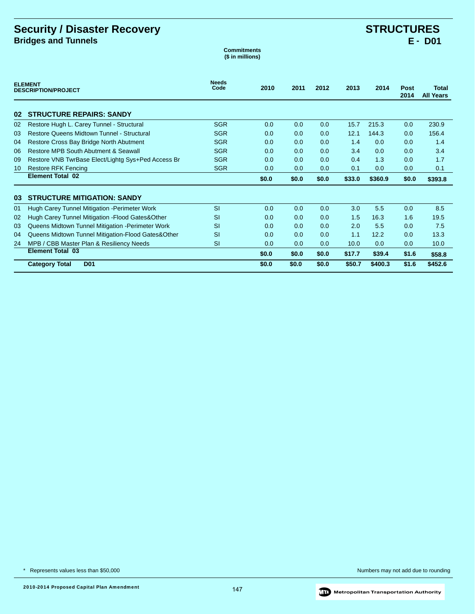### **Security / Disaster Recovery And Structure in the STRUCTURES Bridges and Tunnels**

# **E - D01**

**Commitments (\$ in millions)**

|    | <b>ELEMENT</b><br><b>DESCRIPTION/PROJECT</b>       | <b>Needs</b><br>Code | 2010  | 2011    | 2012  | 2013   | 2014    | Post<br>2014 | Total<br><b>All Years</b> |
|----|----------------------------------------------------|----------------------|-------|---------|-------|--------|---------|--------------|---------------------------|
| 02 | <b>STRUCTURE REPAIRS: SANDY</b>                    |                      |       |         |       |        |         |              |                           |
| 02 | Restore Hugh L. Carey Tunnel - Structural          | <b>SGR</b>           | 0.0   | 0.0     | 0.0   | 15.7   | 215.3   | 0.0          | 230.9                     |
| 03 | Restore Queens Midtown Tunnel - Structural         | <b>SGR</b>           | 0.0   | 0.0     | 0.0   | 12.1   | 144.3   | 0.0          | 156.4                     |
| 04 | Restore Cross Bay Bridge North Abutment            | <b>SGR</b>           | 0.0   | 0.0     | 0.0   | 1.4    | 0.0     | 0.0          | 1.4                       |
| 06 | Restore MPB South Abutment & Seawall               | <b>SGR</b>           | 0.0   | 0.0     | 0.0   | 3.4    | 0.0     | 0.0          | 3.4                       |
| 09 | Restore VNB TwrBase Elect/Lightg Sys+Ped Access Br | <b>SGR</b>           | 0.0   | 0.0     | 0.0   | 0.4    | 1.3     | 0.0          | 1.7                       |
| 10 | <b>Restore RFK Fencing</b>                         | <b>SGR</b>           | 0.0   | 0.0     | 0.0   | 0.1    | 0.0     | 0.0          | 0.1                       |
|    | <b>Element Total 02</b>                            |                      | \$0.0 | \$0.0\$ | \$0.0 | \$33.0 | \$360.9 | \$0.0        | \$393.8                   |
| 03 | <b>STRUCTURE MITIGATION: SANDY</b>                 |                      |       |         |       |        |         |              |                           |
| 01 | Hugh Carey Tunnel Mitigation - Perimeter Work      | <b>SI</b>            | 0.0   | 0.0     | 0.0   | 3.0    | 5.5     | 0.0          | 8.5                       |
| 02 | Hugh Carey Tunnel Mitigation - Flood Gates& Other  | <b>SI</b>            | 0.0   | 0.0     | 0.0   | 1.5    | 16.3    | 1.6          | 19.5                      |
| 03 | Queens Midtown Tunnel Mitigation - Perimeter Work  | <b>SI</b>            | 0.0   | 0.0     | 0.0   | 2.0    | 5.5     | 0.0          | 7.5                       |
| 04 | Queens Midtown Tunnel Mitigation-Flood Gates&Other | SI                   | 0.0   | 0.0     | 0.0   | 1.1    | 12.2    | 0.0          | 13.3                      |
| 24 | MPB / CBB Master Plan & Resiliency Needs           | <b>SI</b>            | 0.0   | 0.0     | 0.0   | 10.0   | 0.0     | 0.0          | 10.0                      |
|    | <b>Element Total 03</b>                            |                      | \$0.0 | \$0.0\$ | \$0.0 | \$17.7 | \$39.4  | \$1.6        | \$58.8                    |
|    | <b>D01</b><br><b>Category Total</b>                |                      | \$0.0 | \$0.0   | \$0.0 | \$50.7 | \$400.3 | \$1.6        | \$452.6                   |

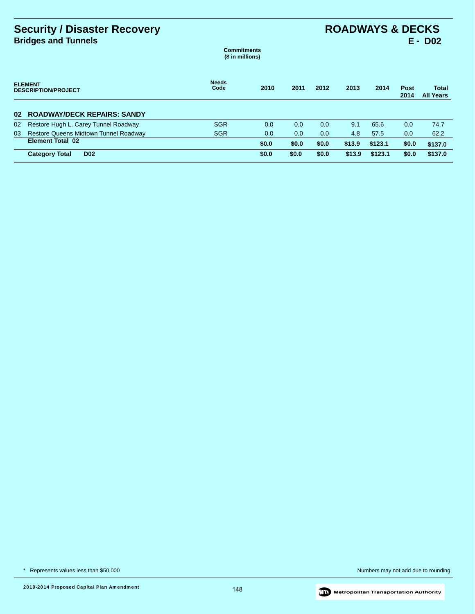### **Security / Disaster Recovery And Accord Accord ROADWAYS & DECKS Bridges and Tunnels**

**E - D02**

**Commitments (\$ in millions)**

|                 | <b>ELEMENT</b><br><b>DESCRIPTION/PROJECT</b> | <b>Needs</b><br>Code | 2010  | 2011    | 2012  | 2013   | 2014    | <b>Post</b><br>2014 | Total<br><b>All Years</b> |
|-----------------|----------------------------------------------|----------------------|-------|---------|-------|--------|---------|---------------------|---------------------------|
|                 | 02 ROADWAY/DECK REPAIRS: SANDY               |                      |       |         |       |        |         |                     |                           |
| 02 <sub>2</sub> | Restore Hugh L. Carey Tunnel Roadway         | <b>SGR</b>           | 0.0   | 0.0     | 0.0   | 9.1    | 65.6    | 0.0                 | 74.7                      |
| 03              | Restore Queens Midtown Tunnel Roadway        | <b>SGR</b>           | 0.0   | 0.0     | 0.0   | 4.8    | 57.5    | 0.0                 | 62.2                      |
|                 | <b>Element Total 02</b>                      |                      | \$0.0 | \$0.0   | \$0.0 | \$13.9 | \$123.1 | \$0.0\$             | \$137.0                   |
|                 | <b>Category Total</b><br><b>D02</b>          |                      | \$0.0 | \$0.0\$ | \$0.0 | \$13.9 | \$123.1 | \$0.0\$             | \$137.0                   |

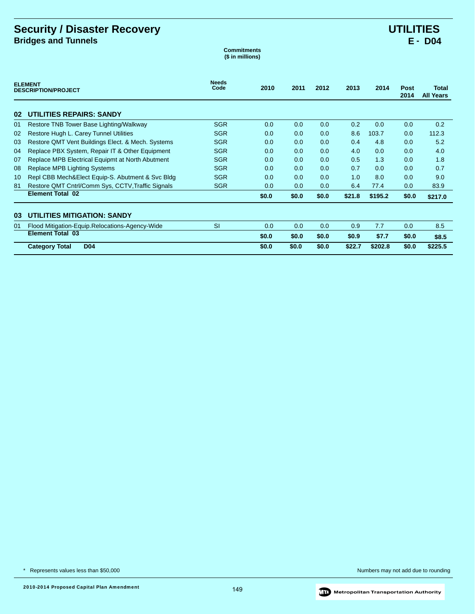### **Security / Disaster Recovery UTILITIES Bridges and Tunnels**

**Commitments (\$ in millions)**

|    | <b>ELEMENT</b><br><b>DESCRIPTION/PROJECT</b>      | <b>Needs</b><br>Code | 2010    | 2011    | 2012  | 2013   | 2014    | <b>Post</b><br>2014 | <b>Total</b><br><b>All Years</b> |
|----|---------------------------------------------------|----------------------|---------|---------|-------|--------|---------|---------------------|----------------------------------|
| 02 | UTILITIES REPAIRS: SANDY                          |                      |         |         |       |        |         |                     |                                  |
| 01 | Restore TNB Tower Base Lighting/Walkway           | <b>SGR</b>           | 0.0     | 0.0     | 0.0   | 0.2    | 0.0     | 0.0                 | 0.2                              |
| 02 | Restore Hugh L. Carey Tunnel Utilities            | <b>SGR</b>           | 0.0     | 0.0     | 0.0   | 8.6    | 103.7   | 0.0                 | 112.3                            |
| 03 | Restore QMT Vent Buildings Elect. & Mech. Systems | <b>SGR</b>           | 0.0     | 0.0     | 0.0   | 0.4    | 4.8     | 0.0                 | 5.2                              |
| 04 | Replace PBX System, Repair IT & Other Equipment   | <b>SGR</b>           | 0.0     | 0.0     | 0.0   | 4.0    | 0.0     | 0.0                 | 4.0                              |
| 07 | Replace MPB Electrical Equipmt at North Abutment  | <b>SGR</b>           | 0.0     | 0.0     | 0.0   | 0.5    | 1.3     | 0.0                 | 1.8                              |
| 08 | Replace MPB Lighting Systems                      | <b>SGR</b>           | 0.0     | 0.0     | 0.0   | 0.7    | 0.0     | 0.0                 | 0.7                              |
| 10 | Repl CBB Mech&Elect Equip-S. Abutment & Svc Bldg  | <b>SGR</b>           | 0.0     | 0.0     | 0.0   | 1.0    | 8.0     | 0.0                 | 9.0                              |
| 81 | Restore QMT Cntrl/Comm Sys, CCTV, Traffic Signals | <b>SGR</b>           | 0.0     | 0.0     | 0.0   | 6.4    | 77.4    | 0.0                 | 83.9                             |
|    | <b>Element Total 02</b>                           |                      | \$0.0\$ | \$0.0\$ | \$0.0 | \$21.8 | \$195.2 | \$0.0               | \$217.0                          |
| 03 | <b>UTILITIES MITIGATION: SANDY</b>                |                      |         |         |       |        |         |                     |                                  |
| 01 | Flood Mitigation-Equip.Relocations-Agency-Wide    | <b>SI</b>            | 0.0     | 0.0     | 0.0   | 0.9    | 7.7     | 0.0                 | 8.5                              |
|    | <b>Element Total 03</b>                           |                      | \$0.0   | \$0.0   | \$0.0 | \$0.9  | \$7.7   | \$0.0               | \$8.5                            |
|    | <b>D04</b><br><b>Category Total</b>               |                      | \$0.0   | \$0.0   | \$0.0 | \$22.7 | \$202.8 | \$0.0               | \$225.5                          |

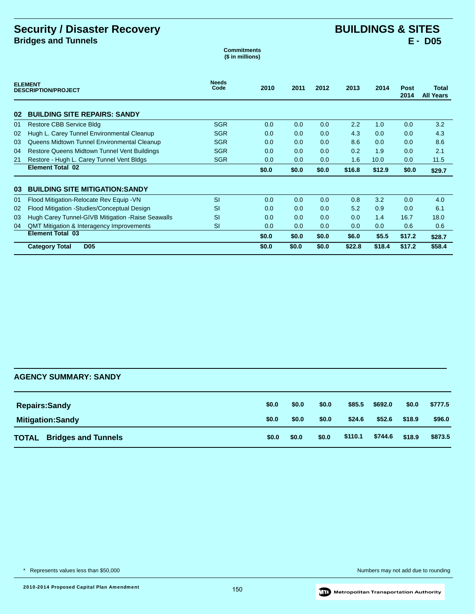### **Security / Disaster Recovery BUILDINGS & SITES Bridges and Tunnels**

**E - D05**

**Commitments (\$ in millions)**

|    | <b>ELEMENT</b><br><b>DESCRIPTION/PROJECT</b>         | <b>Needs</b><br>Code | 2010  | 2011  | 2012  | 2013   | 2014   | <b>Post</b><br>2014 | Total<br><b>All Years</b> |
|----|------------------------------------------------------|----------------------|-------|-------|-------|--------|--------|---------------------|---------------------------|
| 02 | <b>BUILDING SITE REPAIRS: SANDY</b>                  |                      |       |       |       |        |        |                     |                           |
| 01 | <b>Restore CBB Service Bldg</b>                      | <b>SGR</b>           | 0.0   | 0.0   | 0.0   | 2.2    | 1.0    | 0.0                 | 3.2                       |
| 02 | Hugh L. Carey Tunnel Environmental Cleanup           | <b>SGR</b>           | 0.0   | 0.0   | 0.0   | 4.3    | 0.0    | 0.0                 | 4.3                       |
| 03 | Queens Midtown Tunnel Environmental Cleanup          | <b>SGR</b>           | 0.0   | 0.0   | 0.0   | 8.6    | 0.0    | 0.0                 | 8.6                       |
| 04 | <b>Restore Queens Midtown Tunnel Vent Buildings</b>  | <b>SGR</b>           | 0.0   | 0.0   | 0.0   | 0.2    | 1.9    | 0.0                 | 2.1                       |
| 21 | Restore - Hugh L. Carey Tunnel Vent Bldgs            | <b>SGR</b>           | 0.0   | 0.0   | 0.0   | 1.6    | 10.0   | 0.0                 | 11.5                      |
|    | <b>Element Total 02</b>                              |                      | \$0.0 | \$0.0 | \$0.0 | \$16.8 | \$12.9 | \$0.0               | \$29.7                    |
| 03 | <b>BUILDING SITE MITIGATION: SANDY</b>               |                      |       |       |       |        |        |                     |                           |
| 01 | Flood Mitigation-Relocate Rev Equip - VN             | <b>SI</b>            | 0.0   | 0.0   | 0.0   | 0.8    | 3.2    | 0.0                 | 4.0                       |
| 02 | Flood Mitigation -Studies/Conceptual Design          | <b>SI</b>            | 0.0   | 0.0   | 0.0   | 5.2    | 0.9    | 0.0                 | 6.1                       |
| 03 | Hugh Carey Tunnel-GIVB Mitigation - Raise Seawalls   | <b>SI</b>            | 0.0   | 0.0   | 0.0   | 0.0    | 1.4    | 16.7                | 18.0                      |
| 04 | <b>QMT Mitigation &amp; Interagency Improvements</b> | <b>SI</b>            | 0.0   | 0.0   | 0.0   | 0.0    | 0.0    | 0.6                 | 0.6                       |
|    | <b>Element Total 03</b>                              |                      | \$0.0 | \$0.0 | \$0.0 | \$6.0  | \$5.5  | \$17.2              | \$28.7                    |
|    | <b>D05</b><br><b>Category Total</b>                  |                      | \$0.0 | \$0.0 | \$0.0 | \$22.8 | \$18.4 | \$17.2              | \$58.4                    |

#### **AGENCY SUMMARY: SANDY**

| <b>Repairs:Sandy</b>                       | \$0.0\$ | \$0.0\$ | \$0.0\$ | \$85.5  | \$692.0 | \$0.0  | \$777.5 |
|--------------------------------------------|---------|---------|---------|---------|---------|--------|---------|
| <b>Mitigation:Sandy</b>                    | \$0.0\$ | \$0.0   | \$0.0\$ | \$24.6  | \$52.6  | \$18.9 | \$96.0  |
| <b>TOTAL</b><br><b>Bridges and Tunnels</b> | \$0.0   | \$0.0   | \$0.0\$ | \$110.1 | \$744.6 | \$18.9 | \$873.5 |